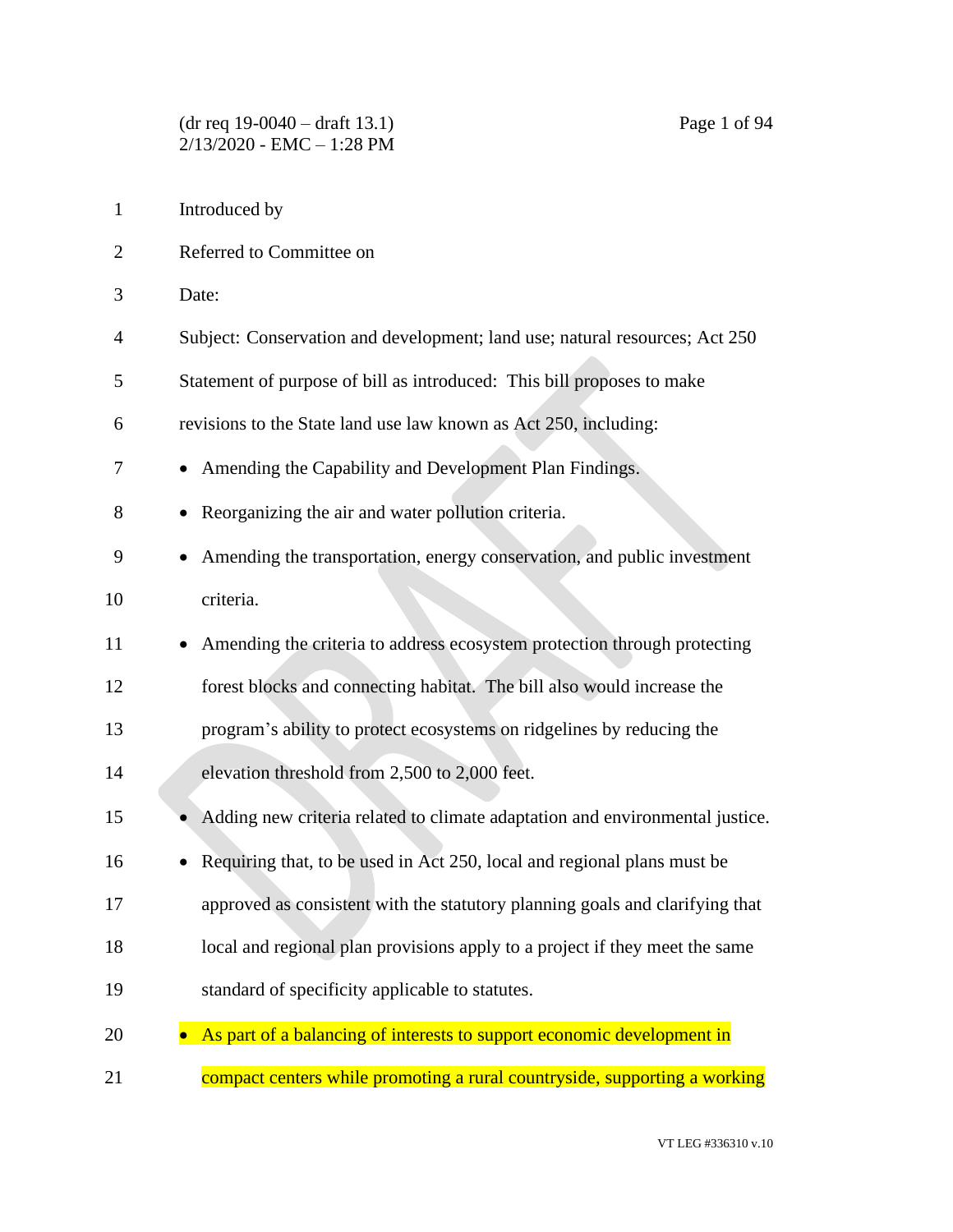- Introduced by Referred to Committee on Date: Subject: Conservation and development; land use; natural resources; Act 250 Statement of purpose of bill as introduced: This bill proposes to make revisions to the State land use law known as Act 250, including: • Amending the Capability and Development Plan Findings. • Reorganizing the air and water pollution criteria. • Amending the transportation, energy conservation, and public investment criteria. 11 • Amending the criteria to address ecosystem protection through protecting forest blocks and connecting habitat. The bill also would increase the program's ability to protect ecosystems on ridgelines by reducing the elevation threshold from 2,500 to 2,000 feet. 15 • Adding new criteria related to climate adaptation and environmental justice. 16 • Requiring that, to be used in Act 250, local and regional plans must be approved as consistent with the statutory planning goals and clarifying that local and regional plan provisions apply to a project if they meet the same
- standard of specificity applicable to statutes.
- 20 As part of a balancing of interests to support economic development in
- 21 compact centers while promoting a rural countryside, supporting a working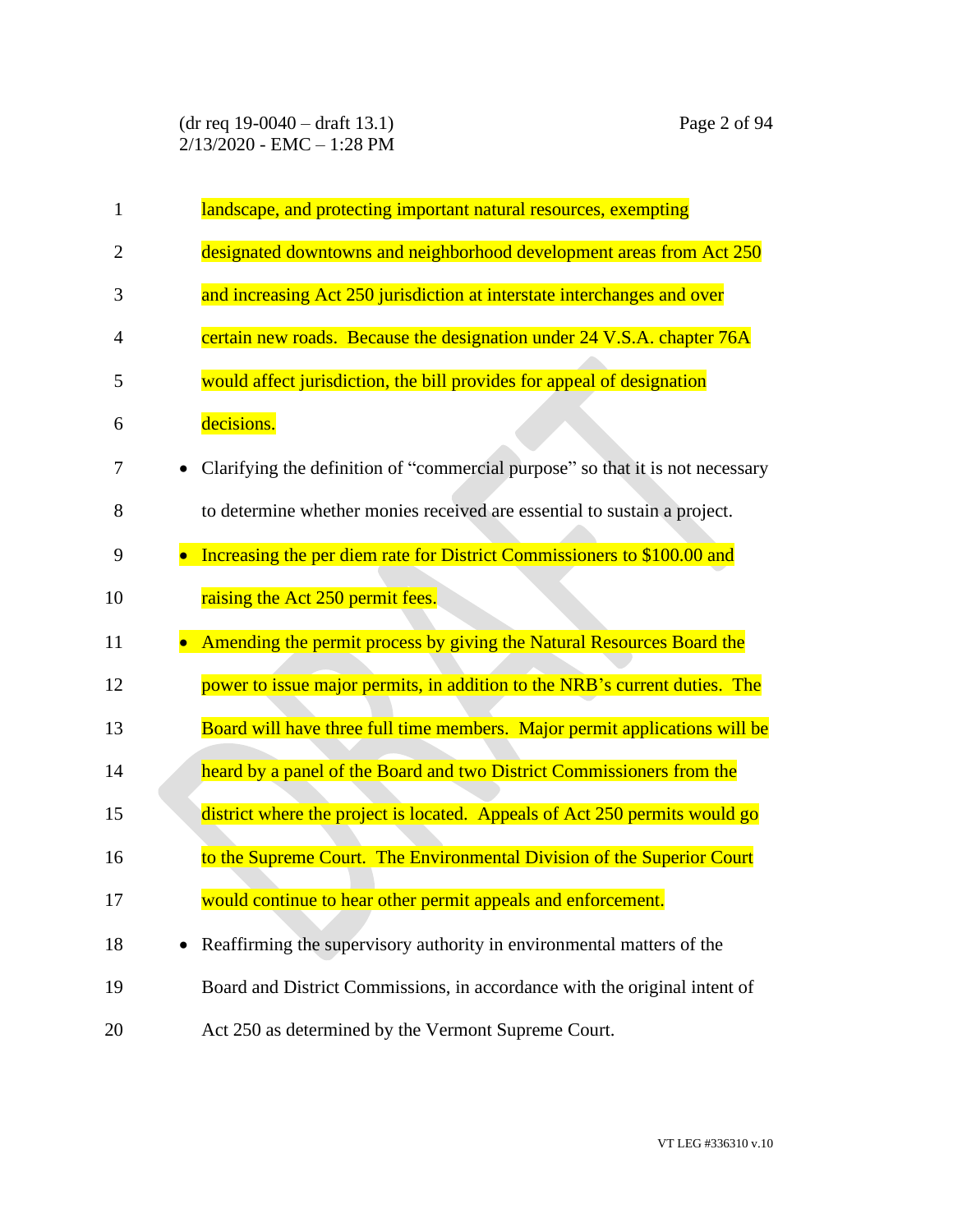(dr req 19-0040 – draft 13.1) Page 2 of 94  $2/13/2020$  - EMC - 1:28 PM

| $\mathbf{1}$   | landscape, and protecting important natural resources, exempting              |
|----------------|-------------------------------------------------------------------------------|
| $\overline{2}$ | designated downtowns and neighborhood development areas from Act 250          |
| 3              | and increasing Act 250 jurisdiction at interstate interchanges and over       |
| $\overline{4}$ | certain new roads. Because the designation under 24 V.S.A. chapter 76A        |
| 5              | would affect jurisdiction, the bill provides for appeal of designation        |
| 6              | decisions.                                                                    |
| 7              | Clarifying the definition of "commercial purpose" so that it is not necessary |
| 8              | to determine whether monies received are essential to sustain a project.      |
| 9              | Increasing the per diem rate for District Commissioners to \$100.00 and       |
| 10             | raising the Act 250 permit fees.                                              |
| 11             | Amending the permit process by giving the Natural Resources Board the         |
| 12             | power to issue major permits, in addition to the NRB's current duties. The    |
| 13             | Board will have three full time members. Major permit applications will be    |
| 14             | heard by a panel of the Board and two District Commissioners from the         |
| 15             | district where the project is located. Appeals of Act 250 permits would go    |
| 16             | to the Supreme Court. The Environmental Division of the Superior Court        |
| 17             | would continue to hear other permit appeals and enforcement.                  |

18 • Reaffirming the supervisory authority in environmental matters of the 19 Board and District Commissions, in accordance with the original intent of 20 Act 250 as determined by the Vermont Supreme Court.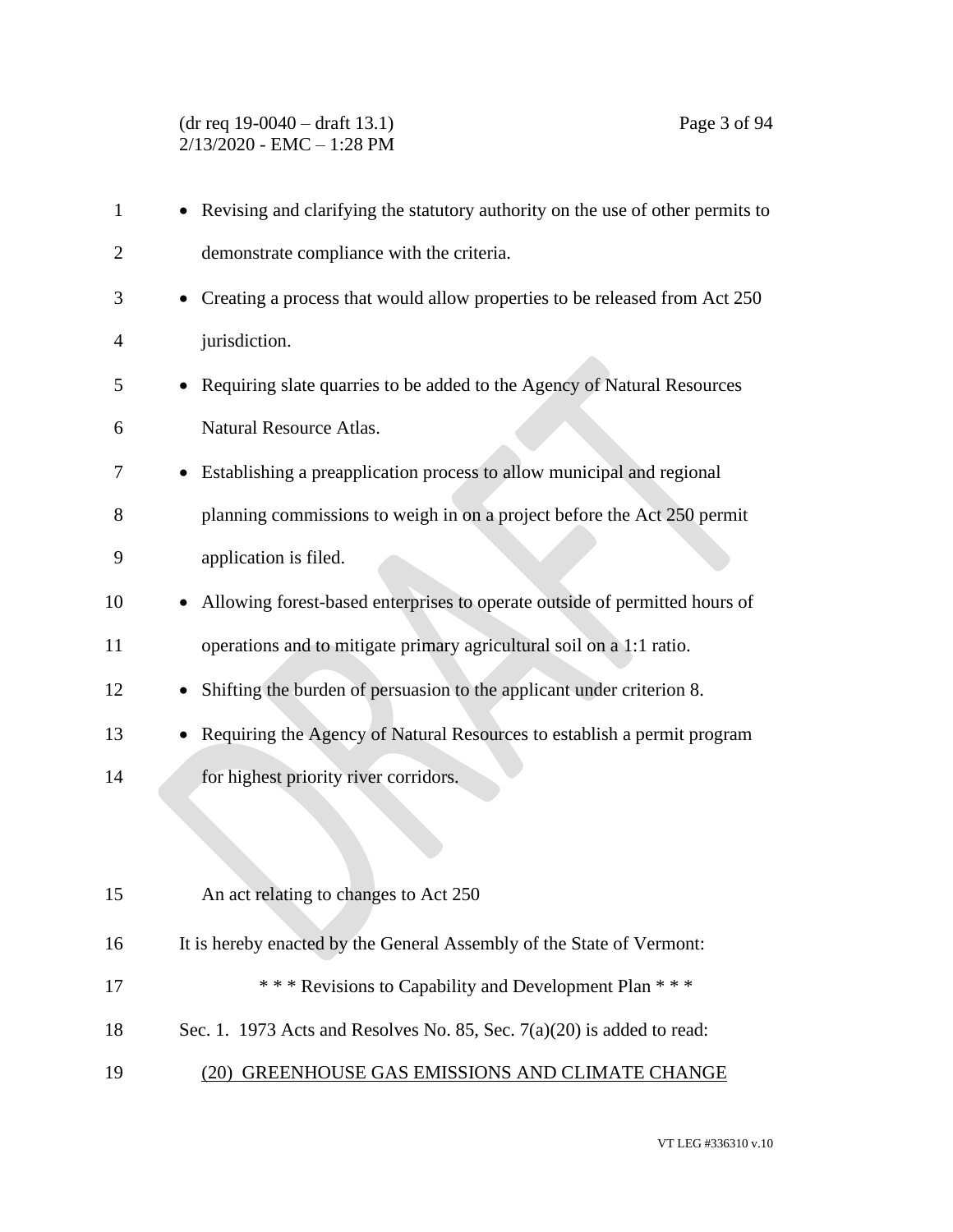| 1  | Revising and clarifying the statutory authority on the use of other permits to     |
|----|------------------------------------------------------------------------------------|
| 2  | demonstrate compliance with the criteria.                                          |
| 3  | • Creating a process that would allow properties to be released from Act 250       |
| 4  | jurisdiction.                                                                      |
| 5  | Requiring slate quarries to be added to the Agency of Natural Resources            |
| 6  | Natural Resource Atlas.                                                            |
| 7  | • Establishing a preapplication process to allow municipal and regional            |
| 8  | planning commissions to weigh in on a project before the Act 250 permit            |
| 9  | application is filed.                                                              |
| 10 | Allowing forest-based enterprises to operate outside of permitted hours of         |
| 11 | operations and to mitigate primary agricultural soil on a 1:1 ratio.               |
| 12 | Shifting the burden of persuasion to the applicant under criterion 8.<br>$\bullet$ |
| 13 | Requiring the Agency of Natural Resources to establish a permit program            |
| 14 | for highest priority river corridors.                                              |
|    |                                                                                    |
|    |                                                                                    |
| 15 | An act relating to changes to Act 250                                              |
| 16 | It is hereby enacted by the General Assembly of the State of Vermont:              |
| 17 | *** Revisions to Capability and Development Plan ***                               |
| 18 | Sec. 1. 1973 Acts and Resolves No. 85, Sec. $7(a)(20)$ is added to read:           |
| 19 | (20) GREENHOUSE GAS EMISSIONS AND CLIMATE CHANGE                                   |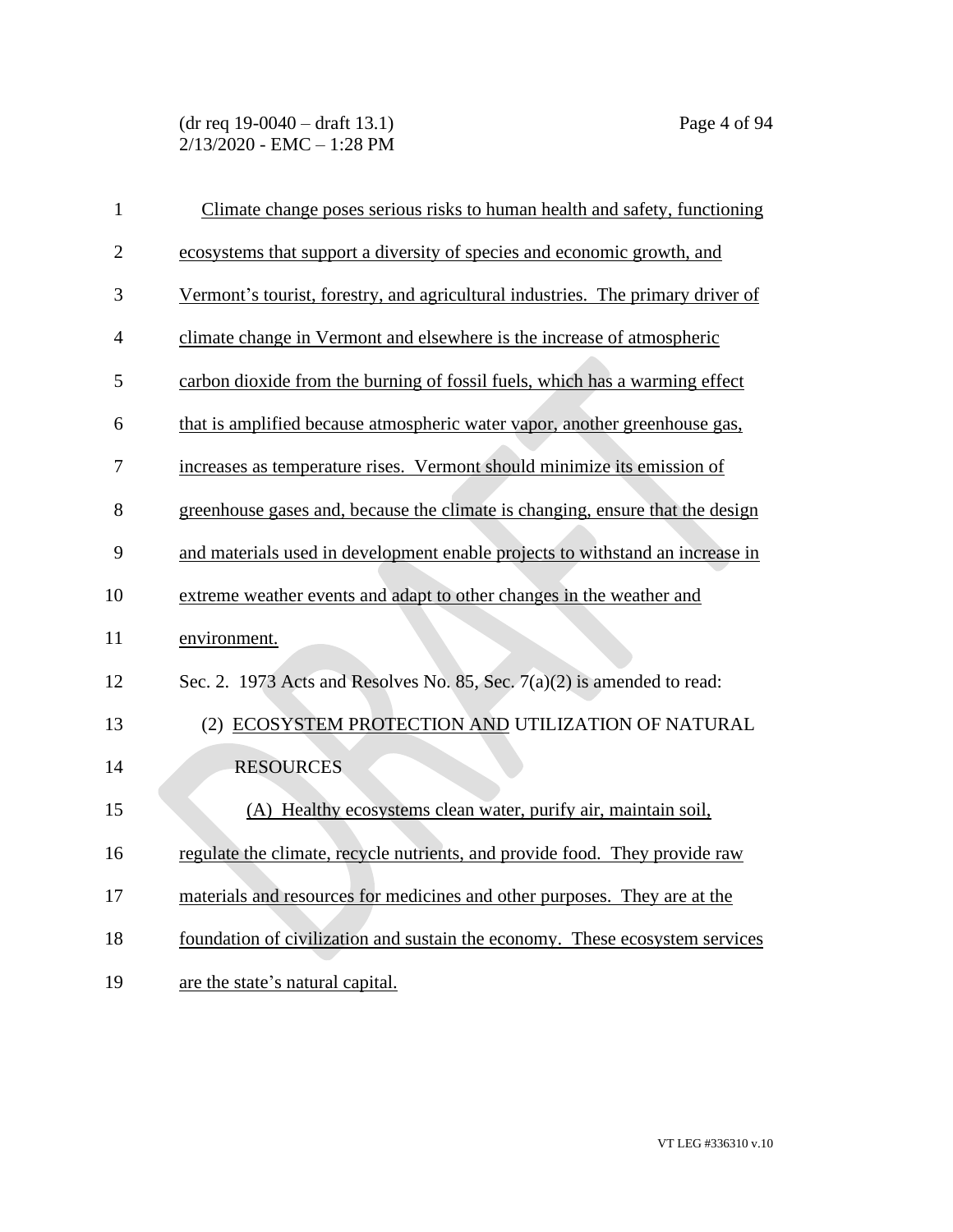(dr req 19-0040 – draft 13.1) Page 4 of 94 2/13/2020 - EMC – 1:28 PM

| $\mathbf{1}$   | Climate change poses serious risks to human health and safety, functioning      |
|----------------|---------------------------------------------------------------------------------|
| $\overline{2}$ | ecosystems that support a diversity of species and economic growth, and         |
| 3              | Vermont's tourist, forestry, and agricultural industries. The primary driver of |
| $\overline{4}$ | climate change in Vermont and elsewhere is the increase of atmospheric          |
| 5              | carbon dioxide from the burning of fossil fuels, which has a warming effect     |
| 6              | that is amplified because atmospheric water vapor, another greenhouse gas,      |
| 7              | increases as temperature rises. Vermont should minimize its emission of         |
| 8              | greenhouse gases and, because the climate is changing, ensure that the design   |
| 9              | and materials used in development enable projects to withstand an increase in   |
| 10             | extreme weather events and adapt to other changes in the weather and            |
| 11             | environment.                                                                    |
| 12             | Sec. 2. 1973 Acts and Resolves No. 85, Sec. $7(a)(2)$ is amended to read:       |
| 13             | (2) ECOSYSTEM PROTECTION AND UTILIZATION OF NATURAL                             |
| 14             | <b>RESOURCES</b>                                                                |
| 15             | (A) Healthy ecosystems clean water, purify air, maintain soil,                  |
| 16             | regulate the climate, recycle nutrients, and provide food. They provide raw     |
| 17             | materials and resources for medicines and other purposes. They are at the       |
| 18             | foundation of civilization and sustain the economy. These ecosystem services    |
| 19             | are the state's natural capital.                                                |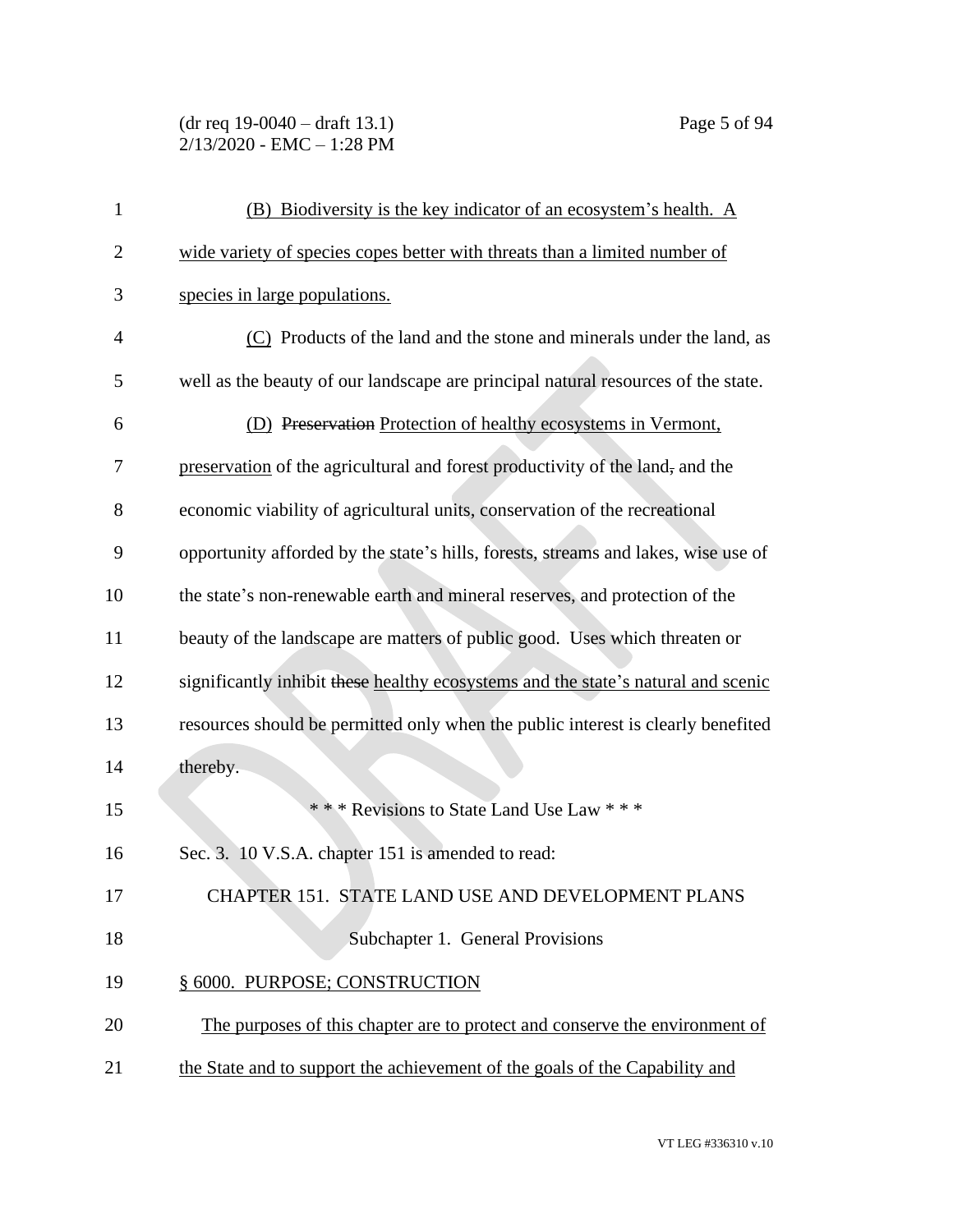(dr req 19-0040 – draft 13.1) Page 5 of 94 2/13/2020 - EMC – 1:28 PM

| $\mathbf{1}$   | (B) Biodiversity is the key indicator of an ecosystem's health. A                  |
|----------------|------------------------------------------------------------------------------------|
| $\overline{2}$ | wide variety of species copes better with threats than a limited number of         |
| 3              | species in large populations.                                                      |
| $\overline{4}$ | (C) Products of the land and the stone and minerals under the land, as             |
| 5              | well as the beauty of our landscape are principal natural resources of the state.  |
| 6              | (D) Preservation Protection of healthy ecosystems in Vermont,                      |
| 7              | preservation of the agricultural and forest productivity of the land, and the      |
| 8              | economic viability of agricultural units, conservation of the recreational         |
| 9              | opportunity afforded by the state's hills, forests, streams and lakes, wise use of |
| 10             | the state's non-renewable earth and mineral reserves, and protection of the        |
| 11             | beauty of the landscape are matters of public good. Uses which threaten or         |
| 12             | significantly inhibit these healthy ecosystems and the state's natural and scenic  |
| 13             | resources should be permitted only when the public interest is clearly benefited   |
| 14             | thereby.                                                                           |
| 15             | *** Revisions to State Land Use Law ***                                            |
| 16             | Sec. 3. 10 V.S.A. chapter 151 is amended to read:                                  |
| 17             | CHAPTER 151. STATE LAND USE AND DEVELOPMENT PLANS                                  |
| 18             | Subchapter 1. General Provisions                                                   |
| 19             | § 6000. PURPOSE; CONSTRUCTION                                                      |
| 20             | The purposes of this chapter are to protect and conserve the environment of        |
| 21             | the State and to support the achievement of the goals of the Capability and        |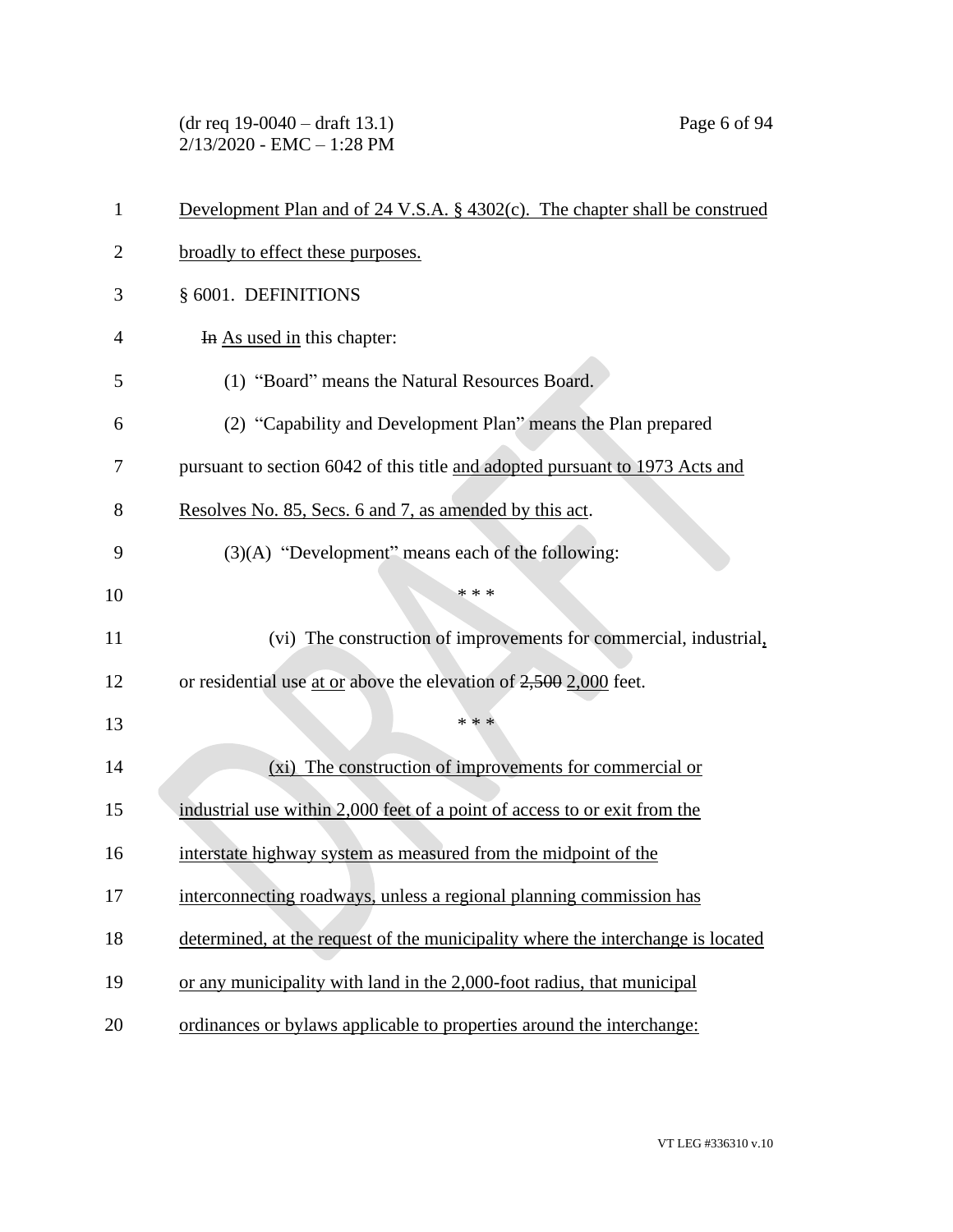(dr req 19-0040 – draft 13.1) Page 6 of 94 2/13/2020 - EMC – 1:28 PM

| $\mathbf{1}$   | Development Plan and of $24 \text{ V.S.A. }$ § $4302(c)$ . The chapter shall be construed |
|----------------|-------------------------------------------------------------------------------------------|
| $\overline{2}$ | broadly to effect these purposes.                                                         |
| 3              | § 6001. DEFINITIONS                                                                       |
| $\overline{4}$ | In As used in this chapter:                                                               |
| 5              | (1) "Board" means the Natural Resources Board.                                            |
| 6              | (2) "Capability and Development Plan" means the Plan prepared                             |
| 7              | pursuant to section 6042 of this title and adopted pursuant to 1973 Acts and              |
| 8              | Resolves No. 85, Secs. 6 and 7, as amended by this act.                                   |
| 9              | (3)(A) "Development" means each of the following:                                         |
| 10             | * * *                                                                                     |
| 11             | (vi) The construction of improvements for commercial, industrial,                         |
| 12             | or residential use at or above the elevation of 2,500 2,000 feet.                         |
| 13             | * * *                                                                                     |
| 14             | (xi) The construction of improvements for commercial or                                   |
| 15             | industrial use within 2,000 feet of a point of access to or exit from the                 |
| 16             | interstate highway system as measured from the midpoint of the                            |
| 17             | interconnecting roadways, unless a regional planning commission has                       |
| 18             | determined, at the request of the municipality where the interchange is located           |
| 19             | or any municipality with land in the 2,000-foot radius, that municipal                    |
| 20             | ordinances or bylaws applicable to properties around the interchange:                     |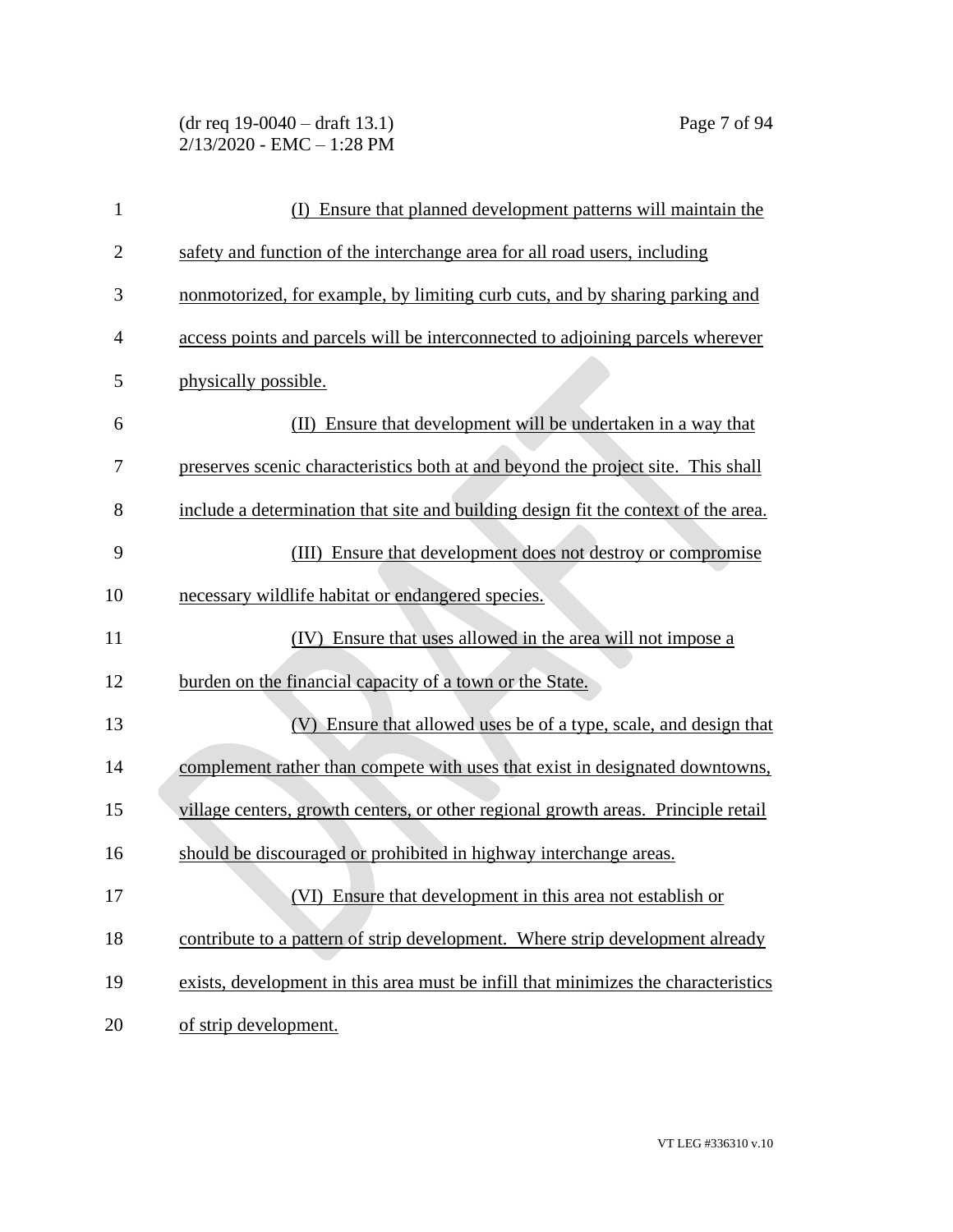(dr req 19-0040 – draft 13.1) Page 7 of 94 2/13/2020 - EMC – 1:28 PM

| $\mathbf{1}$   | Ensure that planned development patterns will maintain the<br>(I)                  |
|----------------|------------------------------------------------------------------------------------|
| $\overline{2}$ | safety and function of the interchange area for all road users, including          |
| 3              | nonmotorized, for example, by limiting curb cuts, and by sharing parking and       |
| 4              | access points and parcels will be interconnected to adjoining parcels wherever     |
| 5              | physically possible.                                                               |
| 6              | (II) Ensure that development will be undertaken in a way that                      |
| 7              | preserves scenic characteristics both at and beyond the project site. This shall   |
| 8              | include a determination that site and building design fit the context of the area. |
| 9              | (III) Ensure that development does not destroy or compromise                       |
| 10             | necessary wildlife habitat or endangered species.                                  |
| 11             | (IV) Ensure that uses allowed in the area will not impose a                        |
| 12             | burden on the financial capacity of a town or the State.                           |
| 13             | (V) Ensure that allowed uses be of a type, scale, and design that                  |
| 14             | complement rather than compete with uses that exist in designated downtowns,       |
| 15             | village centers, growth centers, or other regional growth areas. Principle retail  |
| 16             | should be discouraged or prohibited in highway interchange areas.                  |
| 17             | (VI) Ensure that development in this area not establish or                         |
| 18             | contribute to a pattern of strip development. Where strip development already      |
| 19             | exists, development in this area must be infill that minimizes the characteristics |
| 20             | of strip development.                                                              |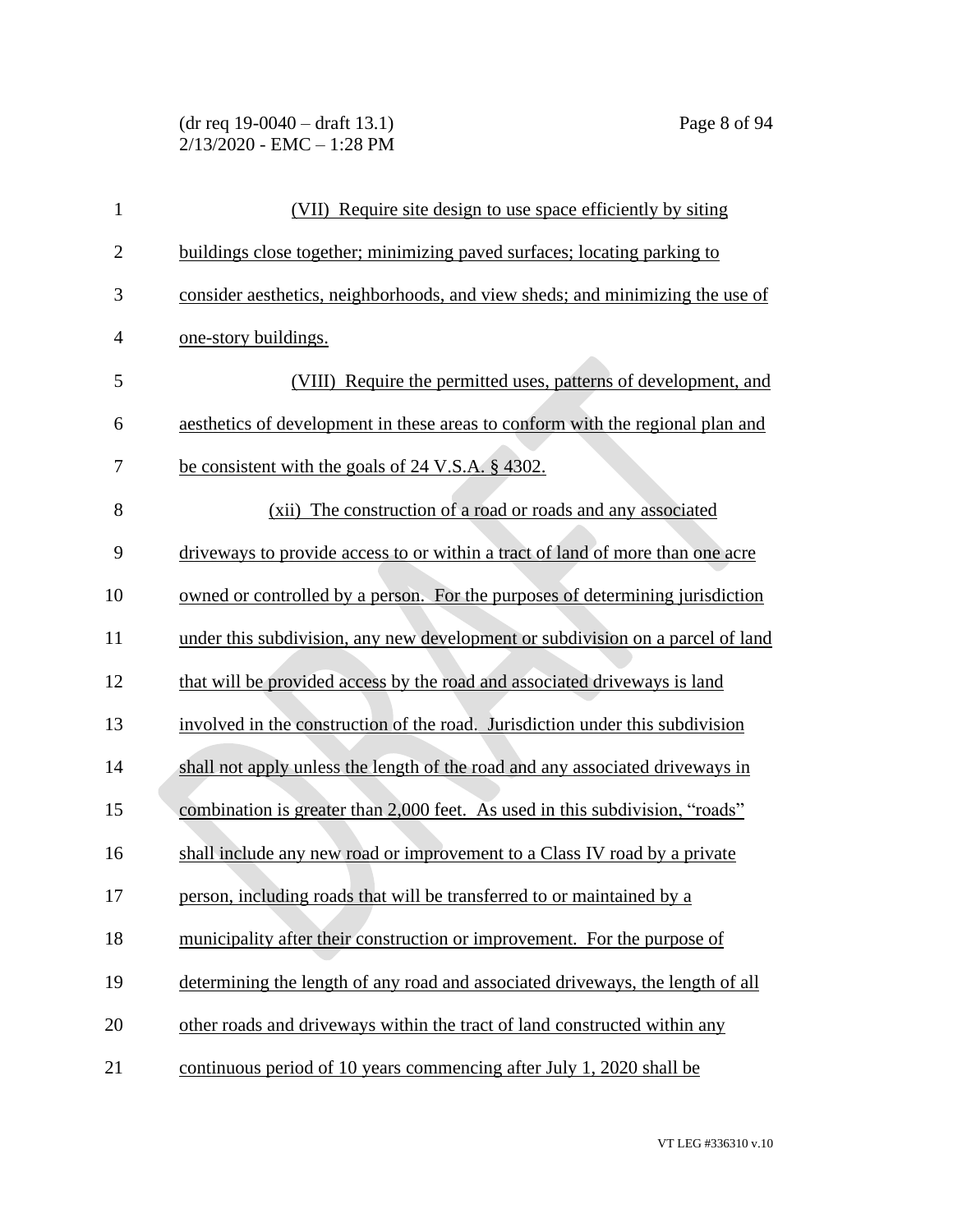(dr req 19-0040 – draft 13.1) Page 8 of 94 2/13/2020 - EMC – 1:28 PM

| $\mathbf{1}$   | (VII) Require site design to use space efficiently by siting                   |
|----------------|--------------------------------------------------------------------------------|
| $\overline{2}$ | buildings close together; minimizing paved surfaces; locating parking to       |
| 3              | consider aesthetics, neighborhoods, and view sheds; and minimizing the use of  |
| $\overline{4}$ | one-story buildings.                                                           |
| 5              | (VIII) Require the permitted uses, patterns of development, and                |
| 6              | aesthetics of development in these areas to conform with the regional plan and |
| 7              | be consistent with the goals of 24 V.S.A. § 4302.                              |
| 8              | (xii) The construction of a road or roads and any associated                   |
| 9              | driveways to provide access to or within a tract of land of more than one acre |
| 10             | owned or controlled by a person. For the purposes of determining jurisdiction  |
| 11             | under this subdivision, any new development or subdivision on a parcel of land |
| 12             | that will be provided access by the road and associated driveways is land      |
| 13             | involved in the construction of the road. Jurisdiction under this subdivision  |
| 14             | shall not apply unless the length of the road and any associated driveways in  |
| 15             | combination is greater than 2,000 feet. As used in this subdivision, "roads"   |
| 16             | shall include any new road or improvement to a Class IV road by a private      |
| 17             | person, including roads that will be transferred to or maintained by a         |
| 18             | municipality after their construction or improvement. For the purpose of       |
| 19             | determining the length of any road and associated driveways, the length of all |
| 20             | other roads and driveways within the tract of land constructed within any      |
| 21             | continuous period of 10 years commencing after July 1, 2020 shall be           |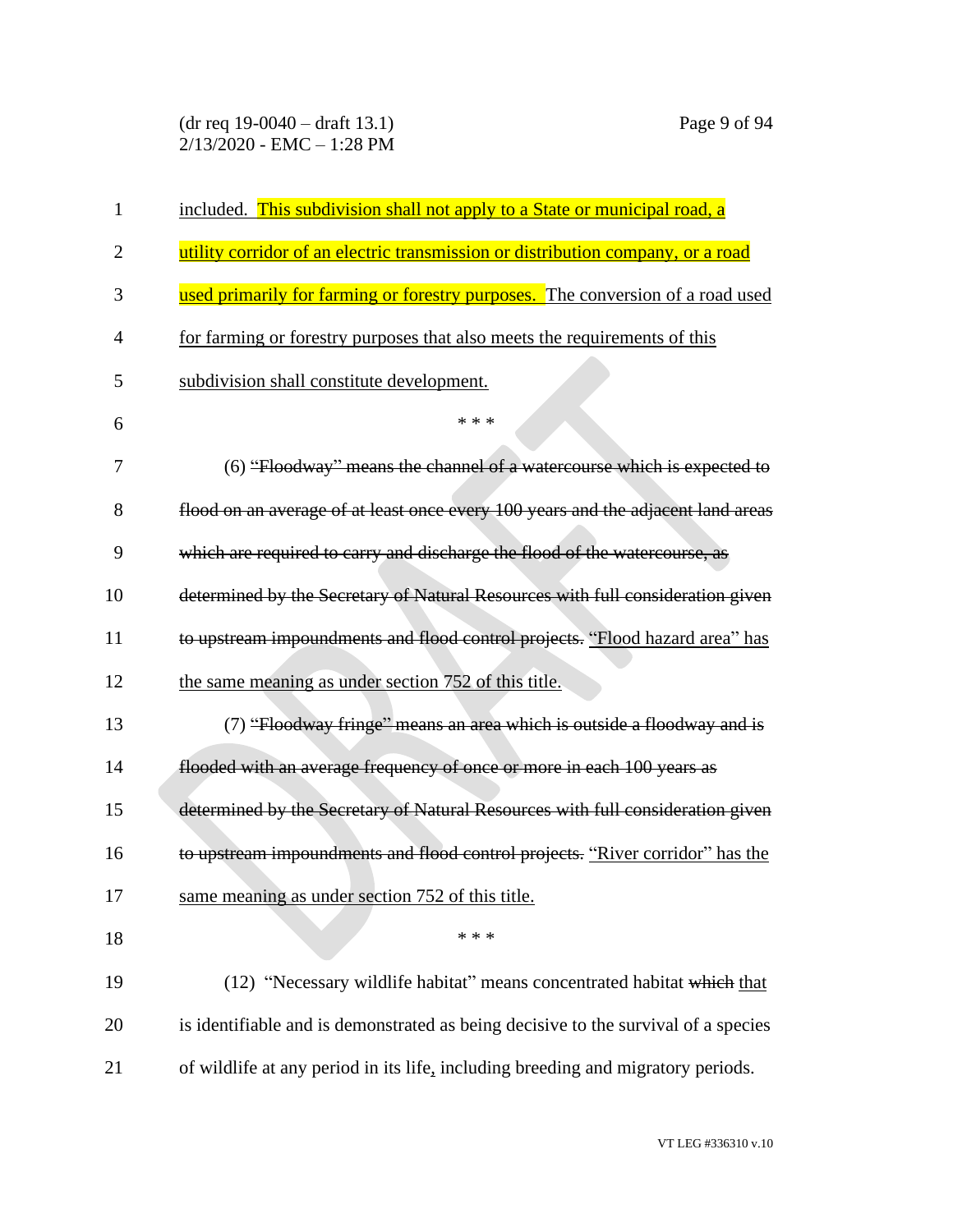| 1              | included. This subdivision shall not apply to a State or municipal road, a         |
|----------------|------------------------------------------------------------------------------------|
| $\overline{2}$ | utility corridor of an electric transmission or distribution company, or a road    |
| 3              | used primarily for farming or forestry purposes. The conversion of a road used     |
| 4              | for farming or forestry purposes that also meets the requirements of this          |
| 5              | subdivision shall constitute development.                                          |
| 6              | * * *                                                                              |
| 7              | (6) "Floodway" means the channel of a watercourse which is expected to             |
| 8              | flood on an average of at least once every 100 years and the adjacent land areas   |
| 9              | which are required to carry and discharge the flood of the watercourse, as         |
| 10             | determined by the Secretary of Natural Resources with full consideration given     |
| 11             | to upstream impoundments and flood control projects. "Flood hazard area" has       |
| 12             | the same meaning as under section 752 of this title.                               |
| 13             | (7) "Floodway fringe" means an area which is outside a floodway and is             |
| 14             | flooded with an average frequency of once or more in each 100 years as             |
| 15             | determined by the Secretary of Natural Resources with full consideration given     |
| 16             | to upstream impoundments and flood control projects. "River corridor" has the      |
| 17             | same meaning as under section 752 of this title.                                   |
| 18             | * * *                                                                              |
| 19             | (12) "Necessary wildlife habitat" means concentrated habitat which that            |
| 20             | is identifiable and is demonstrated as being decisive to the survival of a species |
| 21             | of wildlife at any period in its life, including breeding and migratory periods.   |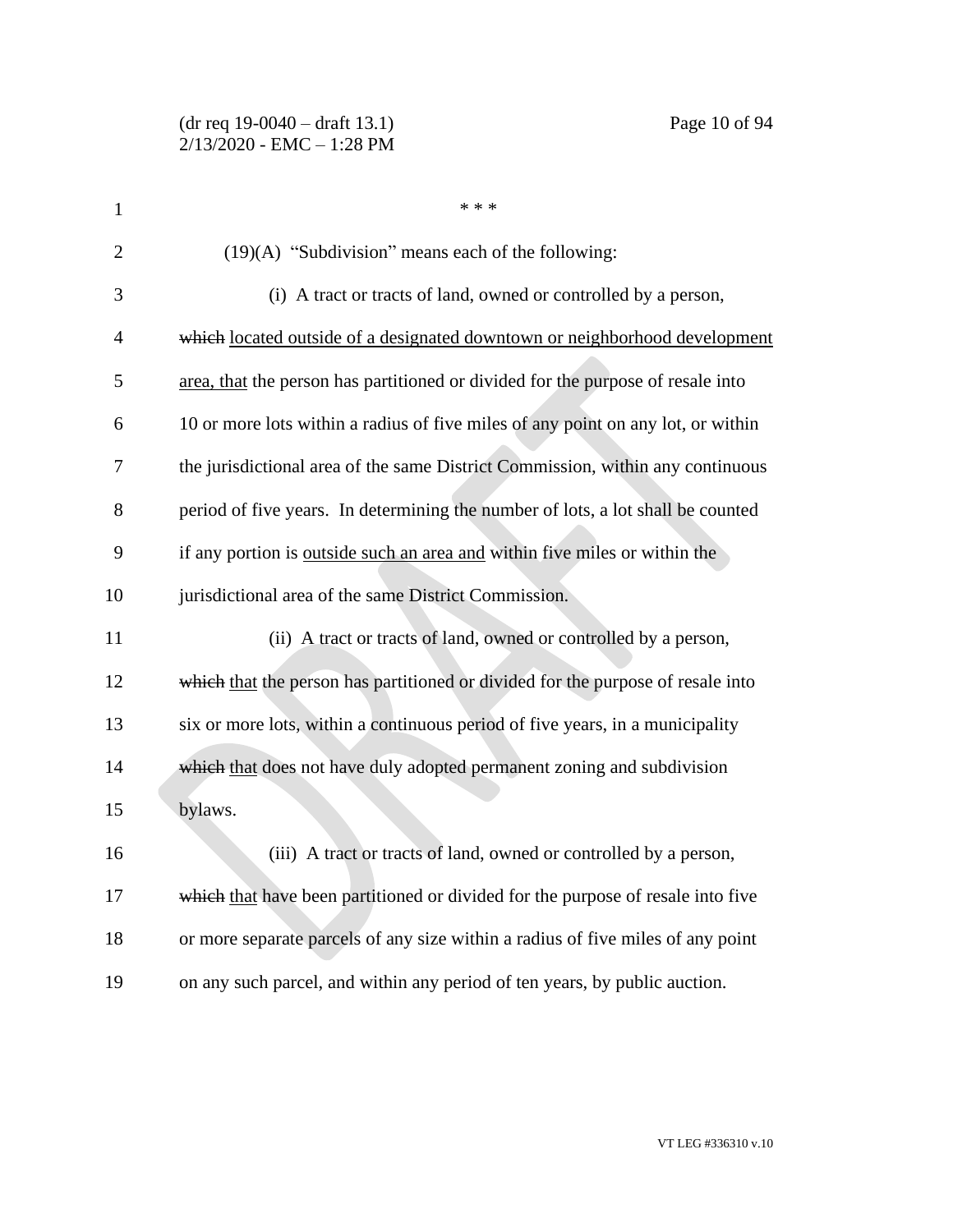| $\mathbf{1}$   | * * *                                                                            |
|----------------|----------------------------------------------------------------------------------|
| $\overline{2}$ | $(19)(A)$ "Subdivision" means each of the following:                             |
| 3              | (i) A tract or tracts of land, owned or controlled by a person,                  |
| $\overline{4}$ | which located outside of a designated downtown or neighborhood development       |
| 5              | area, that the person has partitioned or divided for the purpose of resale into  |
| 6              | 10 or more lots within a radius of five miles of any point on any lot, or within |
| 7              | the jurisdictional area of the same District Commission, within any continuous   |
| 8              | period of five years. In determining the number of lots, a lot shall be counted  |
| 9              | if any portion is outside such an area and within five miles or within the       |
| 10             | jurisdictional area of the same District Commission.                             |
| 11             | (ii) A tract or tracts of land, owned or controlled by a person,                 |
| 12             | which that the person has partitioned or divided for the purpose of resale into  |
| 13             | six or more lots, within a continuous period of five years, in a municipality    |
| 14             | which that does not have duly adopted permanent zoning and subdivision           |
| 15             | bylaws.                                                                          |
| 16             | (iii) A tract or tracts of land, owned or controlled by a person,                |
| 17             | which that have been partitioned or divided for the purpose of resale into five  |
| 18             | or more separate parcels of any size within a radius of five miles of any point  |
| 19             | on any such parcel, and within any period of ten years, by public auction.       |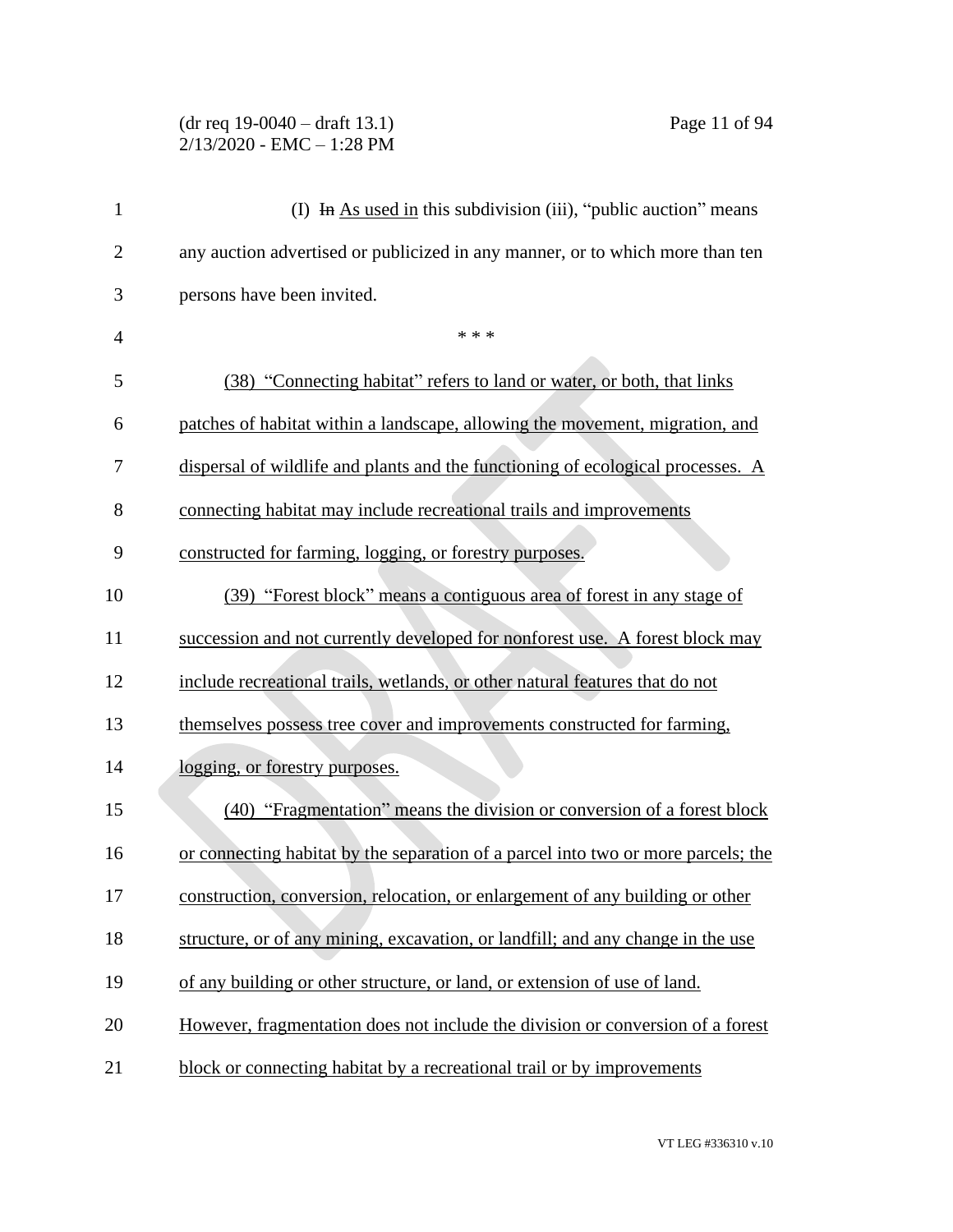### (dr req 19-0040 – draft 13.1) Page 11 of 94 2/13/2020 - EMC – 1:28 PM

| $\mathbf{1}$   | (I) In As used in this subdivision (iii), "public auction" means                  |
|----------------|-----------------------------------------------------------------------------------|
| $\overline{2}$ | any auction advertised or publicized in any manner, or to which more than ten     |
| 3              | persons have been invited.                                                        |
| $\overline{4}$ | * * *                                                                             |
| 5              | (38) "Connecting habitat" refers to land or water, or both, that links            |
| 6              | patches of habitat within a landscape, allowing the movement, migration, and      |
| 7              | dispersal of wildlife and plants and the functioning of ecological processes. A   |
| 8              | connecting habitat may include recreational trails and improvements               |
| 9              | constructed for farming, logging, or forestry purposes.                           |
| 10             | (39) "Forest block" means a contiguous area of forest in any stage of             |
| 11             | succession and not currently developed for nonforest use. A forest block may      |
| 12             | include recreational trails, wetlands, or other natural features that do not      |
| 13             | themselves possess tree cover and improvements constructed for farming,           |
| 14             | logging, or forestry purposes.                                                    |
| 15             | (40) "Fragmentation" means the division or conversion of a forest block           |
| 16             | or connecting habitat by the separation of a parcel into two or more parcels; the |
| 17             | construction, conversion, relocation, or enlargement of any building or other     |
| 18             | structure, or of any mining, excavation, or landfill; and any change in the use   |
| 19             | of any building or other structure, or land, or extension of use of land.         |
| 20             | However, fragmentation does not include the division or conversion of a forest    |
| 21             | block or connecting habitat by a recreational trail or by improvements            |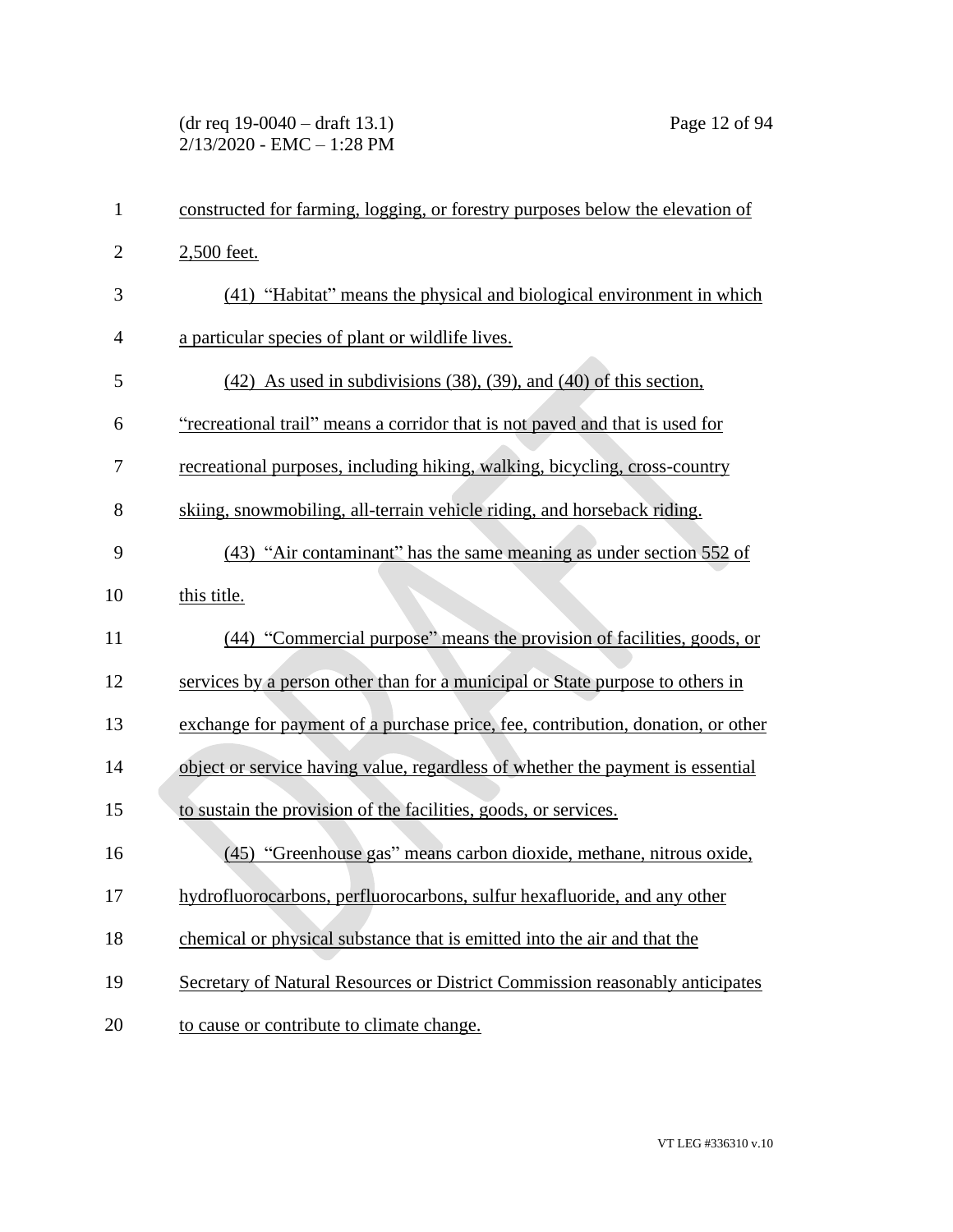| 1              | constructed for farming, logging, or forestry purposes below the elevation of   |
|----------------|---------------------------------------------------------------------------------|
| $\overline{2}$ | 2,500 feet.                                                                     |
| 3              | (41) "Habitat" means the physical and biological environment in which           |
| 4              | a particular species of plant or wildlife lives.                                |
| 5              | $(42)$ As used in subdivisions $(38)$ , $(39)$ , and $(40)$ of this section,    |
| 6              | "recreational trail" means a corridor that is not paved and that is used for    |
| 7              | recreational purposes, including hiking, walking, bicycling, cross-country      |
| 8              | skiing, snowmobiling, all-terrain vehicle riding, and horseback riding.         |
| 9              | (43) "Air contaminant" has the same meaning as under section 552 of             |
| 10             | this title.                                                                     |
| 11             | (44) "Commercial purpose" means the provision of facilities, goods, or          |
| 12             | services by a person other than for a municipal or State purpose to others in   |
| 13             | exchange for payment of a purchase price, fee, contribution, donation, or other |
| 14             | object or service having value, regardless of whether the payment is essential  |
| 15             | to sustain the provision of the facilities, goods, or services.                 |
| 16             | (45) "Greenhouse gas" means carbon dioxide, methane, nitrous oxide,             |
| 17             | hydrofluorocarbons, perfluorocarbons, sulfur hexafluoride, and any other        |
| 18             | chemical or physical substance that is emitted into the air and that the        |
| 19             | Secretary of Natural Resources or District Commission reasonably anticipates    |
| 20             | to cause or contribute to climate change.                                       |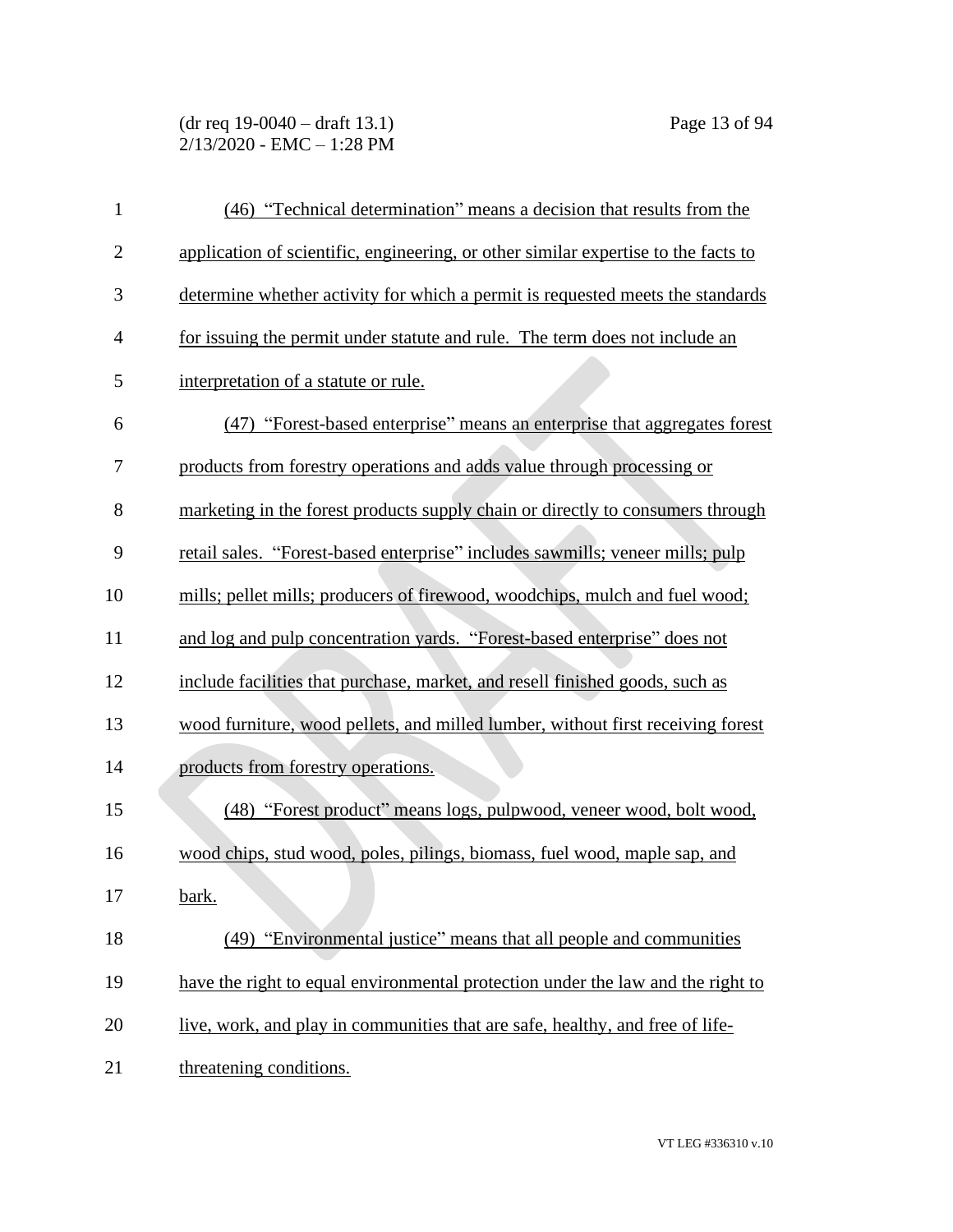# (dr req 19-0040 – draft 13.1) Page 13 of 94 2/13/2020 - EMC – 1:28 PM

| $\mathbf{1}$   | (46) "Technical determination" means a decision that results from the              |
|----------------|------------------------------------------------------------------------------------|
| $\overline{2}$ | application of scientific, engineering, or other similar expertise to the facts to |
| 3              | determine whether activity for which a permit is requested meets the standards     |
| $\overline{4}$ | for issuing the permit under statute and rule. The term does not include an        |
| 5              | interpretation of a statute or rule.                                               |
| 6              | (47) "Forest-based enterprise" means an enterprise that aggregates forest          |
| 7              | products from forestry operations and adds value through processing or             |
| 8              | marketing in the forest products supply chain or directly to consumers through     |
| 9              | retail sales. "Forest-based enterprise" includes sawmills; veneer mills; pulp      |
| 10             | mills; pellet mills; producers of firewood, woodchips, mulch and fuel wood;        |
| 11             | and log and pulp concentration yards. "Forest-based enterprise" does not           |
| 12             | include facilities that purchase, market, and resell finished goods, such as       |
| 13             | wood furniture, wood pellets, and milled lumber, without first receiving forest    |
| 14             | products from forestry operations.                                                 |
| 15             | (48) "Forest product" means logs, pulpwood, veneer wood, bolt wood,                |
| 16             | wood chips, stud wood, poles, pilings, biomass, fuel wood, maple sap, and          |
| 17             | bark.                                                                              |
| 18             | (49) "Environmental justice" means that all people and communities                 |
| 19             | have the right to equal environmental protection under the law and the right to    |
| 20             | live, work, and play in communities that are safe, healthy, and free of life-      |
| 21             | threatening conditions.                                                            |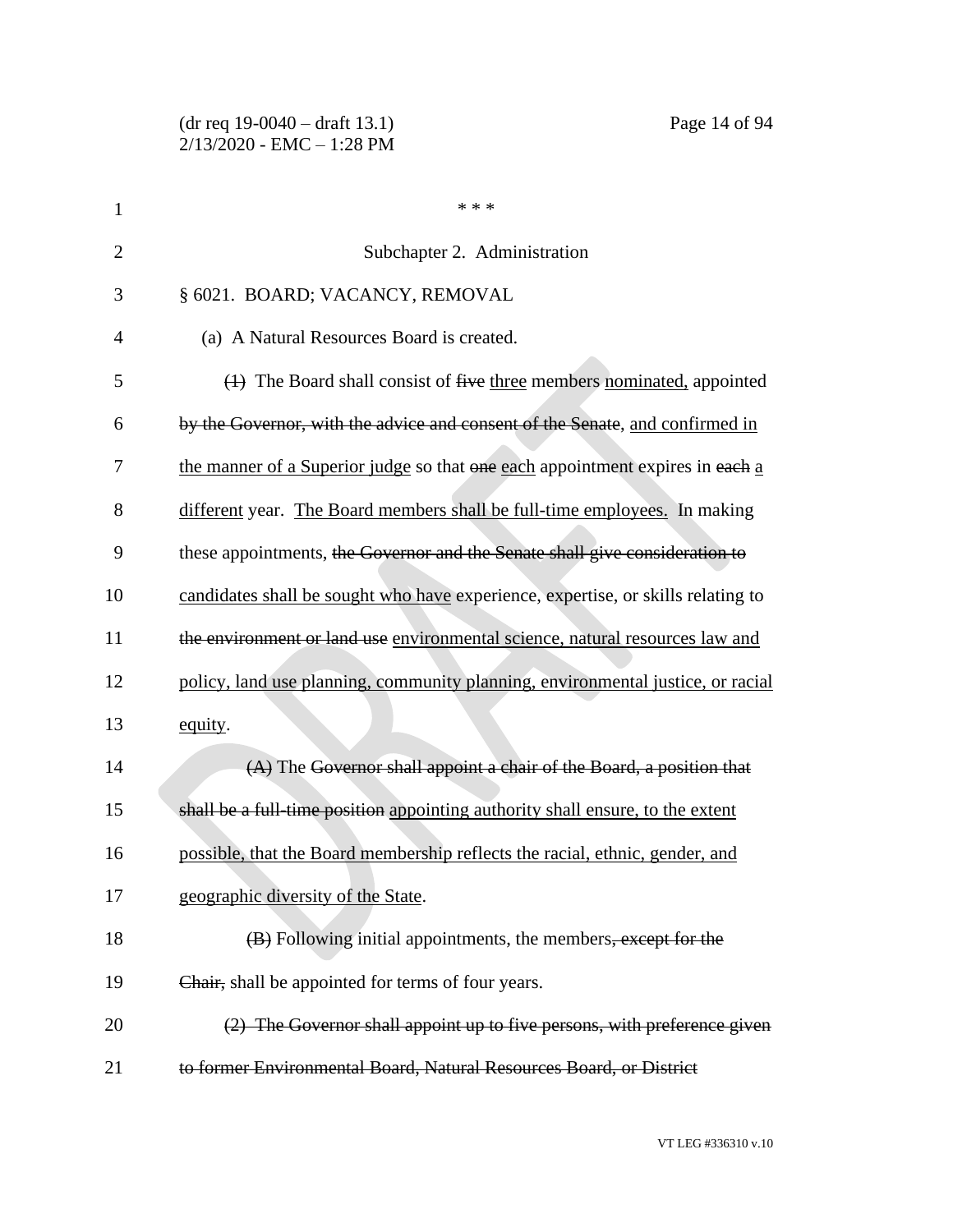| $\mathbf{1}$   | * * *                                                                            |
|----------------|----------------------------------------------------------------------------------|
| $\overline{2}$ | Subchapter 2. Administration                                                     |
| 3              | § 6021. BOARD; VACANCY, REMOVAL                                                  |
| 4              | (a) A Natural Resources Board is created.                                        |
| 5              | $(1)$ The Board shall consist of five three members nominated, appointed         |
| 6              | by the Governor, with the advice and consent of the Senate, and confirmed in     |
| 7              | the manner of a Superior judge so that one each appointment expires in each a    |
| 8              | different year. The Board members shall be full-time employees. In making        |
| 9              | these appointments, the Governor and the Senate shall give consideration to      |
| 10             | candidates shall be sought who have experience, expertise, or skills relating to |
| 11             | the environment or land use environmental science, natural resources law and     |
| 12             | policy, land use planning, community planning, environmental justice, or racial  |
| 13             | equity.                                                                          |
| 14             | (A) The Governor shall appoint a chair of the Board, a position that             |
| 15             | shall be a full-time position appointing authority shall ensure, to the extent   |
| 16             | possible, that the Board membership reflects the racial, ethnic, gender, and     |
| 17             | geographic diversity of the State.                                               |
| 18             | (B) Following initial appointments, the members, except for the                  |
| 19             | Chair, shall be appointed for terms of four years.                               |
| 20             | (2) The Governor shall appoint up to five persons, with preference given         |
| 21             | to former Environmental Board, Natural Resources Board, or District              |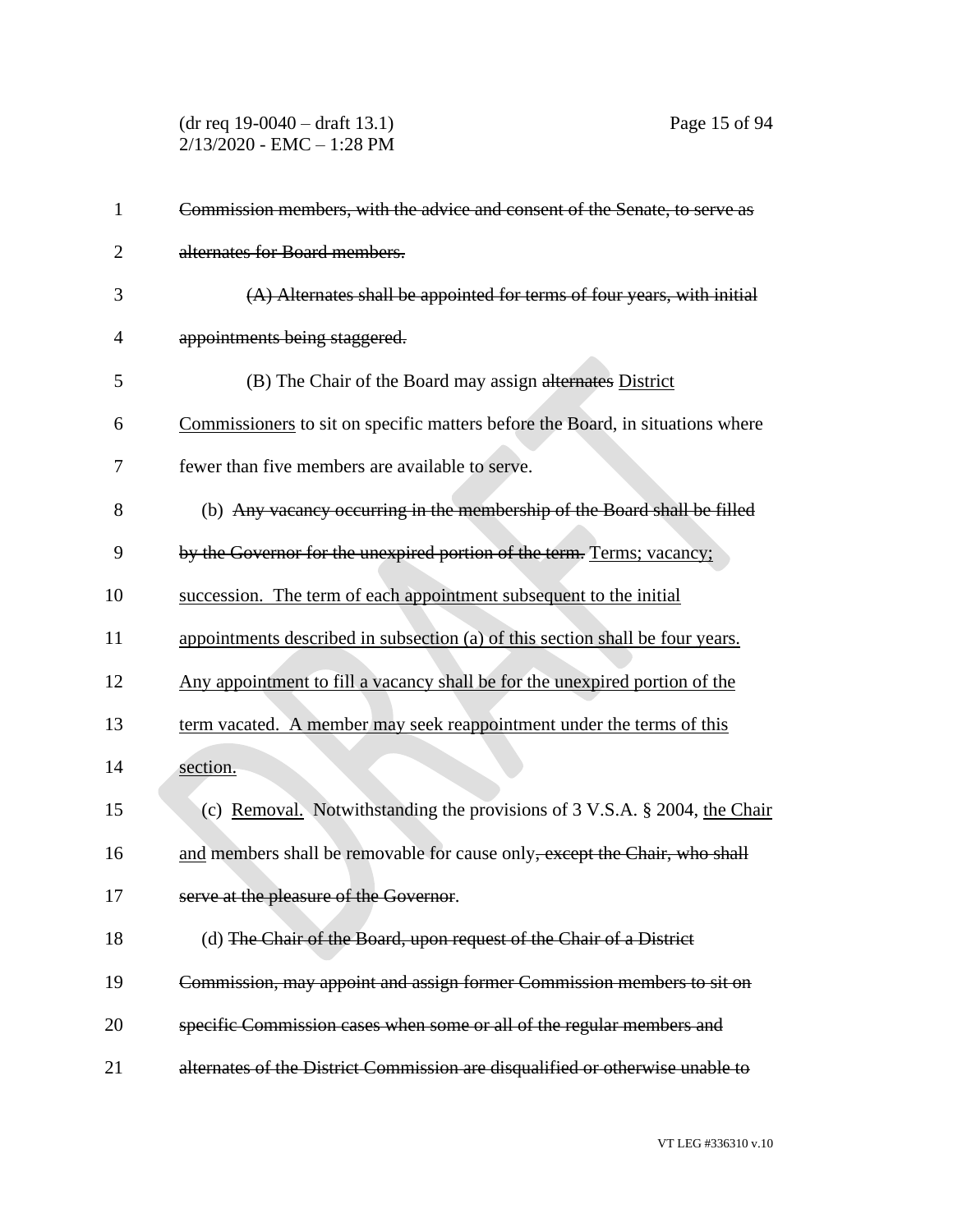(dr req 19-0040 – draft 13.1) Page 15 of 94 2/13/2020 - EMC – 1:28 PM

| 1              | Commission members, with the advice and consent of the Senate, to serve as     |
|----------------|--------------------------------------------------------------------------------|
| $\overline{2}$ | alternates for Board members.                                                  |
| 3              | $(A)$ Alternates shall be appointed for terms of four years, with initial      |
| 4              | appointments being staggered.                                                  |
| 5              | (B) The Chair of the Board may assign alternates District                      |
| 6              | Commissioners to sit on specific matters before the Board, in situations where |
| 7              | fewer than five members are available to serve.                                |
| 8              | (b) Any vacancy occurring in the membership of the Board shall be filled       |
| 9              | by the Governor for the unexpired portion of the term. Terms; vacancy;         |
| 10             | succession. The term of each appointment subsequent to the initial             |
| 11             | appointments described in subsection (a) of this section shall be four years.  |
| 12             | Any appointment to fill a vacancy shall be for the unexpired portion of the    |
| 13             | term vacated. A member may seek reappointment under the terms of this          |
| 14             | section.                                                                       |
| 15             | (c) Removal. Notwithstanding the provisions of 3 V.S.A. § 2004, the Chair      |
| 16             | and members shall be removable for cause only, except the Chair, who shall     |
| 17             | serve at the pleasure of the Governor.                                         |
| 18             | (d) The Chair of the Board, upon request of the Chair of a District            |
| 19             | Commission, may appoint and assign former Commission members to sit on         |
| 20             | specific Commission cases when some or all of the regular members and          |
| 21             | alternates of the District Commission are disqualified or otherwise unable to  |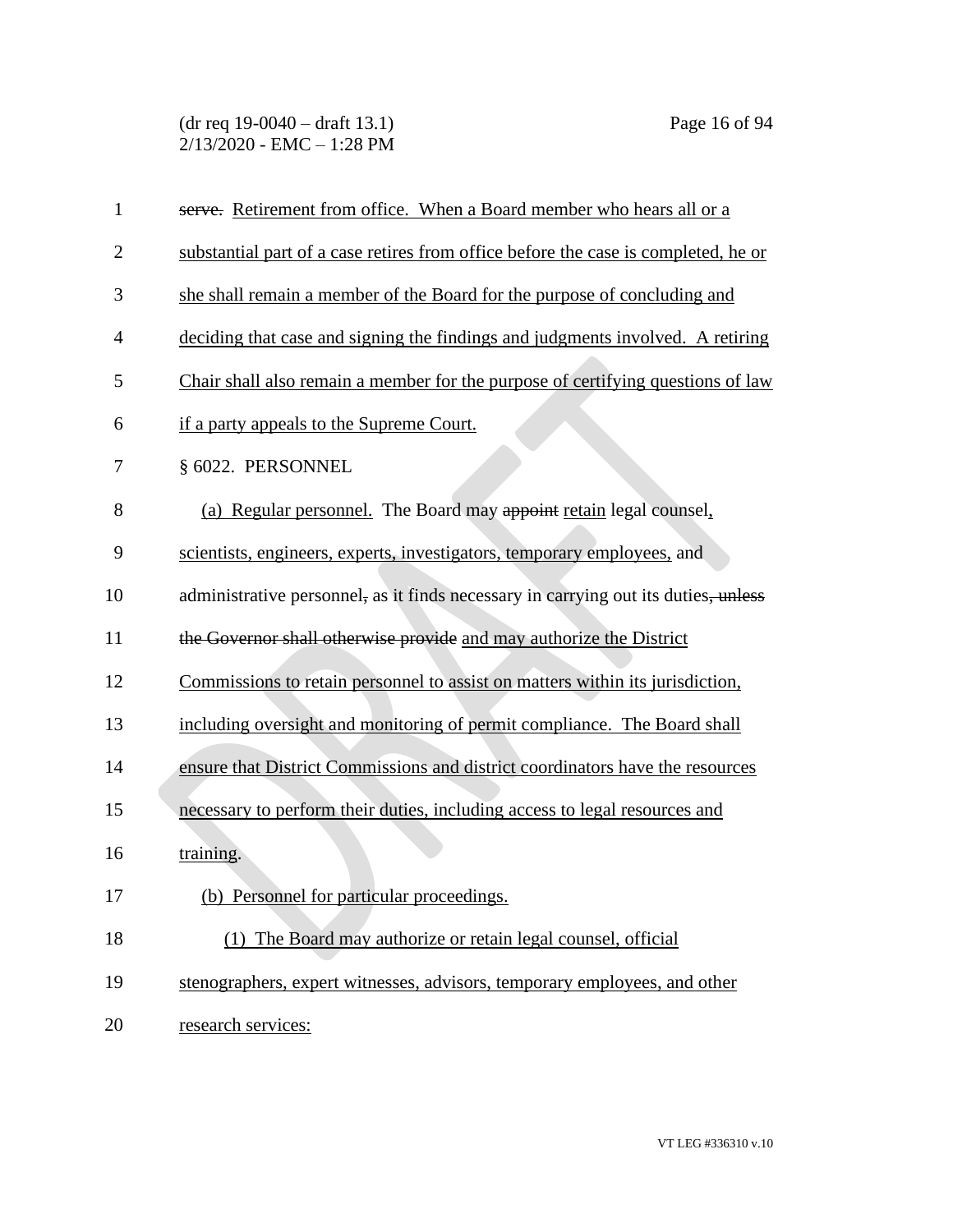(dr req 19-0040 – draft 13.1) Page 16 of 94 2/13/2020 - EMC – 1:28 PM

| $\mathbf{1}$   | serve. Retirement from office. When a Board member who hears all or a              |
|----------------|------------------------------------------------------------------------------------|
| $\overline{2}$ | substantial part of a case retires from office before the case is completed, he or |
| 3              | she shall remain a member of the Board for the purpose of concluding and           |
| $\overline{4}$ | deciding that case and signing the findings and judgments involved. A retiring     |
| 5              | Chair shall also remain a member for the purpose of certifying questions of law    |
| 6              | if a party appeals to the Supreme Court.                                           |
| 7              | § 6022. PERSONNEL                                                                  |
| 8              | (a) Regular personnel. The Board may appoint retain legal counsel,                 |
| 9              | scientists, engineers, experts, investigators, temporary employees, and            |
| 10             | administrative personnel, as it finds necessary in carrying out its duties, unless |
| 11             | the Governor shall otherwise provide and may authorize the District                |
| 12             | Commissions to retain personnel to assist on matters within its jurisdiction,      |
| 13             | including oversight and monitoring of permit compliance. The Board shall           |
| 14             | ensure that District Commissions and district coordinators have the resources      |
| 15             | necessary to perform their duties, including access to legal resources and         |
| 16             | training.                                                                          |
| 17             | (b) Personnel for particular proceedings.                                          |
| 18             | (1) The Board may authorize or retain legal counsel, official                      |
| 19             | stenographers, expert witnesses, advisors, temporary employees, and other          |
| 20             | research services:                                                                 |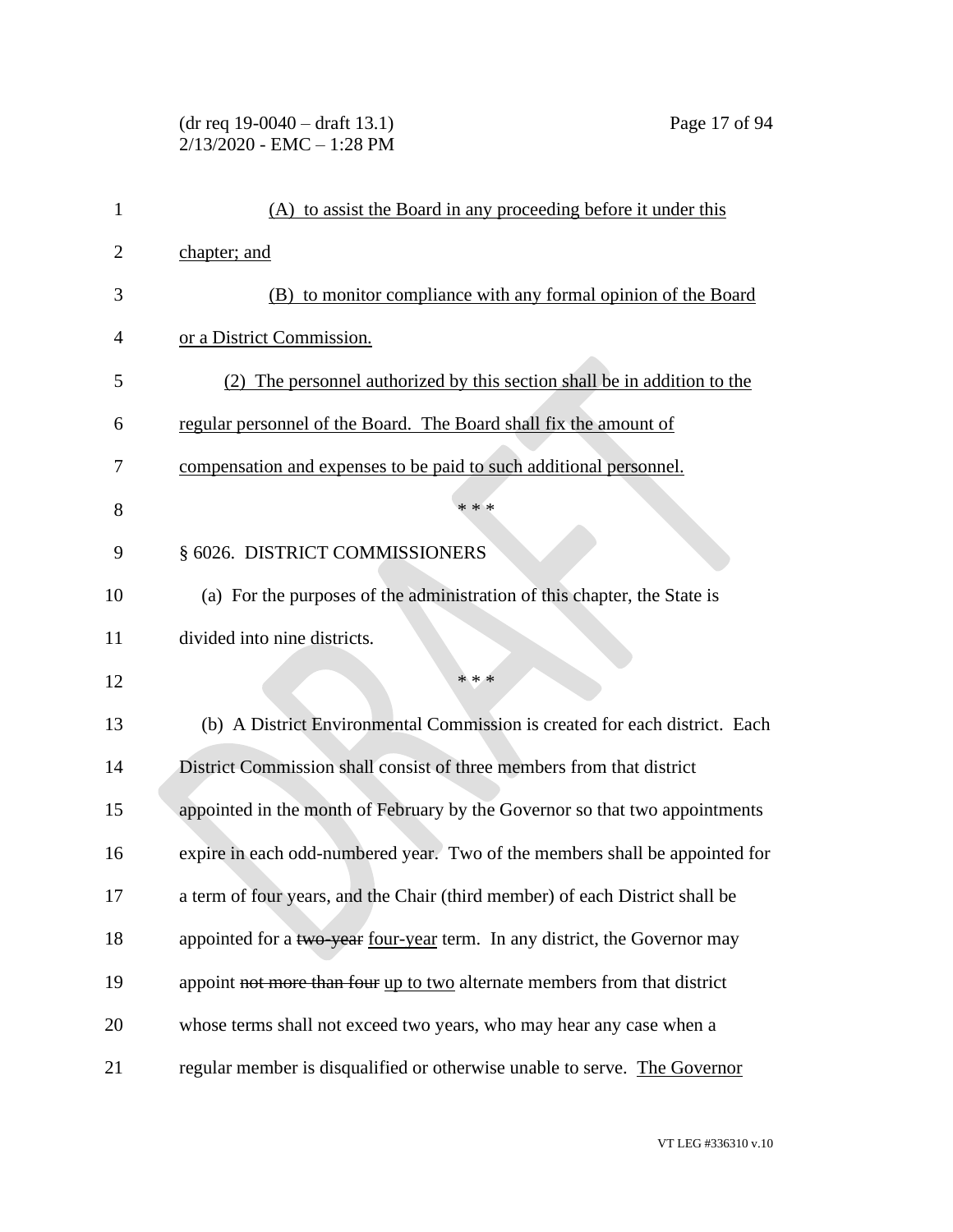### (dr req 19-0040 – draft 13.1) Page 17 of 94 2/13/2020 - EMC – 1:28 PM

| 1  | (A) to assist the Board in any proceeding before it under this               |
|----|------------------------------------------------------------------------------|
| 2  | chapter; and                                                                 |
| 3  | (B) to monitor compliance with any formal opinion of the Board               |
| 4  | or a District Commission.                                                    |
| 5  | (2) The personnel authorized by this section shall be in addition to the     |
| 6  | regular personnel of the Board. The Board shall fix the amount of            |
| 7  | compensation and expenses to be paid to such additional personnel.           |
| 8  | * * *                                                                        |
| 9  | § 6026. DISTRICT COMMISSIONERS                                               |
| 10 | (a) For the purposes of the administration of this chapter, the State is     |
| 11 | divided into nine districts.                                                 |
| 12 | * * *                                                                        |
| 13 | (b) A District Environmental Commission is created for each district. Each   |
| 14 | District Commission shall consist of three members from that district        |
| 15 | appointed in the month of February by the Governor so that two appointments  |
| 16 | expire in each odd-numbered year. Two of the members shall be appointed for  |
| 17 | a term of four years, and the Chair (third member) of each District shall be |
| 18 | appointed for a two year four-year term. In any district, the Governor may   |
| 19 | appoint not more than four up to two alternate members from that district    |
| 20 | whose terms shall not exceed two years, who may hear any case when a         |
| 21 | regular member is disqualified or otherwise unable to serve. The Governor    |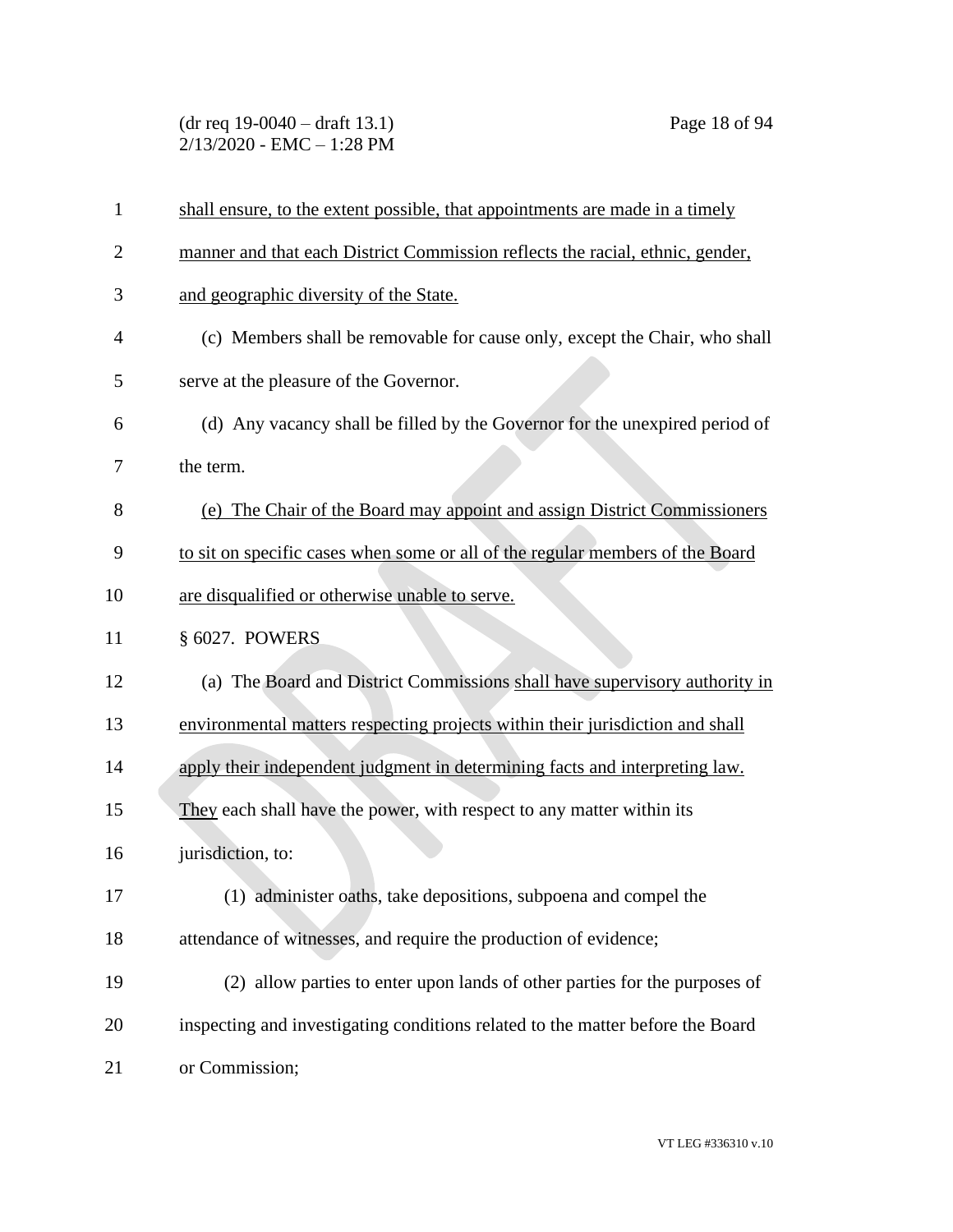(dr req 19-0040 – draft 13.1) Page 18 of 94 2/13/2020 - EMC – 1:28 PM

| $\mathbf{1}$   | shall ensure, to the extent possible, that appointments are made in a timely   |
|----------------|--------------------------------------------------------------------------------|
| $\overline{2}$ | manner and that each District Commission reflects the racial, ethnic, gender,  |
| 3              | and geographic diversity of the State.                                         |
| 4              | (c) Members shall be removable for cause only, except the Chair, who shall     |
| 5              | serve at the pleasure of the Governor.                                         |
| 6              | (d) Any vacancy shall be filled by the Governor for the unexpired period of    |
| 7              | the term.                                                                      |
| 8              | (e) The Chair of the Board may appoint and assign District Commissioners       |
| 9              | to sit on specific cases when some or all of the regular members of the Board  |
| 10             | are disqualified or otherwise unable to serve.                                 |
| 11             | § 6027. POWERS                                                                 |
| 12             | (a) The Board and District Commissions shall have supervisory authority in     |
| 13             | environmental matters respecting projects within their jurisdiction and shall  |
| 14             | apply their independent judgment in determining facts and interpreting law.    |
| 15             | They each shall have the power, with respect to any matter within its          |
| 16             | jurisdiction, to:                                                              |
| 17             | (1) administer oaths, take depositions, subpoena and compel the                |
| 18             | attendance of witnesses, and require the production of evidence;               |
| 19             | (2) allow parties to enter upon lands of other parties for the purposes of     |
| 20             | inspecting and investigating conditions related to the matter before the Board |
| 21             | or Commission;                                                                 |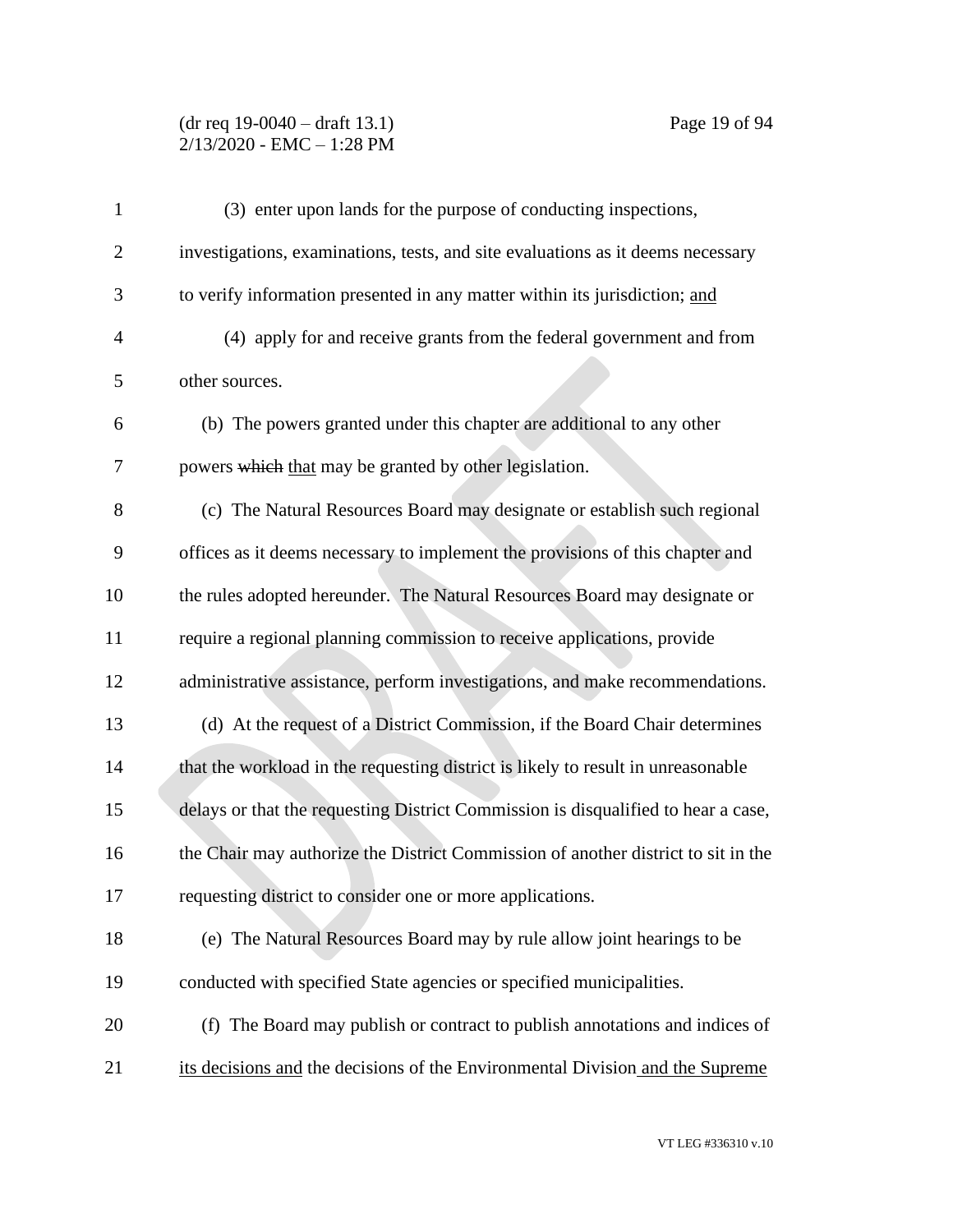### (dr req 19-0040 – draft 13.1) Page 19 of 94 2/13/2020 - EMC – 1:28 PM

| $\mathbf{1}$   | (3) enter upon lands for the purpose of conducting inspections,                   |
|----------------|-----------------------------------------------------------------------------------|
| $\overline{2}$ | investigations, examinations, tests, and site evaluations as it deems necessary   |
| 3              | to verify information presented in any matter within its jurisdiction; and        |
| $\overline{4}$ | (4) apply for and receive grants from the federal government and from             |
| 5              | other sources.                                                                    |
| 6              | (b) The powers granted under this chapter are additional to any other             |
| 7              | powers which that may be granted by other legislation.                            |
| 8              | (c) The Natural Resources Board may designate or establish such regional          |
| 9              | offices as it deems necessary to implement the provisions of this chapter and     |
| 10             | the rules adopted hereunder. The Natural Resources Board may designate or         |
| 11             | require a regional planning commission to receive applications, provide           |
| 12             | administrative assistance, perform investigations, and make recommendations.      |
| 13             | (d) At the request of a District Commission, if the Board Chair determines        |
| 14             | that the workload in the requesting district is likely to result in unreasonable  |
| 15             | delays or that the requesting District Commission is disqualified to hear a case, |
| 16             | the Chair may authorize the District Commission of another district to sit in the |
| 17             | requesting district to consider one or more applications.                         |
| 18             | (e) The Natural Resources Board may by rule allow joint hearings to be            |
| 19             | conducted with specified State agencies or specified municipalities.              |
| 20             | (f) The Board may publish or contract to publish annotations and indices of       |
| 21             | its decisions and the decisions of the Environmental Division and the Supreme     |
|                |                                                                                   |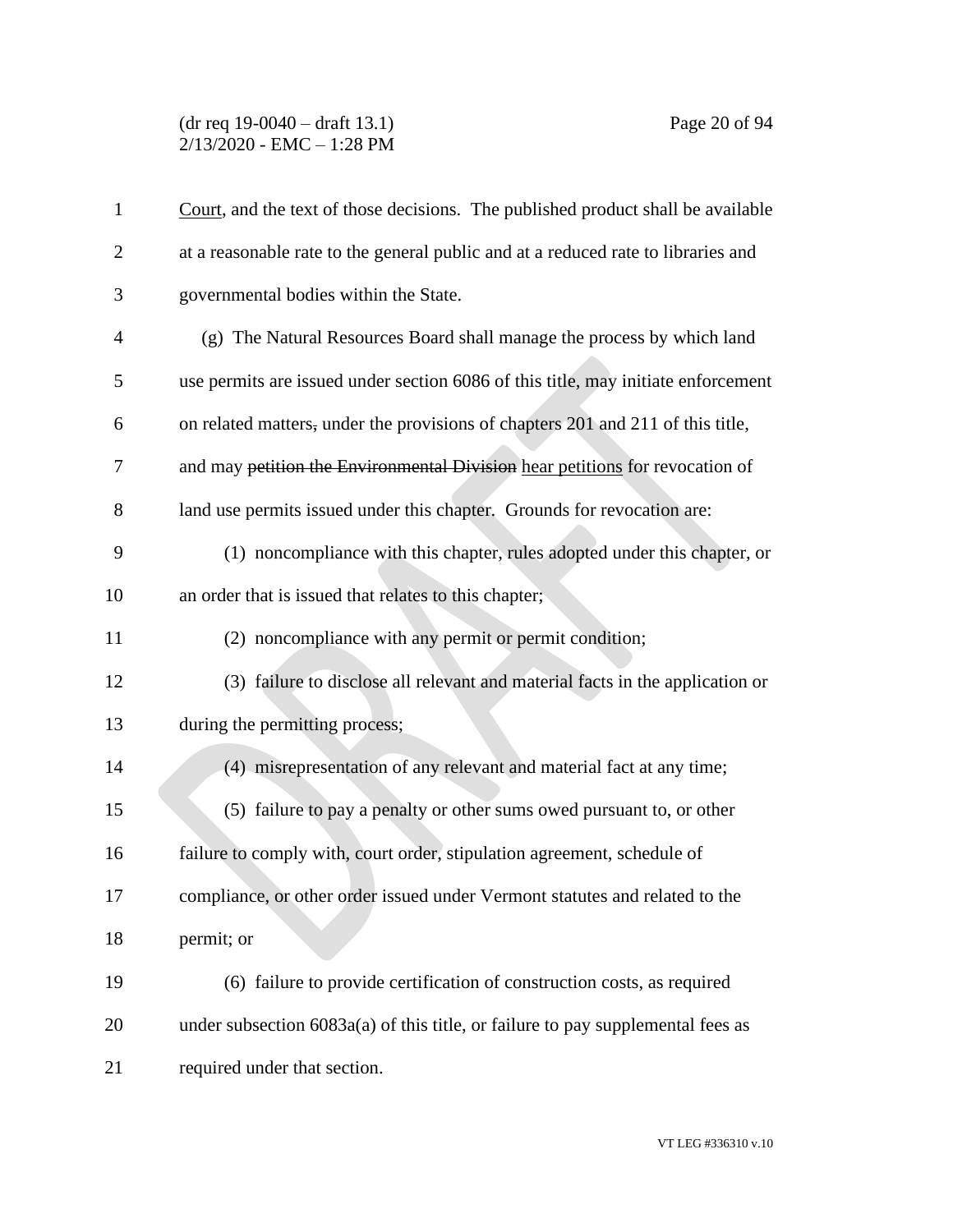### (dr req 19-0040 – draft 13.1) Page 20 of 94 2/13/2020 - EMC – 1:28 PM

| 1              | Court, and the text of those decisions. The published product shall be available  |
|----------------|-----------------------------------------------------------------------------------|
| $\overline{2}$ | at a reasonable rate to the general public and at a reduced rate to libraries and |
| 3              | governmental bodies within the State.                                             |
| 4              | (g) The Natural Resources Board shall manage the process by which land            |
| 5              | use permits are issued under section 6086 of this title, may initiate enforcement |
| 6              | on related matters, under the provisions of chapters 201 and 211 of this title,   |
| 7              | and may petition the Environmental Division hear petitions for revocation of      |
| 8              | land use permits issued under this chapter. Grounds for revocation are:           |
| 9              | (1) noncompliance with this chapter, rules adopted under this chapter, or         |
| 10             | an order that is issued that relates to this chapter;                             |
| 11             | (2) noncompliance with any permit or permit condition;                            |
| 12             | (3) failure to disclose all relevant and material facts in the application or     |
| 13             | during the permitting process;                                                    |
| 14             | (4) misrepresentation of any relevant and material fact at any time;              |
| 15             | (5) failure to pay a penalty or other sums owed pursuant to, or other             |
| 16             | failure to comply with, court order, stipulation agreement, schedule of           |
| 17             | compliance, or other order issued under Vermont statutes and related to the       |
| 18             | permit; or                                                                        |
| 19             | (6) failure to provide certification of construction costs, as required           |
| 20             | under subsection $6083a(a)$ of this title, or failure to pay supplemental fees as |
| 21             | required under that section.                                                      |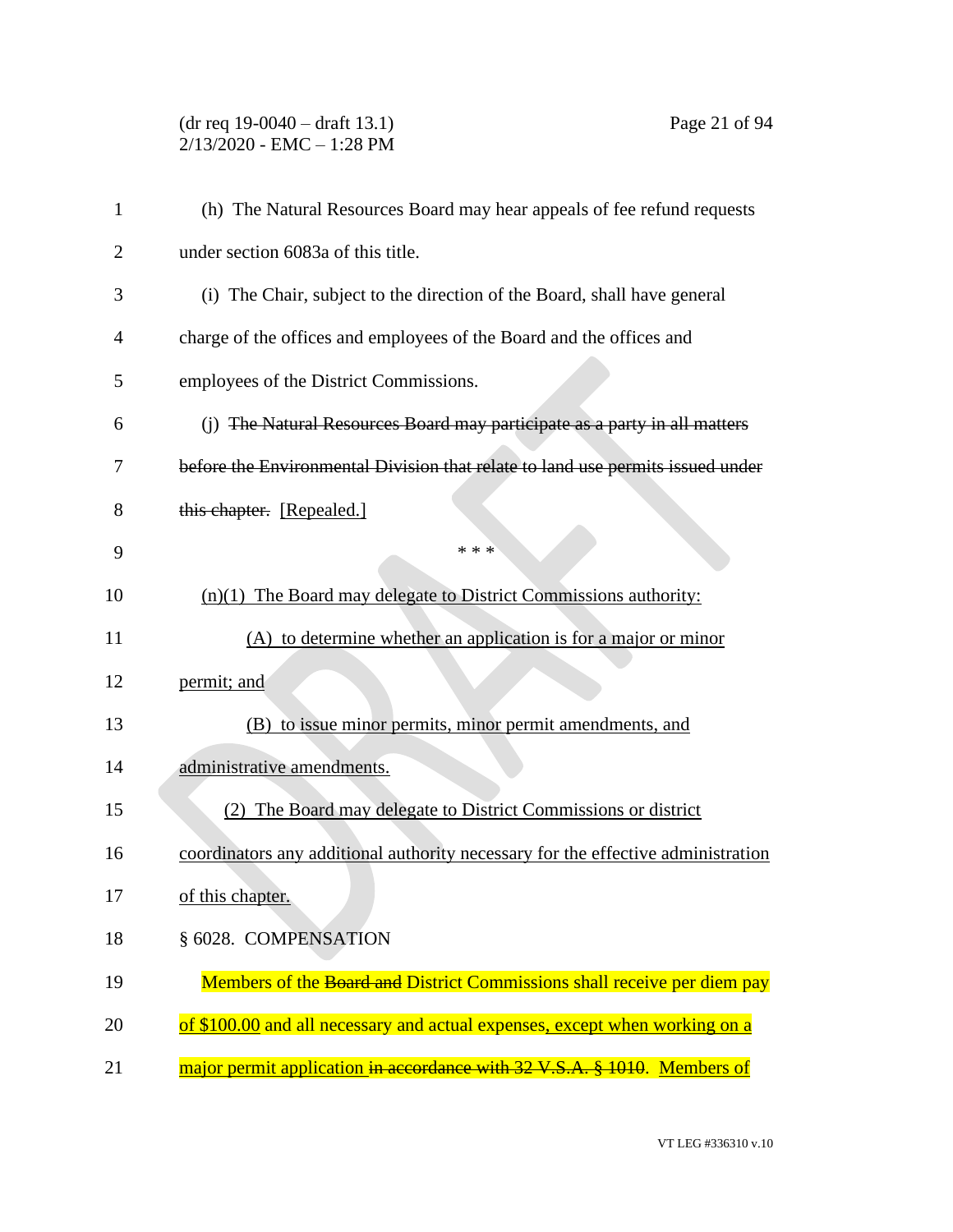## (dr req 19-0040 – draft 13.1) Page 21 of 94 2/13/2020 - EMC – 1:28 PM

| 1              | (h) The Natural Resources Board may hear appeals of fee refund requests          |
|----------------|----------------------------------------------------------------------------------|
| $\overline{2}$ | under section 6083a of this title.                                               |
| 3              | (i) The Chair, subject to the direction of the Board, shall have general         |
| $\overline{4}$ | charge of the offices and employees of the Board and the offices and             |
| 5              | employees of the District Commissions.                                           |
| 6              | (j) The Natural Resources Board may participate as a party in all matters        |
| 7              | before the Environmental Division that relate to land use permits issued under   |
| 8              | this chapter. [Repealed.]                                                        |
| 9              | * * *                                                                            |
| 10             | $(n)(1)$ The Board may delegate to District Commissions authority:               |
| 11             | (A) to determine whether an application is for a major or minor                  |
| 12             | permit; and                                                                      |
| 13             | (B) to issue minor permits, minor permit amendments, and                         |
| 14             | administrative amendments.                                                       |
| 15             | The Board may delegate to District Commissions or district                       |
| 16             | coordinators any additional authority necessary for the effective administration |
| 17             | of this chapter.                                                                 |
| 18             | § 6028. COMPENSATION                                                             |
| 19             | Members of the Board and District Commissions shall receive per diem pay         |
| 20             | of \$100.00 and all necessary and actual expenses, except when working on a      |
| 21             | major permit application in accordance with 32 V.S.A. § 1010. Members of         |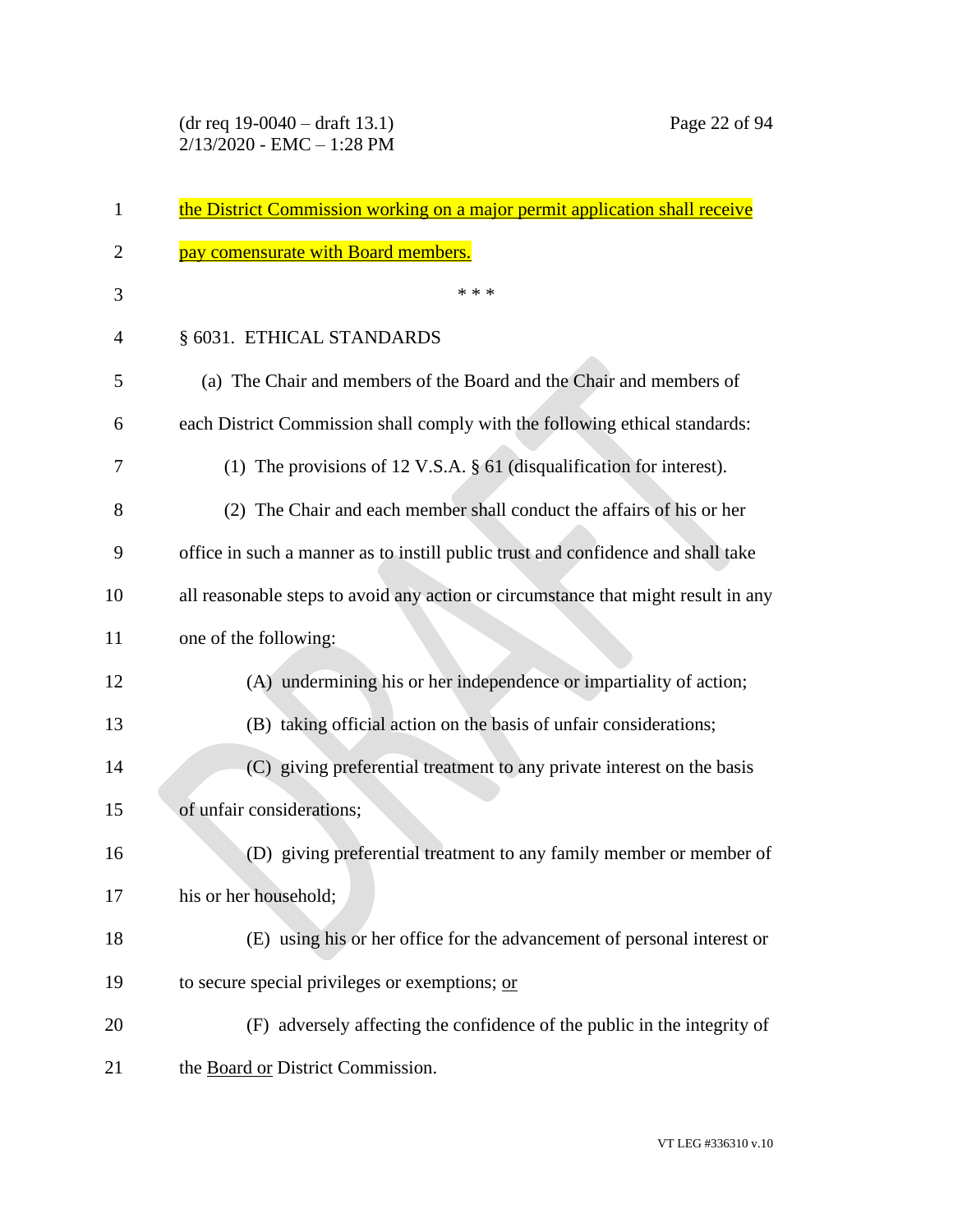| $\mathbf{1}$ | the District Commission working on a major permit application shall receive       |
|--------------|-----------------------------------------------------------------------------------|
| 2            | pay comensurate with Board members.                                               |
| 3            | * * *                                                                             |
| 4            | § 6031. ETHICAL STANDARDS                                                         |
| 5            | (a) The Chair and members of the Board and the Chair and members of               |
| 6            | each District Commission shall comply with the following ethical standards:       |
| 7            | (1) The provisions of 12 V.S.A. $\S$ 61 (disqualification for interest).          |
| 8            | (2) The Chair and each member shall conduct the affairs of his or her             |
| 9            | office in such a manner as to instill public trust and confidence and shall take  |
| 10           | all reasonable steps to avoid any action or circumstance that might result in any |
| 11           | one of the following:                                                             |
| 12           | (A) undermining his or her independence or impartiality of action;                |
| 13           | (B) taking official action on the basis of unfair considerations;                 |
| 14           | (C) giving preferential treatment to any private interest on the basis            |
| 15           | of unfair considerations;                                                         |
| 16           | (D) giving preferential treatment to any family member or member of               |
| 17           | his or her household;                                                             |
| 18           | (E) using his or her office for the advancement of personal interest or           |
| 19           | to secure special privileges or exemptions; or                                    |
| 20           | (F) adversely affecting the confidence of the public in the integrity of          |
| 21           | the Board or District Commission.                                                 |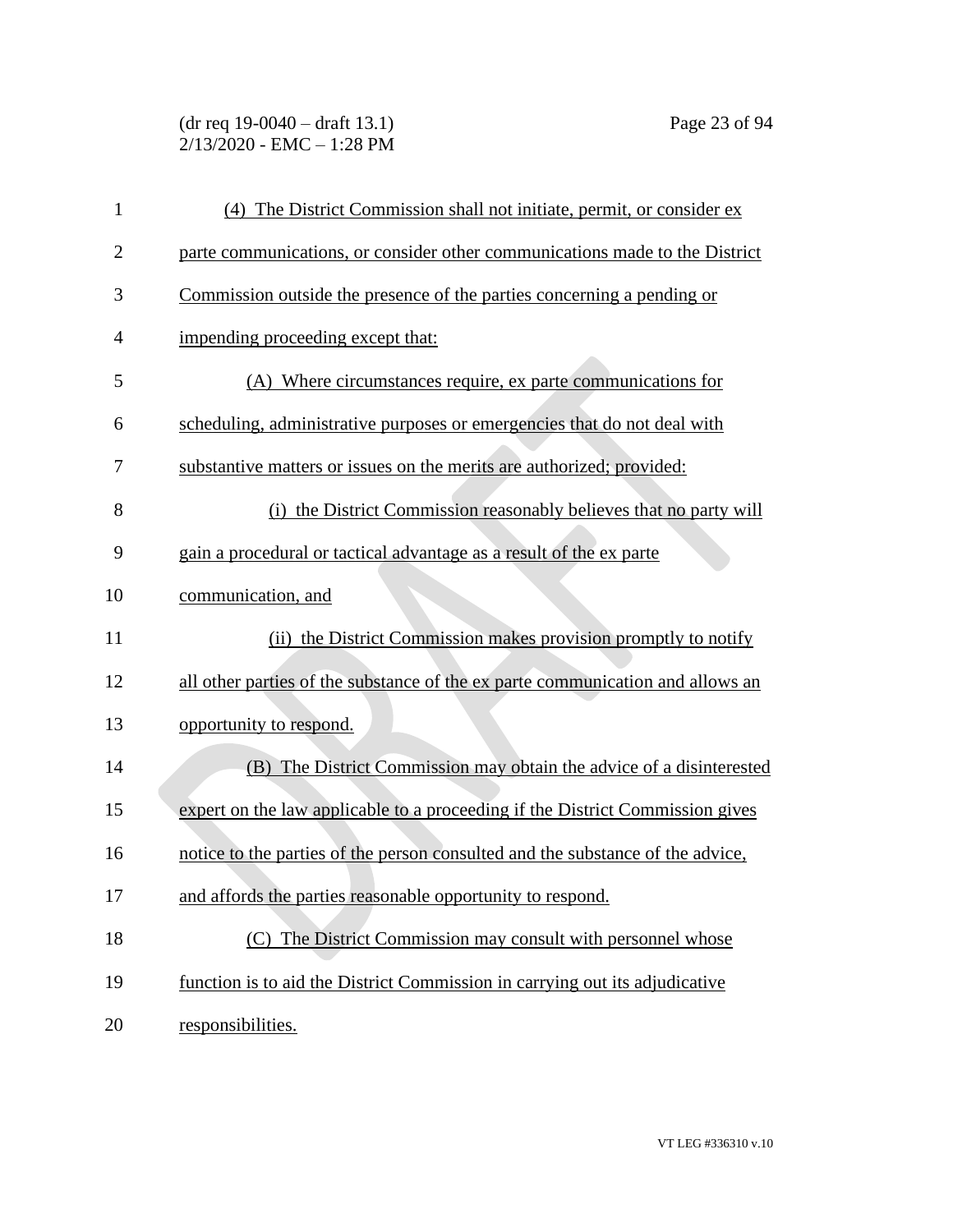(dr req 19-0040 – draft 13.1) Page 23 of 94 2/13/2020 - EMC – 1:28 PM

| $\mathbf{1}$   | (4) The District Commission shall not initiate, permit, or consider ex         |
|----------------|--------------------------------------------------------------------------------|
| $\overline{2}$ | parte communications, or consider other communications made to the District    |
| 3              | Commission outside the presence of the parties concerning a pending or         |
| 4              | impending proceeding except that:                                              |
| 5              | (A) Where circumstances require, ex parte communications for                   |
| 6              | scheduling, administrative purposes or emergencies that do not deal with       |
| 7              | substantive matters or issues on the merits are authorized; provided:          |
| 8              | (i) the District Commission reasonably believes that no party will             |
| 9              | gain a procedural or tactical advantage as a result of the ex parte            |
| 10             | communication, and                                                             |
| 11             | (ii) the District Commission makes provision promptly to notify                |
| 12             | all other parties of the substance of the ex parte communication and allows an |
| 13             | opportunity to respond.                                                        |
| 14             | (B) The District Commission may obtain the advice of a disinterested           |
| 15             | expert on the law applicable to a proceeding if the District Commission gives  |
| 16             | notice to the parties of the person consulted and the substance of the advice, |
| 17             | and affords the parties reasonable opportunity to respond.                     |
| 18             | The District Commission may consult with personnel whose<br>(C)                |
| 19             | function is to aid the District Commission in carrying out its adjudicative    |
| 20             | responsibilities.                                                              |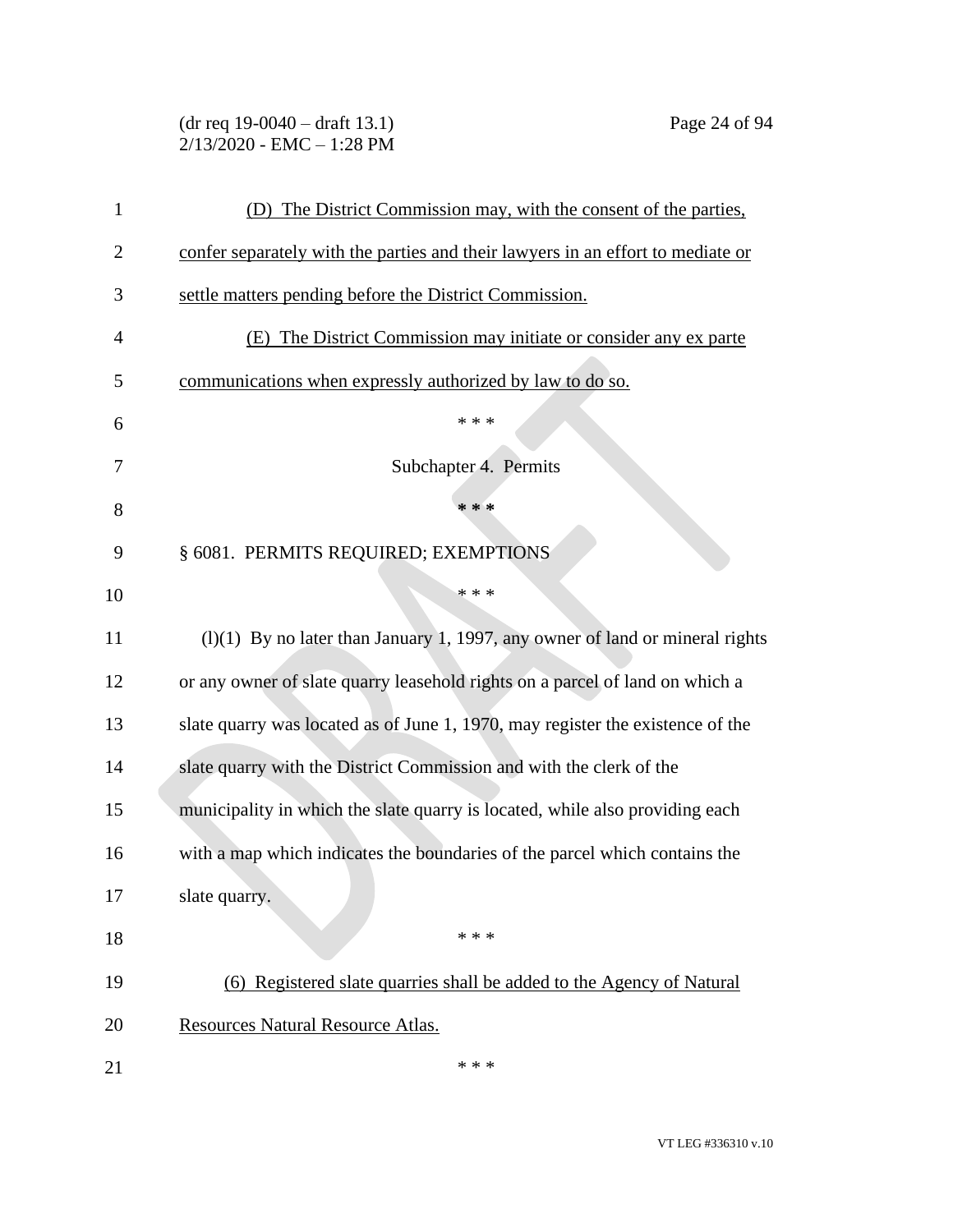| $(dr \text{ req } 19-0040 - draft } 13.1)$ |  |
|--------------------------------------------|--|
| 2/13/2020 - EMC – 1:28 PM                  |  |

| 1  | (D) The District Commission may, with the consent of the parties,               |
|----|---------------------------------------------------------------------------------|
| 2  | confer separately with the parties and their lawyers in an effort to mediate or |
| 3  | settle matters pending before the District Commission.                          |
| 4  | (E) The District Commission may initiate or consider any ex parte               |
| 5  | communications when expressly authorized by law to do so.                       |
| 6  | * * *                                                                           |
| 7  | Subchapter 4. Permits                                                           |
| 8  | * * *                                                                           |
| 9  | § 6081. PERMITS REQUIRED; EXEMPTIONS                                            |
| 10 | * * *                                                                           |
| 11 | $(1)(1)$ By no later than January 1, 1997, any owner of land or mineral rights  |
| 12 | or any owner of slate quarry leasehold rights on a parcel of land on which a    |
| 13 | slate quarry was located as of June 1, 1970, may register the existence of the  |
| 14 | slate quarry with the District Commission and with the clerk of the             |
| 15 | municipality in which the slate quarry is located, while also providing each    |
| 16 | with a map which indicates the boundaries of the parcel which contains the      |
| 17 | slate quarry.                                                                   |
| 18 | * * *                                                                           |
| 19 | (6) Registered slate quarries shall be added to the Agency of Natural           |
| 20 | Resources Natural Resource Atlas.                                               |
| 21 | * * *                                                                           |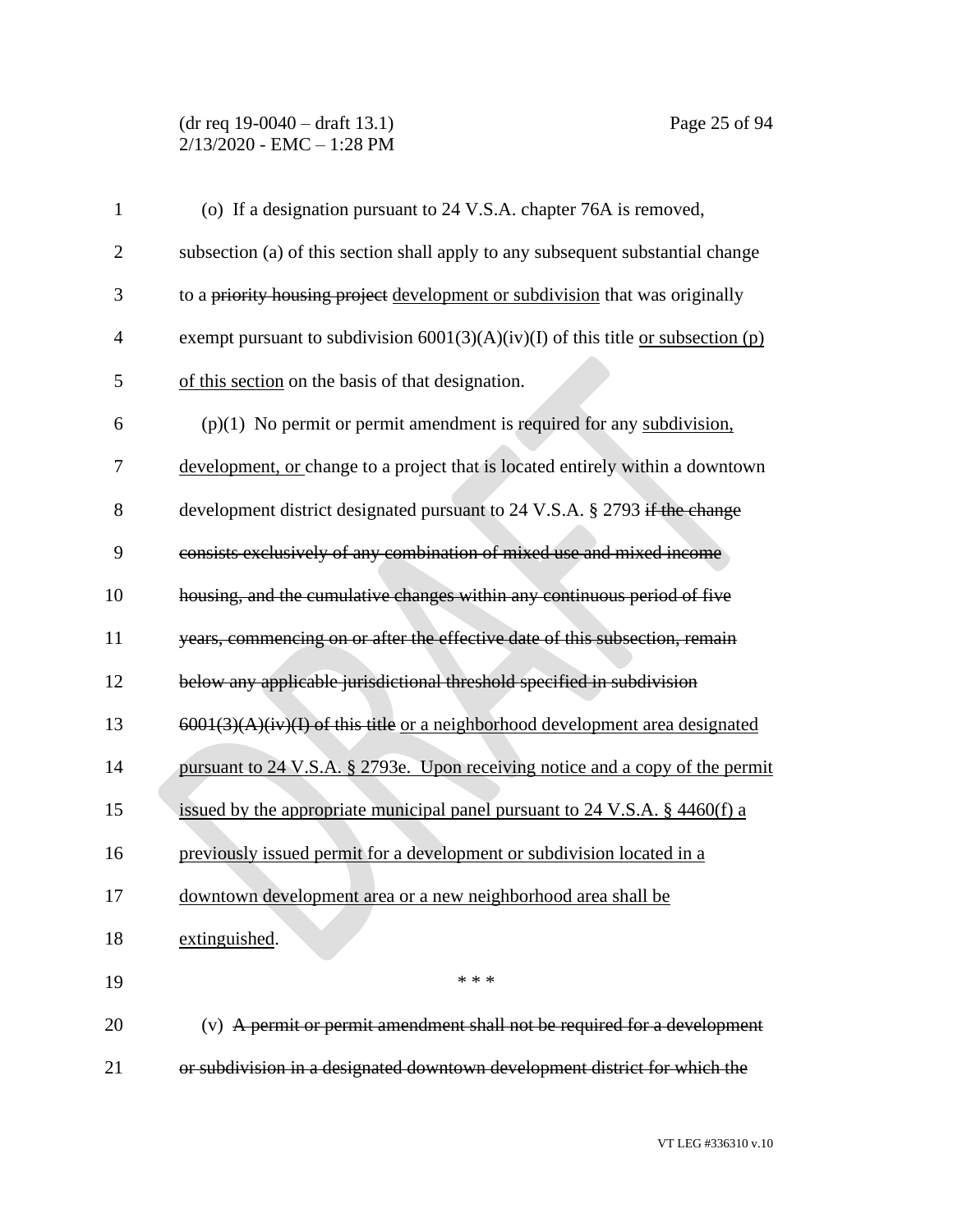## (dr req 19-0040 – draft 13.1) Page 25 of 94 2/13/2020 - EMC – 1:28 PM

| $\mathbf{1}$   | (o) If a designation pursuant to 24 V.S.A. chapter 76A is removed,                        |
|----------------|-------------------------------------------------------------------------------------------|
| $\overline{2}$ | subsection (a) of this section shall apply to any subsequent substantial change           |
| 3              | to a priority housing project development or subdivision that was originally              |
| $\overline{4}$ | exempt pursuant to subdivision $6001(3)(A)(iv)(I)$ of this title <u>or subsection (p)</u> |
| 5              | of this section on the basis of that designation.                                         |
| 6              | $(p)(1)$ No permit or permit amendment is required for any subdivision.                   |
| 7              | development, or change to a project that is located entirely within a downtown            |
| 8              | development district designated pursuant to 24 V.S.A. § 2793 if the change                |
| 9              | consists exclusively of any combination of mixed use and mixed income                     |
| 10             | housing, and the cumulative changes within any continuous period of five                  |
| 11             | years, commencing on or after the effective date of this subsection, remain               |
| 12             | below any applicable jurisdictional threshold specified in subdivision                    |
| 13             | $6001(3)(A)(iv)(I)$ of this title or a neighborhood development area designated           |
| 14             | pursuant to 24 V.S.A. § 2793e. Upon receiving notice and a copy of the permit             |
| 15             | issued by the appropriate municipal panel pursuant to $24$ V.S.A. § $4460(f)$ a           |
| 16             | previously issued permit for a development or subdivision located in a                    |
| 17             | downtown development area or a new neighborhood area shall be                             |
| 18             | extinguished.                                                                             |
| 19             | * * *                                                                                     |
| 20             | (v) A permit or permit amendment shall not be required for a development                  |
| 21             | or subdivision in a designated downtown development district for which the                |

VT LEG #336310 v.10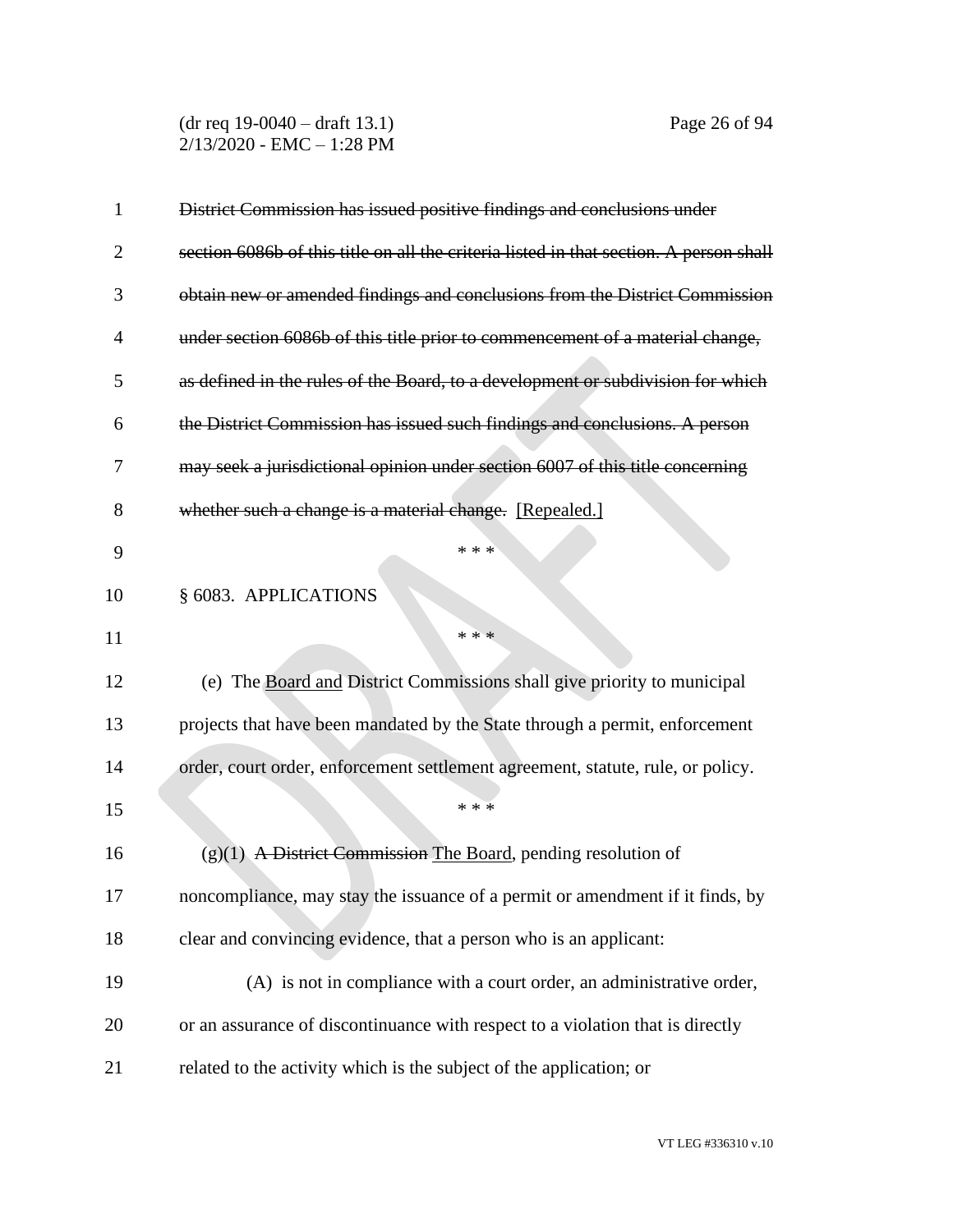(dr req 19-0040 – draft 13.1) Page 26 of 94 2/13/2020 - EMC – 1:28 PM

| 1              | District Commission has issued positive findings and conclusions under                 |
|----------------|----------------------------------------------------------------------------------------|
| 2              | section 6086b of this title on all the criteria listed in that section. A person shall |
| 3              | obtain new or amended findings and conclusions from the District Commission            |
| $\overline{4}$ | under section 6086b of this title prior to commencement of a material change,          |
| 5              | as defined in the rules of the Board, to a development or subdivision for which        |
| 6              | the District Commission has issued such findings and conclusions. A person             |
| 7              | may seek a jurisdictional opinion under section 6007 of this title concerning          |
| 8              | whether such a change is a material change. [Repealed.]                                |
| 9              | * * *                                                                                  |
| 10             | § 6083. APPLICATIONS                                                                   |
| 11             | * * *                                                                                  |
| 12             | (e) The Board and District Commissions shall give priority to municipal                |
| 13             | projects that have been mandated by the State through a permit, enforcement            |
| 14             | order, court order, enforcement settlement agreement, statute, rule, or policy.        |
| 15             | * * *                                                                                  |
| 16             | $(g)(1)$ A District Commission The Board, pending resolution of                        |
| 17             | noncompliance, may stay the issuance of a permit or amendment if it finds, by          |
| 18             | clear and convincing evidence, that a person who is an applicant:                      |
| 19             | (A) is not in compliance with a court order, an administrative order,                  |
| 20             | or an assurance of discontinuance with respect to a violation that is directly         |
| 21             | related to the activity which is the subject of the application; or                    |
|                |                                                                                        |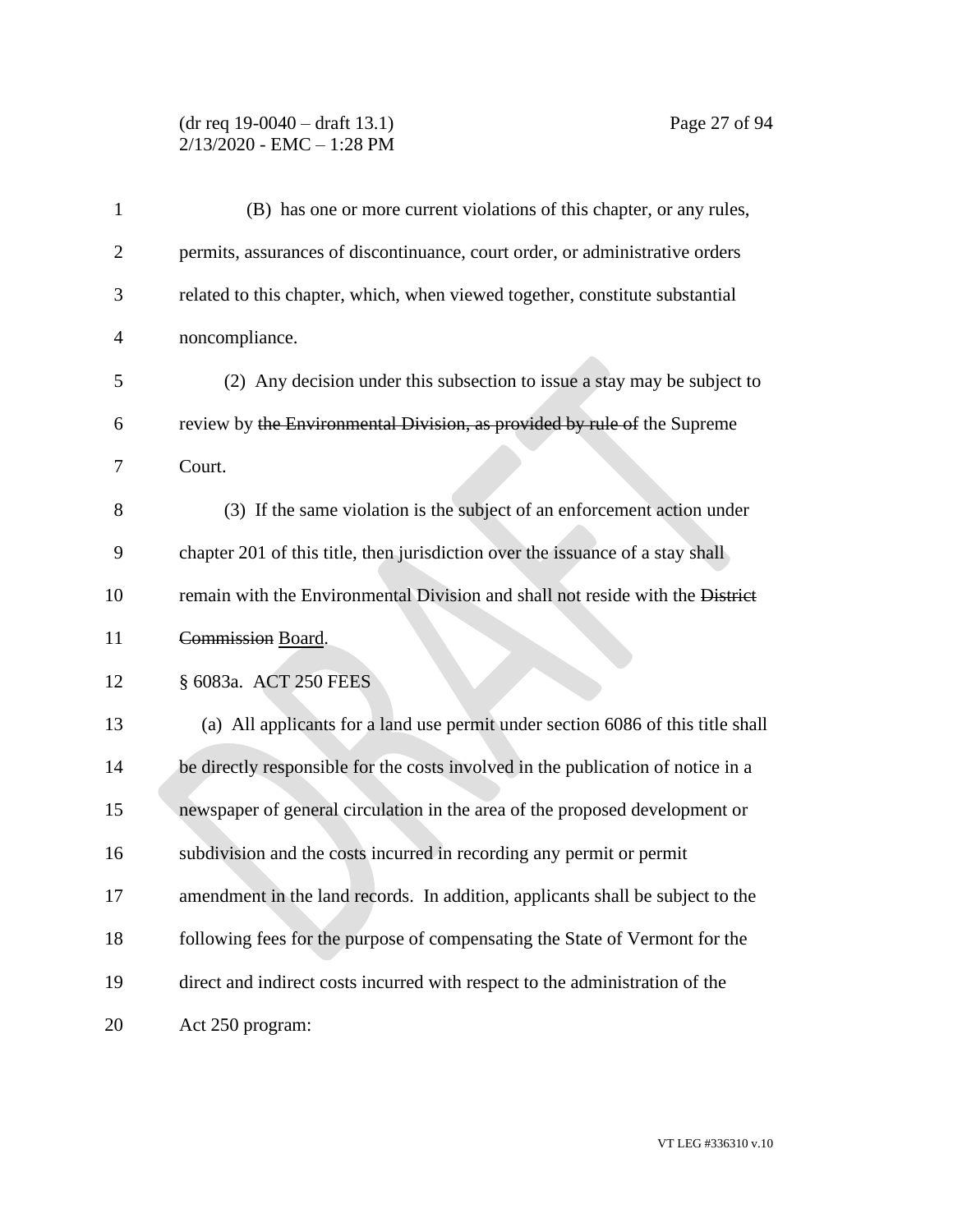### (dr req 19-0040 – draft 13.1) Page 27 of 94 2/13/2020 - EMC – 1:28 PM

| 1              | (B) has one or more current violations of this chapter, or any rules,            |
|----------------|----------------------------------------------------------------------------------|
| $\overline{2}$ | permits, assurances of discontinuance, court order, or administrative orders     |
| 3              | related to this chapter, which, when viewed together, constitute substantial     |
| 4              | noncompliance.                                                                   |
| 5              | (2) Any decision under this subsection to issue a stay may be subject to         |
| 6              | review by the Environmental Division, as provided by rule of the Supreme         |
| 7              | Court.                                                                           |
| 8              | (3) If the same violation is the subject of an enforcement action under          |
| 9              | chapter 201 of this title, then jurisdiction over the issuance of a stay shall   |
| 10             | remain with the Environmental Division and shall not reside with the District    |
| 11             | Commission Board.                                                                |
| 12             | § 6083a. ACT 250 FEES                                                            |
| 13             | (a) All applicants for a land use permit under section 6086 of this title shall  |
| 14             | be directly responsible for the costs involved in the publication of notice in a |
| 15             | newspaper of general circulation in the area of the proposed development or      |
| 16             | subdivision and the costs incurred in recording any permit or permit             |
| 17             | amendment in the land records. In addition, applicants shall be subject to the   |
| 18             | following fees for the purpose of compensating the State of Vermont for the      |
| 19             | direct and indirect costs incurred with respect to the administration of the     |
| 20             | Act 250 program:                                                                 |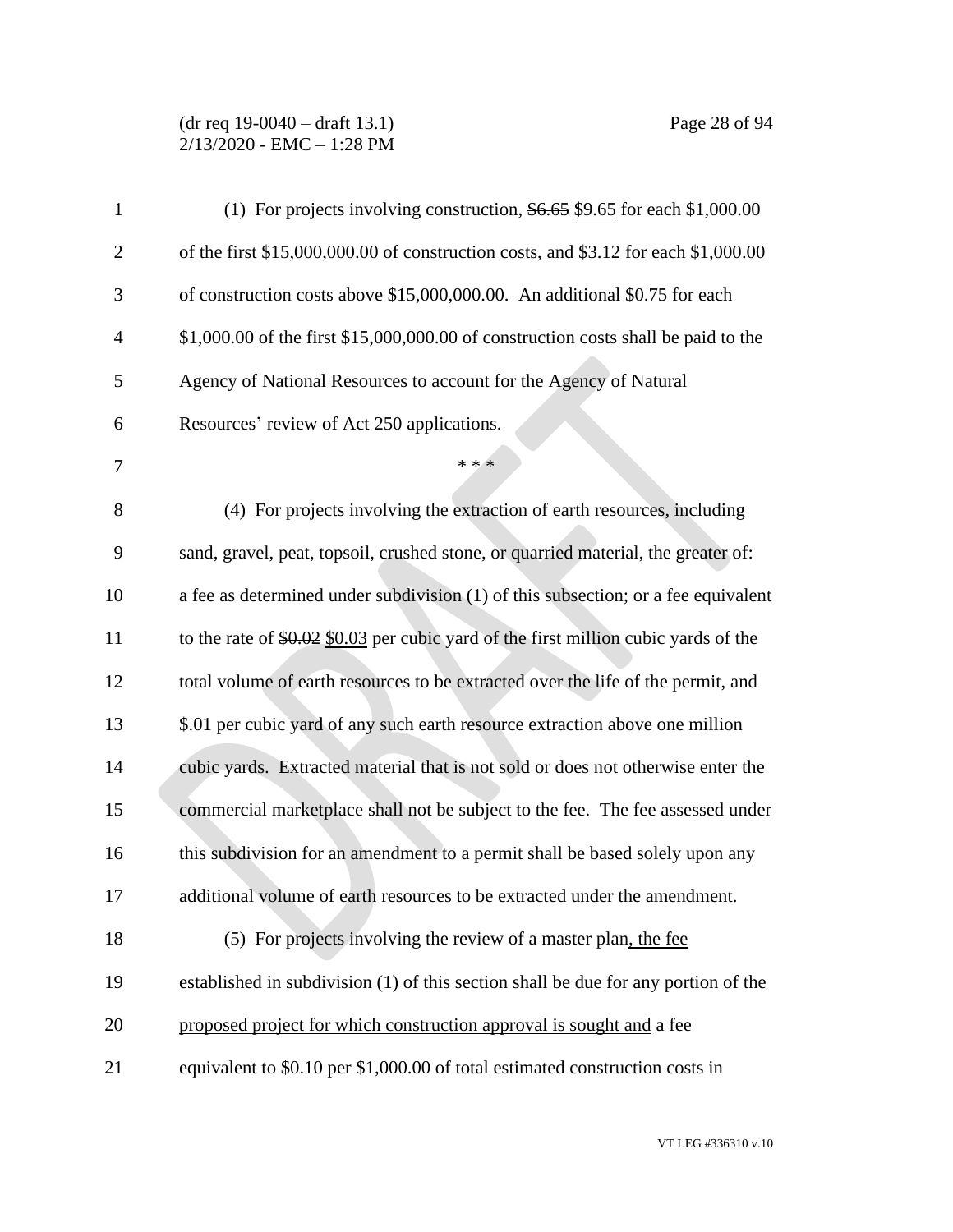# (dr req 19-0040 – draft 13.1) Page 28 of 94 2/13/2020 - EMC – 1:28 PM

| $\mathbf{1}$   | (1) For projects involving construction, $$6.65$ \$9.65 for each \$1,000.00          |
|----------------|--------------------------------------------------------------------------------------|
| $\overline{c}$ | of the first \$15,000,000.00 of construction costs, and \$3.12 for each \$1,000.00   |
| 3              | of construction costs above \$15,000,000.00. An additional \$0.75 for each           |
| $\overline{4}$ | $$1,000.00$ of the first $$15,000,000.00$ of construction costs shall be paid to the |
| 5              | Agency of National Resources to account for the Agency of Natural                    |
| 6              | Resources' review of Act 250 applications.                                           |
| 7              | * * *                                                                                |
| 8              | (4) For projects involving the extraction of earth resources, including              |
| 9              | sand, gravel, peat, topsoil, crushed stone, or quarried material, the greater of:    |
| 10             | a fee as determined under subdivision (1) of this subsection; or a fee equivalent    |
| 11             | to the rate of $$0.02$ \$0.03 per cubic yard of the first million cubic yards of the |
| 12             | total volume of earth resources to be extracted over the life of the permit, and     |
| 13             | \$.01 per cubic yard of any such earth resource extraction above one million         |
| 14             | cubic yards. Extracted material that is not sold or does not otherwise enter the     |
| 15             | commercial marketplace shall not be subject to the fee. The fee assessed under       |
| 16             | this subdivision for an amendment to a permit shall be based solely upon any         |
| 17             | additional volume of earth resources to be extracted under the amendment.            |
| 18             | (5) For projects involving the review of a master plan, the fee                      |
| 19             | established in subdivision (1) of this section shall be due for any portion of the   |
| 20             | proposed project for which construction approval is sought and a fee                 |
| 21             | equivalent to \$0.10 per \$1,000.00 of total estimated construction costs in         |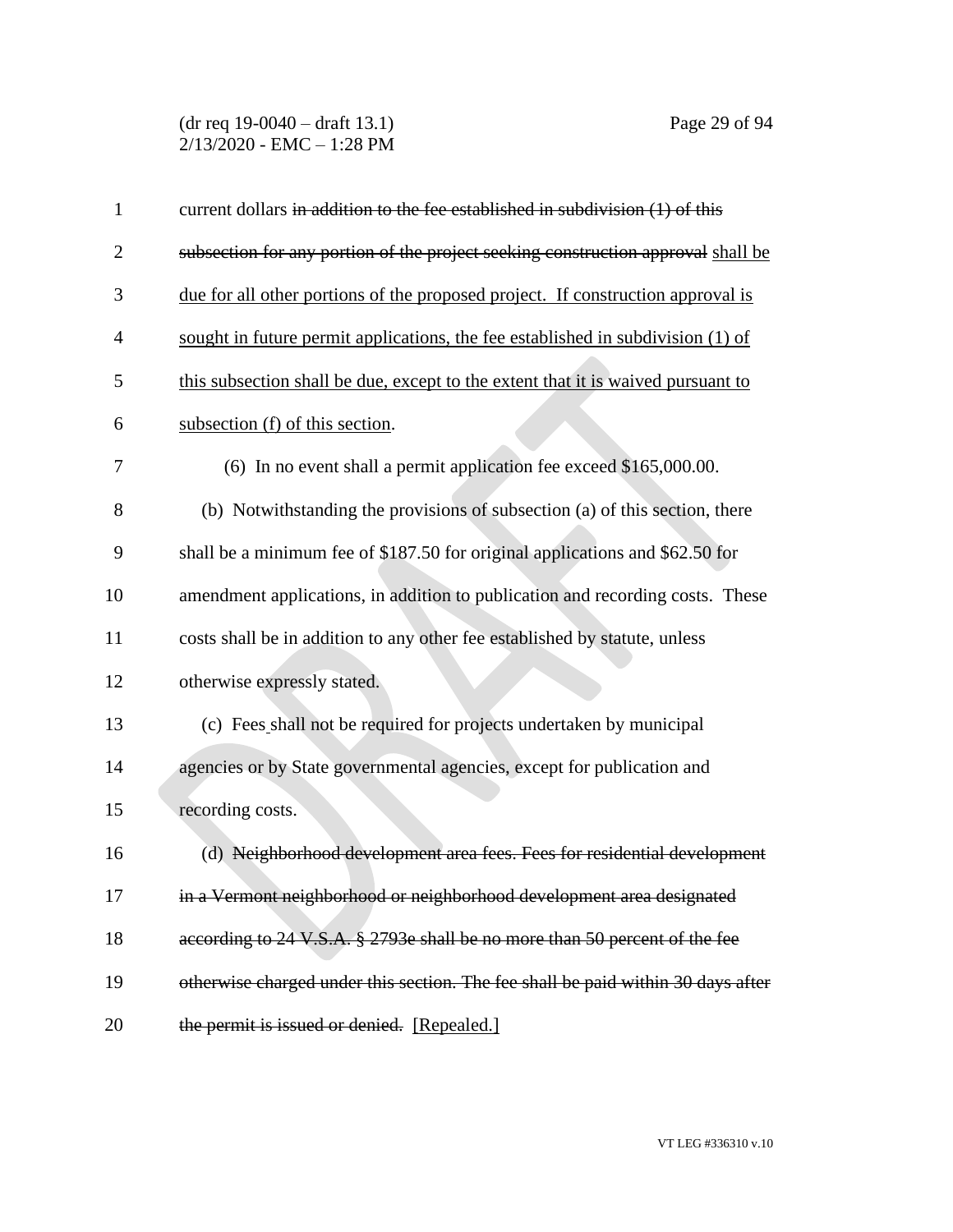(dr req 19-0040 – draft 13.1) Page 29 of 94 2/13/2020 - EMC – 1:28 PM

| $\mathbf{1}$   | current dollars in addition to the fee established in subdivision $(1)$ of this  |
|----------------|----------------------------------------------------------------------------------|
| $\overline{2}$ | subsection for any portion of the project seeking construction approval shall be |
| 3              | due for all other portions of the proposed project. If construction approval is  |
| 4              | sought in future permit applications, the fee established in subdivision (1) of  |
| 5              | this subsection shall be due, except to the extent that it is waived pursuant to |
| 6              | subsection (f) of this section.                                                  |
| 7              | (6) In no event shall a permit application fee exceed \$165,000.00.              |
| 8              | (b) Notwithstanding the provisions of subsection (a) of this section, there      |
| 9              | shall be a minimum fee of \$187.50 for original applications and \$62.50 for     |
| 10             | amendment applications, in addition to publication and recording costs. These    |
| 11             | costs shall be in addition to any other fee established by statute, unless       |
| 12             | otherwise expressly stated.                                                      |
| 13             | (c) Fees shall not be required for projects undertaken by municipal              |
| 14             | agencies or by State governmental agencies, except for publication and           |
| 15             | recording costs.                                                                 |
| 16             | (d) Neighborhood development area fees. Fees for residential development         |
| 17             | in a Vermont neighborhood or neighborhood development area designated            |
| 18             | according to 24 V.S.A. § 2793e shall be no more than 50 percent of the fee       |
| 19             | otherwise charged under this section. The fee shall be paid within 30 days after |
| 20             | the permit is issued or denied. [Repealed.]                                      |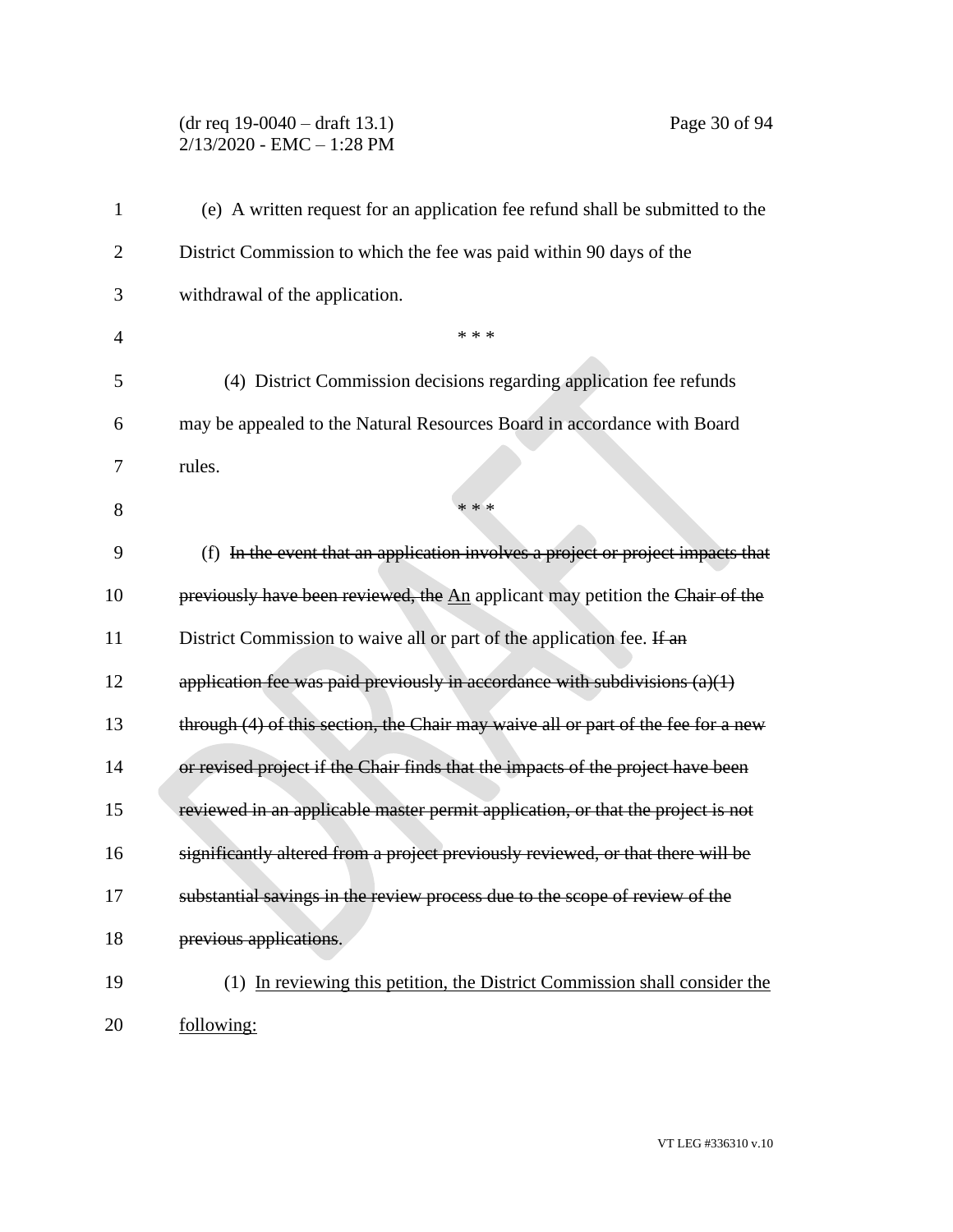# (dr req 19-0040 – draft 13.1) Page 30 of 94 2/13/2020 - EMC – 1:28 PM

| 1              | (e) A written request for an application fee refund shall be submitted to the     |
|----------------|-----------------------------------------------------------------------------------|
| $\overline{c}$ | District Commission to which the fee was paid within 90 days of the               |
| 3              | withdrawal of the application.                                                    |
| $\overline{4}$ | * * *                                                                             |
| 5              | (4) District Commission decisions regarding application fee refunds               |
| 6              | may be appealed to the Natural Resources Board in accordance with Board           |
| 7              | rules.                                                                            |
| 8              | * * *                                                                             |
| 9              | (f) In the event that an application involves a project or project impacts that   |
| 10             | previously have been reviewed, the An applicant may petition the Chair of the     |
| 11             | District Commission to waive all or part of the application fee. If an            |
| 12             | application fee was paid previously in accordance with subdivisions $(a)(1)$      |
| 13             | through (4) of this section, the Chair may waive all or part of the fee for a new |
| 14             | or revised project if the Chair finds that the impacts of the project have been   |
| 15             | reviewed in an applicable master permit application, or that the project is not   |
| 16             | significantly altered from a project previously reviewed, or that there will be   |
| 17             | substantial savings in the review process due to the scope of review of the       |
| 18             | previous applications.                                                            |
| 19             | (1) In reviewing this petition, the District Commission shall consider the        |
| 20             | following:                                                                        |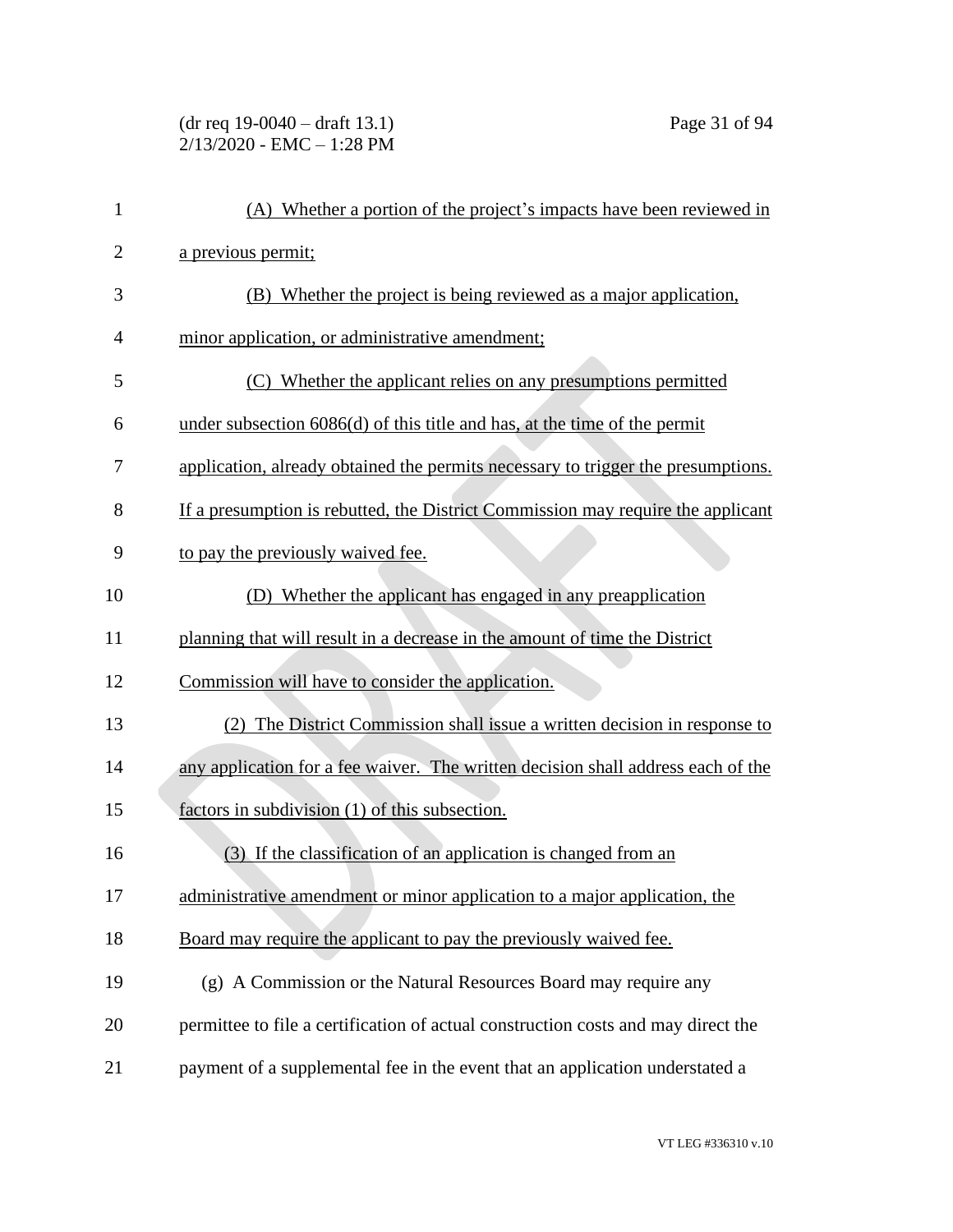(dr req 19-0040 – draft 13.1) Page 31 of 94 2/13/2020 - EMC – 1:28 PM

| $\mathbf{1}$   | (A) Whether a portion of the project's impacts have been reviewed in              |
|----------------|-----------------------------------------------------------------------------------|
| $\overline{2}$ | a previous permit;                                                                |
| 3              | (B) Whether the project is being reviewed as a major application,                 |
| 4              | minor application, or administrative amendment;                                   |
| 5              | (C) Whether the applicant relies on any presumptions permitted                    |
| 6              | under subsection $6086(d)$ of this title and has, at the time of the permit       |
| 7              | application, already obtained the permits necessary to trigger the presumptions.  |
| 8              | If a presumption is rebutted, the District Commission may require the applicant   |
| 9              | to pay the previously waived fee.                                                 |
| 10             | (D) Whether the applicant has engaged in any preapplication                       |
| 11             | planning that will result in a decrease in the amount of time the District        |
| 12             | Commission will have to consider the application.                                 |
| 13             | (2) The District Commission shall issue a written decision in response to         |
| 14             | any application for a fee waiver. The written decision shall address each of the  |
| 15             | factors in subdivision (1) of this subsection.                                    |
| 16             | (3) If the classification of an application is changed from an                    |
| 17             | administrative amendment or minor application to a major application, the         |
| 18             | Board may require the applicant to pay the previously waived fee.                 |
| 19             | (g) A Commission or the Natural Resources Board may require any                   |
| 20             | permittee to file a certification of actual construction costs and may direct the |
| 21             | payment of a supplemental fee in the event that an application understated a      |
|                |                                                                                   |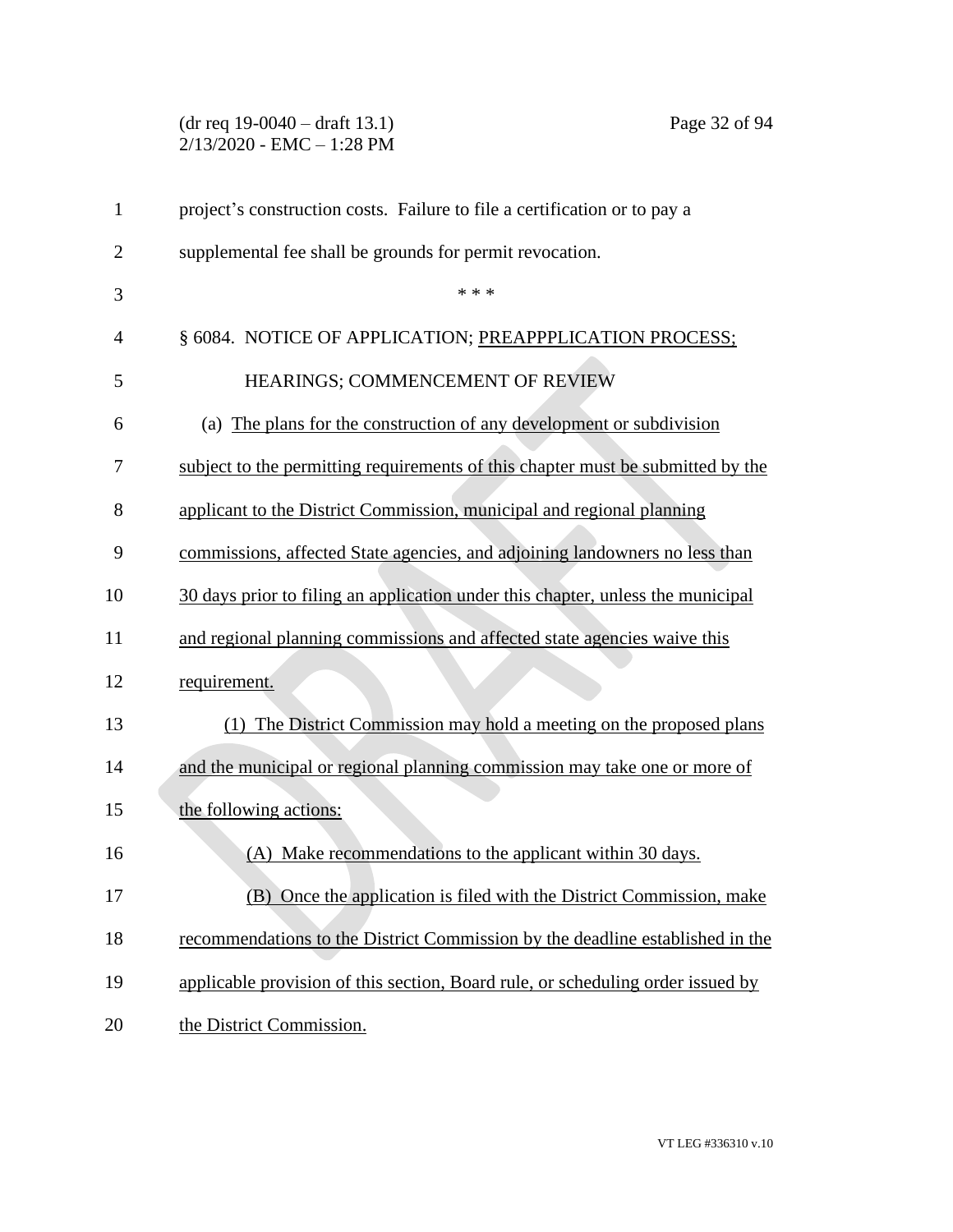# (dr req 19-0040 – draft 13.1) Page 32 of 94 2/13/2020 - EMC – 1:28 PM

| 1              | project's construction costs. Failure to file a certification or to pay a       |
|----------------|---------------------------------------------------------------------------------|
| $\overline{2}$ | supplemental fee shall be grounds for permit revocation.                        |
| 3              | * * *                                                                           |
| $\overline{4}$ | § 6084. NOTICE OF APPLICATION; PREAPPPLICATION PROCESS;                         |
| 5              | HEARINGS; COMMENCEMENT OF REVIEW                                                |
| 6              | (a) The plans for the construction of any development or subdivision            |
| 7              | subject to the permitting requirements of this chapter must be submitted by the |
| 8              | applicant to the District Commission, municipal and regional planning           |
| 9              | commissions, affected State agencies, and adjoining landowners no less than     |
| 10             | 30 days prior to filing an application under this chapter, unless the municipal |
| 11             | and regional planning commissions and affected state agencies waive this        |
| 12             | requirement.                                                                    |
| 13             | (1) The District Commission may hold a meeting on the proposed plans            |
| 14             | and the municipal or regional planning commission may take one or more of       |
| 15             | the following actions:                                                          |
| 16             | (A) Make recommendations to the applicant within 30 days.                       |
| 17             | (B) Once the application is filed with the District Commission, make            |
| 18             | recommendations to the District Commission by the deadline established in the   |
| 19             | applicable provision of this section, Board rule, or scheduling order issued by |
| 20             | the District Commission.                                                        |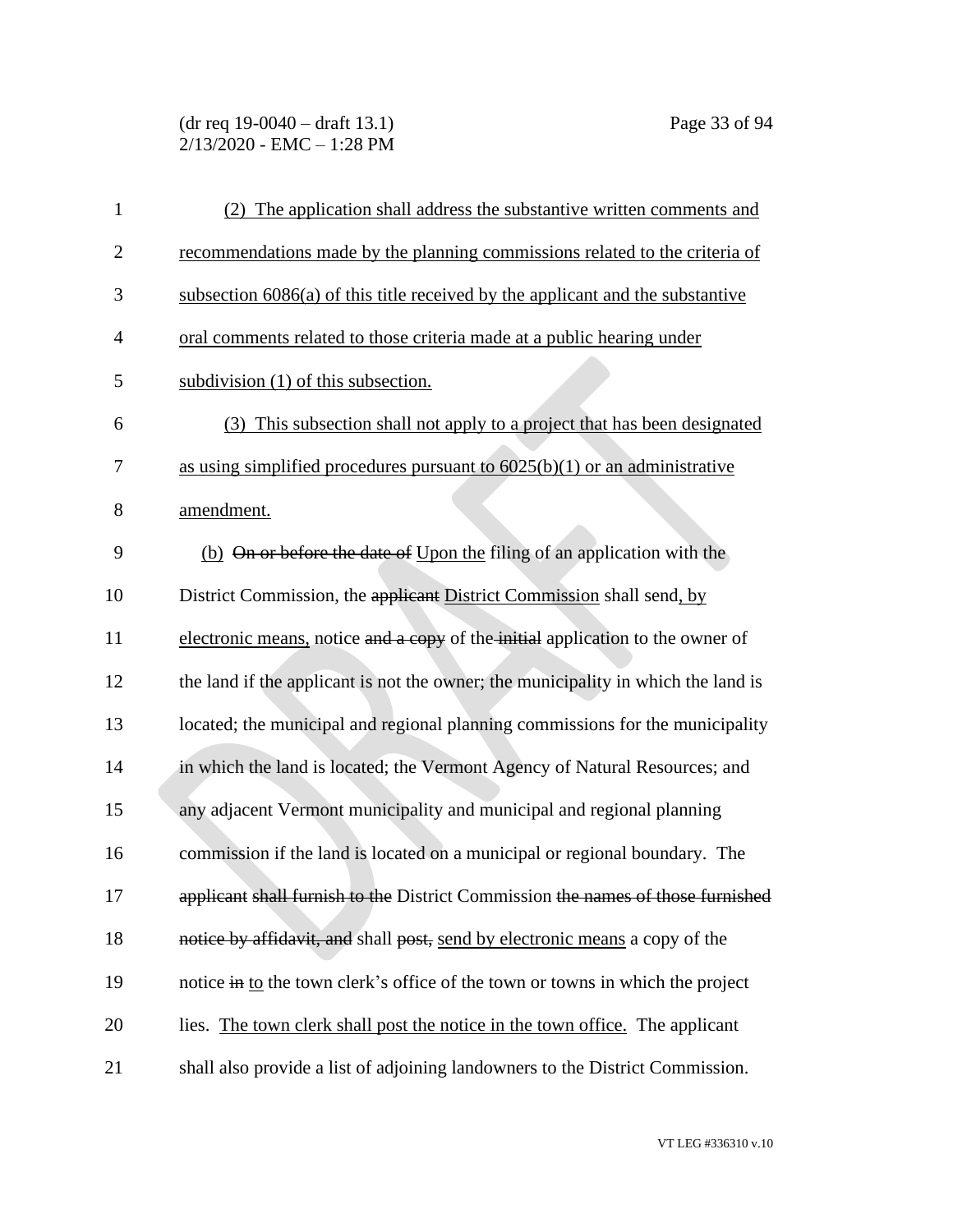(dr req 19-0040 – draft 13.1) Page 33 of 94 2/13/2020 - EMC – 1:28 PM

| 1              | (2) The application shall address the substantive written comments and            |
|----------------|-----------------------------------------------------------------------------------|
| $\overline{c}$ | recommendations made by the planning commissions related to the criteria of       |
| 3              | subsection $6086(a)$ of this title received by the applicant and the substantive  |
| $\overline{4}$ | oral comments related to those criteria made at a public hearing under            |
| 5              | subdivision (1) of this subsection.                                               |
| 6              | (3) This subsection shall not apply to a project that has been designated         |
| 7              | as using simplified procedures pursuant to $6025(b)(1)$ or an administrative      |
| 8              | amendment.                                                                        |
| 9              | (b) On or before the date of Upon the filing of an application with the           |
| 10             | District Commission, the applicant District Commission shall send, by             |
| 11             | electronic means, notice and a copy of the initial application to the owner of    |
| 12             | the land if the applicant is not the owner; the municipality in which the land is |
| 13             | located; the municipal and regional planning commissions for the municipality     |
| 14             | in which the land is located; the Vermont Agency of Natural Resources; and        |
| 15             | any adjacent Vermont municipality and municipal and regional planning             |
| 16             | commission if the land is located on a municipal or regional boundary. The        |
| 17             | applicant shall furnish to the District Commission the names of those furnished   |
| 18             | notice by affidavit, and shall post, send by electronic means a copy of the       |
| 19             | notice in to the town clerk's office of the town or towns in which the project    |
| 20             | lies. The town clerk shall post the notice in the town office. The applicant      |
| 21             | shall also provide a list of adjoining landowners to the District Commission.     |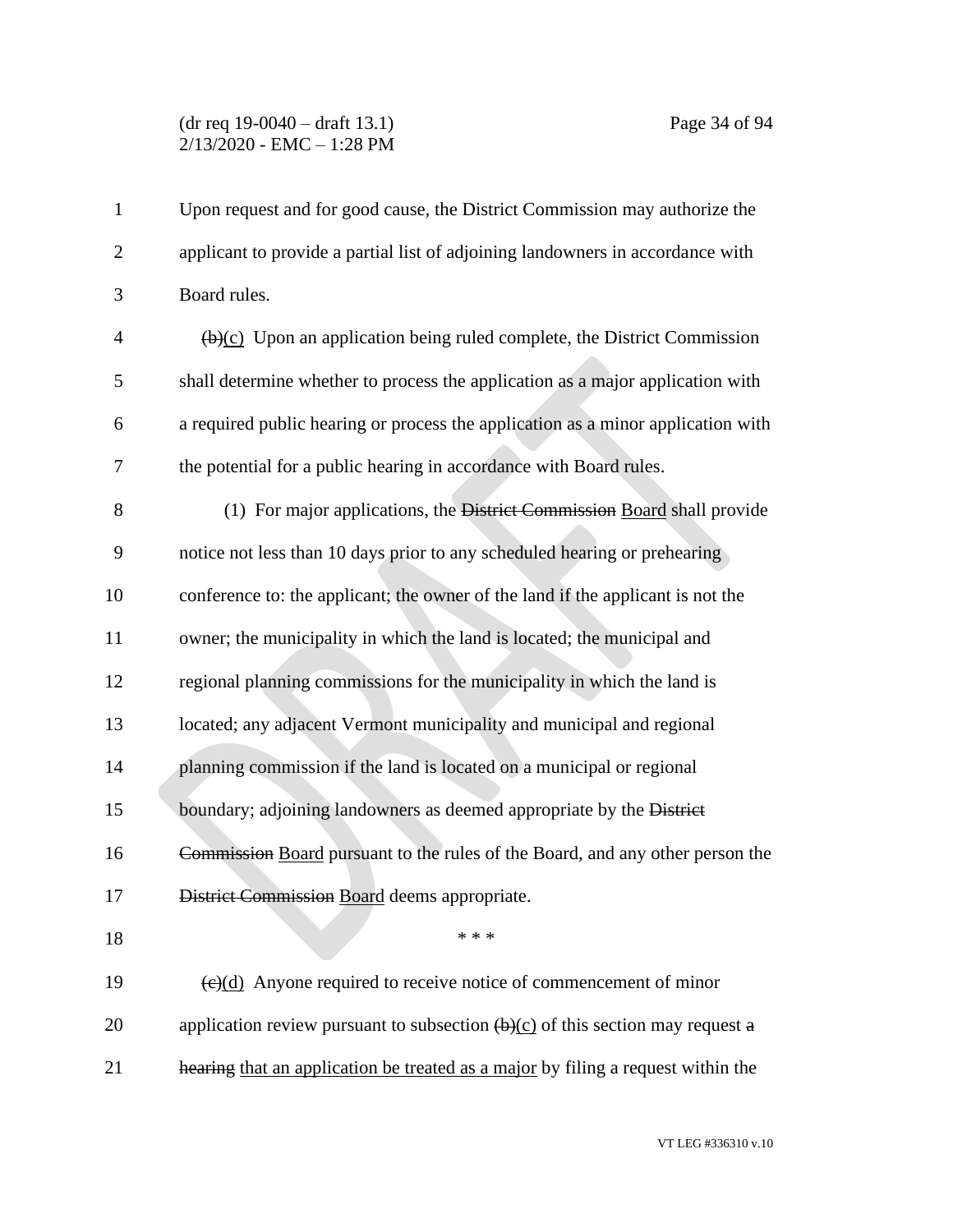#### (dr req 19-0040 – draft 13.1) Page 34 of 94 2/13/2020 - EMC – 1:28 PM

| $\mathbf{1}$   | Upon request and for good cause, the District Commission may authorize the                         |
|----------------|----------------------------------------------------------------------------------------------------|
| $\mathbf{2}$   | applicant to provide a partial list of adjoining landowners in accordance with                     |
| 3              | Board rules.                                                                                       |
| $\overline{4}$ | $\overline{(b)(c)}$ Upon an application being ruled complete, the District Commission              |
| 5              | shall determine whether to process the application as a major application with                     |
| 6              | a required public hearing or process the application as a minor application with                   |
| 7              | the potential for a public hearing in accordance with Board rules.                                 |
| 8              | (1) For major applications, the District Commission Board shall provide                            |
| 9              | notice not less than 10 days prior to any scheduled hearing or prehearing                          |
| 10             | conference to: the applicant; the owner of the land if the applicant is not the                    |
| 11             | owner; the municipality in which the land is located; the municipal and                            |
| 12             | regional planning commissions for the municipality in which the land is                            |
| 13             | located; any adjacent Vermont municipality and municipal and regional                              |
| 14             | planning commission if the land is located on a municipal or regional                              |
| 15             | boundary; adjoining landowners as deemed appropriate by the District                               |
| 16             | Commission Board pursuant to the rules of the Board, and any other person the                      |
| 17             | District Commission Board deems appropriate.                                                       |
| 18             | * * *                                                                                              |
| 19             | $\left(\frac{e}{c}\right)$ Anyone required to receive notice of commencement of minor              |
| 20             | application review pursuant to subsection $\left(\frac{b}{c}\right)$ of this section may request a |
| 21             | hearing that an application be treated as a major by filing a request within the                   |
|                |                                                                                                    |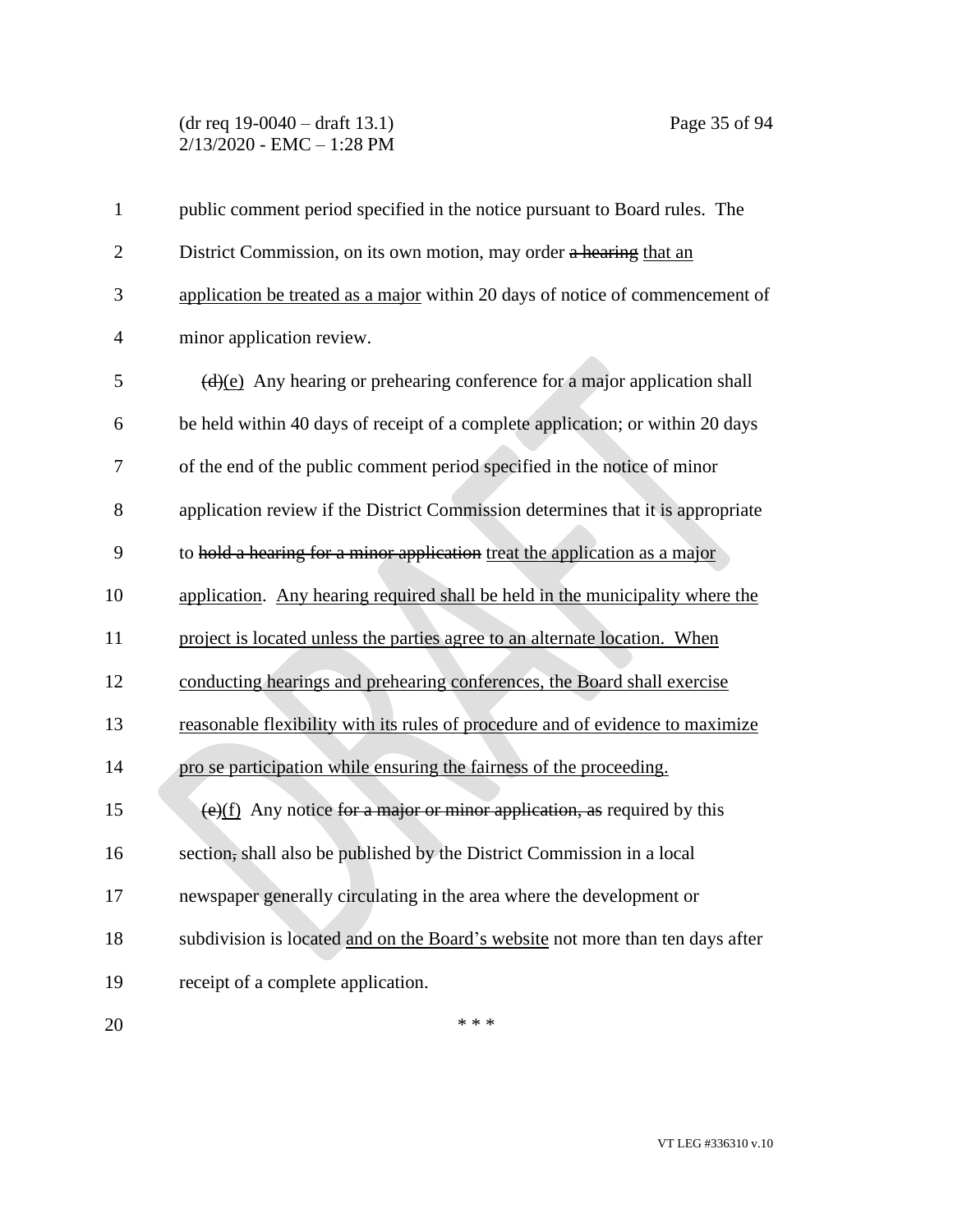# (dr req 19-0040 – draft 13.1) Page 35 of 94 2/13/2020 - EMC – 1:28 PM

| $\mathbf{1}$   | public comment period specified in the notice pursuant to Board rules. The                    |
|----------------|-----------------------------------------------------------------------------------------------|
| $\overline{2}$ | District Commission, on its own motion, may order a hearing that an                           |
| 3              | application be treated as a major within 20 days of notice of commencement of                 |
| $\overline{4}$ | minor application review.                                                                     |
| 5              | $\left(\frac{d}{e}\right)$ Any hearing or prehearing conference for a major application shall |
| 6              | be held within 40 days of receipt of a complete application; or within 20 days                |
| 7              | of the end of the public comment period specified in the notice of minor                      |
| 8              | application review if the District Commission determines that it is appropriate               |
| 9              | to hold a hearing for a minor application treat the application as a major                    |
| 10             | application. Any hearing required shall be held in the municipality where the                 |
| 11             | project is located unless the parties agree to an alternate location. When                    |
| 12             | conducting hearings and prehearing conferences, the Board shall exercise                      |
| 13             | reasonable flexibility with its rules of procedure and of evidence to maximize                |
| 14             | pro se participation while ensuring the fairness of the proceeding.                           |
| 15             | $(e)(f)$ Any notice for a major or minor application, as required by this                     |
| 16             | section, shall also be published by the District Commission in a local                        |
| 17             | newspaper generally circulating in the area where the development or                          |
| 18             | subdivision is located and on the Board's website not more than ten days after                |
| 19             | receipt of a complete application.                                                            |
| 20             | * * *                                                                                         |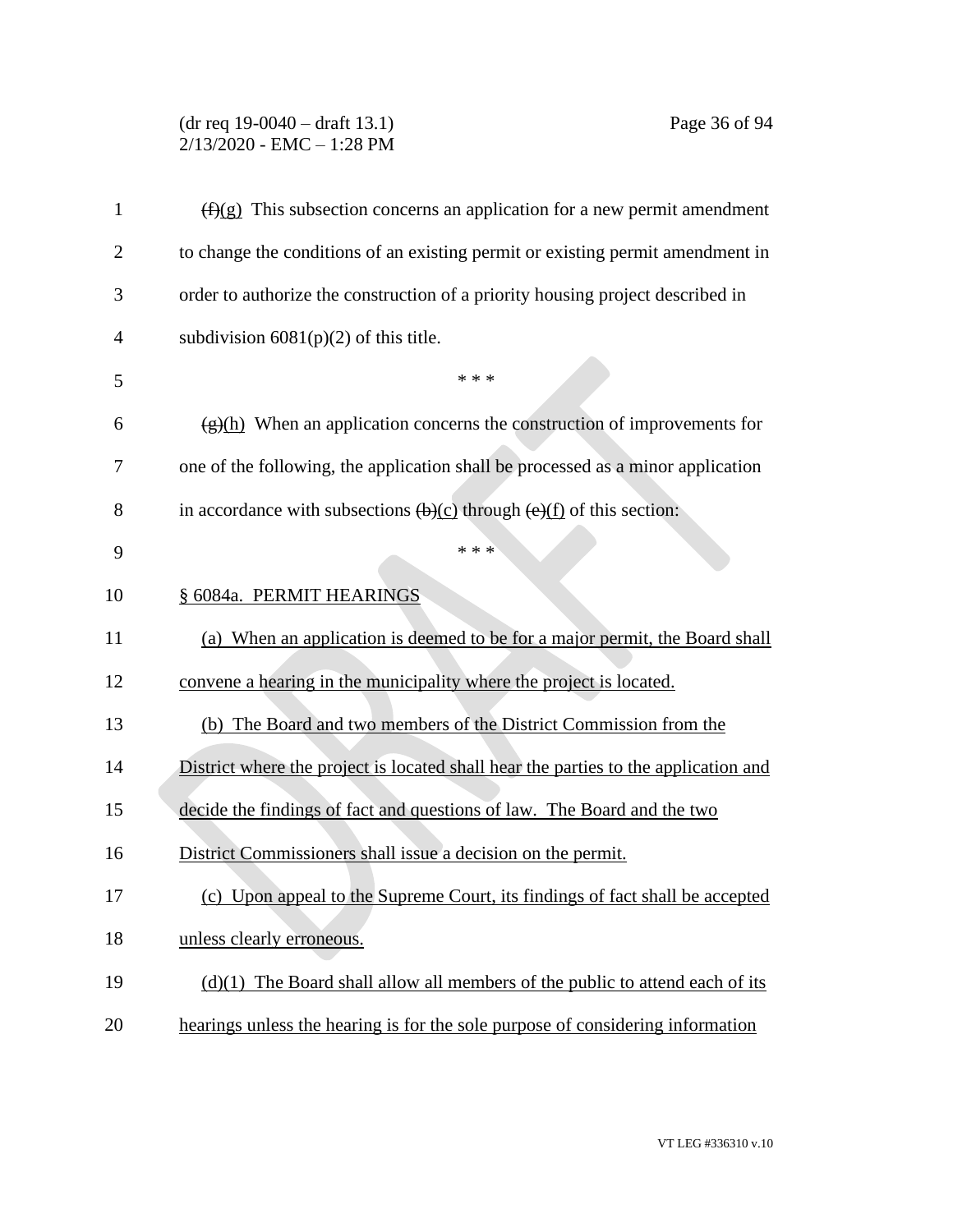# (dr req 19-0040 – draft 13.1) Page 36 of 94 2/13/2020 - EMC – 1:28 PM

| 1              | $(f)(g)$ This subsection concerns an application for a new permit amendment                                   |
|----------------|---------------------------------------------------------------------------------------------------------------|
| $\overline{2}$ | to change the conditions of an existing permit or existing permit amendment in                                |
| 3              | order to authorize the construction of a priority housing project described in                                |
| $\overline{4}$ | subdivision $6081(p)(2)$ of this title.                                                                       |
| 5              | * * *                                                                                                         |
| 6              | $\frac{g(h)}{h}$ When an application concerns the construction of improvements for                            |
| 7              | one of the following, the application shall be processed as a minor application                               |
| 8              | in accordance with subsections $\left(\frac{b}{c}\right)$ through $\left(\frac{e}{f}\right)$ of this section: |
| 9              | * * *                                                                                                         |
| 10             | § 6084a. PERMIT HEARINGS                                                                                      |
| 11             | (a) When an application is deemed to be for a major permit, the Board shall                                   |
| 12             | convene a hearing in the municipality where the project is located.                                           |
| 13             | (b) The Board and two members of the District Commission from the                                             |
| 14             | District where the project is located shall hear the parties to the application and                           |
| 15             | decide the findings of fact and questions of law. The Board and the two                                       |
| 16             | District Commissioners shall issue a decision on the permit.                                                  |
| 17             | (c) Upon appeal to the Supreme Court, its findings of fact shall be accepted                                  |
| 18             | unless clearly erroneous.                                                                                     |
| 19             | $(d)(1)$ The Board shall allow all members of the public to attend each of its                                |
| 20             | hearings unless the hearing is for the sole purpose of considering information                                |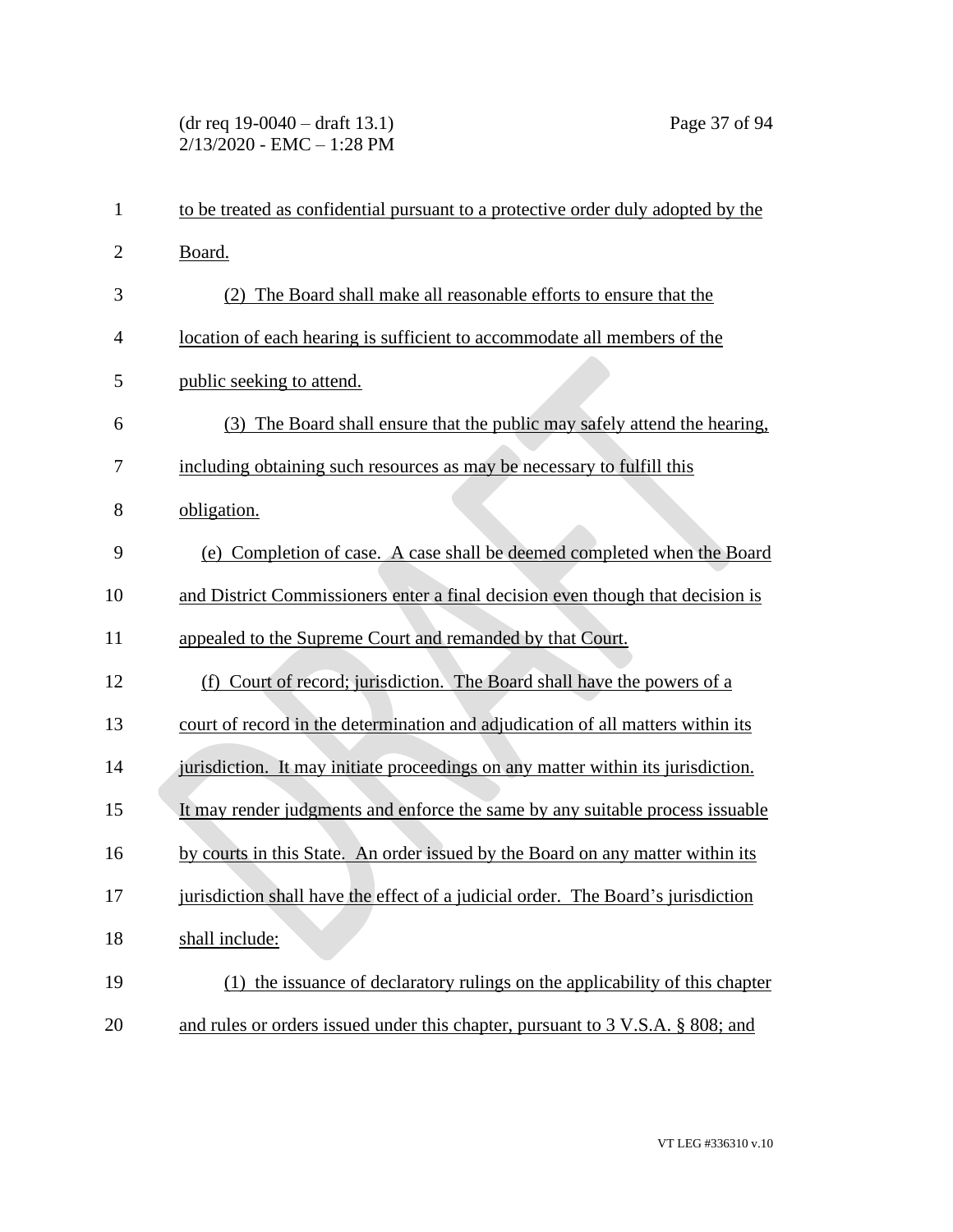# (dr req 19-0040 – draft 13.1) Page 37 of 94 2/13/2020 - EMC – 1:28 PM

| $\mathbf{1}$   | to be treated as confidential pursuant to a protective order duly adopted by the |
|----------------|----------------------------------------------------------------------------------|
| $\overline{2}$ | Board.                                                                           |
| 3              | (2) The Board shall make all reasonable efforts to ensure that the               |
| $\overline{4}$ | location of each hearing is sufficient to accommodate all members of the         |
| 5              | public seeking to attend.                                                        |
| 6              | (3) The Board shall ensure that the public may safely attend the hearing,        |
| 7              | including obtaining such resources as may be necessary to fulfill this           |
| 8              | obligation.                                                                      |
| 9              | (e) Completion of case. A case shall be deemed completed when the Board          |
| 10             | and District Commissioners enter a final decision even though that decision is   |
| 11             | appealed to the Supreme Court and remanded by that Court.                        |
| 12             | Court of record; jurisdiction. The Board shall have the powers of a<br>(f)       |
| 13             | court of record in the determination and adjudication of all matters within its  |
| 14             | jurisdiction. It may initiate proceedings on any matter within its jurisdiction. |
| 15             | It may render judgments and enforce the same by any suitable process issuable    |
| 16             | by courts in this State. An order issued by the Board on any matter within its   |
| 17             | jurisdiction shall have the effect of a judicial order. The Board's jurisdiction |
| 18             | shall include:                                                                   |
| 19             | (1) the issuance of declaratory rulings on the applicability of this chapter     |
| 20             | and rules or orders issued under this chapter, pursuant to 3 V.S.A. § 808; and   |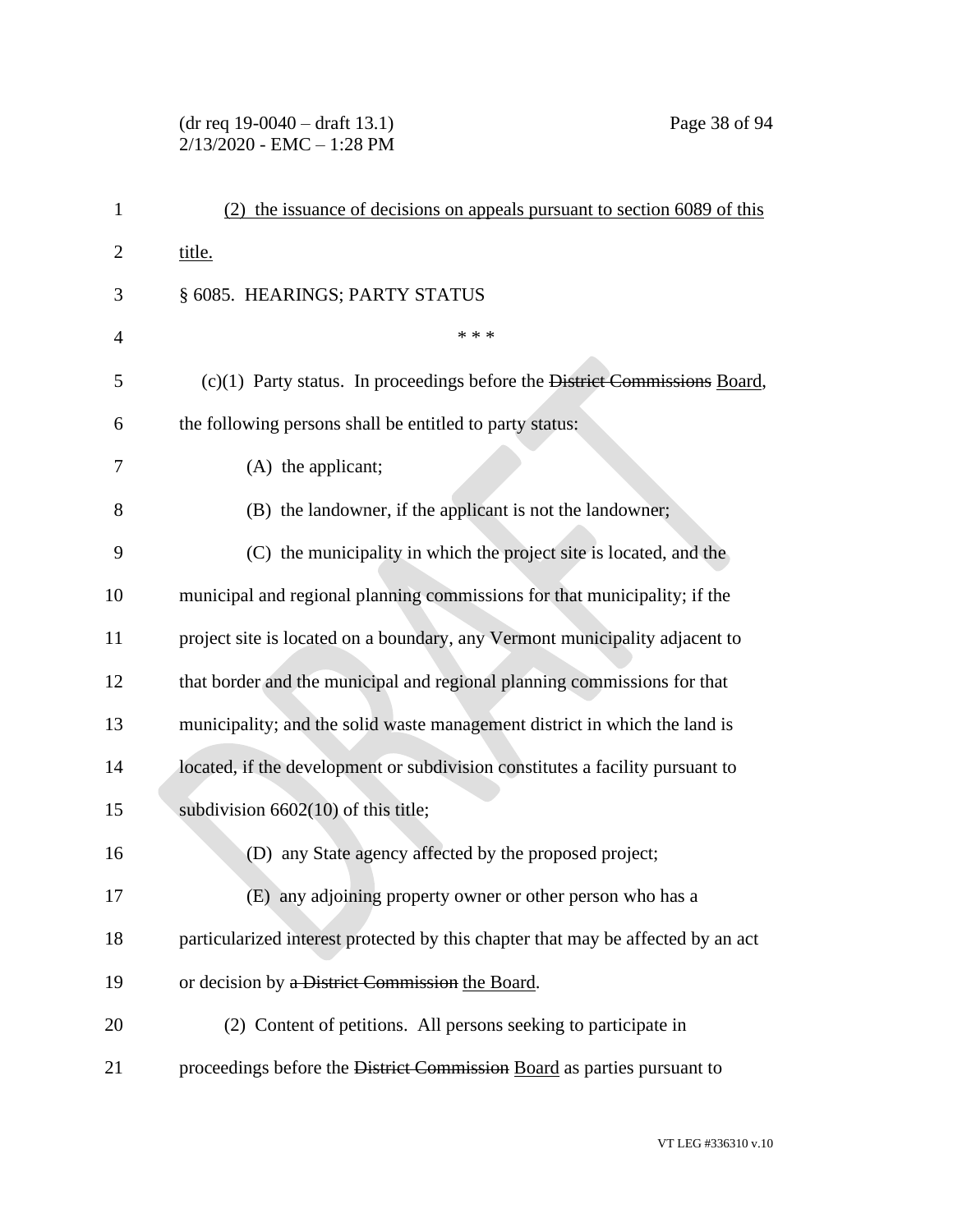## (dr req 19-0040 – draft 13.1) Page 38 of 94 2/13/2020 - EMC – 1:28 PM

| 1              | the issuance of decisions on appeals pursuant to section 6089 of this            |
|----------------|----------------------------------------------------------------------------------|
| 2              | title.                                                                           |
| 3              | § 6085. HEARINGS; PARTY STATUS                                                   |
| $\overline{4}$ | * * *                                                                            |
| 5              | $(c)(1)$ Party status. In proceedings before the District Commissions Board,     |
| 6              | the following persons shall be entitled to party status:                         |
| 7              | $(A)$ the applicant;                                                             |
| 8              | (B) the landowner, if the applicant is not the landowner;                        |
| 9              | (C) the municipality in which the project site is located, and the               |
| 10             | municipal and regional planning commissions for that municipality; if the        |
| 11             | project site is located on a boundary, any Vermont municipality adjacent to      |
| 12             | that border and the municipal and regional planning commissions for that         |
| 13             | municipality; and the solid waste management district in which the land is       |
| 14             | located, if the development or subdivision constitutes a facility pursuant to    |
| 15             | subdivision $6602(10)$ of this title;                                            |
| 16             | (D) any State agency affected by the proposed project;                           |
| 17             | (E) any adjoining property owner or other person who has a                       |
| 18             | particularized interest protected by this chapter that may be affected by an act |
| 19             | or decision by a District Commission the Board.                                  |
| 20             | (2) Content of petitions. All persons seeking to participate in                  |
| 21             | proceedings before the District Commission Board as parties pursuant to          |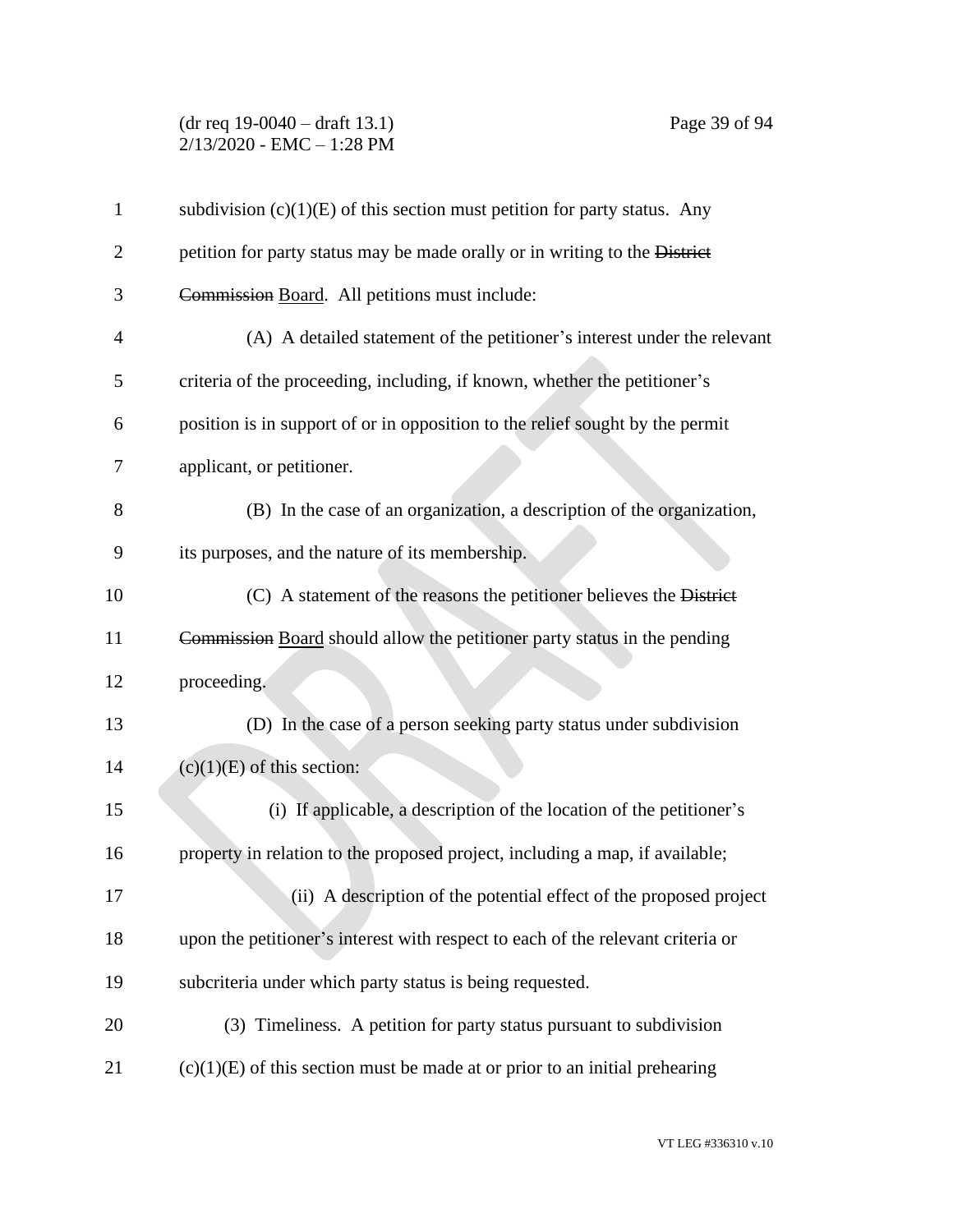### (dr req 19-0040 – draft 13.1) Page 39 of 94 2/13/2020 - EMC – 1:28 PM

| $\mathbf{1}$   | subdivision $(c)(1)(E)$ of this section must petition for party status. Any     |
|----------------|---------------------------------------------------------------------------------|
| 2              | petition for party status may be made orally or in writing to the District      |
| 3              | Commission Board. All petitions must include:                                   |
| $\overline{4}$ | (A) A detailed statement of the petitioner's interest under the relevant        |
| 5              | criteria of the proceeding, including, if known, whether the petitioner's       |
| 6              | position is in support of or in opposition to the relief sought by the permit   |
| 7              | applicant, or petitioner.                                                       |
| 8              | (B) In the case of an organization, a description of the organization,          |
| 9              | its purposes, and the nature of its membership.                                 |
| 10             | (C) A statement of the reasons the petitioner believes the District             |
| 11             | Commission Board should allow the petitioner party status in the pending        |
| 12             | proceeding.                                                                     |
| 13             | (D) In the case of a person seeking party status under subdivision              |
| 14             | $(c)(1)(E)$ of this section:                                                    |
| 15             | (i) If applicable, a description of the location of the petitioner's            |
| 16             | property in relation to the proposed project, including a map, if available;    |
| 17             | (ii) A description of the potential effect of the proposed project              |
| 18             | upon the petitioner's interest with respect to each of the relevant criteria or |
| 19             | subcriteria under which party status is being requested.                        |
| 20             | (3) Timeliness. A petition for party status pursuant to subdivision             |
| 21             | $(c)(1)(E)$ of this section must be made at or prior to an initial prehearing   |
|                |                                                                                 |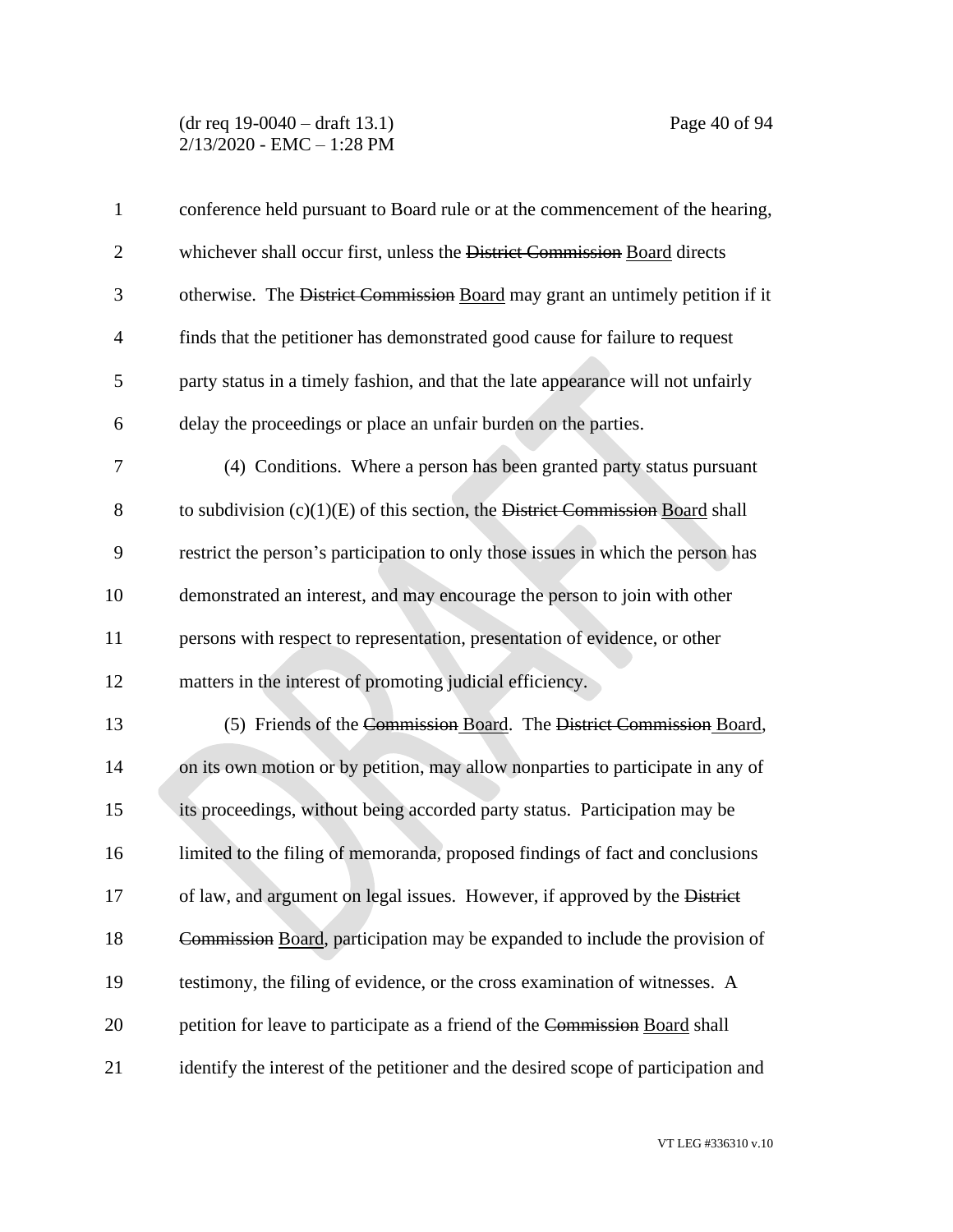#### (dr req 19-0040 – draft 13.1) Page 40 of 94 2/13/2020 - EMC – 1:28 PM

| $\mathbf{1}$   | conference held pursuant to Board rule or at the commencement of the hearing,      |
|----------------|------------------------------------------------------------------------------------|
| $\overline{2}$ | whichever shall occur first, unless the District Commission Board directs          |
| 3              | otherwise. The District Commission Board may grant an untimely petition if it      |
| $\overline{4}$ | finds that the petitioner has demonstrated good cause for failure to request       |
| 5              | party status in a timely fashion, and that the late appearance will not unfairly   |
| 6              | delay the proceedings or place an unfair burden on the parties.                    |
| 7              | (4) Conditions. Where a person has been granted party status pursuant              |
| 8              | to subdivision $(c)(1)(E)$ of this section, the District Commission Board shall    |
| 9              | restrict the person's participation to only those issues in which the person has   |
| 10             | demonstrated an interest, and may encourage the person to join with other          |
| 11             | persons with respect to representation, presentation of evidence, or other         |
| 12             | matters in the interest of promoting judicial efficiency.                          |
| 13             | (5) Friends of the Commission Board. The District Commission Board,                |
| 14             | on its own motion or by petition, may allow nonparties to participate in any of    |
| 15             | its proceedings, without being accorded party status. Participation may be         |
| 16             | limited to the filing of memoranda, proposed findings of fact and conclusions      |
| 17             | of law, and argument on legal issues. However, if approved by the District         |
| 18             | Commission Board, participation may be expanded to include the provision of        |
| 19             | testimony, the filing of evidence, or the cross examination of witnesses. A        |
| 20             | petition for leave to participate as a friend of the Commission Board shall        |
| 21             | identify the interest of the petitioner and the desired scope of participation and |

VT LEG #336310 v.10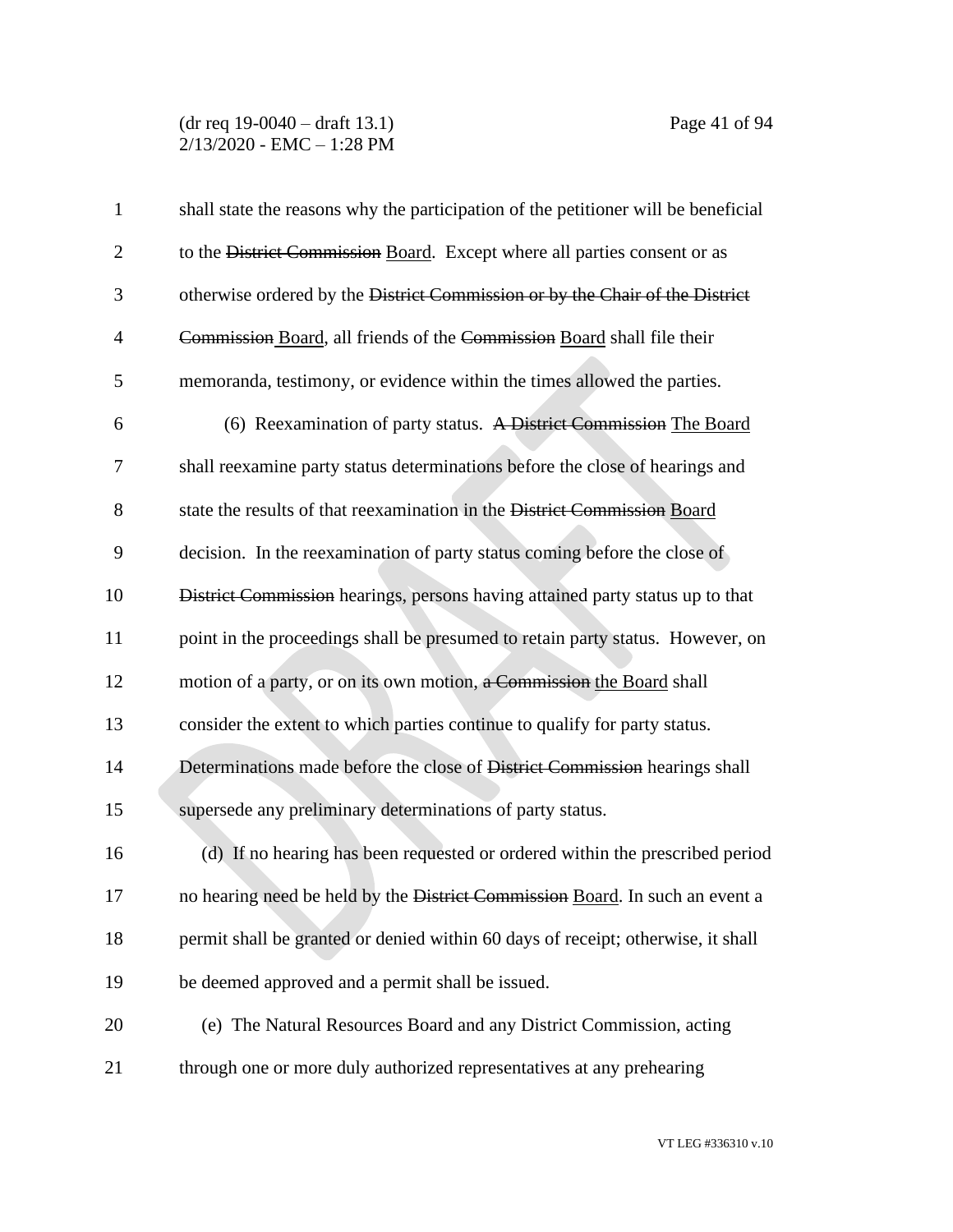#### (dr req 19-0040 – draft 13.1) Page 41 of 94 2/13/2020 - EMC – 1:28 PM

| $\mathbf{1}$   | shall state the reasons why the participation of the petitioner will be beneficial |
|----------------|------------------------------------------------------------------------------------|
| $\overline{2}$ | to the District Commission Board. Except where all parties consent or as           |
| 3              | otherwise ordered by the District Commission or by the Chair of the District       |
| $\overline{4}$ | Commission Board, all friends of the Commission Board shall file their             |
| 5              | memoranda, testimony, or evidence within the times allowed the parties.            |
| 6              | (6) Reexamination of party status. A District Commission The Board                 |
| 7              | shall reexamine party status determinations before the close of hearings and       |
| 8              | state the results of that reexamination in the District Commission Board           |
| 9              | decision. In the reexamination of party status coming before the close of          |
| 10             | District Commission hearings, persons having attained party status up to that      |
| 11             | point in the proceedings shall be presumed to retain party status. However, on     |
| 12             | motion of a party, or on its own motion, a Commission the Board shall              |
| 13             | consider the extent to which parties continue to qualify for party status.         |
| 14             | Determinations made before the close of District Commission hearings shall         |
| 15             | supersede any preliminary determinations of party status.                          |
| 16             | (d) If no hearing has been requested or ordered within the prescribed period       |
| 17             | no hearing need be held by the District Commission Board. In such an event a       |
| 18             | permit shall be granted or denied within 60 days of receipt; otherwise, it shall   |
| 19             | be deemed approved and a permit shall be issued.                                   |
| 20             | (e) The Natural Resources Board and any District Commission, acting                |
| 21             | through one or more duly authorized representatives at any prehearing              |
|                |                                                                                    |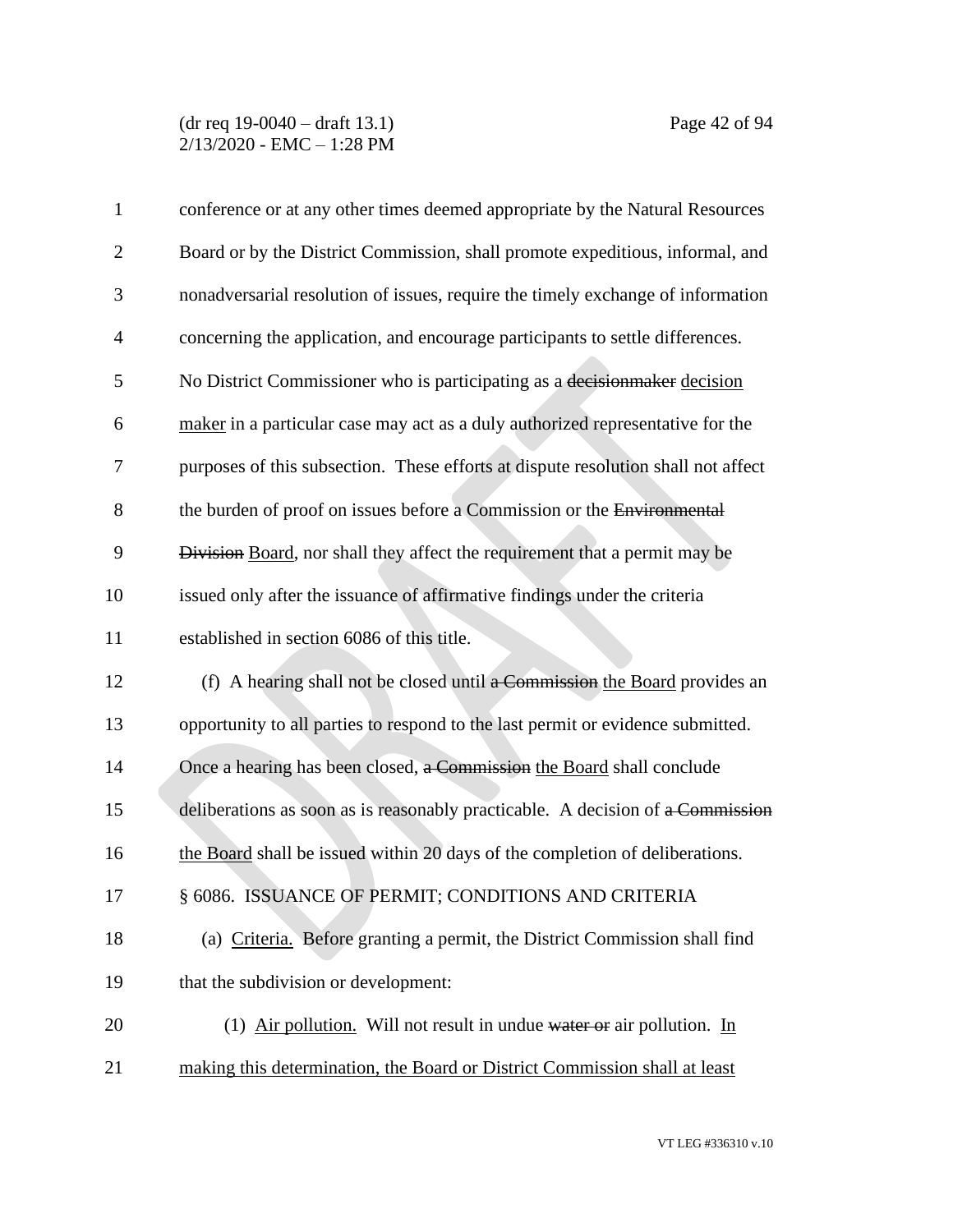| $\mathbf{1}$   | conference or at any other times deemed appropriate by the Natural Resources      |
|----------------|-----------------------------------------------------------------------------------|
| $\overline{2}$ | Board or by the District Commission, shall promote expeditious, informal, and     |
| 3              | nonadversarial resolution of issues, require the timely exchange of information   |
| $\overline{4}$ | concerning the application, and encourage participants to settle differences.     |
| 5              | No District Commissioner who is participating as a decision maker decision        |
| 6              | maker in a particular case may act as a duly authorized representative for the    |
| 7              | purposes of this subsection. These efforts at dispute resolution shall not affect |
| 8              | the burden of proof on issues before a Commission or the Environmental            |
| 9              | Division Board, nor shall they affect the requirement that a permit may be        |
| 10             | issued only after the issuance of affirmative findings under the criteria         |
| 11             | established in section 6086 of this title.                                        |
| 12             | (f) A hearing shall not be closed until a Commission the Board provides an        |
| 13             | opportunity to all parties to respond to the last permit or evidence submitted.   |
| 14             | Once a hearing has been closed, a Commission the Board shall conclude             |
| 15             | deliberations as soon as is reasonably practicable. A decision of a Commission    |
| 16             | the Board shall be issued within 20 days of the completion of deliberations.      |
| 17             | § 6086. ISSUANCE OF PERMIT; CONDITIONS AND CRITERIA                               |
| 18             | (a) Criteria. Before granting a permit, the District Commission shall find        |
| 19             | that the subdivision or development:                                              |
| 20             | (1) Air pollution. Will not result in undue water or air pollution. In            |
| 21             | making this determination, the Board or District Commission shall at least        |
|                |                                                                                   |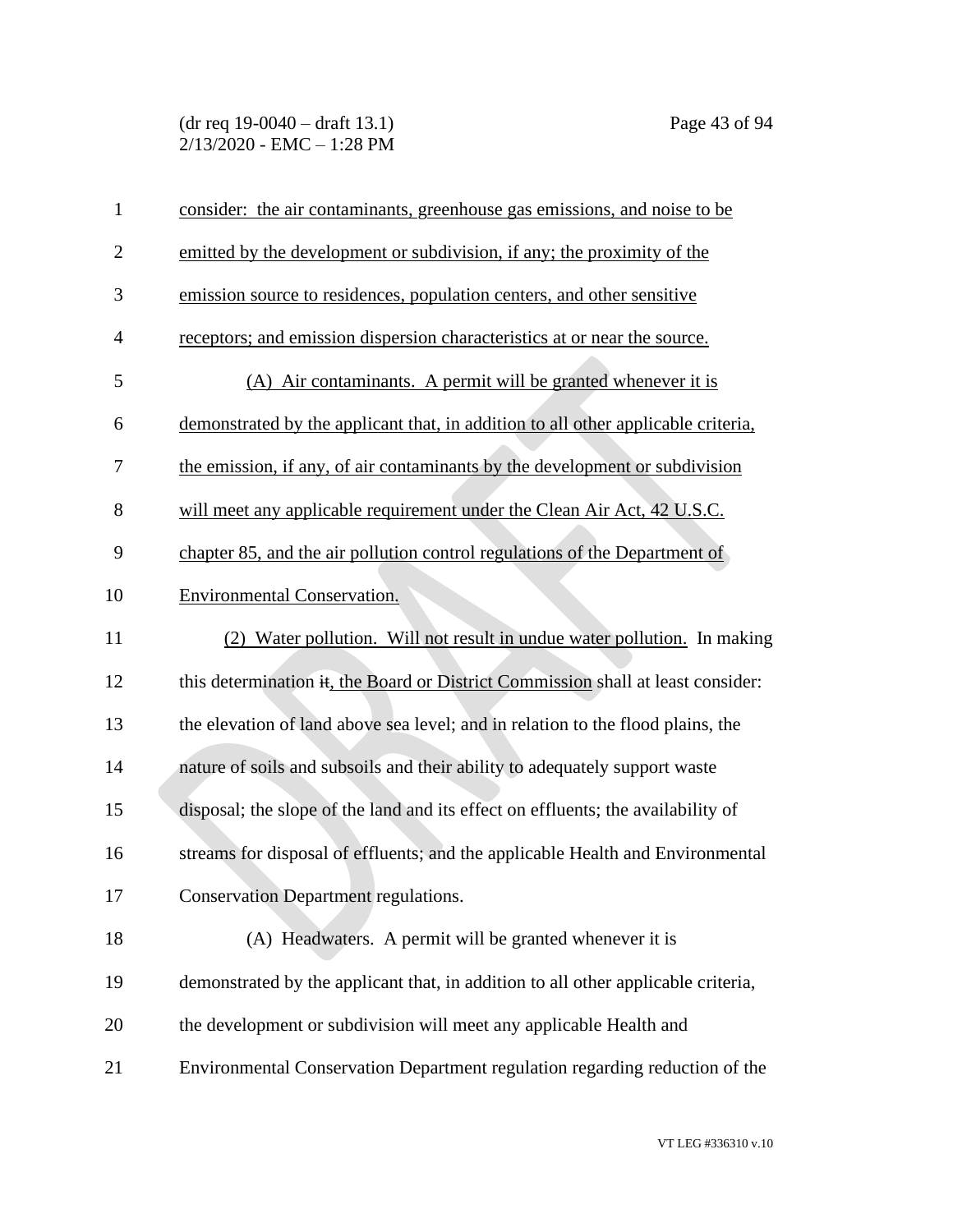| $\mathbf{1}$   | consider: the air contaminants, greenhouse gas emissions, and noise to be         |
|----------------|-----------------------------------------------------------------------------------|
| $\overline{2}$ | emitted by the development or subdivision, if any; the proximity of the           |
| 3              | emission source to residences, population centers, and other sensitive            |
| $\overline{4}$ | receptors; and emission dispersion characteristics at or near the source.         |
| 5              | (A) Air contaminants. A permit will be granted whenever it is                     |
| 6              | demonstrated by the applicant that, in addition to all other applicable criteria, |
| 7              | the emission, if any, of air contaminants by the development or subdivision       |
| 8              | will meet any applicable requirement under the Clean Air Act, 42 U.S.C.           |
| 9              | chapter 85, and the air pollution control regulations of the Department of        |
| 10             | <b>Environmental Conservation.</b>                                                |
| 11             | (2) Water pollution. Will not result in undue water pollution. In making          |
| 12             | this determination it, the Board or District Commission shall at least consider:  |
| 13             | the elevation of land above sea level; and in relation to the flood plains, the   |
| 14             | nature of soils and subsoils and their ability to adequately support waste        |
| 15             | disposal; the slope of the land and its effect on effluents; the availability of  |
| 16             | streams for disposal of effluents; and the applicable Health and Environmental    |
| 17             | <b>Conservation Department regulations.</b>                                       |
| 18             | (A) Headwaters. A permit will be granted whenever it is                           |
| 19             | demonstrated by the applicant that, in addition to all other applicable criteria, |
| 20             | the development or subdivision will meet any applicable Health and                |
| 21             | Environmental Conservation Department regulation regarding reduction of the       |
|                |                                                                                   |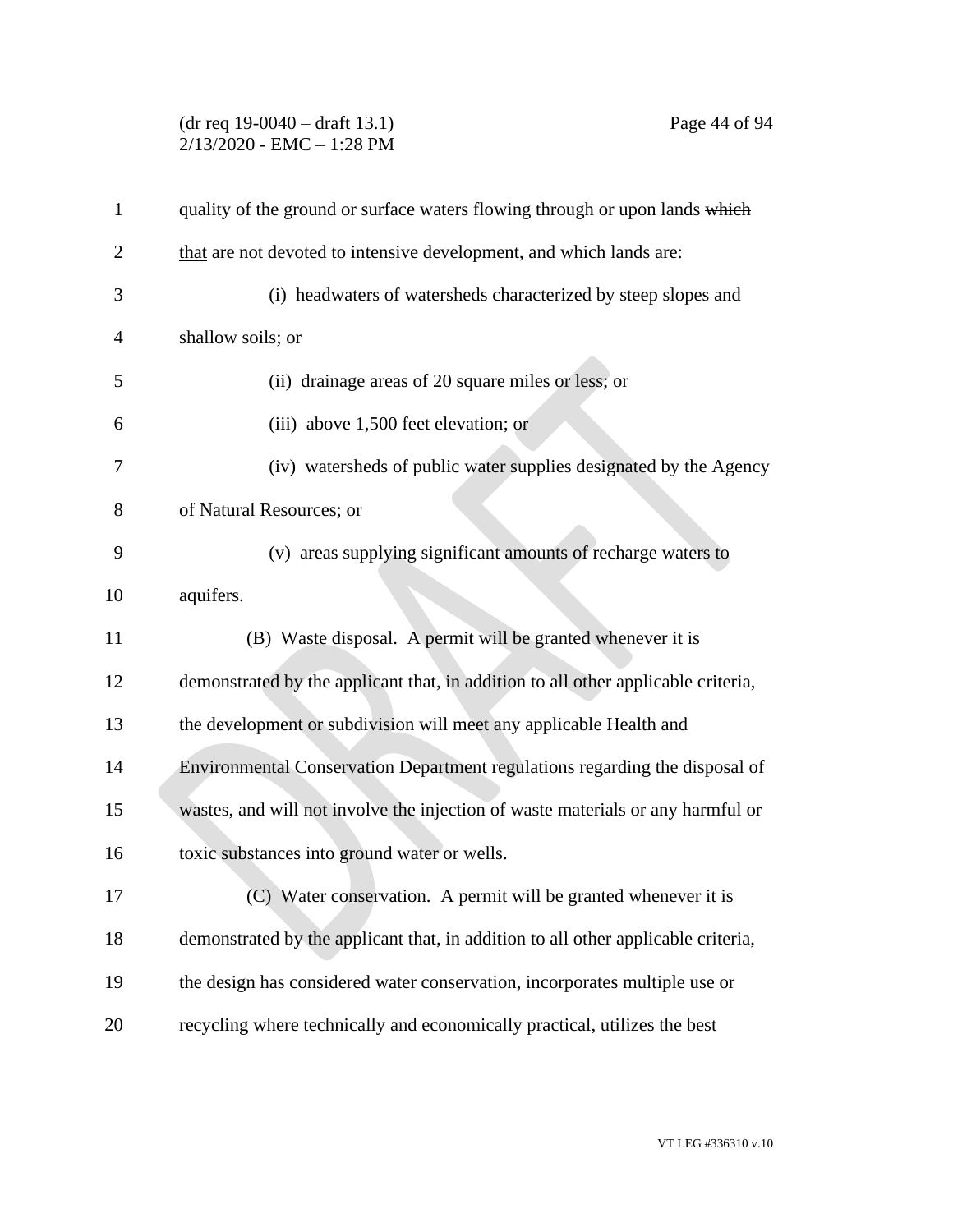## (dr req 19-0040 – draft 13.1) Page 44 of 94 2/13/2020 - EMC – 1:28 PM

| $\mathbf{1}$   | quality of the ground or surface waters flowing through or upon lands which       |
|----------------|-----------------------------------------------------------------------------------|
| $\overline{2}$ | that are not devoted to intensive development, and which lands are:               |
| 3              | (i) headwaters of watersheds characterized by steep slopes and                    |
| 4              | shallow soils; or                                                                 |
| 5              | (ii) drainage areas of 20 square miles or less; or                                |
| 6              | (iii) above 1,500 feet elevation; or                                              |
| 7              | (iv) watersheds of public water supplies designated by the Agency                 |
| 8              | of Natural Resources; or                                                          |
| 9              | (v) areas supplying significant amounts of recharge waters to                     |
| 10             | aquifers.                                                                         |
| 11             | (B) Waste disposal. A permit will be granted whenever it is                       |
| 12             | demonstrated by the applicant that, in addition to all other applicable criteria, |
| 13             | the development or subdivision will meet any applicable Health and                |
| 14             | Environmental Conservation Department regulations regarding the disposal of       |
| 15             | wastes, and will not involve the injection of waste materials or any harmful or   |
| 16             | toxic substances into ground water or wells.                                      |
| 17             | (C) Water conservation. A permit will be granted whenever it is                   |
| 18             | demonstrated by the applicant that, in addition to all other applicable criteria, |
| 19             | the design has considered water conservation, incorporates multiple use or        |
| 20             | recycling where technically and economically practical, utilizes the best         |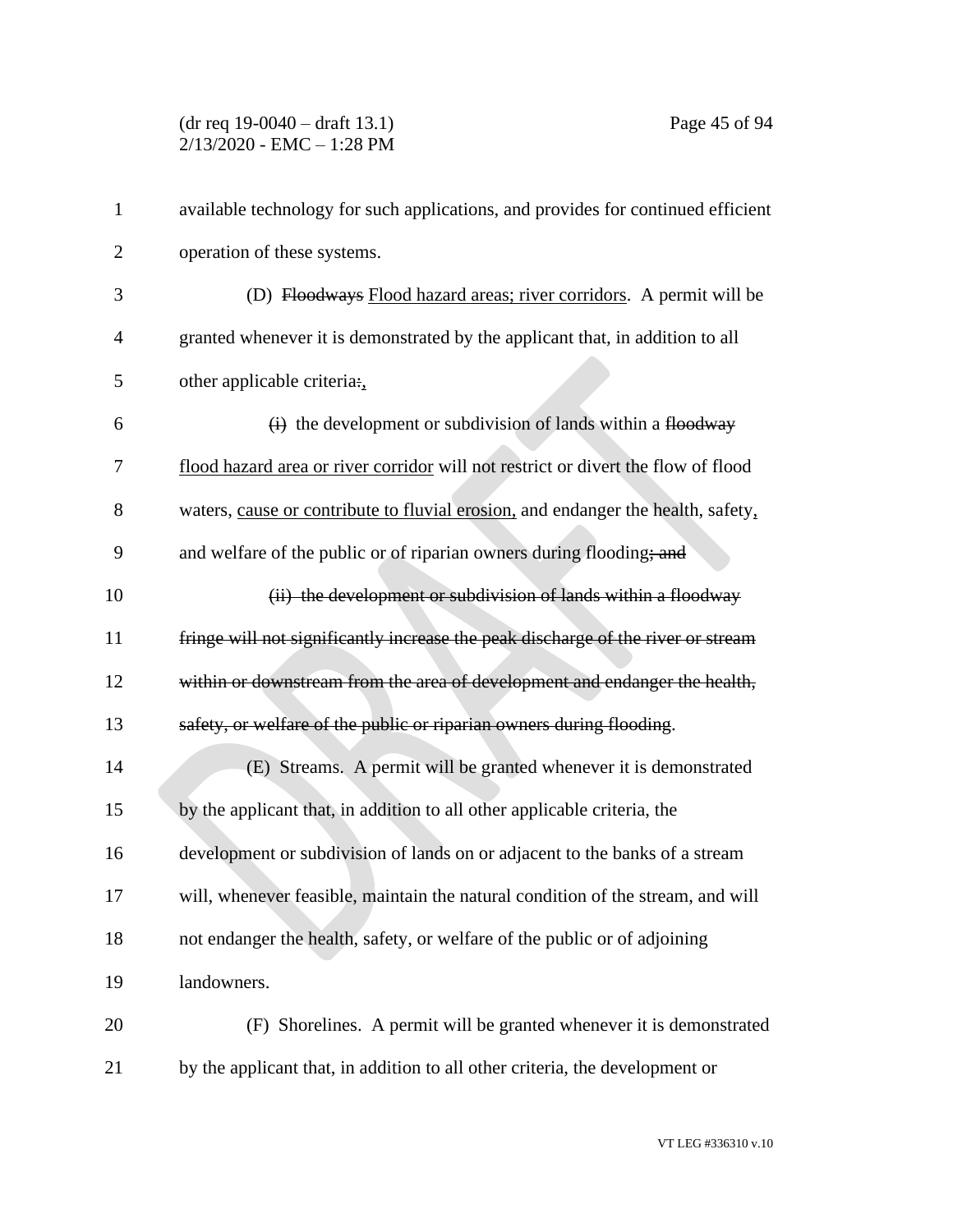| $\mathbf{1}$   | available technology for such applications, and provides for continued efficient  |
|----------------|-----------------------------------------------------------------------------------|
| $\overline{2}$ | operation of these systems.                                                       |
| 3              | (D) Floodways Flood hazard areas; river corridors. A permit will be               |
| $\overline{4}$ | granted whenever it is demonstrated by the applicant that, in addition to all     |
| 5              | other applicable criteria:                                                        |
| 6              | $\overrightarrow{H}$ the development or subdivision of lands within a flood way   |
| 7              | flood hazard area or river corridor will not restrict or divert the flow of flood |
| 8              | waters, cause or contribute to fluvial erosion, and endanger the health, safety,  |
| 9              | and welfare of the public or of riparian owners during flooding; and              |
| 10             | (ii) the development or subdivision of lands within a floodway                    |
| 11             | fringe will not significantly increase the peak discharge of the river or stream  |
| 12             | within or downstream from the area of development and endanger the health,        |
| 13             | safety, or welfare of the public or riparian owners during flooding.              |
| 14             | (E) Streams. A permit will be granted whenever it is demonstrated                 |
| 15             | by the applicant that, in addition to all other applicable criteria, the          |
| 16             | development or subdivision of lands on or adjacent to the banks of a stream       |
| 17             | will, whenever feasible, maintain the natural condition of the stream, and will   |
| 18             | not endanger the health, safety, or welfare of the public or of adjoining         |
| 19             | landowners.                                                                       |
| 20             | (F) Shorelines. A permit will be granted whenever it is demonstrated              |
| 21             | by the applicant that, in addition to all other criteria, the development or      |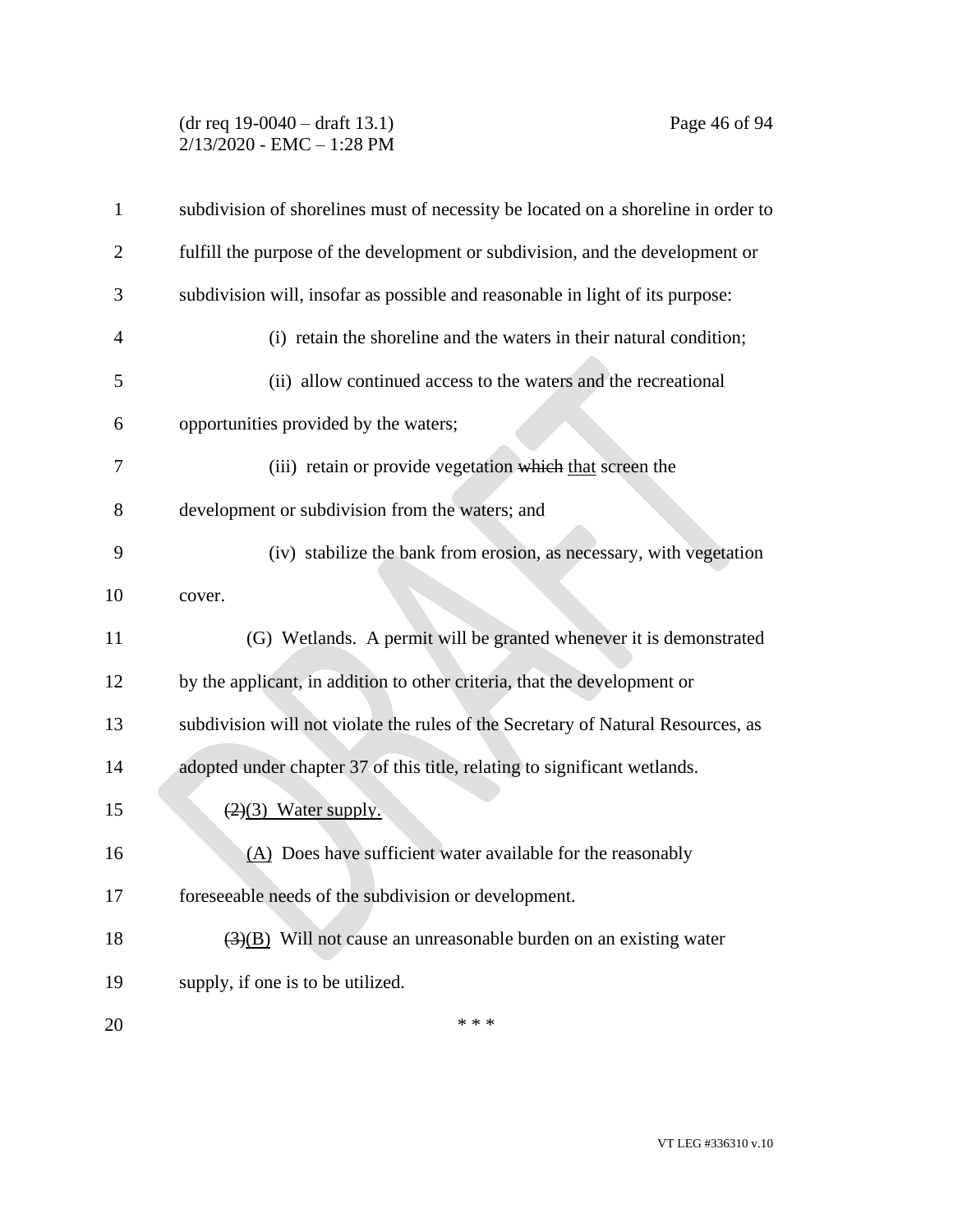## (dr req 19-0040 – draft 13.1) Page 46 of 94 2/13/2020 - EMC – 1:28 PM

| $\mathbf{1}$   | subdivision of shorelines must of necessity be located on a shoreline in order to |
|----------------|-----------------------------------------------------------------------------------|
| $\overline{2}$ | fulfill the purpose of the development or subdivision, and the development or     |
| 3              | subdivision will, insofar as possible and reasonable in light of its purpose:     |
| $\overline{4}$ | (i) retain the shoreline and the waters in their natural condition;               |
| 5              | (ii) allow continued access to the waters and the recreational                    |
| 6              | opportunities provided by the waters;                                             |
| 7              | (iii) retain or provide vegetation which that screen the                          |
| 8              | development or subdivision from the waters; and                                   |
| 9              | (iv) stabilize the bank from erosion, as necessary, with vegetation               |
| 10             | cover.                                                                            |
| 11             | (G) Wetlands. A permit will be granted whenever it is demonstrated                |
| 12             | by the applicant, in addition to other criteria, that the development or          |
| 13             | subdivision will not violate the rules of the Secretary of Natural Resources, as  |
| 14             | adopted under chapter 37 of this title, relating to significant wetlands.         |
| 15             | $(2)(3)$ Water supply.                                                            |
| 16             | (A) Does have sufficient water available for the reasonably                       |
| 17             | foreseeable needs of the subdivision or development.                              |
| 18             | $\overline{(3)(B)}$ Will not cause an unreasonable burden on an existing water    |
| 19             | supply, if one is to be utilized.                                                 |
| 20             | * * *                                                                             |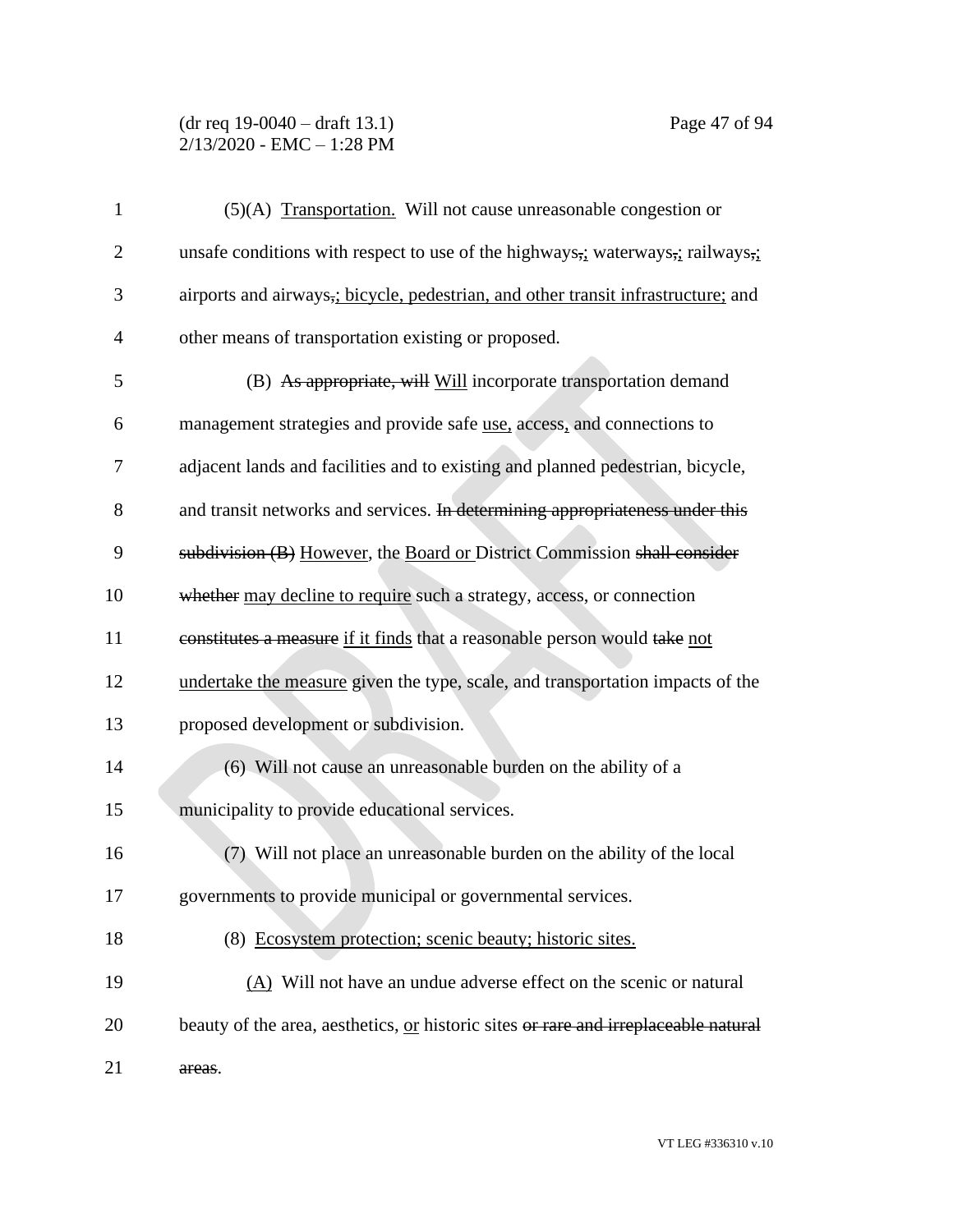## (dr req 19-0040 – draft 13.1) Page 47 of 94 2/13/2020 - EMC – 1:28 PM

| $\mathbf{1}$   | (5)(A) Transportation. Will not cause unreasonable congestion or                    |
|----------------|-------------------------------------------------------------------------------------|
| $\overline{2}$ | unsafe conditions with respect to use of the highways, waterways, railways,         |
| 3              | airports and airways,; bicycle, pedestrian, and other transit infrastructure; and   |
| $\overline{4}$ | other means of transportation existing or proposed.                                 |
| 5              | (B) As appropriate, will Will incorporate transportation demand                     |
| 6              | management strategies and provide safe use, access, and connections to              |
| 7              | adjacent lands and facilities and to existing and planned pedestrian, bicycle,      |
| 8              | and transit networks and services. In determining appropriateness under this        |
| 9              | subdivision (B) However, the Board or District Commission shall consider            |
| 10             | whether may decline to require such a strategy, access, or connection               |
| 11             | constitutes a measure if it finds that a reasonable person would take not           |
| 12             | undertake the measure given the type, scale, and transportation impacts of the      |
| 13             | proposed development or subdivision.                                                |
| 14             | (6) Will not cause an unreasonable burden on the ability of a                       |
| 15             | municipality to provide educational services.                                       |
| 16             | (7) Will not place an unreasonable burden on the ability of the local               |
| 17             | governments to provide municipal or governmental services.                          |
| 18             | (8) Ecosystem protection; scenic beauty; historic sites.                            |
| 19             | $(A)$ Will not have an undue adverse effect on the scenic or natural                |
| 20             | beauty of the area, aesthetics, or historic sites or rare and irreplaceable natural |
| 21             | areas.                                                                              |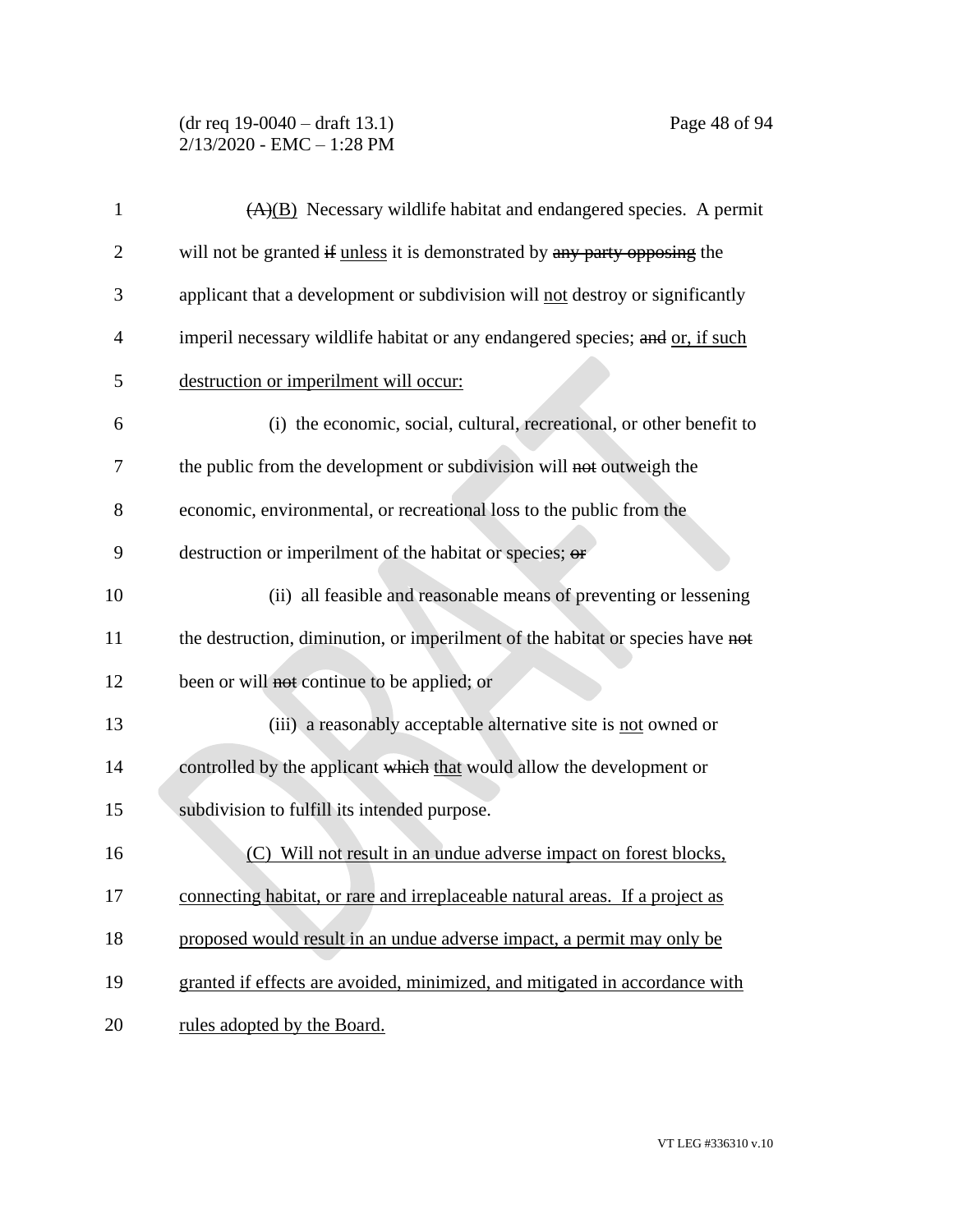(dr req 19-0040 – draft 13.1) Page 48 of 94 2/13/2020 - EMC – 1:28 PM

| $\mathbf{1}$ | $(A)(B)$ Necessary wildlife habitat and endangered species. A permit           |
|--------------|--------------------------------------------------------------------------------|
| 2            | will not be granted if unless it is demonstrated by any party opposing the     |
| 3            | applicant that a development or subdivision will not destroy or significantly  |
| 4            | imperil necessary wildlife habitat or any endangered species; and or, if such  |
| 5            | destruction or imperilment will occur:                                         |
| 6            | (i) the economic, social, cultural, recreational, or other benefit to          |
| 7            | the public from the development or subdivision will not outweigh the           |
| 8            | economic, environmental, or recreational loss to the public from the           |
| 9            | destruction or imperilment of the habitat or species; or                       |
| 10           | (ii) all feasible and reasonable means of preventing or lessening              |
| 11           | the destruction, diminution, or imperilment of the habitat or species have not |
| 12           | been or will not continue to be applied; or                                    |
| 13           | (iii) a reasonably acceptable alternative site is not owned or                 |
| 14           | controlled by the applicant which that would allow the development or          |
| 15           | subdivision to fulfill its intended purpose.                                   |
| 16           | (C) Will not result in an undue adverse impact on forest blocks,               |
| 17           | connecting habitat, or rare and irreplaceable natural areas. If a project as   |
| 18           | proposed would result in an undue adverse impact, a permit may only be         |
| 19           | granted if effects are avoided, minimized, and mitigated in accordance with    |
| 20           | rules adopted by the Board.                                                    |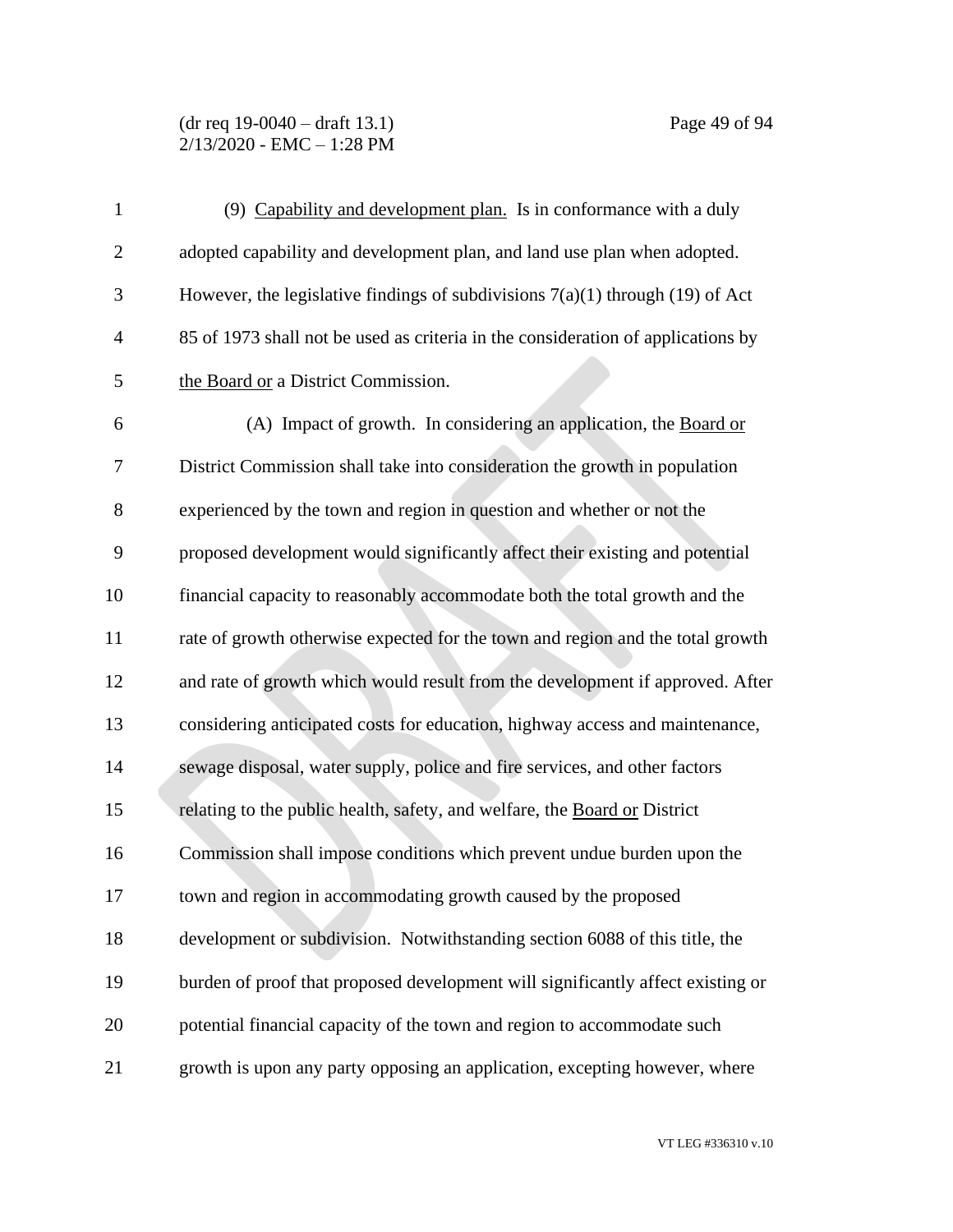#### (dr req 19-0040 – draft 13.1) Page 49 of 94 2/13/2020 - EMC – 1:28 PM

| $\mathbf{1}$   | (9) Capability and development plan. Is in conformance with a duly               |
|----------------|----------------------------------------------------------------------------------|
| $\overline{2}$ | adopted capability and development plan, and land use plan when adopted.         |
| 3              | However, the legislative findings of subdivisions $7(a)(1)$ through (19) of Act  |
| $\overline{4}$ | 85 of 1973 shall not be used as criteria in the consideration of applications by |
| 5              | the Board or a District Commission.                                              |
| 6              | (A) Impact of growth. In considering an application, the Board or                |
| 7              | District Commission shall take into consideration the growth in population       |
| 8              | experienced by the town and region in question and whether or not the            |
| 9              | proposed development would significantly affect their existing and potential     |
| 10             | financial capacity to reasonably accommodate both the total growth and the       |
| 11             | rate of growth otherwise expected for the town and region and the total growth   |
| 12             | and rate of growth which would result from the development if approved. After    |
| 13             | considering anticipated costs for education, highway access and maintenance,     |
| 14             | sewage disposal, water supply, police and fire services, and other factors       |
| 15             | relating to the public health, safety, and welfare, the Board or District        |
| 16             | Commission shall impose conditions which prevent undue burden upon the           |
| 17             | town and region in accommodating growth caused by the proposed                   |
| 18             | development or subdivision. Notwithstanding section 6088 of this title, the      |
| 19             | burden of proof that proposed development will significantly affect existing or  |
| 20             | potential financial capacity of the town and region to accommodate such          |
| 21             | growth is upon any party opposing an application, excepting however, where       |

VT LEG #336310 v.10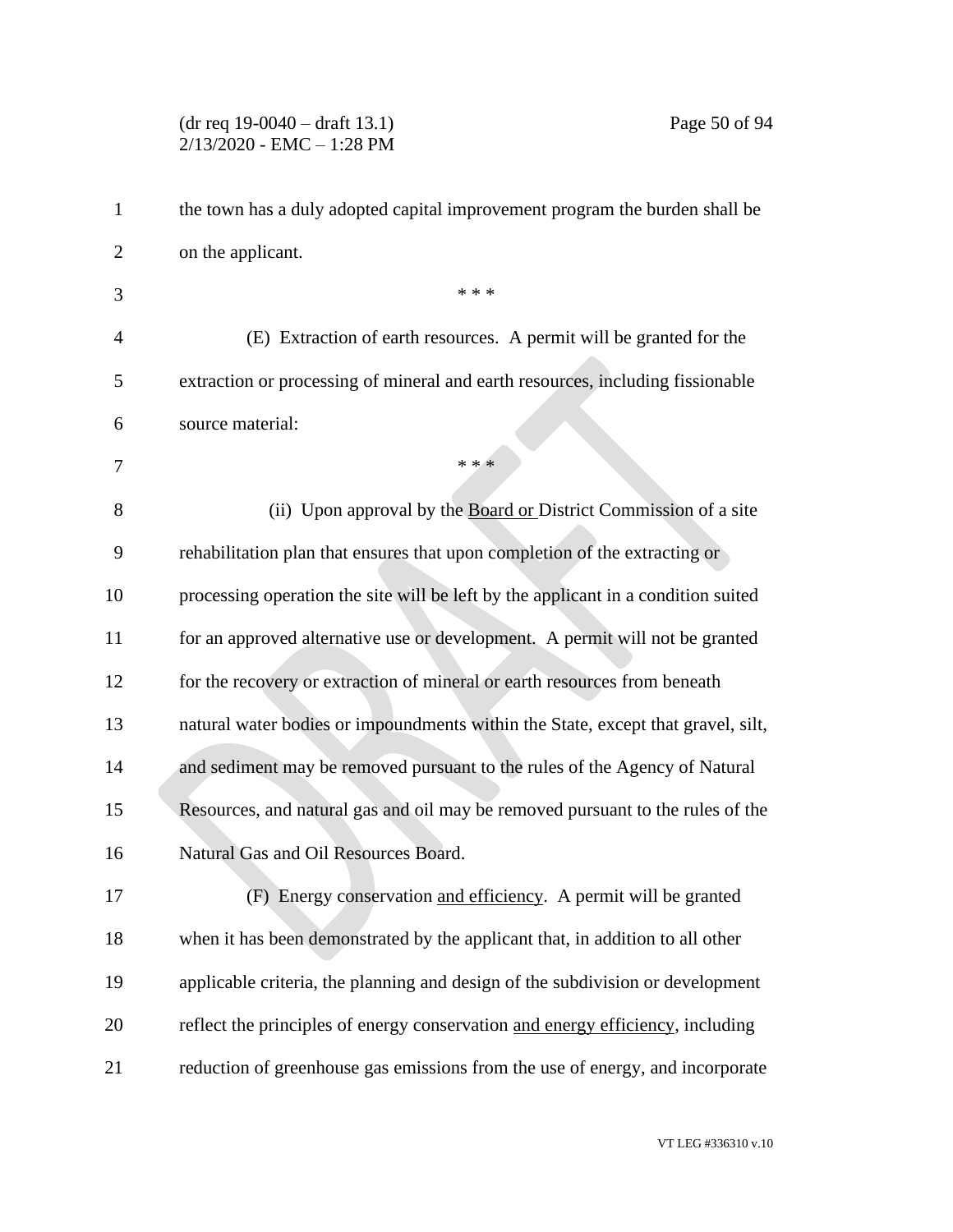#### (dr req 19-0040 – draft 13.1) Page 50 of 94 2/13/2020 - EMC – 1:28 PM

| $\mathbf{1}$ | the town has a duly adopted capital improvement program the burden shall be       |
|--------------|-----------------------------------------------------------------------------------|
| 2            | on the applicant.                                                                 |
| 3            | * * *                                                                             |
| 4            | (E) Extraction of earth resources. A permit will be granted for the               |
| 5            | extraction or processing of mineral and earth resources, including fissionable    |
| 6            | source material:                                                                  |
| 7            | * * *                                                                             |
| 8            | (ii) Upon approval by the Board or District Commission of a site                  |
| 9            | rehabilitation plan that ensures that upon completion of the extracting or        |
| 10           | processing operation the site will be left by the applicant in a condition suited |
| 11           | for an approved alternative use or development. A permit will not be granted      |
| 12           | for the recovery or extraction of mineral or earth resources from beneath         |
| 13           | natural water bodies or impoundments within the State, except that gravel, silt,  |
| 14           | and sediment may be removed pursuant to the rules of the Agency of Natural        |
| 15           | Resources, and natural gas and oil may be removed pursuant to the rules of the    |
| 16           | Natural Gas and Oil Resources Board.                                              |
| 17           | (F) Energy conservation and efficiency. A permit will be granted                  |
| 18           | when it has been demonstrated by the applicant that, in addition to all other     |
| 19           | applicable criteria, the planning and design of the subdivision or development    |
| 20           | reflect the principles of energy conservation and energy efficiency, including    |
| 21           | reduction of greenhouse gas emissions from the use of energy, and incorporate     |

VT LEG #336310 v.10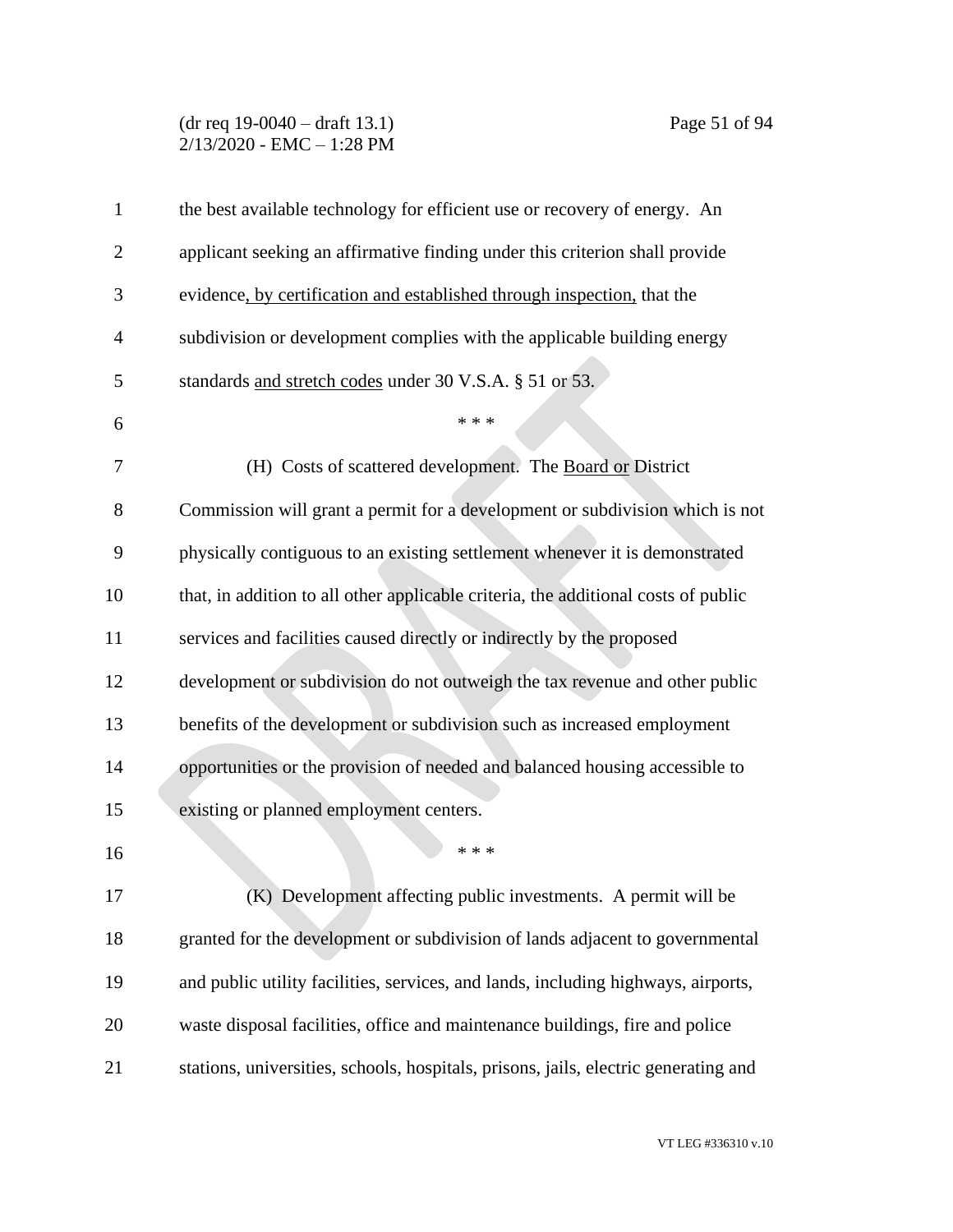## (dr req 19-0040 – draft 13.1) Page 51 of 94 2/13/2020 - EMC – 1:28 PM

| $\mathbf{1}$   | the best available technology for efficient use or recovery of energy. An           |
|----------------|-------------------------------------------------------------------------------------|
| $\overline{2}$ | applicant seeking an affirmative finding under this criterion shall provide         |
| 3              | evidence, by certification and established through inspection, that the             |
| $\overline{4}$ | subdivision or development complies with the applicable building energy             |
| 5              | standards and stretch codes under 30 V.S.A. § 51 or 53.                             |
| 6              | * * *                                                                               |
| 7              | (H) Costs of scattered development. The Board or District                           |
| 8              | Commission will grant a permit for a development or subdivision which is not        |
| 9              | physically contiguous to an existing settlement whenever it is demonstrated         |
| 10             | that, in addition to all other applicable criteria, the additional costs of public  |
| 11             | services and facilities caused directly or indirectly by the proposed               |
| 12             | development or subdivision do not outweigh the tax revenue and other public         |
| 13             | benefits of the development or subdivision such as increased employment             |
| 14             | opportunities or the provision of needed and balanced housing accessible to         |
| 15             | existing or planned employment centers.                                             |
| 16             | * * *                                                                               |
| 17             | (K) Development affecting public investments. A permit will be                      |
| 18             | granted for the development or subdivision of lands adjacent to governmental        |
| 19             | and public utility facilities, services, and lands, including highways, airports,   |
| 20             | waste disposal facilities, office and maintenance buildings, fire and police        |
| 21             | stations, universities, schools, hospitals, prisons, jails, electric generating and |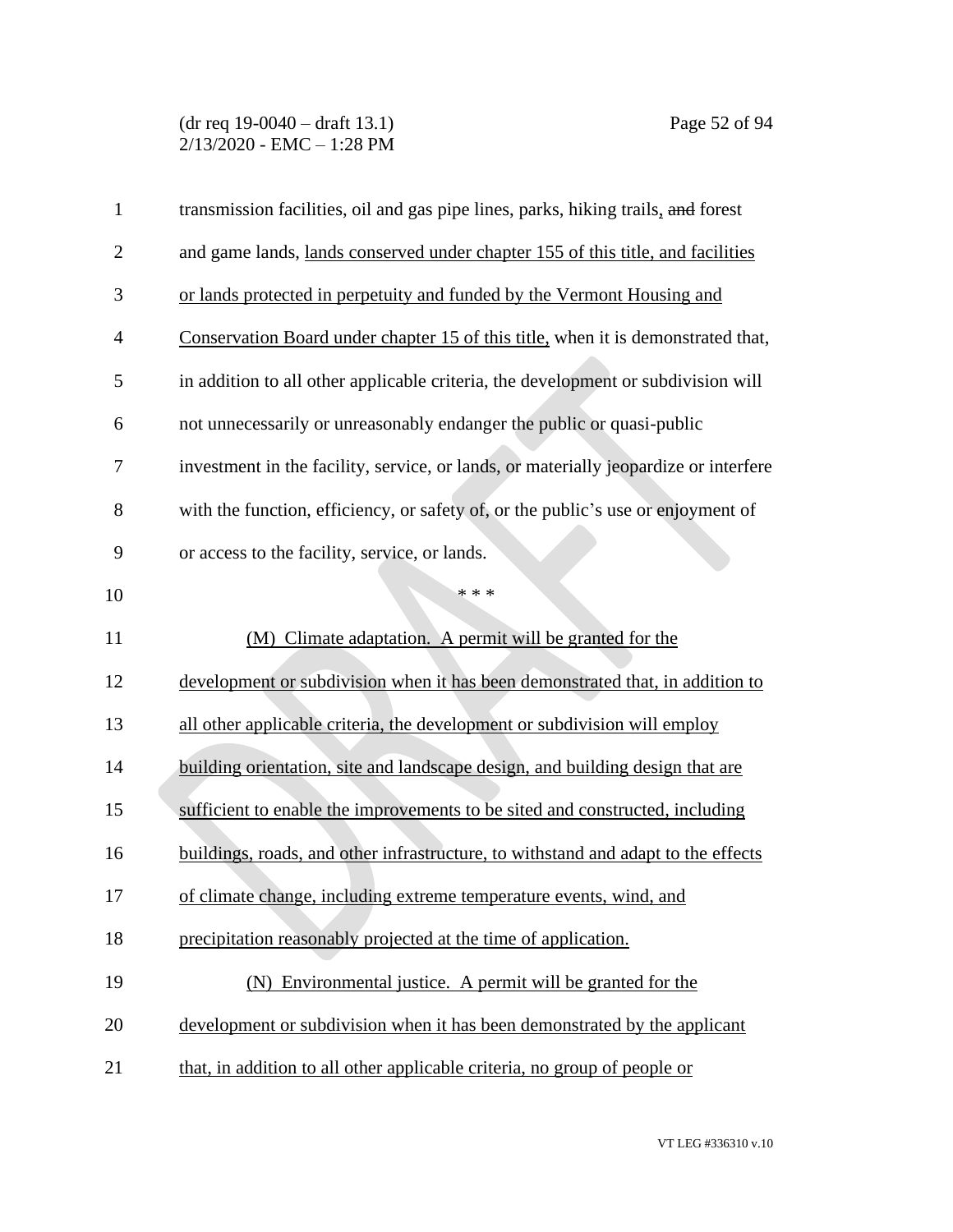## (dr req 19-0040 – draft 13.1) Page 52 of 94 2/13/2020 - EMC – 1:28 PM

| $\mathbf{1}$   | transmission facilities, oil and gas pipe lines, parks, hiking trails, and forest    |
|----------------|--------------------------------------------------------------------------------------|
| $\overline{2}$ | and game lands, lands conserved under chapter 155 of this title, and facilities      |
| 3              | or lands protected in perpetuity and funded by the Vermont Housing and               |
| $\overline{4}$ | Conservation Board under chapter 15 of this title, when it is demonstrated that,     |
| 5              | in addition to all other applicable criteria, the development or subdivision will    |
| 6              | not unnecessarily or unreasonably endanger the public or quasi-public                |
| 7              | investment in the facility, service, or lands, or materially jeopardize or interfere |
| 8              | with the function, efficiency, or safety of, or the public's use or enjoyment of     |
| 9              | or access to the facility, service, or lands.                                        |
| 10             | * * *                                                                                |
| 11             | (M) Climate adaptation. A permit will be granted for the                             |
| 12             | development or subdivision when it has been demonstrated that, in addition to        |
| 13             | all other applicable criteria, the development or subdivision will employ            |
| 14             | building orientation, site and landscape design, and building design that are        |
| 15             | sufficient to enable the improvements to be sited and constructed, including         |
| 16             | buildings, roads, and other infrastructure, to withstand and adapt to the effects    |
| 17             | of climate change, including extreme temperature events, wind, and                   |
| 18             | precipitation reasonably projected at the time of application.                       |
| 19             | (N) Environmental justice. A permit will be granted for the                          |
| 20             | development or subdivision when it has been demonstrated by the applicant            |
| 21             | that, in addition to all other applicable criteria, no group of people or            |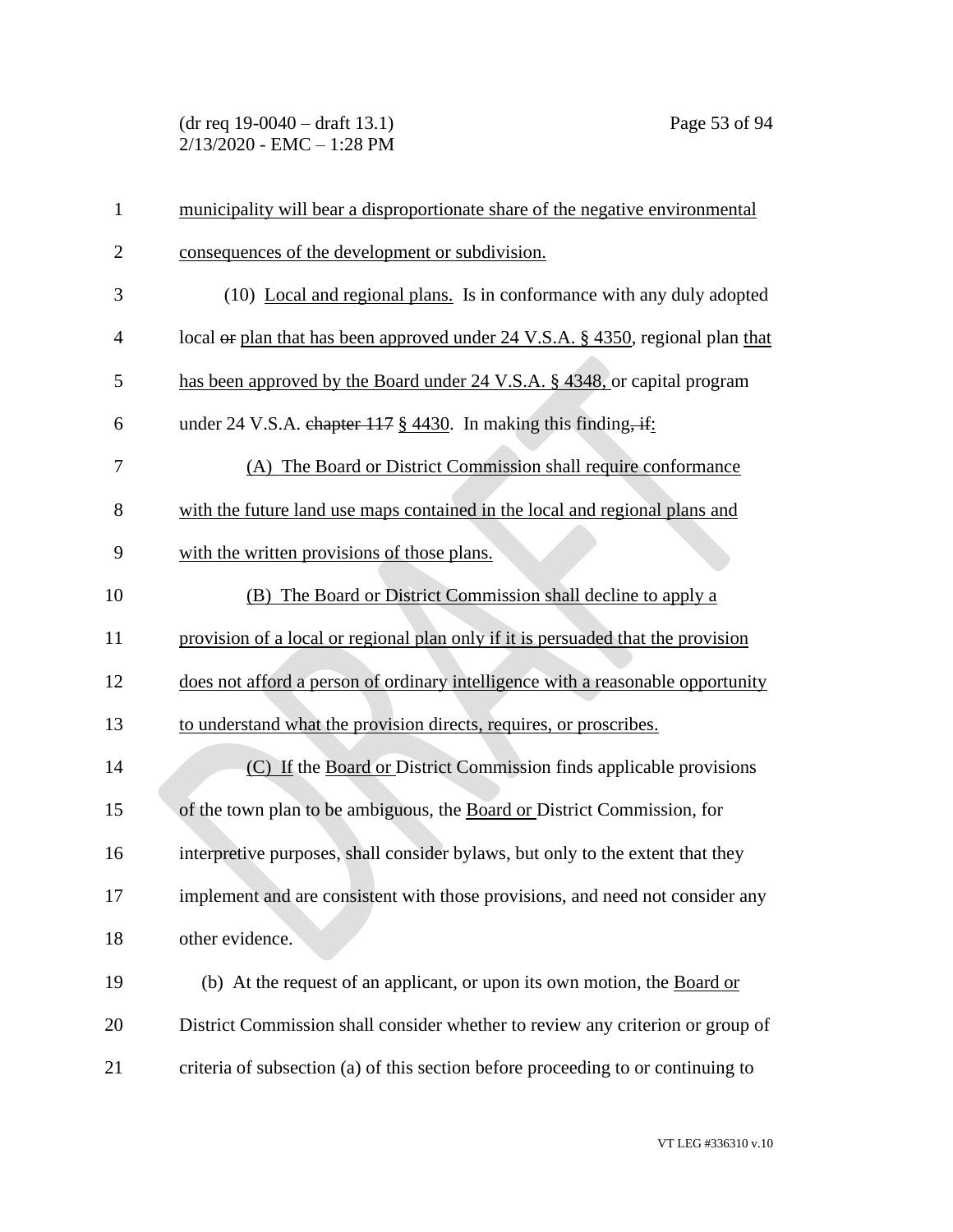(dr req 19-0040 – draft 13.1) Page 53 of 94 2/13/2020 - EMC – 1:28 PM

| 1              | municipality will bear a disproportionate share of the negative environmental    |
|----------------|----------------------------------------------------------------------------------|
| $\overline{2}$ | consequences of the development or subdivision.                                  |
| 3              | (10) Local and regional plans. Is in conformance with any duly adopted           |
| $\overline{4}$ | local or plan that has been approved under 24 V.S.A. § 4350, regional plan that  |
| 5              | has been approved by the Board under 24 V.S.A. § 4348, or capital program        |
| 6              | under 24 V.S.A. chapter $117 \frac{8}{9}$ 4430. In making this finding, if:      |
| 7              | (A) The Board or District Commission shall require conformance                   |
| 8              | with the future land use maps contained in the local and regional plans and      |
| 9              | with the written provisions of those plans.                                      |
| 10             | (B) The Board or District Commission shall decline to apply a                    |
| 11             | provision of a local or regional plan only if it is persuaded that the provision |
| 12             | does not afford a person of ordinary intelligence with a reasonable opportunity  |
| 13             | to understand what the provision directs, requires, or proscribes.               |
| 14             | (C) If the Board or District Commission finds applicable provisions              |
| 15             | of the town plan to be ambiguous, the Board or District Commission, for          |
| 16             | interpretive purposes, shall consider bylaws, but only to the extent that they   |
| 17             | implement and are consistent with those provisions, and need not consider any    |
| 18             | other evidence.                                                                  |
| 19             | (b) At the request of an applicant, or upon its own motion, the Board or         |
| 20             | District Commission shall consider whether to review any criterion or group of   |
| 21             | criteria of subsection (a) of this section before proceeding to or continuing to |

VT LEG #336310 v.10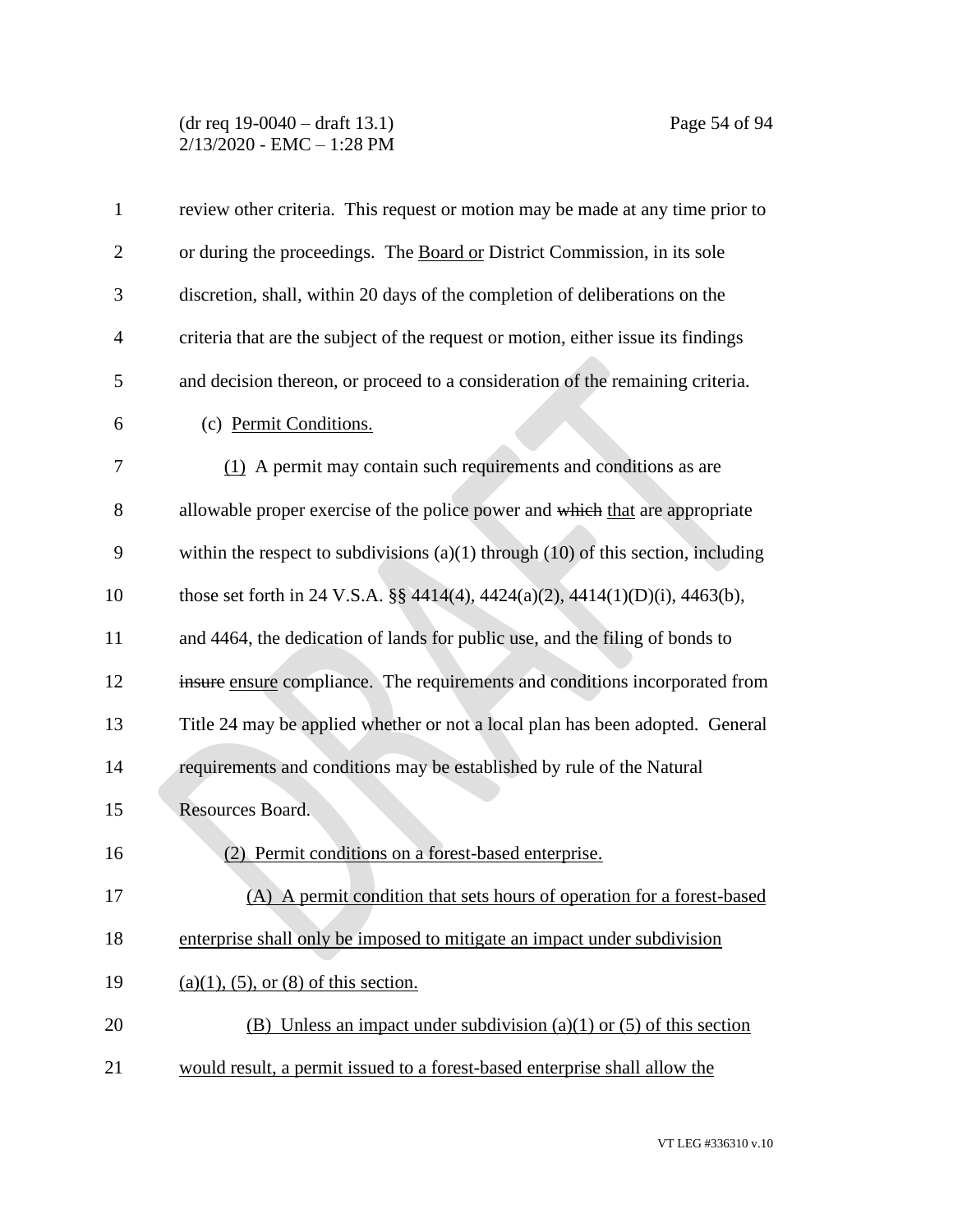#### (dr req 19-0040 – draft 13.1) Page 54 of 94 2/13/2020 - EMC – 1:28 PM

| $\mathbf{1}$   | review other criteria. This request or motion may be made at any time prior to        |
|----------------|---------------------------------------------------------------------------------------|
| $\overline{2}$ | or during the proceedings. The Board or District Commission, in its sole              |
| 3              | discretion, shall, within 20 days of the completion of deliberations on the           |
| $\overline{4}$ | criteria that are the subject of the request or motion, either issue its findings     |
| 5              | and decision thereon, or proceed to a consideration of the remaining criteria.        |
| 6              | (c) Permit Conditions.                                                                |
| 7              | (1) A permit may contain such requirements and conditions as are                      |
| 8              | allowable proper exercise of the police power and which that are appropriate          |
| 9              | within the respect to subdivisions $(a)(1)$ through $(10)$ of this section, including |
| 10             | those set forth in 24 V.S.A. §§ 4414(4), 4424(a)(2), 4414(1)(D)(i), 4463(b),          |
| 11             | and 4464, the dedication of lands for public use, and the filing of bonds to          |
| 12             | insure ensure compliance. The requirements and conditions incorporated from           |
| 13             | Title 24 may be applied whether or not a local plan has been adopted. General         |
| 14             | requirements and conditions may be established by rule of the Natural                 |
| 15             | Resources Board.                                                                      |
| 16             | Permit conditions on a forest-based enterprise.<br>(2)                                |
| 17             | (A) A permit condition that sets hours of operation for a forest-based                |
| 18             | enterprise shall only be imposed to mitigate an impact under subdivision              |
| 19             | $(a)(1)$ , (5), or (8) of this section.                                               |
| 20             | (B) Unless an impact under subdivision (a)(1) or (5) of this section                  |
| 21             | would result, a permit issued to a forest-based enterprise shall allow the            |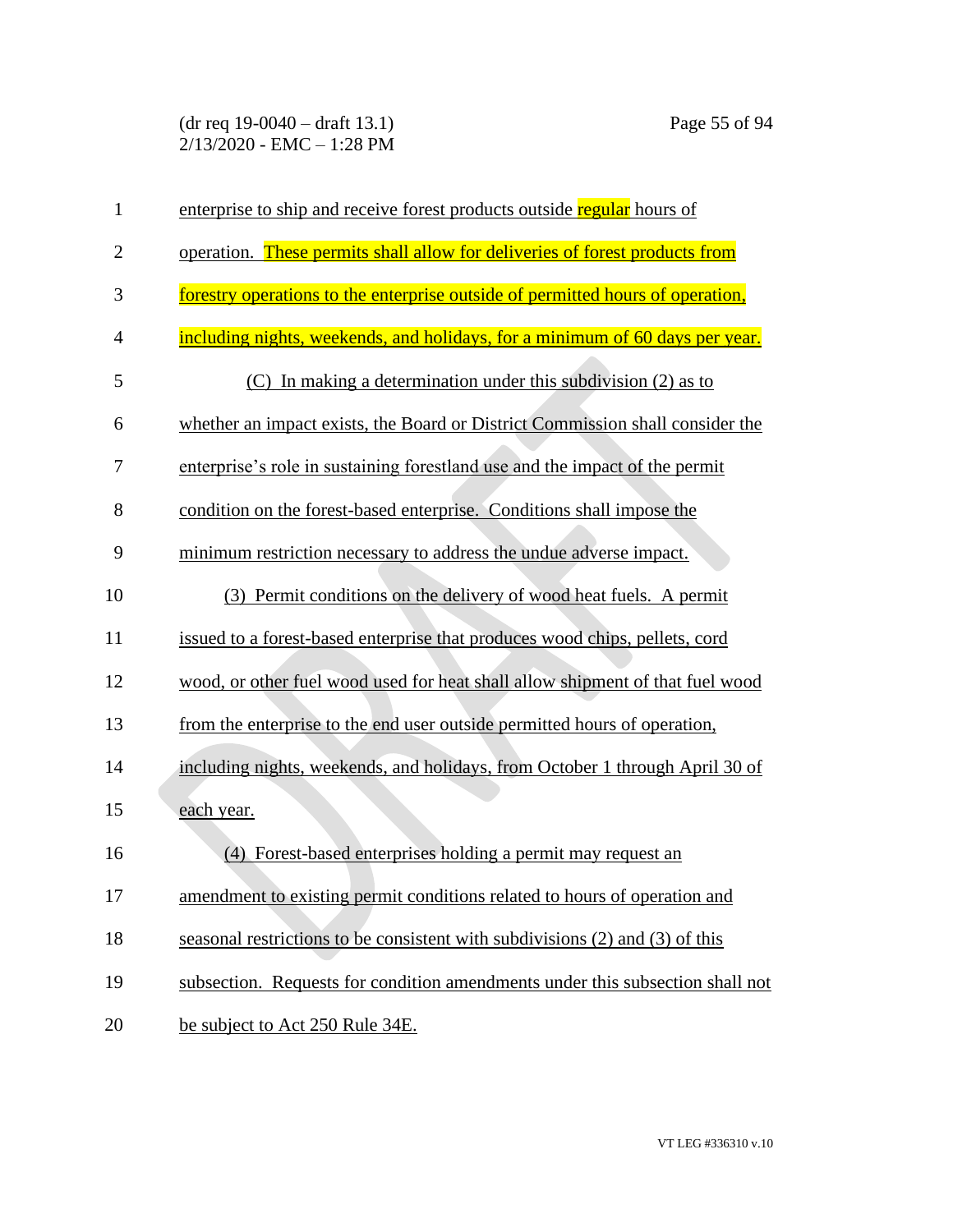(dr req 19-0040 – draft 13.1) Page 55 of 94 2/13/2020 - EMC – 1:28 PM

| $\mathbf{1}$   | enterprise to ship and receive forest products outside regular hours of        |
|----------------|--------------------------------------------------------------------------------|
| $\overline{2}$ | operation. These permits shall allow for deliveries of forest products from    |
| 3              | forestry operations to the enterprise outside of permitted hours of operation, |
| 4              | including nights, weekends, and holidays, for a minimum of 60 days per year.   |
| 5              | (C) In making a determination under this subdivision (2) as to                 |
| 6              | whether an impact exists, the Board or District Commission shall consider the  |
| 7              | enterprise's role in sustaining forestland use and the impact of the permit    |
| 8              | condition on the forest-based enterprise. Conditions shall impose the          |
| 9              | minimum restriction necessary to address the undue adverse impact.             |
| 10             | (3) Permit conditions on the delivery of wood heat fuels. A permit             |
| 11             | issued to a forest-based enterprise that produces wood chips, pellets, cord    |
| 12             | wood, or other fuel wood used for heat shall allow shipment of that fuel wood  |
| 13             | from the enterprise to the end user outside permitted hours of operation,      |
| 14             | including nights, weekends, and holidays, from October 1 through April 30 of   |
| 15             | each year.                                                                     |
| 16             | Forest-based enterprises holding a permit may request an<br>(4)                |
| 17             | amendment to existing permit conditions related to hours of operation and      |
| 18             | seasonal restrictions to be consistent with subdivisions (2) and (3) of this   |
| 19             | subsection. Requests for condition amendments under this subsection shall not  |
| 20             | be subject to Act 250 Rule 34E.                                                |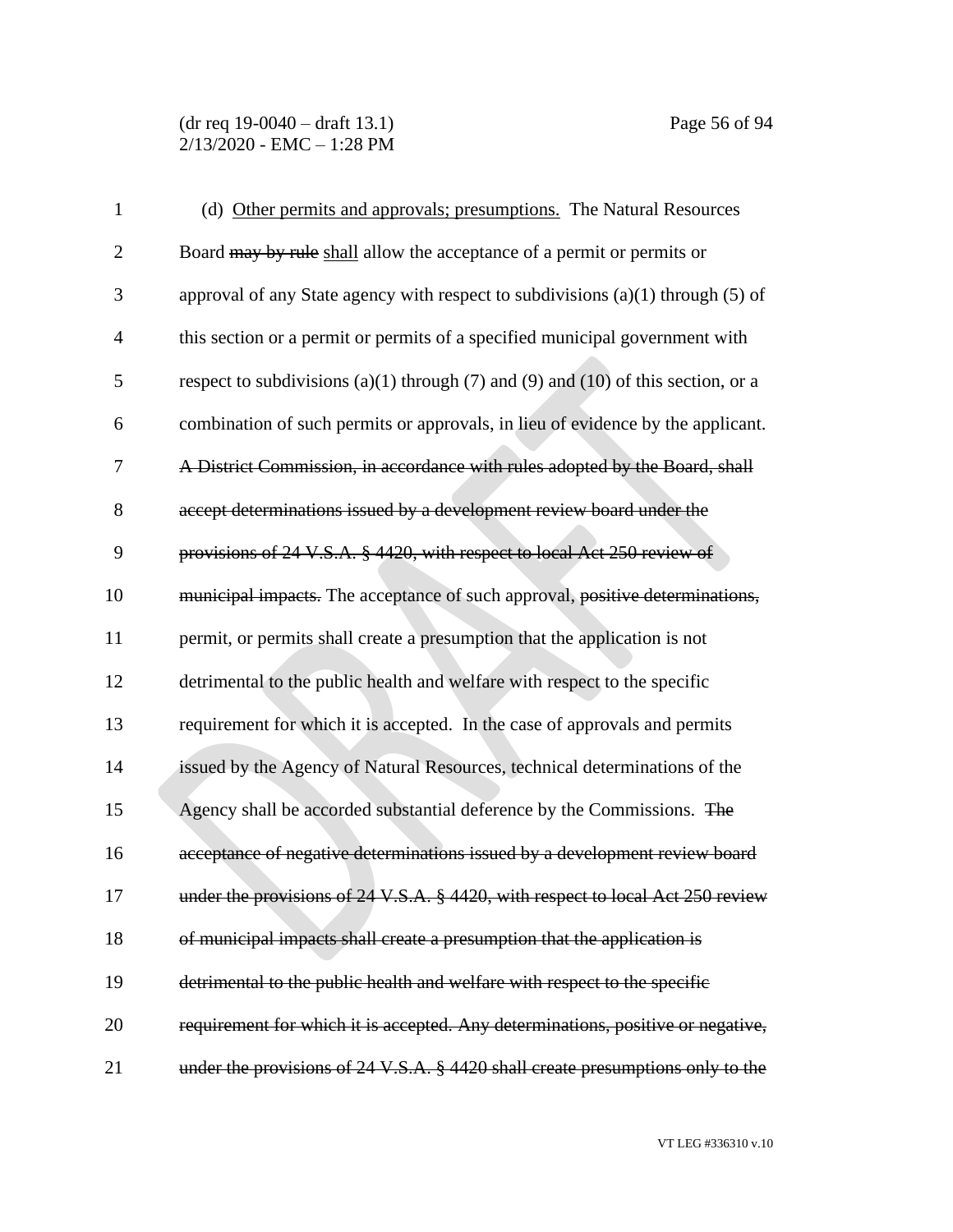| $\mathbf{1}$   | (d) Other permits and approvals; presumptions. The Natural Resources                |
|----------------|-------------------------------------------------------------------------------------|
| $\overline{2}$ | Board may by rule shall allow the acceptance of a permit or permits or              |
| 3              | approval of any State agency with respect to subdivisions $(a)(1)$ through $(5)$ of |
| $\overline{4}$ | this section or a permit or permits of a specified municipal government with        |
| 5              | respect to subdivisions (a)(1) through (7) and (9) and (10) of this section, or a   |
| 6              | combination of such permits or approvals, in lieu of evidence by the applicant.     |
| 7              | A District Commission, in accordance with rules adopted by the Board, shall         |
| 8              | accept determinations issued by a development review board under the                |
| 9              | provisions of 24 V.S.A. § 4420, with respect to local Act 250 review of             |
| 10             | municipal impacts. The acceptance of such approval, positive determinations,        |
| 11             | permit, or permits shall create a presumption that the application is not           |
| 12             | detrimental to the public health and welfare with respect to the specific           |
| 13             | requirement for which it is accepted. In the case of approvals and permits          |
| 14             | issued by the Agency of Natural Resources, technical determinations of the          |
| 15             | Agency shall be accorded substantial deference by the Commissions. The              |
| 16             | acceptance of negative determinations issued by a development review board          |
| 17             | under the provisions of 24 V.S.A. § 4420, with respect to local Act 250 review      |
| 18             | of municipal impacts shall create a presumption that the application is             |
| 19             | detrimental to the public health and welfare with respect to the specific           |
| 20             | requirement for which it is accepted. Any determinations, positive or negative,     |
| 21             | under the provisions of 24 V.S.A. § 4420 shall create presumptions only to the      |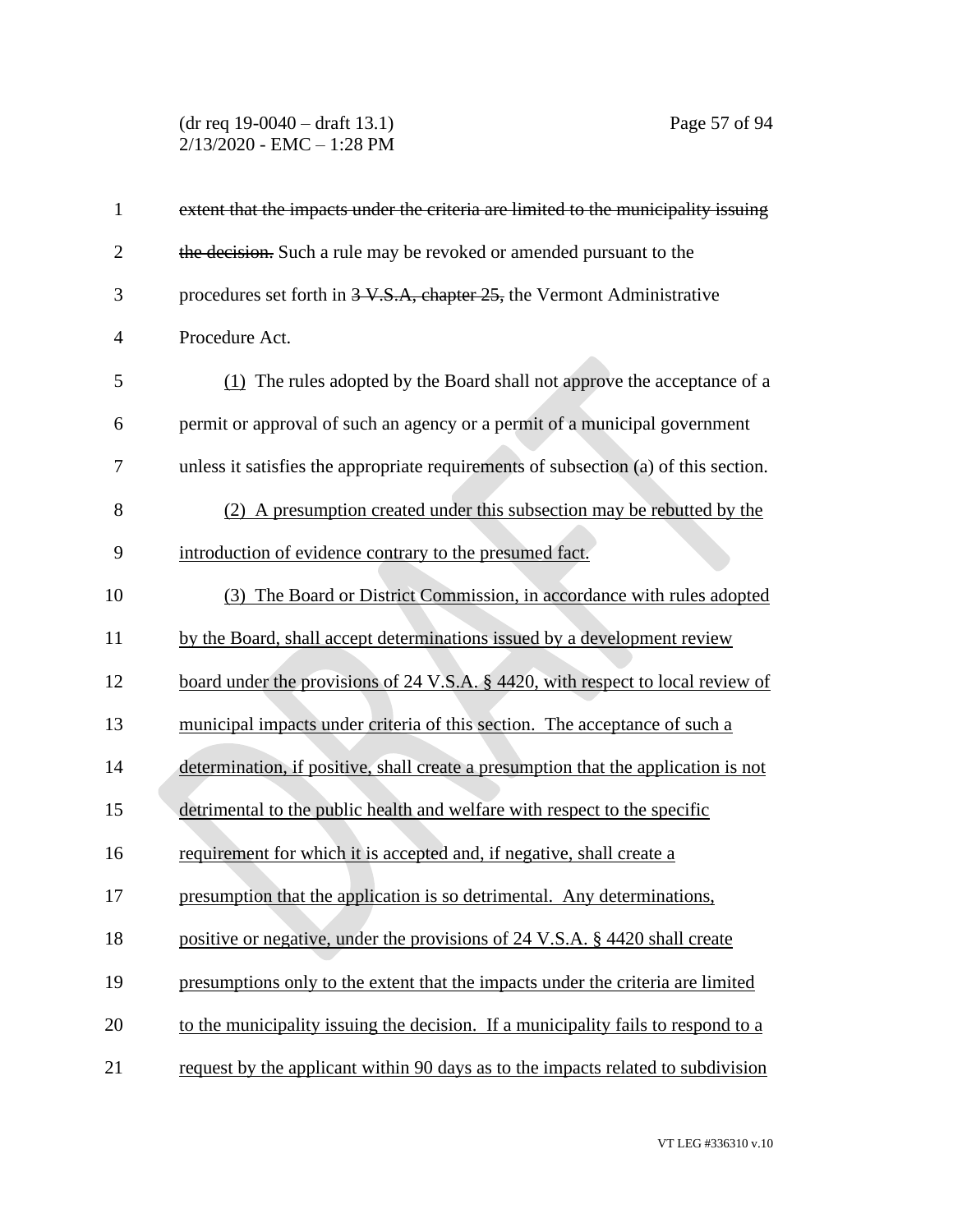#### (dr req 19-0040 – draft 13.1) Page 57 of 94 2/13/2020 - EMC – 1:28 PM

| extent that the impacts under the criteria are limited to the municipality issuing  |
|-------------------------------------------------------------------------------------|
| the decision. Such a rule may be revoked or amended pursuant to the                 |
| procedures set forth in 3-V.S.A, chapter 25, the Vermont Administrative             |
| Procedure Act.                                                                      |
| (1) The rules adopted by the Board shall not approve the acceptance of a            |
| permit or approval of such an agency or a permit of a municipal government          |
| unless it satisfies the appropriate requirements of subsection (a) of this section. |
| (2) A presumption created under this subsection may be rebutted by the              |
| introduction of evidence contrary to the presumed fact.                             |
| (3) The Board or District Commission, in accordance with rules adopted              |
| by the Board, shall accept determinations issued by a development review            |
| board under the provisions of 24 V.S.A. § 4420, with respect to local review of     |
| municipal impacts under criteria of this section. The acceptance of such a          |
| determination, if positive, shall create a presumption that the application is not  |
| detrimental to the public health and welfare with respect to the specific           |
| requirement for which it is accepted and, if negative, shall create a               |
| presumption that the application is so detrimental. Any determinations,             |
| positive or negative, under the provisions of 24 V.S.A. § 4420 shall create         |
| presumptions only to the extent that the impacts under the criteria are limited     |
| to the municipality issuing the decision. If a municipality fails to respond to a   |
| request by the applicant within 90 days as to the impacts related to subdivision    |
|                                                                                     |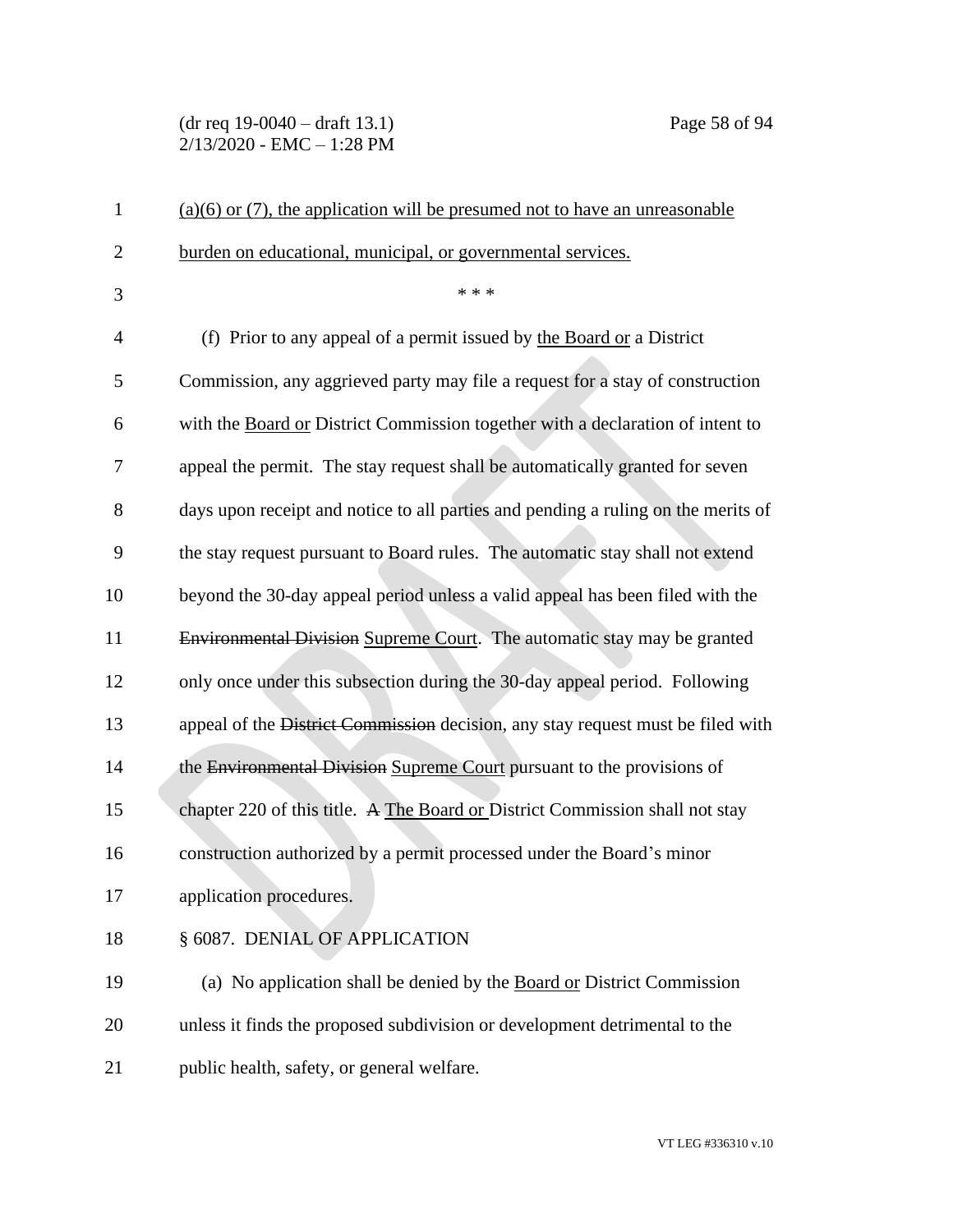## (dr req 19-0040 – draft 13.1) Page 58 of 94 2/13/2020 - EMC – 1:28 PM

| $\mathbf{1}$   | $(a)(6)$ or (7), the application will be presumed not to have an unreasonable     |
|----------------|-----------------------------------------------------------------------------------|
| $\overline{2}$ | burden on educational, municipal, or governmental services.                       |
| 3              | * * *                                                                             |
| 4              | (f) Prior to any appeal of a permit issued by the Board or a District             |
| 5              | Commission, any aggrieved party may file a request for a stay of construction     |
| 6              | with the Board or District Commission together with a declaration of intent to    |
| 7              | appeal the permit. The stay request shall be automatically granted for seven      |
| 8              | days upon receipt and notice to all parties and pending a ruling on the merits of |
| 9              | the stay request pursuant to Board rules. The automatic stay shall not extend     |
| 10             | beyond the 30-day appeal period unless a valid appeal has been filed with the     |
| 11             | Environmental Division Supreme Court. The automatic stay may be granted           |
| 12             | only once under this subsection during the 30-day appeal period. Following        |
| 13             | appeal of the District Commission decision, any stay request must be filed with   |
| 14             | the Environmental Division Supreme Court pursuant to the provisions of            |
| 15             | chapter 220 of this title. A The Board or District Commission shall not stay      |
| 16             | construction authorized by a permit processed under the Board's minor             |
| 17             | application procedures.                                                           |
| 18             | § 6087. DENIAL OF APPLICATION                                                     |
| 19             | (a) No application shall be denied by the Board or District Commission            |
| 20             | unless it finds the proposed subdivision or development detrimental to the        |
| 21             | public health, safety, or general welfare.                                        |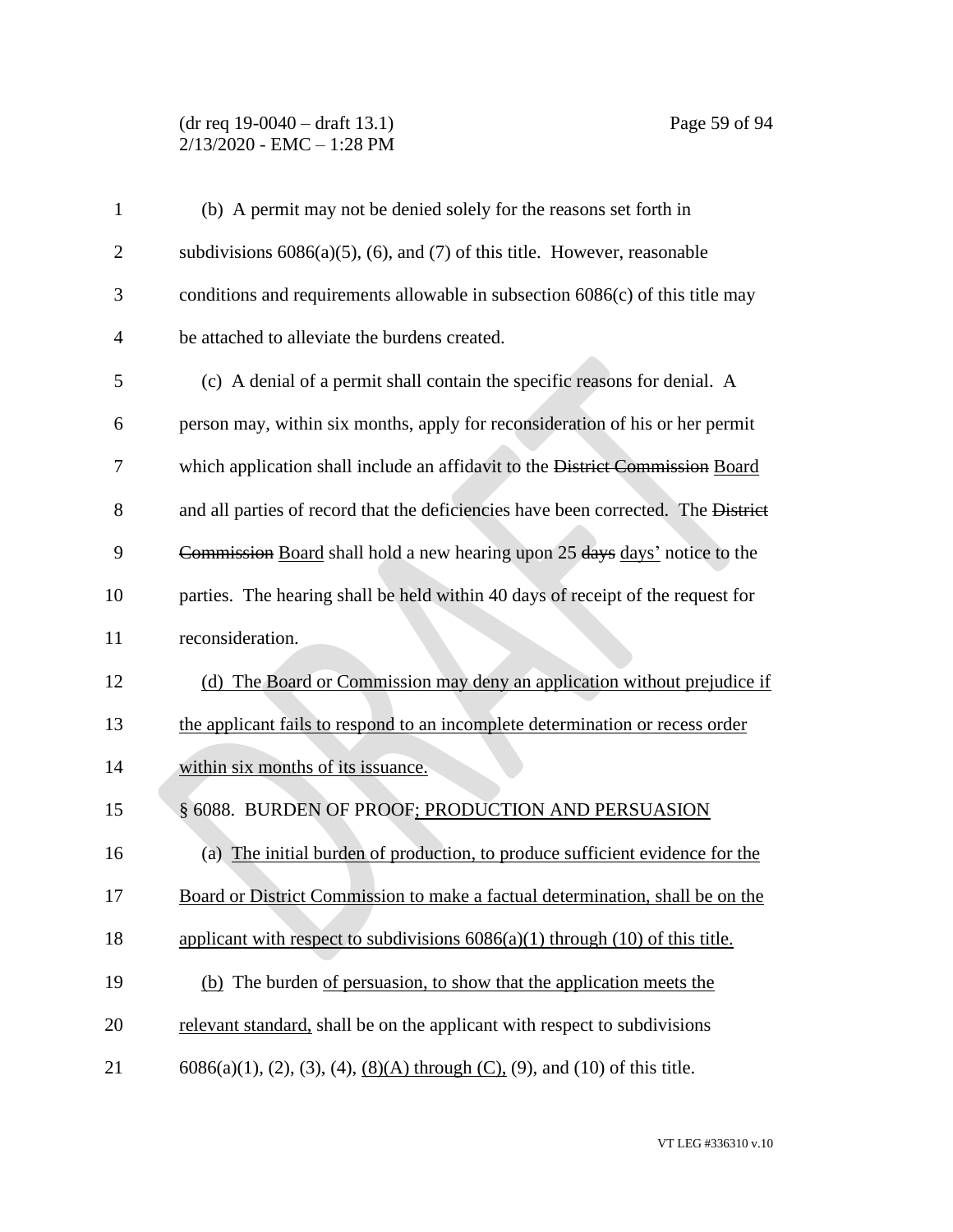#### (dr req 19-0040 – draft 13.1) Page 59 of 94 2/13/2020 - EMC – 1:28 PM

| $\mathbf{1}$   | (b) A permit may not be denied solely for the reasons set forth in                    |
|----------------|---------------------------------------------------------------------------------------|
| $\overline{2}$ | subdivisions $6086(a)(5)$ , (6), and (7) of this title. However, reasonable           |
| 3              | conditions and requirements allowable in subsection $6086(c)$ of this title may       |
| $\overline{4}$ | be attached to alleviate the burdens created.                                         |
| 5              | (c) A denial of a permit shall contain the specific reasons for denial. A             |
| 6              | person may, within six months, apply for reconsideration of his or her permit         |
| 7              | which application shall include an affidavit to the District Commission Board         |
| 8              | and all parties of record that the deficiencies have been corrected. The District     |
| 9              | Commission Board shall hold a new hearing upon 25 days days' notice to the            |
| 10             | parties. The hearing shall be held within 40 days of receipt of the request for       |
| 11             | reconsideration.                                                                      |
| 12             | (d) The Board or Commission may deny an application without prejudice if              |
| 13             | the applicant fails to respond to an incomplete determination or recess order         |
| 14             | within six months of its issuance.                                                    |
| 15             | § 6088. BURDEN OF PROOF; PRODUCTION AND PERSUASION                                    |
| 16             | (a) The initial burden of production, to produce sufficient evidence for the          |
| 17             | Board or District Commission to make a factual determination, shall be on the         |
| 18             | applicant with respect to subdivisions $6086(a)(1)$ through $(10)$ of this title.     |
| 19             | (b) The burden of persuasion, to show that the application meets the                  |
| 20             | relevant standard, shall be on the applicant with respect to subdivisions             |
| 21             | $6086(a)(1)$ , (2), (3), (4), <u>(8)(A)</u> through (C), (9), and (10) of this title. |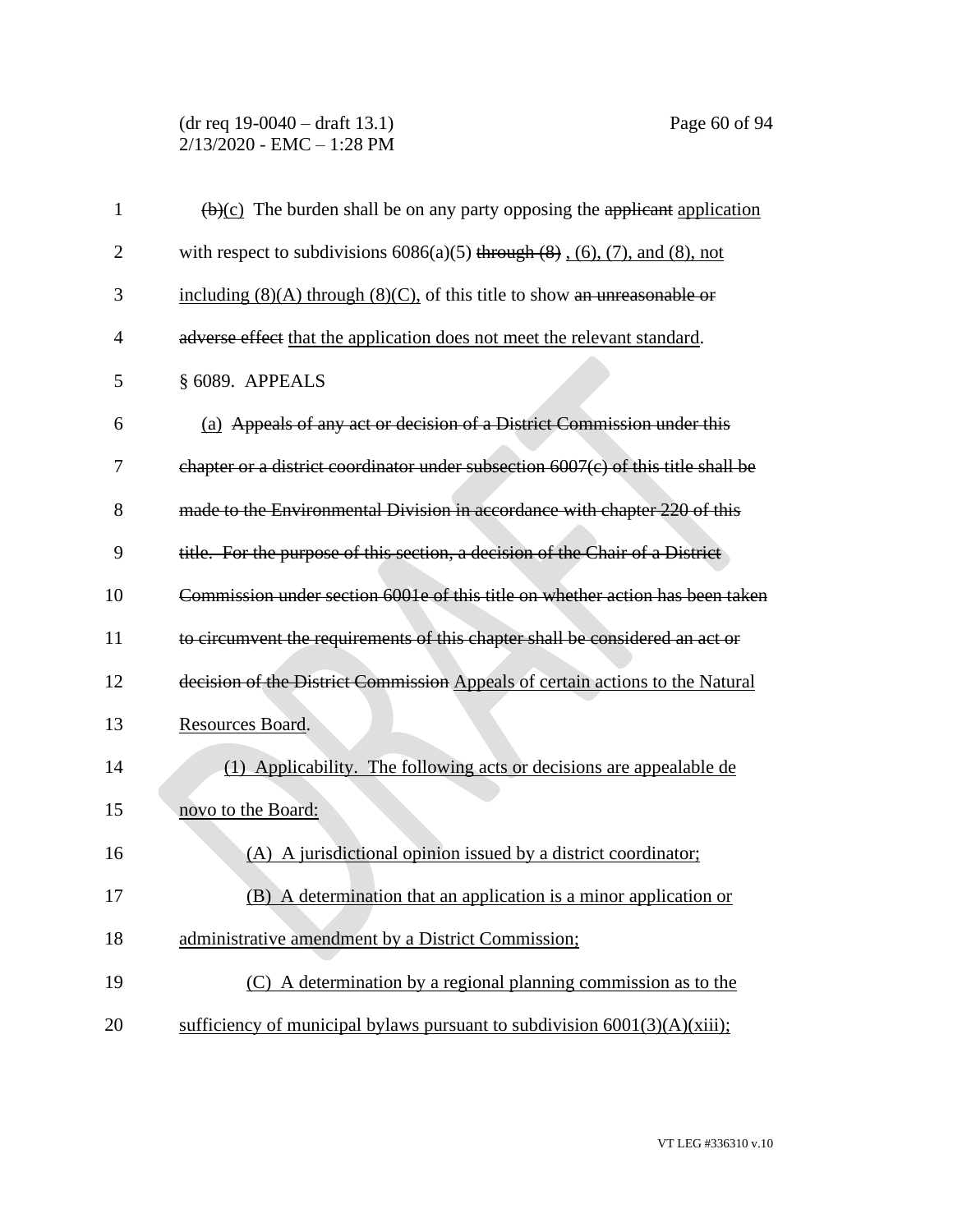# (dr req 19-0040 – draft 13.1) Page 60 of 94 2/13/2020 - EMC – 1:28 PM

| $\mathbf{1}$   | $\left(\frac{b}{c}\right)$ The burden shall be on any party opposing the applicant application |
|----------------|------------------------------------------------------------------------------------------------|
| $\overline{2}$ | with respect to subdivisions $6086(a)(5)$ through $(8)$ , $(6)$ , $(7)$ , and $(8)$ , not      |
| 3              | including $(8)(A)$ through $(8)(C)$ , of this title to show an unreasonable or                 |
| $\overline{4}$ | adverse effect that the application does not meet the relevant standard.                       |
| 5              | § 6089. APPEALS                                                                                |
| 6              | (a) Appeals of any act or decision of a District Commission under this                         |
| 7              | chapter or a district coordinator under subsection 6007(c) of this title shall be              |
| 8              | made to the Environmental Division in accordance with chapter 220 of this                      |
| 9              | title. For the purpose of this section, a decision of the Chair of a District                  |
| 10             | Commission under section 6001e of this title on whether action has been taken                  |
| 11             | to circumvent the requirements of this chapter shall be considered an act or                   |
| 12             | decision of the District Commission Appeals of certain actions to the Natural                  |
| 13             | Resources Board.                                                                               |
| 14             | (1) Applicability. The following acts or decisions are appealable de                           |
| 15             | novo to the Board:                                                                             |
| 16             | (A) A jurisdictional opinion issued by a district coordinator;                                 |
| 17             | (B) A determination that an application is a minor application or                              |
| 18             | administrative amendment by a District Commission;                                             |
| 19             | (C) A determination by a regional planning commission as to the                                |
| 20             | sufficiency of municipal bylaws pursuant to subdivision $6001(3)(A)(xiii)$ ;                   |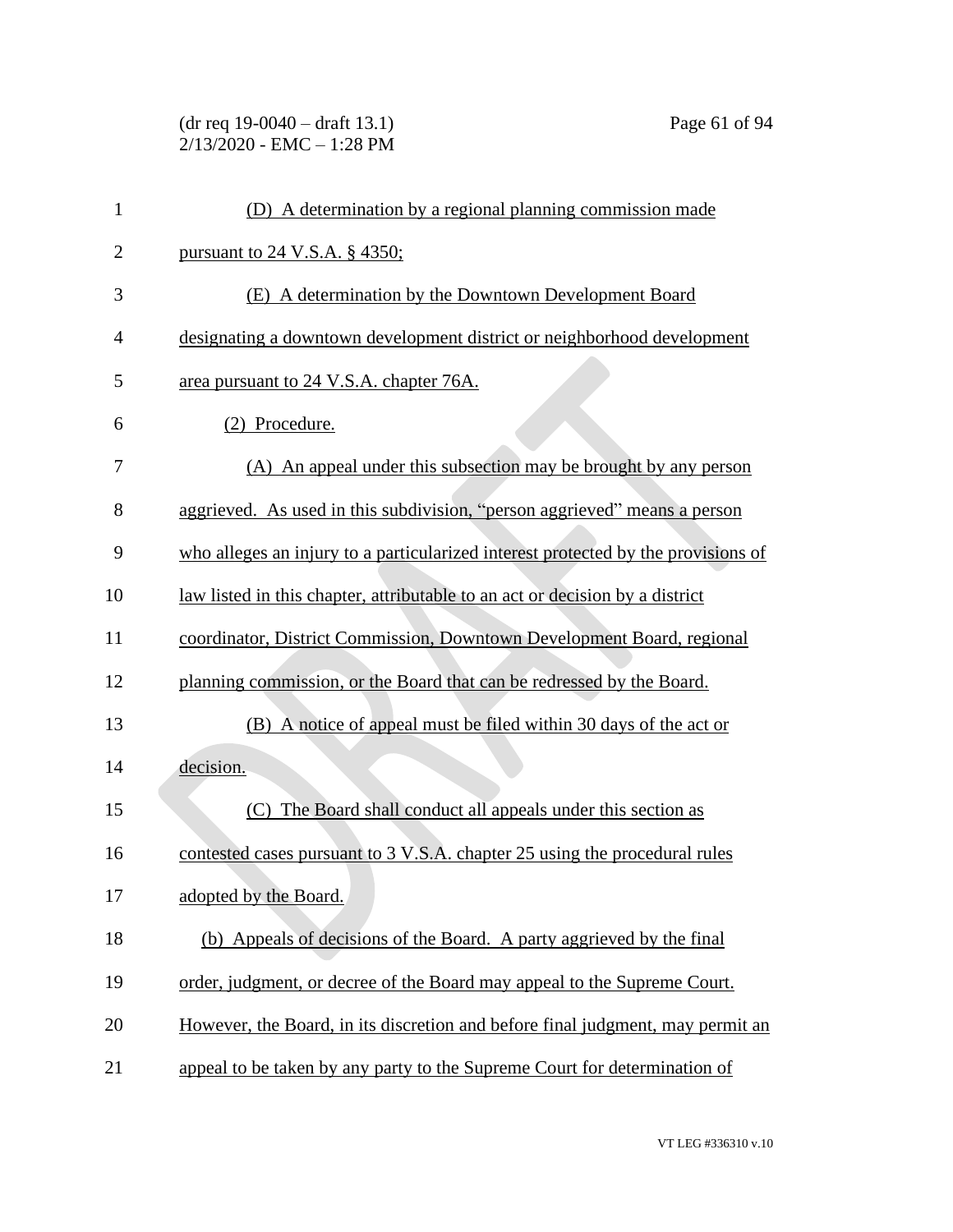(dr req 19-0040 – draft 13.1) Page 61 of 94 2/13/2020 - EMC – 1:28 PM

| $\mathbf{1}$   | (D) A determination by a regional planning commission made                        |
|----------------|-----------------------------------------------------------------------------------|
| $\overline{2}$ | pursuant to 24 V.S.A. § 4350;                                                     |
| 3              | (E) A determination by the Downtown Development Board                             |
| $\overline{4}$ | designating a downtown development district or neighborhood development           |
| 5              | area pursuant to 24 V.S.A. chapter 76A.                                           |
| 6              | (2) Procedure.                                                                    |
| 7              | (A) An appeal under this subsection may be brought by any person                  |
| 8              | aggrieved. As used in this subdivision, "person aggrieved" means a person         |
| 9              | who alleges an injury to a particularized interest protected by the provisions of |
| 10             | law listed in this chapter, attributable to an act or decision by a district      |
| 11             | coordinator, District Commission, Downtown Development Board, regional            |
| 12             | planning commission, or the Board that can be redressed by the Board.             |
| 13             | (B) A notice of appeal must be filed within 30 days of the act or                 |
| 14             | decision.                                                                         |
| 15             | The Board shall conduct all appeals under this section as<br>(C)                  |
| 16             | contested cases pursuant to 3 V.S.A. chapter 25 using the procedural rules        |
| 17             | adopted by the Board.                                                             |
| 18             | (b) Appeals of decisions of the Board. A party aggrieved by the final             |
| 19             | order, judgment, or decree of the Board may appeal to the Supreme Court.          |
| 20             | However, the Board, in its discretion and before final judgment, may permit an    |
| 21             | appeal to be taken by any party to the Supreme Court for determination of         |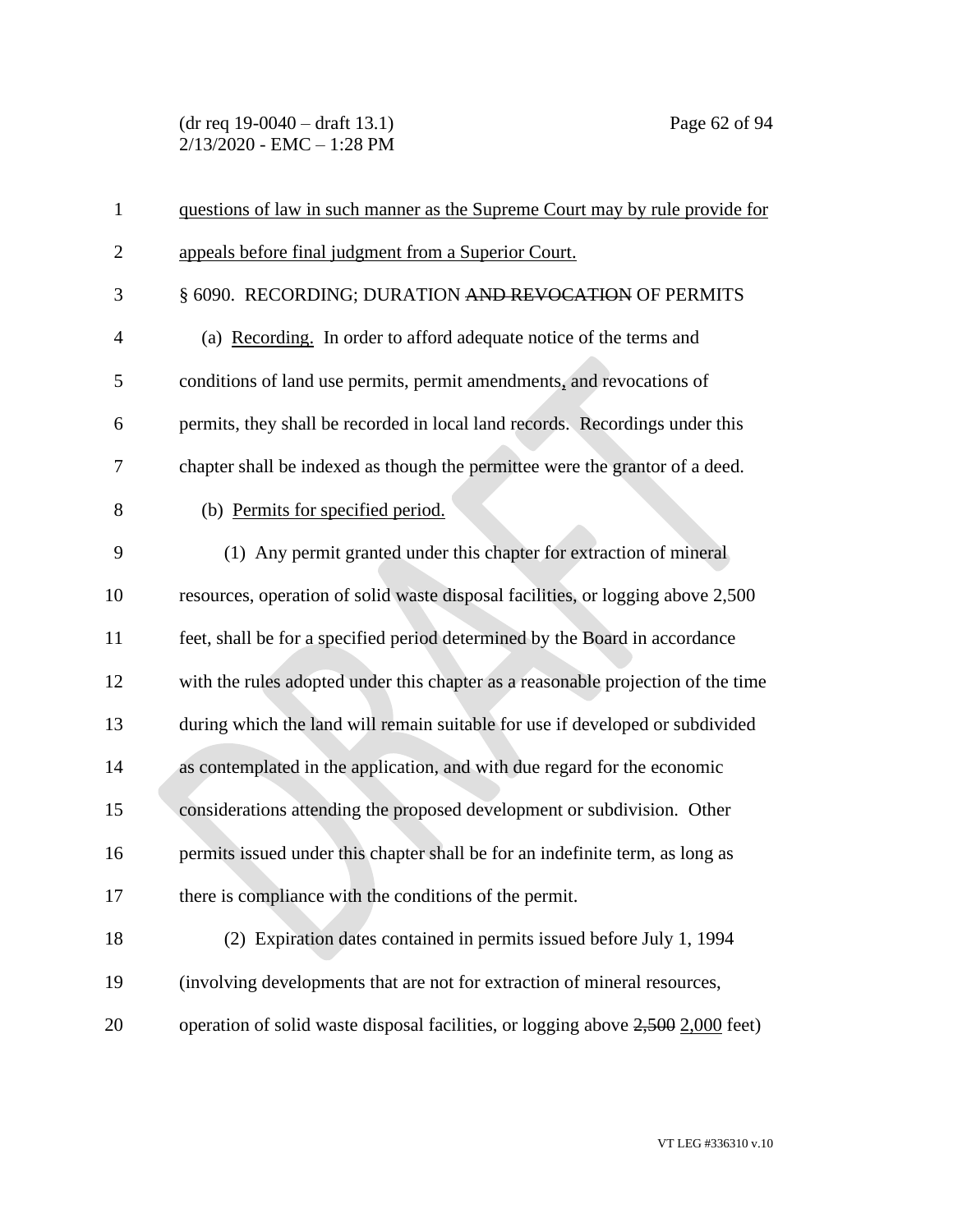(dr req 19-0040 – draft 13.1) Page 62 of 94 2/13/2020 - EMC – 1:28 PM

| $\mathbf{1}$   | questions of law in such manner as the Supreme Court may by rule provide for     |
|----------------|----------------------------------------------------------------------------------|
| $\overline{2}$ | appeals before final judgment from a Superior Court.                             |
| 3              | § 6090. RECORDING; DURATION AND REVOCATION OF PERMITS                            |
| $\overline{4}$ | (a) Recording. In order to afford adequate notice of the terms and               |
| 5              | conditions of land use permits, permit amendments, and revocations of            |
| 6              | permits, they shall be recorded in local land records. Recordings under this     |
| 7              | chapter shall be indexed as though the permittee were the grantor of a deed.     |
| 8              | (b) Permits for specified period.                                                |
| 9              | (1) Any permit granted under this chapter for extraction of mineral              |
| 10             | resources, operation of solid waste disposal facilities, or logging above 2,500  |
| 11             | feet, shall be for a specified period determined by the Board in accordance      |
| 12             | with the rules adopted under this chapter as a reasonable projection of the time |
| 13             | during which the land will remain suitable for use if developed or subdivided    |
| 14             | as contemplated in the application, and with due regard for the economic         |
| 15             | considerations attending the proposed development or subdivision. Other          |
| 16             | permits issued under this chapter shall be for an indefinite term, as long as    |
| 17             | there is compliance with the conditions of the permit.                           |
| 18             | (2) Expiration dates contained in permits issued before July 1, 1994             |
| 19             | (involving developments that are not for extraction of mineral resources,        |
| 20             | operation of solid waste disposal facilities, or logging above 2,500 2,000 feet) |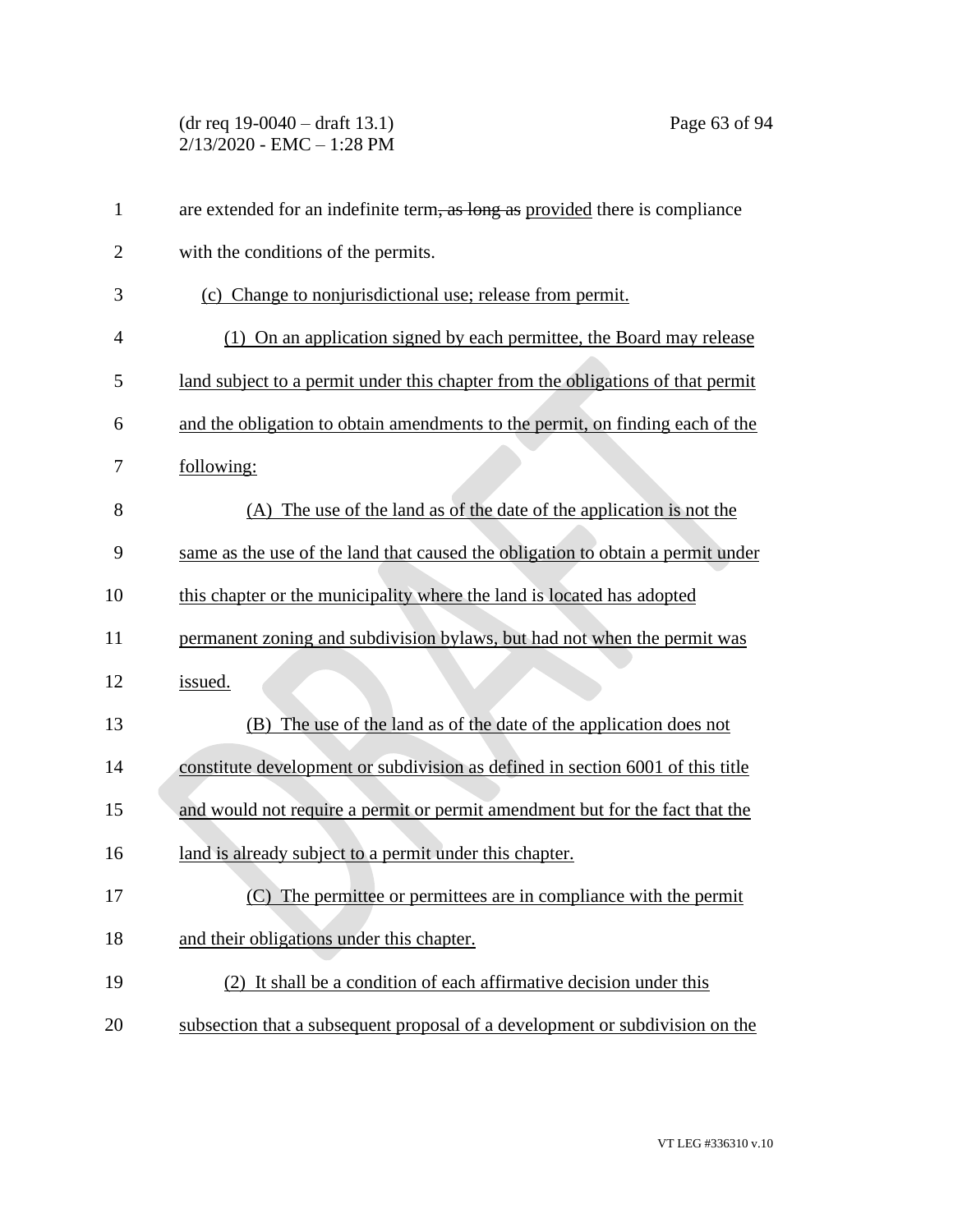(dr req 19-0040 – draft 13.1) Page 63 of 94 2/13/2020 - EMC – 1:28 PM

| $\mathbf{1}$   | are extended for an indefinite term, as long as provided there is compliance    |
|----------------|---------------------------------------------------------------------------------|
| $\overline{2}$ | with the conditions of the permits.                                             |
| 3              | (c) Change to nonjurisdictional use; release from permit.                       |
| $\overline{4}$ | (1) On an application signed by each permittee, the Board may release           |
| 5              | land subject to a permit under this chapter from the obligations of that permit |
| 6              | and the obligation to obtain amendments to the permit, on finding each of the   |
| 7              | following:                                                                      |
| 8              | (A) The use of the land as of the date of the application is not the            |
| 9              | same as the use of the land that caused the obligation to obtain a permit under |
| 10             | this chapter or the municipality where the land is located has adopted          |
| 11             | permanent zoning and subdivision bylaws, but had not when the permit was        |
| 12             | issued.                                                                         |
| 13             | (B) The use of the land as of the date of the application does not              |
| 14             | constitute development or subdivision as defined in section 6001 of this title  |
| 15             | and would not require a permit or permit amendment but for the fact that the    |
| 16             | land is already subject to a permit under this chapter.                         |
| 17             | (C) The permittee or permittees are in compliance with the permit               |
| 18             | and their obligations under this chapter.                                       |
| 19             | (2) It shall be a condition of each affirmative decision under this             |
| 20             | subsection that a subsequent proposal of a development or subdivision on the    |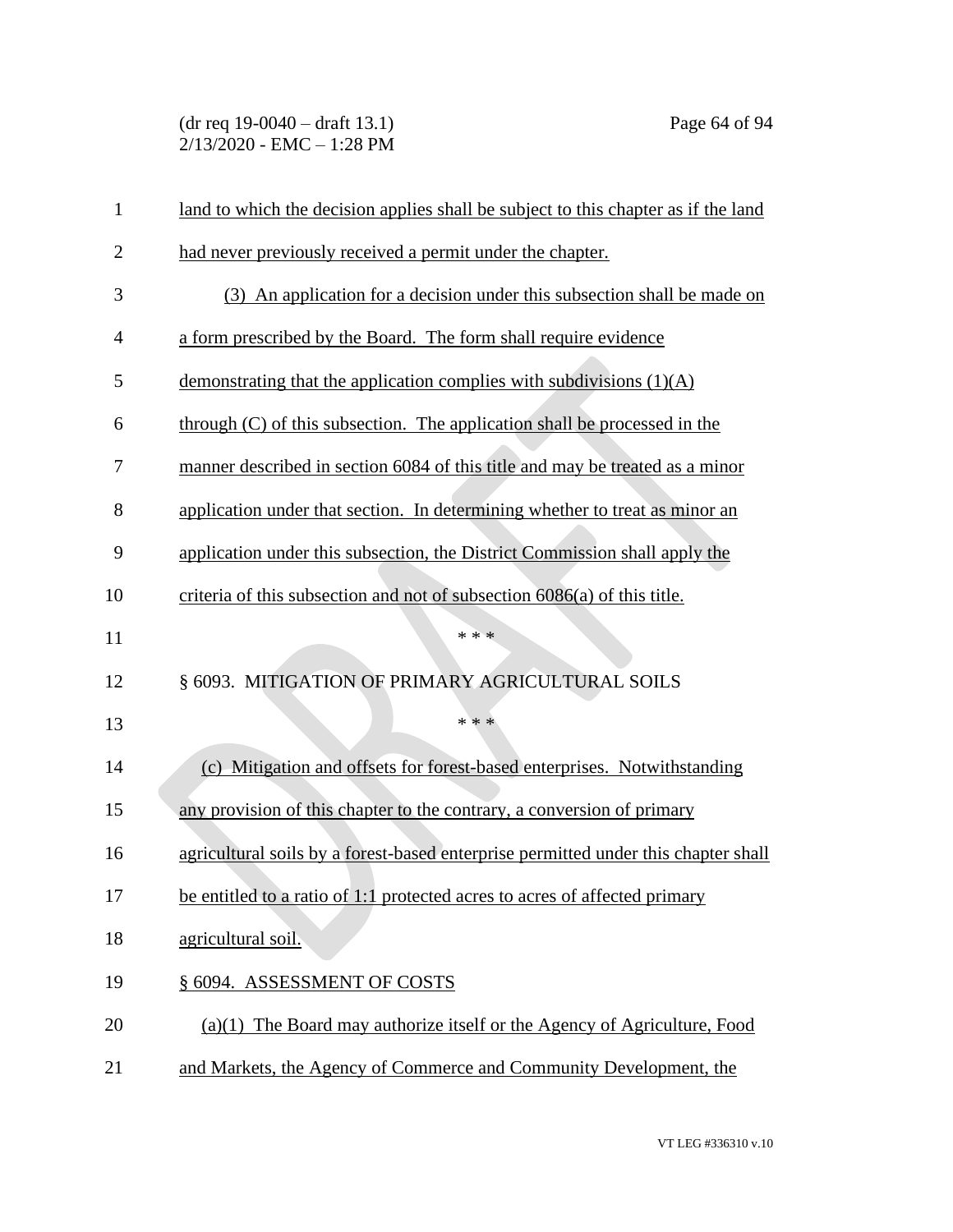(dr req 19-0040 – draft 13.1) Page 64 of 94 2/13/2020 - EMC – 1:28 PM

| $\mathbf{1}$   | land to which the decision applies shall be subject to this chapter as if the land |
|----------------|------------------------------------------------------------------------------------|
| $\overline{2}$ | had never previously received a permit under the chapter.                          |
| 3              | (3) An application for a decision under this subsection shall be made on           |
| 4              | a form prescribed by the Board. The form shall require evidence                    |
| 5              | demonstrating that the application complies with subdivisions $(1)(A)$             |
| 6              | through (C) of this subsection. The application shall be processed in the          |
| 7              | manner described in section 6084 of this title and may be treated as a minor       |
| 8              | application under that section. In determining whether to treat as minor an        |
| 9              | application under this subsection, the District Commission shall apply the         |
| 10             | criteria of this subsection and not of subsection 6086(a) of this title.           |
| 11             | * * *                                                                              |
| 12             | § 6093. MITIGATION OF PRIMARY AGRICULTURAL SOILS                                   |
| 13             | * * *                                                                              |
| 14             | (c) Mitigation and offsets for forest-based enterprises. Notwithstanding           |
| 15             | any provision of this chapter to the contrary, a conversion of primary             |
| 16             | agricultural soils by a forest-based enterprise permitted under this chapter shall |
| 17             | be entitled to a ratio of 1:1 protected acres to acres of affected primary         |
| 18             | agricultural soil.                                                                 |
| 19             | § 6094. ASSESSMENT OF COSTS                                                        |
| 20             | $(a)(1)$ The Board may authorize itself or the Agency of Agriculture, Food         |
| 21             | and Markets, the Agency of Commerce and Community Development, the                 |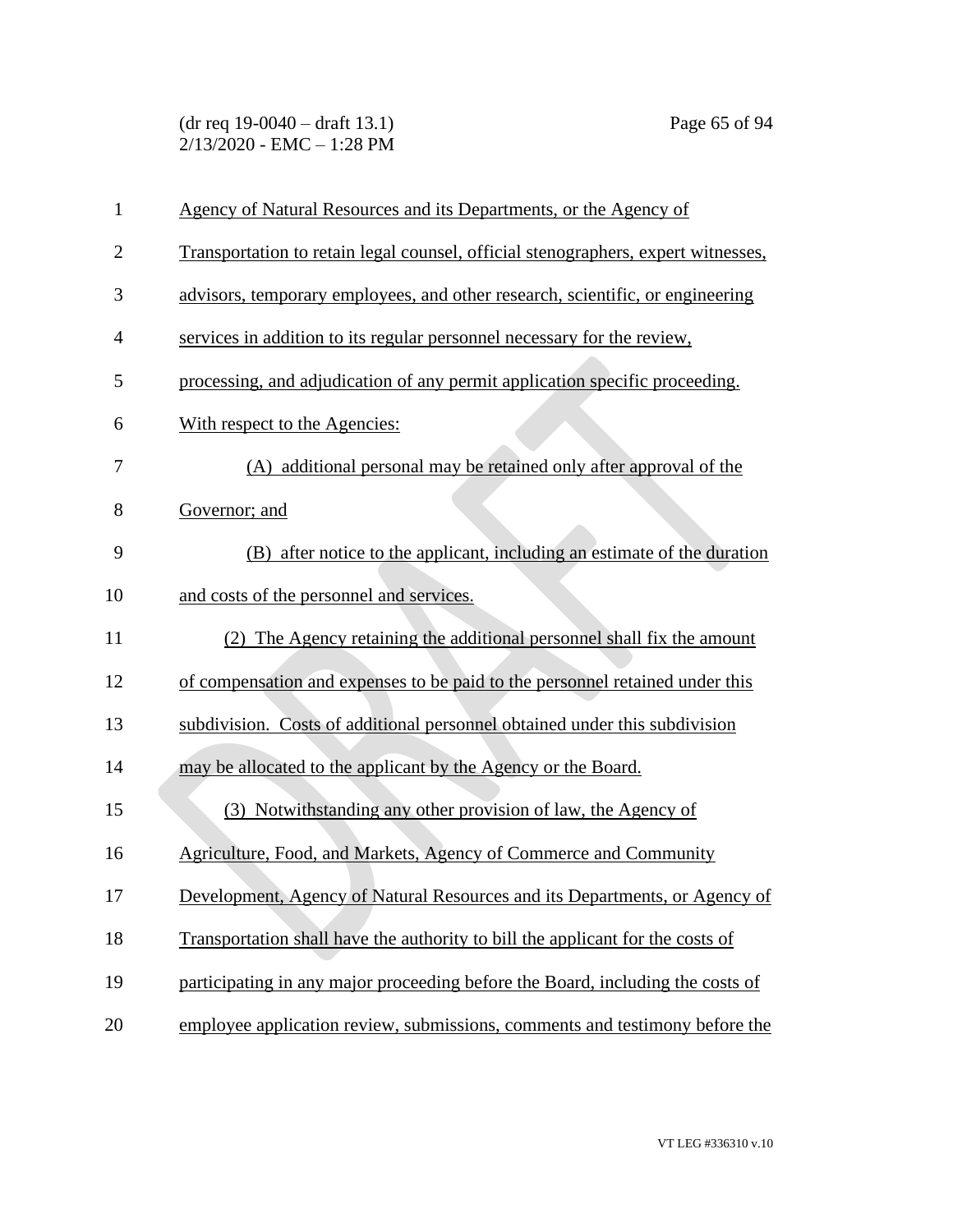(dr req 19-0040 – draft 13.1) Page 65 of 94 2/13/2020 - EMC – 1:28 PM

| $\mathbf{1}$   | Agency of Natural Resources and its Departments, or the Agency of                 |
|----------------|-----------------------------------------------------------------------------------|
| $\overline{2}$ | Transportation to retain legal counsel, official stenographers, expert witnesses, |
| 3              | advisors, temporary employees, and other research, scientific, or engineering     |
| $\overline{4}$ | services in addition to its regular personnel necessary for the review.           |
| 5              | processing, and adjudication of any permit application specific proceeding.       |
| 6              | With respect to the Agencies:                                                     |
| 7              | (A) additional personal may be retained only after approval of the                |
| 8              | Governor; and                                                                     |
| 9              | (B) after notice to the applicant, including an estimate of the duration          |
| 10             | and costs of the personnel and services.                                          |
| 11             | (2) The Agency retaining the additional personnel shall fix the amount            |
| 12             | of compensation and expenses to be paid to the personnel retained under this      |
| 13             | subdivision. Costs of additional personnel obtained under this subdivision        |
| 14             | may be allocated to the applicant by the Agency or the Board.                     |
| 15             | (3) Notwithstanding any other provision of law, the Agency of                     |
| 16             | Agriculture, Food, and Markets, Agency of Commerce and Community                  |
| 17             | Development, Agency of Natural Resources and its Departments, or Agency of        |
| 18             | Transportation shall have the authority to bill the applicant for the costs of    |
| 19             | participating in any major proceeding before the Board, including the costs of    |
| 20             | employee application review, submissions, comments and testimony before the       |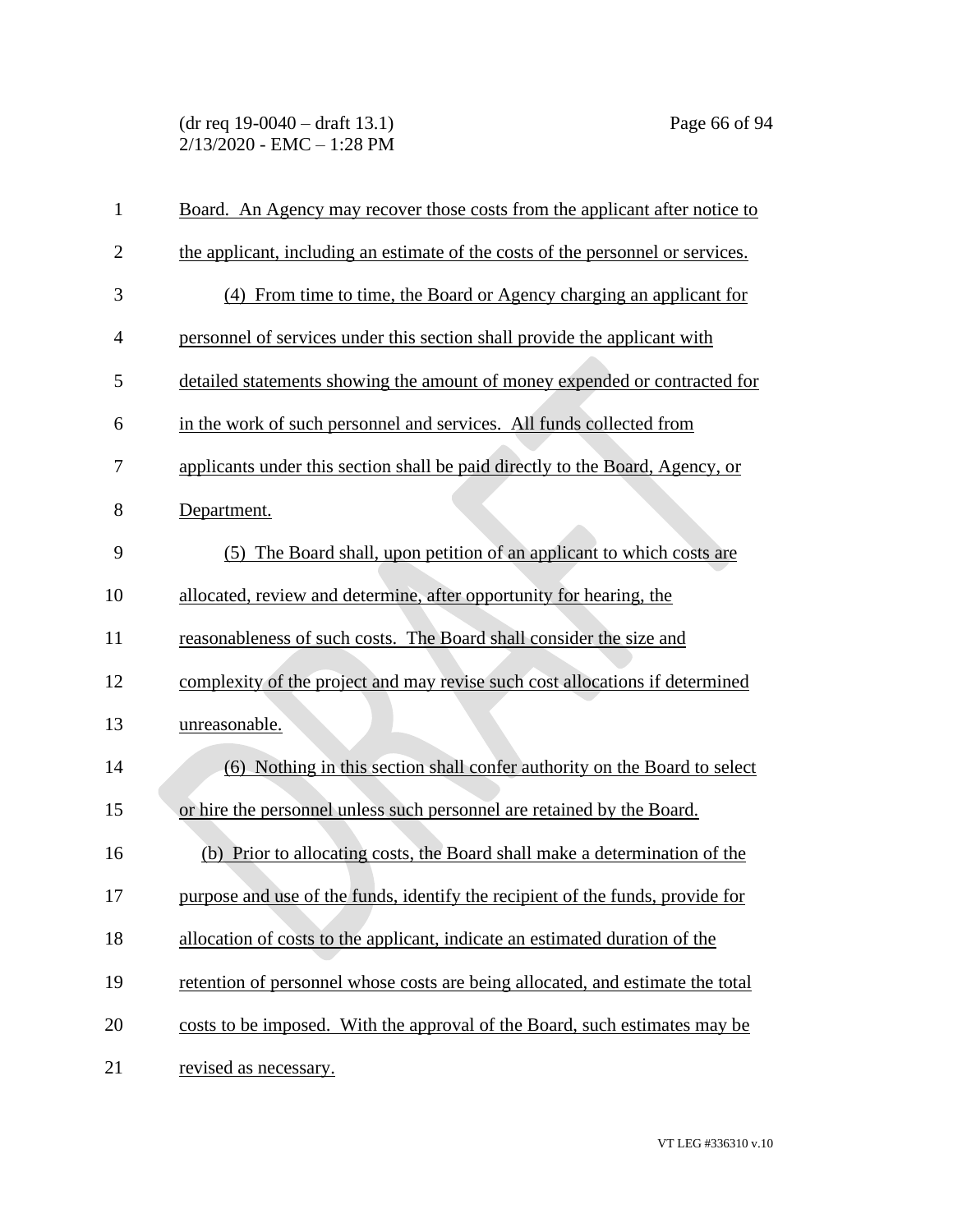(dr req 19-0040 – draft 13.1) Page 66 of 94 2/13/2020 - EMC – 1:28 PM

| $\mathbf{1}$   | Board. An Agency may recover those costs from the applicant after notice to     |
|----------------|---------------------------------------------------------------------------------|
| $\overline{2}$ | the applicant, including an estimate of the costs of the personnel or services. |
| 3              | (4) From time to time, the Board or Agency charging an applicant for            |
| $\overline{4}$ | personnel of services under this section shall provide the applicant with       |
| 5              | detailed statements showing the amount of money expended or contracted for      |
| 6              | in the work of such personnel and services. All funds collected from            |
| 7              | applicants under this section shall be paid directly to the Board, Agency, or   |
| 8              | Department.                                                                     |
| 9              | (5) The Board shall, upon petition of an applicant to which costs are           |
| 10             | allocated, review and determine, after opportunity for hearing, the             |
| 11             | reasonableness of such costs. The Board shall consider the size and             |
| 12             | complexity of the project and may revise such cost allocations if determined    |
| 13             | unreasonable.                                                                   |
| 14             | (6) Nothing in this section shall confer authority on the Board to select       |
| 15             | or hire the personnel unless such personnel are retained by the Board.          |
| 16             | (b) Prior to allocating costs, the Board shall make a determination of the      |
| 17             | purpose and use of the funds, identify the recipient of the funds, provide for  |
| 18             | allocation of costs to the applicant, indicate an estimated duration of the     |
| 19             | retention of personnel whose costs are being allocated, and estimate the total  |
| 20             | costs to be imposed. With the approval of the Board, such estimates may be      |
| 21             | revised as necessary.                                                           |

VT LEG #336310 v.10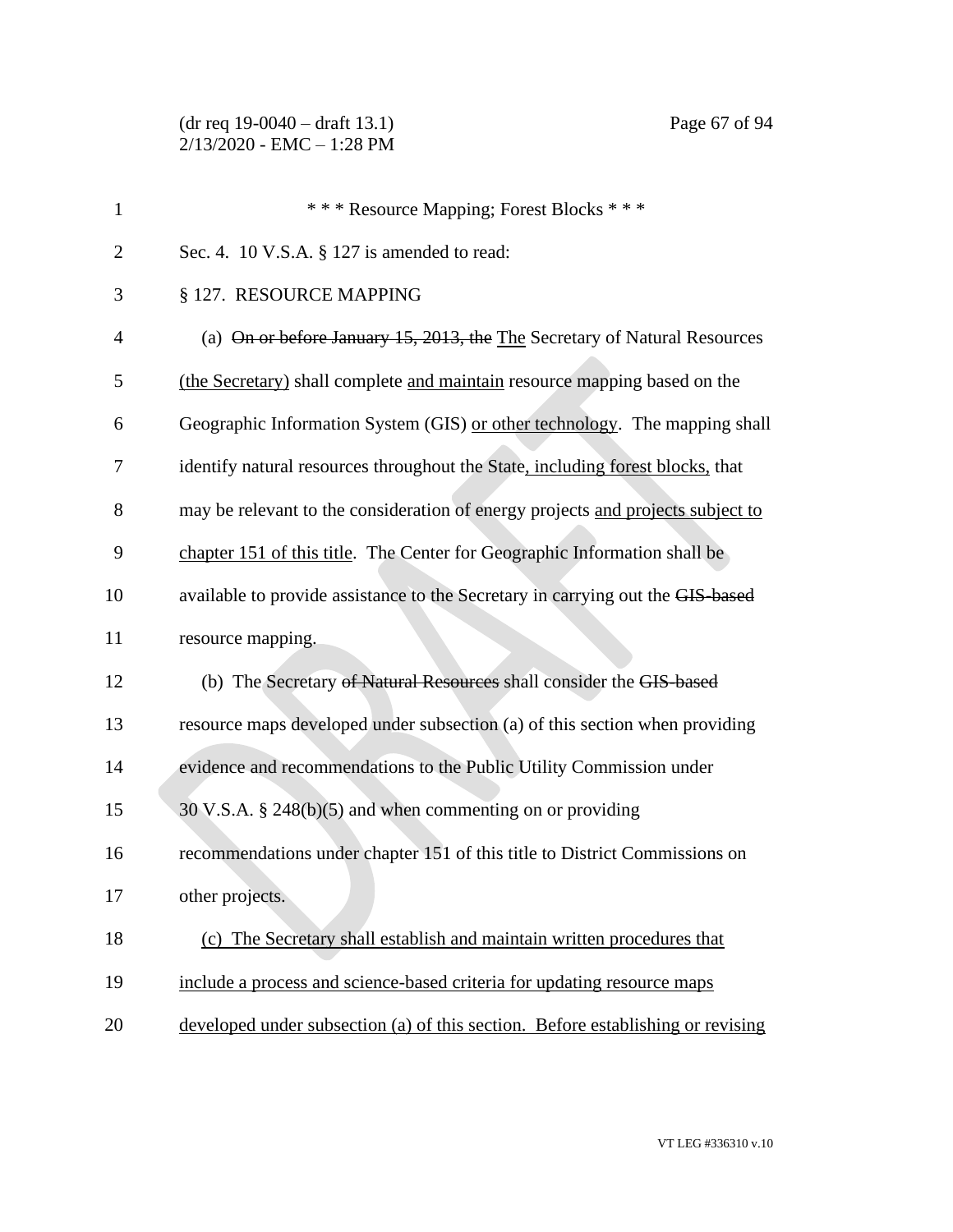| $\mathbf{1}$   | *** Resource Mapping; Forest Blocks ***                                         |
|----------------|---------------------------------------------------------------------------------|
| $\overline{2}$ | Sec. 4. 10 V.S.A. § 127 is amended to read:                                     |
| 3              | § 127. RESOURCE MAPPING                                                         |
| $\overline{4}$ | (a) On or before January 15, 2013, the The Secretary of Natural Resources       |
| 5              | (the Secretary) shall complete and maintain resource mapping based on the       |
| 6              | Geographic Information System (GIS) or other technology. The mapping shall      |
| 7              | identify natural resources throughout the State, including forest blocks, that  |
| 8              | may be relevant to the consideration of energy projects and projects subject to |
| 9              | chapter 151 of this title. The Center for Geographic Information shall be       |
| 10             | available to provide assistance to the Secretary in carrying out the GIS-based  |
| 11             | resource mapping.                                                               |
| 12             | (b) The Secretary of Natural Resources shall consider the GIS-based             |
| 13             | resource maps developed under subsection (a) of this section when providing     |
| 14             | evidence and recommendations to the Public Utility Commission under             |
| 15             | $30$ V.S.A. § 248(b)(5) and when commenting on or providing                     |
| 16             | recommendations under chapter 151 of this title to District Commissions on      |
| 17             | other projects.                                                                 |
| 18             | (c) The Secretary shall establish and maintain written procedures that          |
| 19             | include a process and science-based criteria for updating resource maps         |
| 20             | developed under subsection (a) of this section. Before establishing or revising |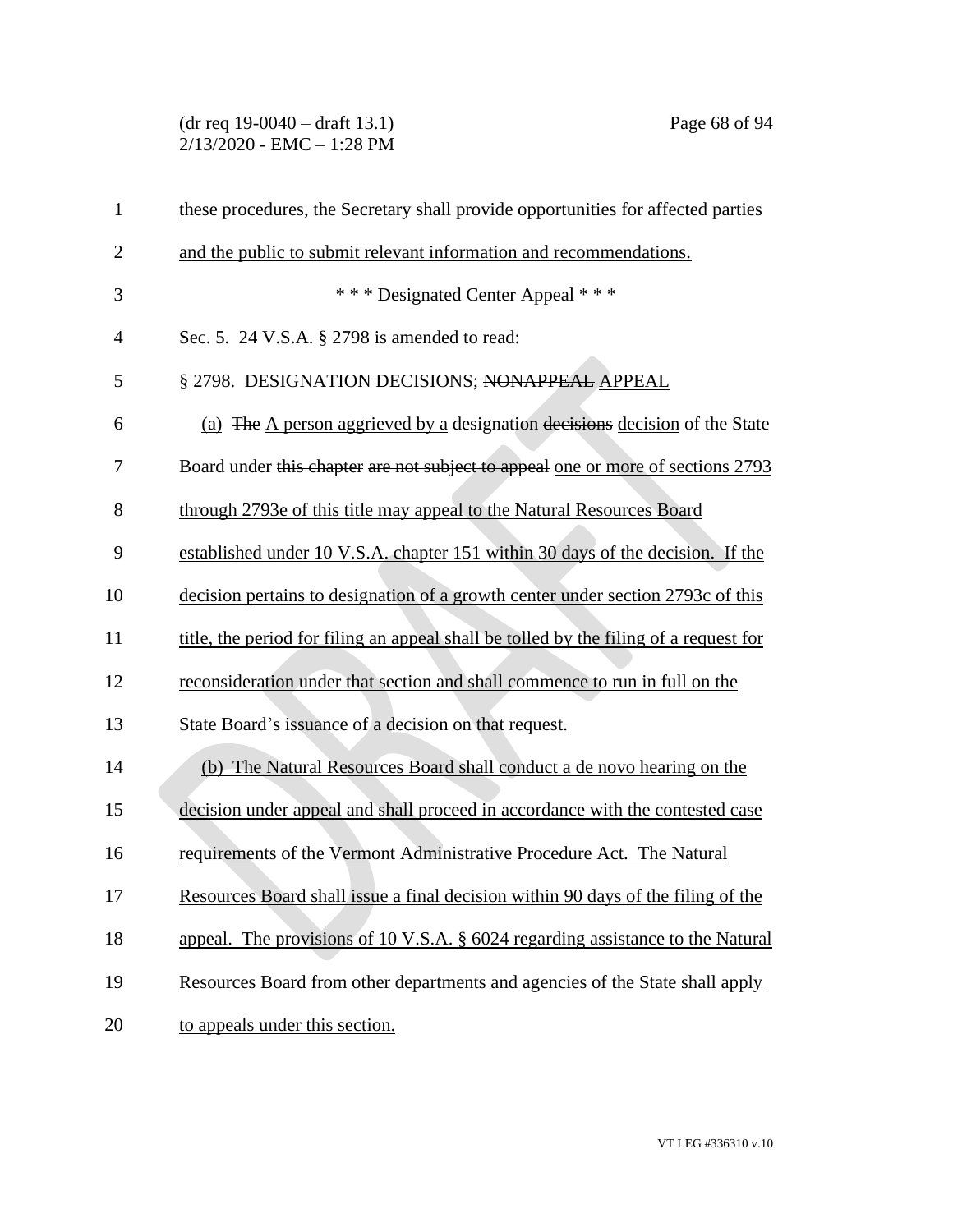(dr req 19-0040 – draft 13.1) Page 68 of 94 2/13/2020 - EMC – 1:28 PM

| $\mathbf{1}$   | these procedures, the Secretary shall provide opportunities for affected parties      |
|----------------|---------------------------------------------------------------------------------------|
| $\overline{2}$ | and the public to submit relevant information and recommendations.                    |
| 3              | *** Designated Center Appeal ***                                                      |
| $\overline{4}$ | Sec. 5. 24 V.S.A. § 2798 is amended to read:                                          |
| 5              | § 2798. DESIGNATION DECISIONS; NONAPPEAL APPEAL                                       |
| 6              | (a) The A person aggrieved by a designation decisions decision of the State           |
| 7              | Board under this chapter are not subject to appeal one or more of sections 2793       |
| 8              | through 2793e of this title may appeal to the Natural Resources Board                 |
| 9              | established under 10 V.S.A. chapter 151 within 30 days of the decision. If the        |
| 10             | decision pertains to designation of a growth center under section 2793c of this       |
| 11             | title, the period for filing an appeal shall be tolled by the filing of a request for |
| 12             | reconsideration under that section and shall commence to run in full on the           |
| 13             | State Board's issuance of a decision on that request.                                 |
| 14             | (b) The Natural Resources Board shall conduct a de novo hearing on the                |
| 15             | decision under appeal and shall proceed in accordance with the contested case         |
| 16             | requirements of the Vermont Administrative Procedure Act. The Natural                 |
| 17             | Resources Board shall issue a final decision within 90 days of the filing of the      |
| 18             | appeal. The provisions of 10 V.S.A. § 6024 regarding assistance to the Natural        |
| 19             | Resources Board from other departments and agencies of the State shall apply          |
| 20             | to appeals under this section.                                                        |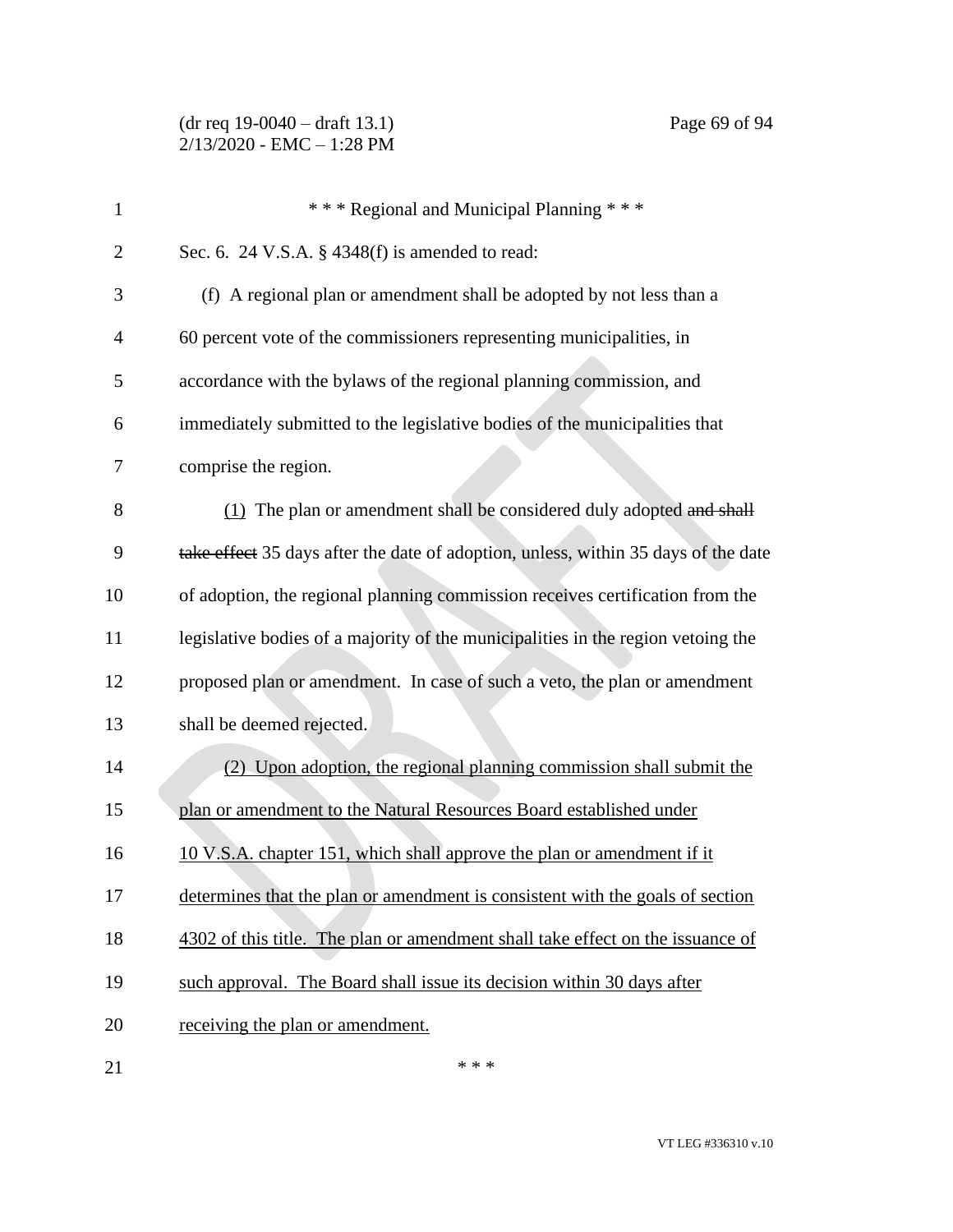(dr req 19-0040 – draft 13.1) Page 69 of 94 2/13/2020 - EMC – 1:28 PM

| $\mathbf{1}$   | *** Regional and Municipal Planning ***                                            |
|----------------|------------------------------------------------------------------------------------|
| $\overline{2}$ | Sec. 6. 24 V.S.A. $\S$ 4348(f) is amended to read:                                 |
| 3              | (f) A regional plan or amendment shall be adopted by not less than a               |
| 4              | 60 percent vote of the commissioners representing municipalities, in               |
| 5              | accordance with the bylaws of the regional planning commission, and                |
| 6              | immediately submitted to the legislative bodies of the municipalities that         |
| 7              | comprise the region.                                                               |
| 8              | (1) The plan or amendment shall be considered duly adopted and shall               |
| 9              | take effect 35 days after the date of adoption, unless, within 35 days of the date |
| 10             | of adoption, the regional planning commission receives certification from the      |
| 11             | legislative bodies of a majority of the municipalities in the region vetoing the   |
| 12             | proposed plan or amendment. In case of such a veto, the plan or amendment          |
| 13             | shall be deemed rejected.                                                          |
| 14             | (2) Upon adoption, the regional planning commission shall submit the               |
| 15             | plan or amendment to the Natural Resources Board established under                 |
| 16             | 10 V.S.A. chapter 151, which shall approve the plan or amendment if it             |
| 17             | determines that the plan or amendment is consistent with the goals of section      |
| 18             | 4302 of this title. The plan or amendment shall take effect on the issuance of     |

- 19 such approval. The Board shall issue its decision within 30 days after
- 20 receiving the plan or amendment.
- $***$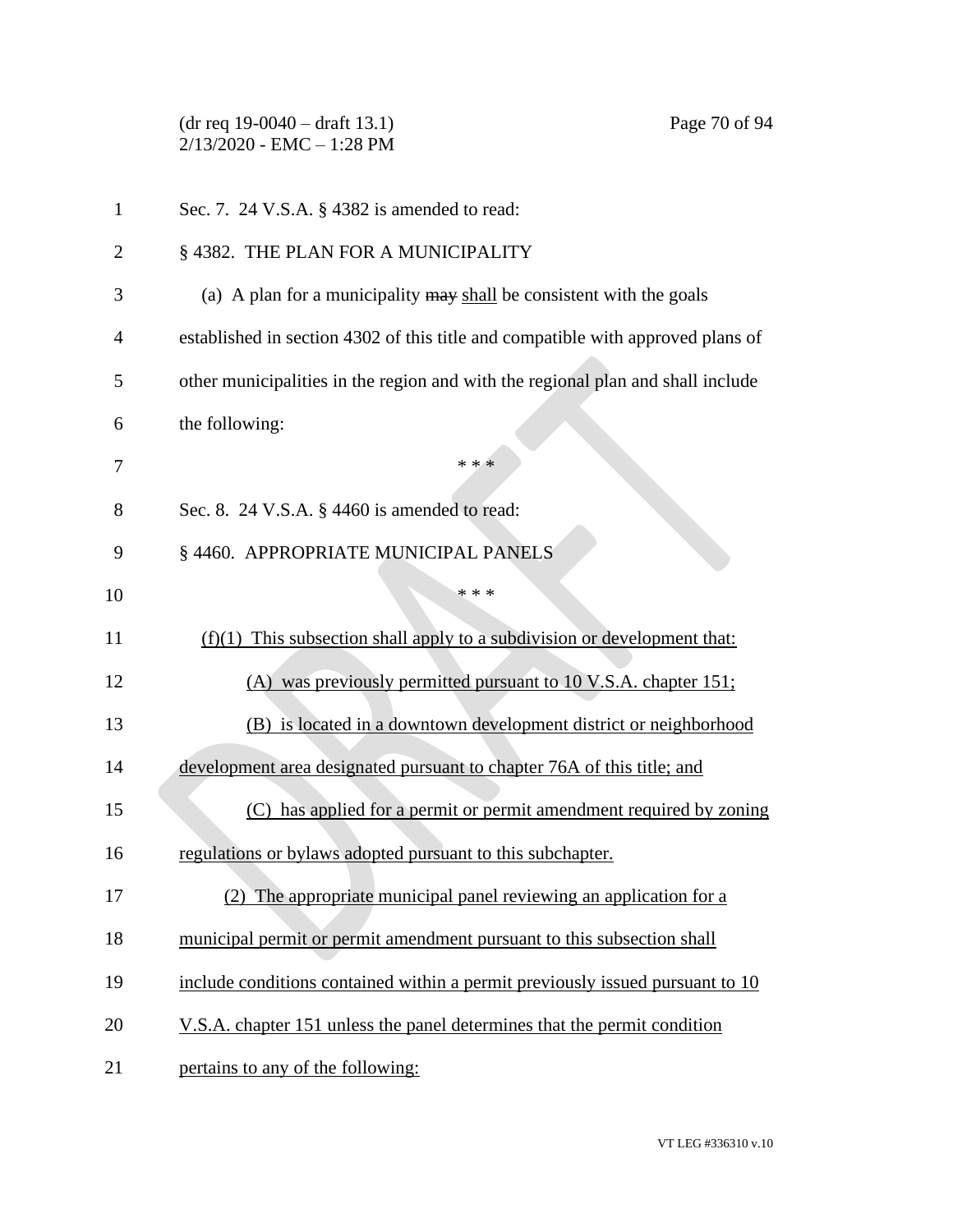(dr req 19-0040 – draft 13.1) Page 70 of 94 2/13/2020 - EMC – 1:28 PM Sec. 7. 24 V.S.A. § 4382 is amended to read: 2 § 4382. THE PLAN FOR A MUNICIPALITY (a) A plan for a municipality may shall be consistent with the goals established in section 4302 of this title and compatible with approved plans of other municipalities in the region and with the regional plan and shall include the following:  $* * *$ 8 Sec. 8. 24 V.S.A. § 4460 is amended to read: § 4460. APPROPRIATE MUNICIPAL PANELS \*\*\* (f)(1) This subsection shall apply to a subdivision or development that: (A) was previously permitted pursuant to 10 V.S.A. chapter 151; (B) is located in a downtown development district or neighborhood development area designated pursuant to chapter 76A of this title; and (C) has applied for a permit or permit amendment required by zoning 16 regulations or bylaws adopted pursuant to this subchapter. (2) The appropriate municipal panel reviewing an application for a municipal permit or permit amendment pursuant to this subsection shall include conditions contained within a permit previously issued pursuant to 10 20 V.S.A. chapter 151 unless the panel determines that the permit condition 21 pertains to any of the following: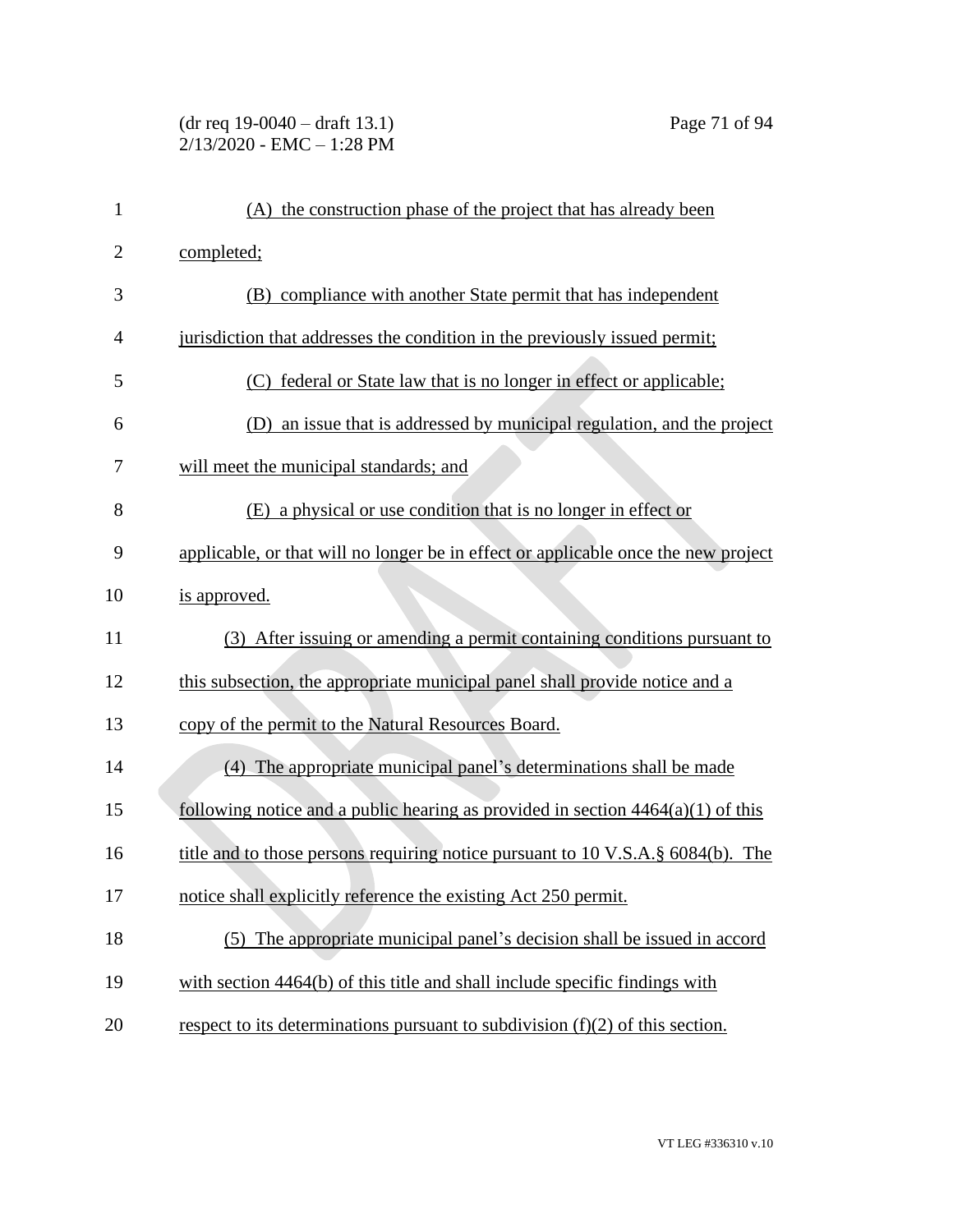# (dr req 19-0040 – draft 13.1) Page 71 of 94 2/13/2020 - EMC – 1:28 PM

| $\mathbf{1}$   | (A) the construction phase of the project that has already been                    |
|----------------|------------------------------------------------------------------------------------|
| $\overline{2}$ | completed;                                                                         |
| 3              | (B) compliance with another State permit that has independent                      |
| $\overline{4}$ | jurisdiction that addresses the condition in the previously issued permit;         |
| 5              | federal or State law that is no longer in effect or applicable;                    |
| 6              | (D) an issue that is addressed by municipal regulation, and the project            |
| 7              | will meet the municipal standards; and                                             |
| 8              | (E) a physical or use condition that is no longer in effect or                     |
| 9              | applicable, or that will no longer be in effect or applicable once the new project |
| 10             | is approved.                                                                       |
| 11             | (3) After issuing or amending a permit containing conditions pursuant to           |
| 12             | this subsection, the appropriate municipal panel shall provide notice and a        |
| 13             | copy of the permit to the Natural Resources Board.                                 |
| 14             | (4) The appropriate municipal panel's determinations shall be made                 |
| 15             | following notice and a public hearing as provided in section $4464(a)(1)$ of this  |
| 16             | title and to those persons requiring notice pursuant to 10 V.S.A. § 6084(b). The   |
| 17             | notice shall explicitly reference the existing Act 250 permit.                     |
| 18             | (5) The appropriate municipal panel's decision shall be issued in accord           |
| 19             | with section 4464(b) of this title and shall include specific findings with        |
| 20             | respect to its determinations pursuant to subdivision $(f)(2)$ of this section.    |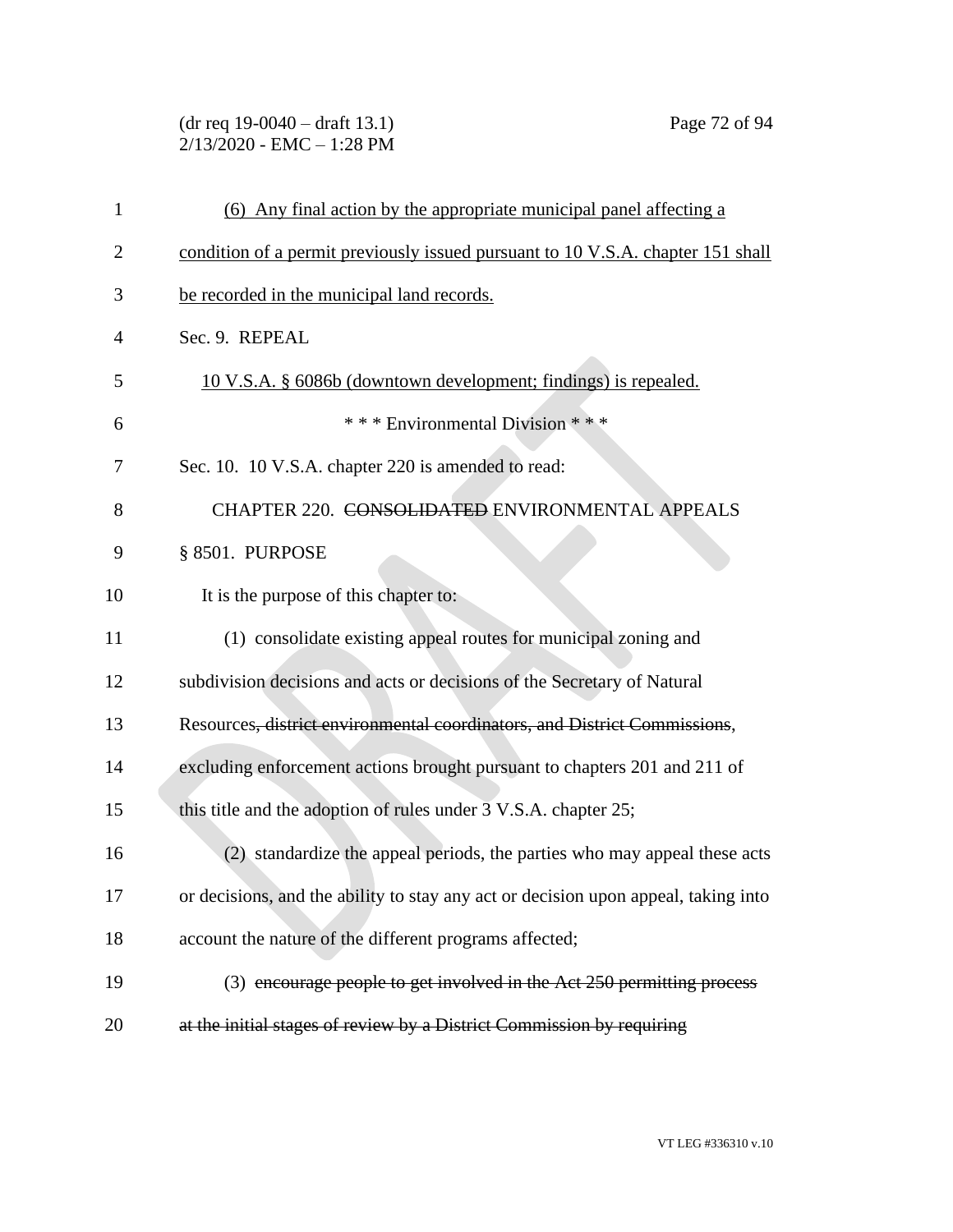(dr req 19-0040 – draft 13.1) Page 72 of 94 2/13/2020 - EMC – 1:28 PM

| 1              | (6) Any final action by the appropriate municipal panel affecting a                |
|----------------|------------------------------------------------------------------------------------|
| $\overline{2}$ | condition of a permit previously issued pursuant to 10 V.S.A. chapter 151 shall    |
| 3              | be recorded in the municipal land records.                                         |
| 4              | Sec. 9. REPEAL                                                                     |
| 5              | 10 V.S.A. § 6086b (downtown development; findings) is repealed.                    |
| 6              | *** Environmental Division ***                                                     |
| 7              | Sec. 10. 10 V.S.A. chapter 220 is amended to read:                                 |
| 8              | CHAPTER 220. CONSOLIDATED ENVIRONMENTAL APPEALS                                    |
| 9              | § 8501. PURPOSE                                                                    |
| 10             | It is the purpose of this chapter to:                                              |
| 11             | (1) consolidate existing appeal routes for municipal zoning and                    |
| 12             | subdivision decisions and acts or decisions of the Secretary of Natural            |
| 13             | Resources, district environmental coordinators, and District Commissions,          |
| 14             | excluding enforcement actions brought pursuant to chapters 201 and 211 of          |
| 15             | this title and the adoption of rules under 3 V.S.A. chapter 25;                    |
| 16             | (2) standardize the appeal periods, the parties who may appeal these acts          |
| 17             | or decisions, and the ability to stay any act or decision upon appeal, taking into |
| 18             | account the nature of the different programs affected;                             |
| 19             | (3) encourage people to get involved in the Act 250 permitting process             |
| 20             | at the initial stages of review by a District Commission by requiring              |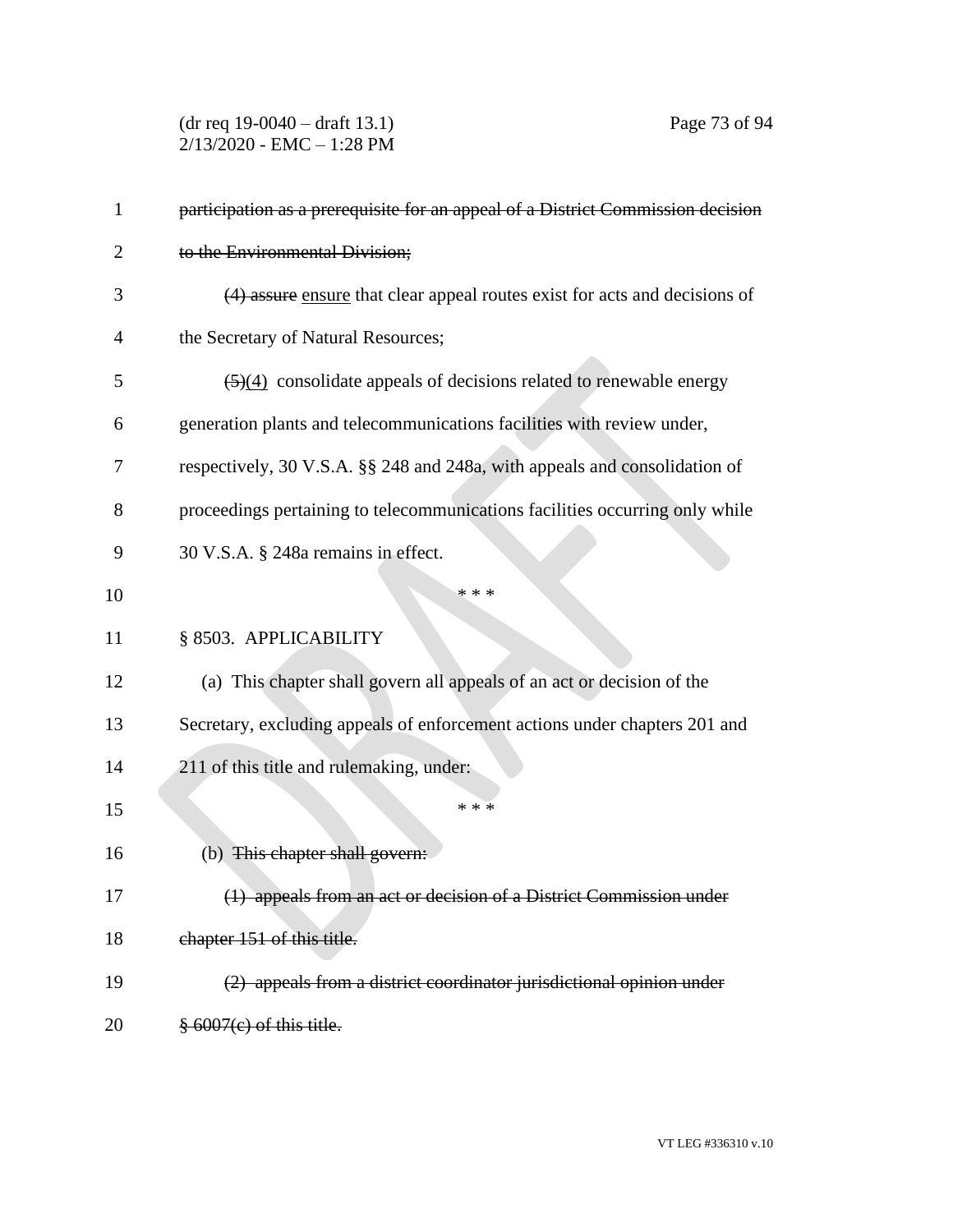(dr req 19-0040 – draft 13.1) Page 73 of 94 2/13/2020 - EMC – 1:28 PM

| 1  | participation as a prerequisite for an appeal of a District Commission decision         |
|----|-----------------------------------------------------------------------------------------|
| 2  | to the Environmental Division;                                                          |
| 3  | (4) assure ensure that clear appeal routes exist for acts and decisions of              |
| 4  | the Secretary of Natural Resources;                                                     |
| 5  | $\left(\frac{5}{4}\right)$ consolidate appeals of decisions related to renewable energy |
| 6  | generation plants and telecommunications facilities with review under,                  |
| 7  | respectively, 30 V.S.A. §§ 248 and 248a, with appeals and consolidation of              |
| 8  | proceedings pertaining to telecommunications facilities occurring only while            |
| 9  | 30 V.S.A. § 248a remains in effect.                                                     |
| 10 | * * *                                                                                   |
| 11 | § 8503. APPLICABILITY                                                                   |
| 12 | (a) This chapter shall govern all appeals of an act or decision of the                  |
| 13 | Secretary, excluding appeals of enforcement actions under chapters 201 and              |
| 14 | 211 of this title and rulemaking, under:                                                |
| 15 | * * *                                                                                   |
| 16 | (b) This chapter shall govern:                                                          |
| 17 | (1) appeals from an act or decision of a District Commission under                      |
| 18 | chapter 151 of this title.                                                              |
| 19 | (2) appeals from a district coordinator jurisdictional opinion under                    |
| 20 | $\frac{8}{3}$ 6007(e) of this title.                                                    |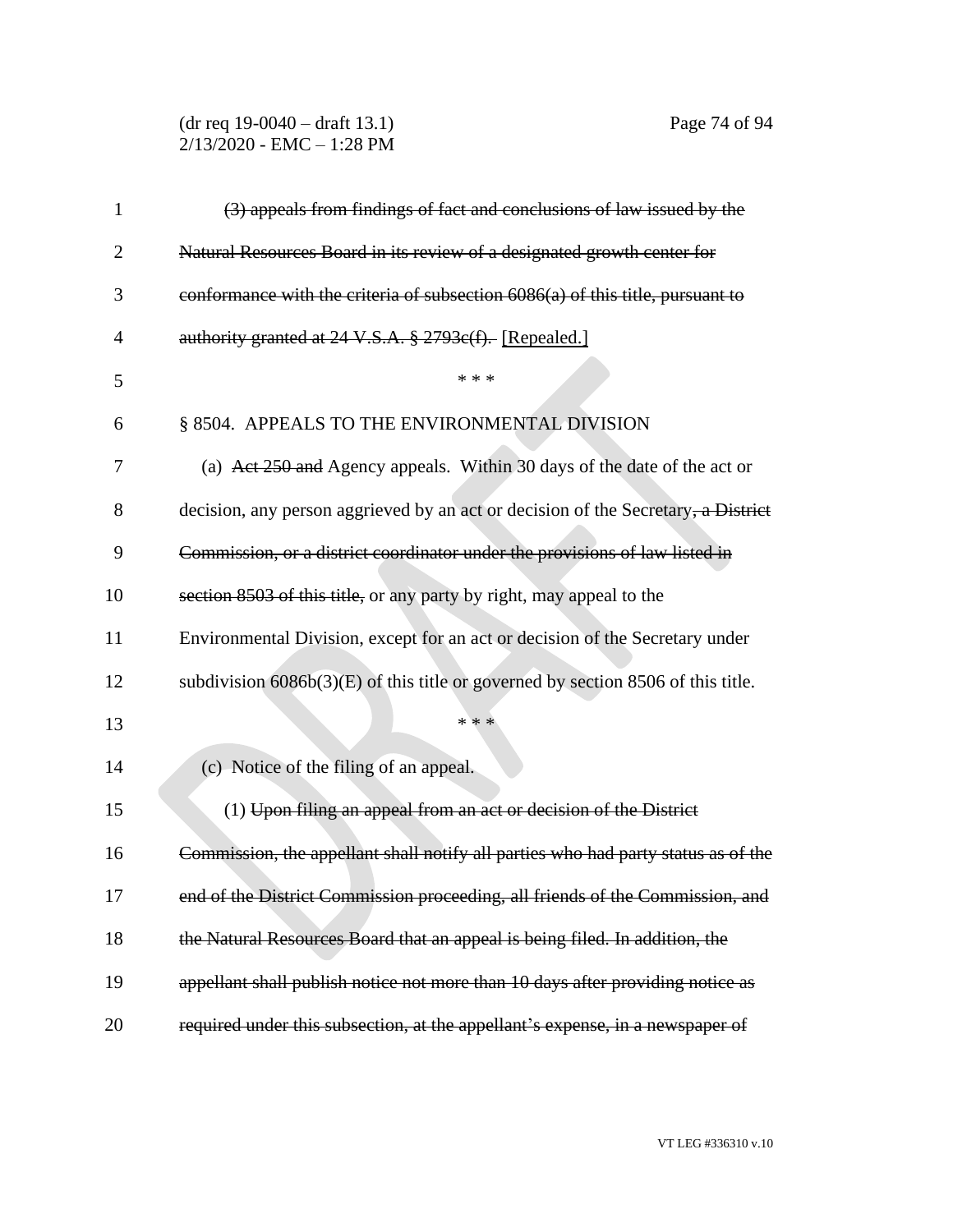(dr req 19-0040 – draft 13.1) Page 74 of 94 2/13/2020 - EMC – 1:28 PM

| 1              | (3) appeals from findings of fact and conclusions of law issued by the             |
|----------------|------------------------------------------------------------------------------------|
| $\overline{2}$ | Natural Resources Board in its review of a designated growth center for            |
| 3              | conformance with the criteria of subsection 6086(a) of this title, pursuant to     |
| 4              | authority granted at 24 V.S.A. § 2793e(f). [Repealed.]                             |
| 5              | * * *                                                                              |
| 6              | § 8504. APPEALS TO THE ENVIRONMENTAL DIVISION                                      |
| 7              | (a) Act 250 and Agency appeals. Within 30 days of the date of the act or           |
| 8              | decision, any person aggrieved by an act or decision of the Secretary, a District  |
| 9              | Commission, or a district coordinator under the provisions of law listed in        |
| 10             | section 8503 of this title, or any party by right, may appeal to the               |
| 11             | Environmental Division, except for an act or decision of the Secretary under       |
| 12             | subdivision $6086b(3)(E)$ of this title or governed by section 8506 of this title. |
| 13             | * * *                                                                              |
| 14             | (c) Notice of the filing of an appeal.                                             |
| 15             | (1) Upon filing an appeal from an act or decision of the District                  |
| 16             | Commission, the appellant shall notify all parties who had party status as of the  |
| 17             | end of the District Commission proceeding, all friends of the Commission, and      |
| 18             | the Natural Resources Board that an appeal is being filed. In addition, the        |
| 19             | appellant shall publish notice not more than 10 days after providing notice as     |
| 20             | required under this subsection, at the appellant's expense, in a newspaper of      |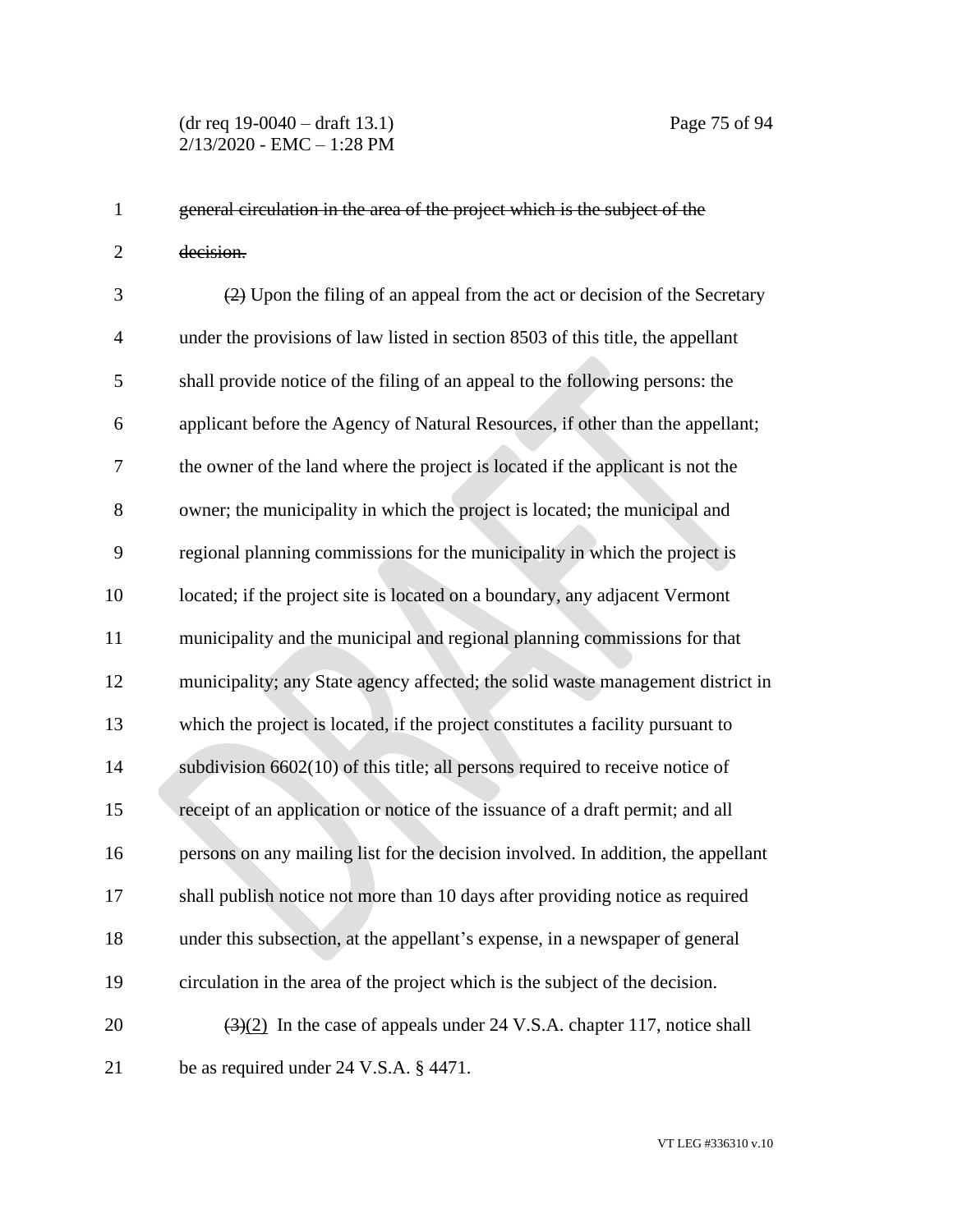general circulation in the area of the project which is the subject of the decision.

 (2) Upon the filing of an appeal from the act or decision of the Secretary under the provisions of law listed in section 8503 of this title, the appellant shall provide notice of the filing of an appeal to the following persons: the applicant before the Agency of Natural Resources, if other than the appellant; the owner of the land where the project is located if the applicant is not the owner; the municipality in which the project is located; the municipal and regional planning commissions for the municipality in which the project is located; if the project site is located on a boundary, any adjacent Vermont municipality and the municipal and regional planning commissions for that municipality; any State agency affected; the solid waste management district in which the project is located, if the project constitutes a facility pursuant to subdivision 6602(10) of this title; all persons required to receive notice of receipt of an application or notice of the issuance of a draft permit; and all persons on any mailing list for the decision involved. In addition, the appellant shall publish notice not more than 10 days after providing notice as required under this subsection, at the appellant's expense, in a newspaper of general circulation in the area of the project which is the subject of the decision.  $(3)(2)$  In the case of appeals under 24 V.S.A. chapter 117, notice shall be as required under 24 V.S.A. § 4471.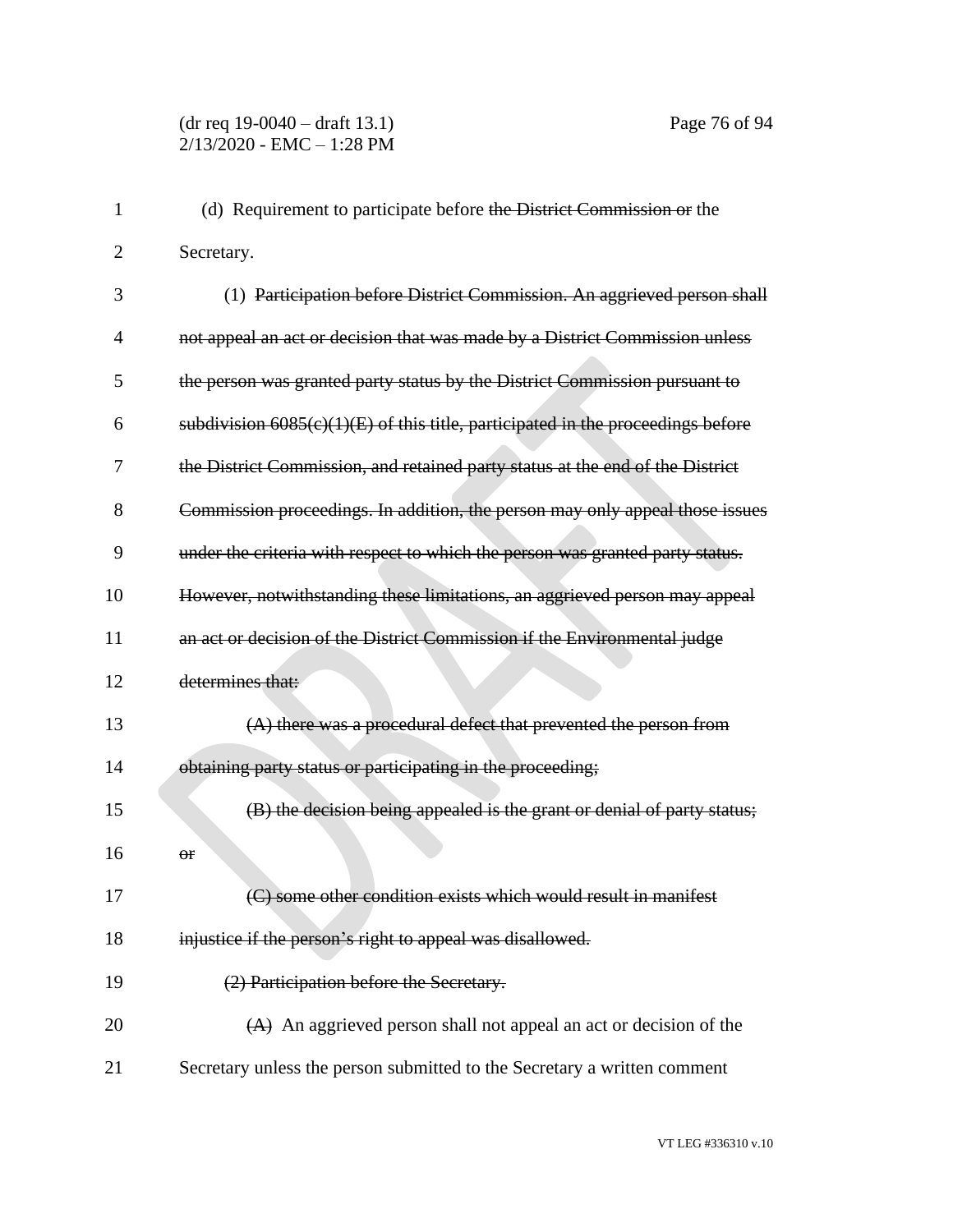| 1              | (d) Requirement to participate before the District Commission or the              |
|----------------|-----------------------------------------------------------------------------------|
| $\overline{2}$ | Secretary.                                                                        |
| 3              | (1) Participation before District Commission. An aggrieved person shall           |
| 4              | not appeal an act or decision that was made by a District Commission unless       |
| 5              | the person was granted party status by the District Commission pursuant to        |
| 6              | subdivision $6085(c)(1)(E)$ of this title, participated in the proceedings before |
| 7              | the District Commission, and retained party status at the end of the District     |
| 8              | Commission proceedings. In addition, the person may only appeal those issues      |
| 9              | under the criteria with respect to which the person was granted party status.     |
| 10             | However, notwithstanding these limitations, an aggrieved person may appeal        |
| 11             | an act or decision of the District Commission if the Environmental judge          |
| 12             | determines that:                                                                  |
| 13             | (A) there was a procedural defect that prevented the person from                  |
| 14             | obtaining party status or participating in the proceeding;                        |
| 15             | (B) the decision being appealed is the grant or denial of party status;           |
| 16             | Θr                                                                                |
| 17             | (C) some other condition exists which would result in manifest                    |
| 18             | injustice if the person's right to appeal was disallowed.                         |
| 19             | (2) Participation before the Secretary.                                           |
| 20             | $(A)$ An aggrieved person shall not appeal an act or decision of the              |
| 21             | Secretary unless the person submitted to the Secretary a written comment          |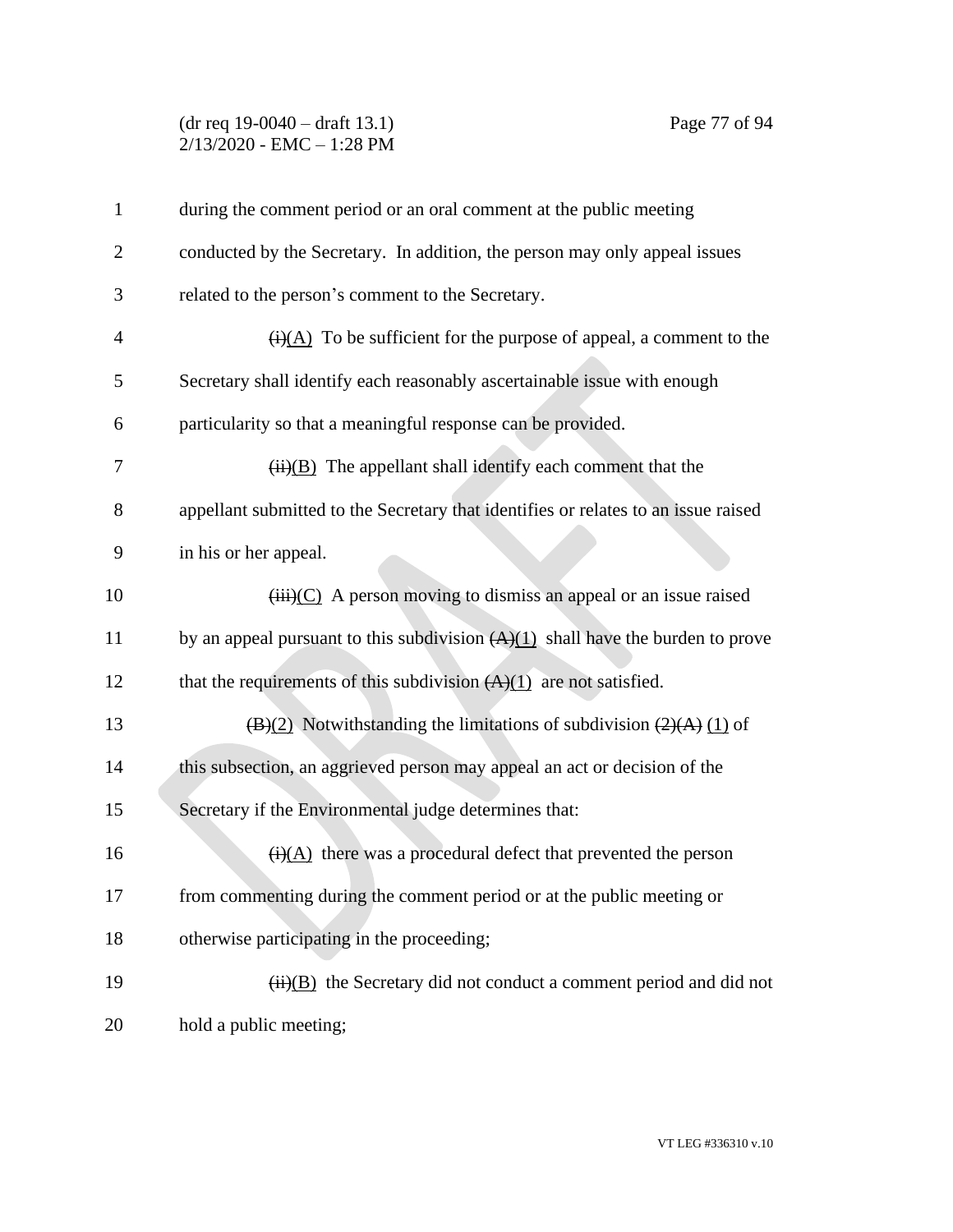## (dr req 19-0040 – draft 13.1) Page 77 of 94 2/13/2020 - EMC – 1:28 PM

| $\mathbf{1}$   | during the comment period or an oral comment at the public meeting                           |
|----------------|----------------------------------------------------------------------------------------------|
| $\overline{2}$ | conducted by the Secretary. In addition, the person may only appeal issues                   |
| 3              | related to the person's comment to the Secretary.                                            |
| 4              | $\overline{(i)(A)}$ To be sufficient for the purpose of appeal, a comment to the             |
| 5              | Secretary shall identify each reasonably ascertainable issue with enough                     |
| 6              | particularity so that a meaningful response can be provided.                                 |
| 7              | $\overline{(ii)(B)}$ The appellant shall identify each comment that the                      |
| 8              | appellant submitted to the Secretary that identifies or relates to an issue raised           |
| 9              | in his or her appeal.                                                                        |
| 10             | $(iii)(C)$ A person moving to dismiss an appeal or an issue raised                           |
| 11             | by an appeal pursuant to this subdivision $(A)(1)$ shall have the burden to prove            |
| 12             | that the requirements of this subdivision $(A)(1)$ are not satisfied.                        |
| 13             | $\overline{(B)(2)}$ Notwithstanding the limitations of subdivision $\overline{(2)(A)(1)}$ of |
| 14             | this subsection, an aggrieved person may appeal an act or decision of the                    |
| 15             | Secretary if the Environmental judge determines that:                                        |
| 16             | $\overline{(i)(A)}$ there was a procedural defect that prevented the person                  |
| 17             | from commenting during the comment period or at the public meeting or                        |
| 18             | otherwise participating in the proceeding;                                                   |
| 19             | $\overline{(ii)(B)}$ the Secretary did not conduct a comment period and did not              |
| 20             | hold a public meeting;                                                                       |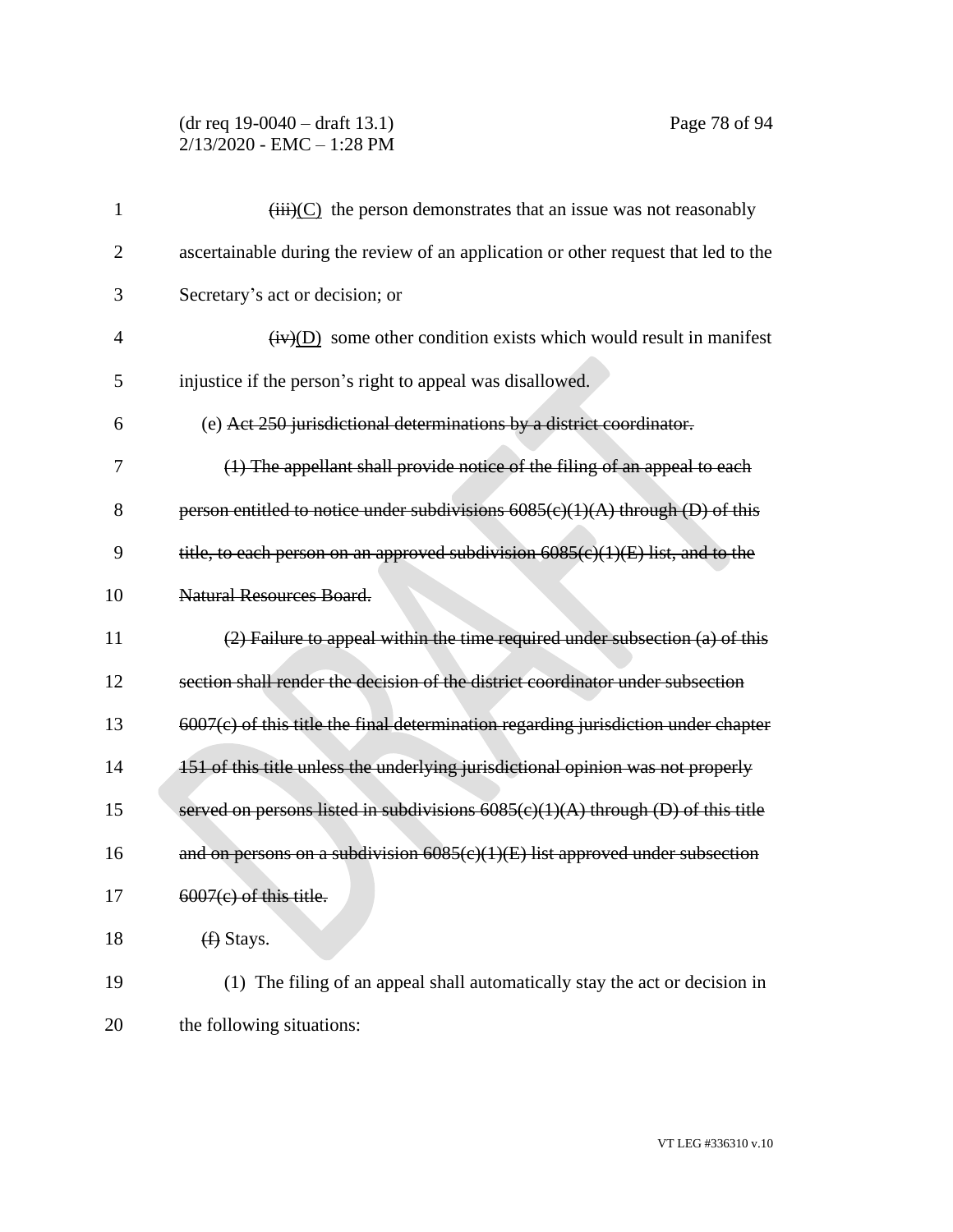## (dr req 19-0040 – draft 13.1) Page 78 of 94 2/13/2020 - EMC – 1:28 PM

| 1              | $\overrightarrow{(\text{iii})}$ (C) the person demonstrates that an issue was not reasonably |
|----------------|----------------------------------------------------------------------------------------------|
| $\overline{2}$ | ascertainable during the review of an application or other request that led to the           |
| 3              | Secretary's act or decision; or                                                              |
| $\overline{4}$ | $(\mathbf{iv})(D)$ some other condition exists which would result in manifest                |
| 5              | injustice if the person's right to appeal was disallowed.                                    |
| 6              | (e) Act 250 jurisdictional determinations by a district coordinator.                         |
| 7              | (1) The appellant shall provide notice of the filing of an appeal to each                    |
| 8              | person entitled to notice under subdivisions $6085(c)(1)(A)$ through (D) of this             |
| 9              | title, to each person on an approved subdivision $6085(c)(1)(E)$ list, and to the            |
| 10             | Natural Resources Board.                                                                     |
| 11             | (2) Failure to appeal within the time required under subsection (a) of this                  |
| 12             | section shall render the decision of the district coordinator under subsection               |
| 13             | $6007(c)$ of this title the final determination regarding jurisdiction under chapter         |
| 14             | 151 of this title unless the underlying jurisdictional opinion was not properly              |
| 15             | served on persons listed in subdivisions $6085(c)(1)(A)$ through (D) of this title           |
| 16             | and on persons on a subdivision $6085(c)(1)(E)$ list approved under subsection               |
| 17             | $6007(c)$ of this title.                                                                     |
| 18             | $(f)$ Stays.                                                                                 |
| 19             | (1) The filing of an appeal shall automatically stay the act or decision in                  |
| 20             | the following situations:                                                                    |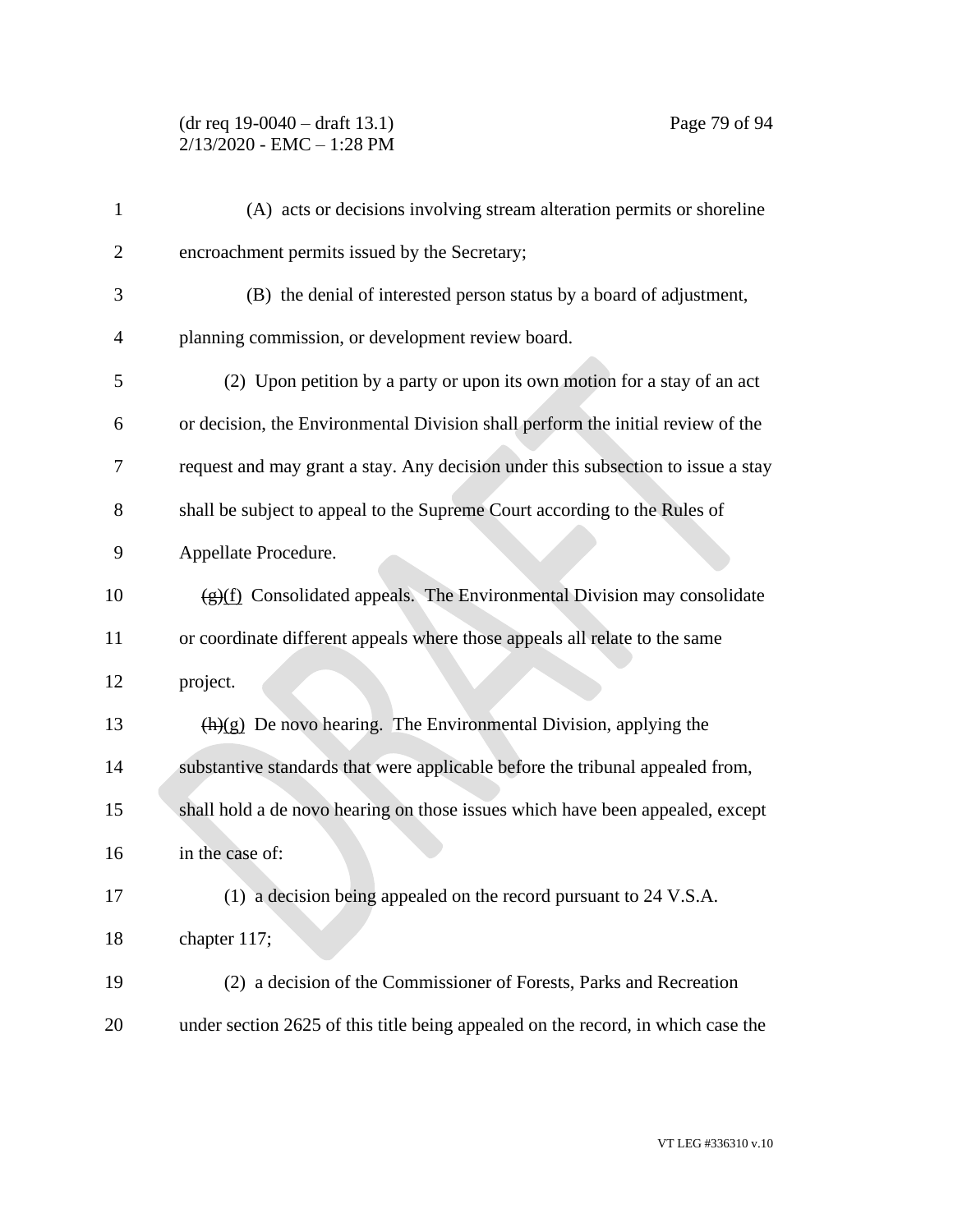## (dr req 19-0040 – draft 13.1) Page 79 of 94 2/13/2020 - EMC – 1:28 PM

| $\mathbf{1}$   | (A) acts or decisions involving stream alteration permits or shoreline                  |
|----------------|-----------------------------------------------------------------------------------------|
| $\overline{2}$ | encroachment permits issued by the Secretary;                                           |
| 3              | (B) the denial of interested person status by a board of adjustment,                    |
| 4              | planning commission, or development review board.                                       |
| 5              | (2) Upon petition by a party or upon its own motion for a stay of an act                |
| 6              | or decision, the Environmental Division shall perform the initial review of the         |
| 7              | request and may grant a stay. Any decision under this subsection to issue a stay        |
| 8              | shall be subject to appeal to the Supreme Court according to the Rules of               |
| 9              | Appellate Procedure.                                                                    |
| 10             | $\frac{f(g)(f)}{g(f)}$ Consolidated appeals. The Environmental Division may consolidate |
| 11             | or coordinate different appeals where those appeals all relate to the same              |
| 12             | project.                                                                                |
| 13             | $\frac{h(x)}{g}$ De novo hearing. The Environmental Division, applying the              |
| 14             | substantive standards that were applicable before the tribunal appealed from,           |
| 15             | shall hold a de novo hearing on those issues which have been appealed, except           |
| 16             | in the case of:                                                                         |
| 17             | (1) a decision being appealed on the record pursuant to 24 V.S.A.                       |
| 18             | chapter 117;                                                                            |
| 19             | (2) a decision of the Commissioner of Forests, Parks and Recreation                     |
| 20             | under section 2625 of this title being appealed on the record, in which case the        |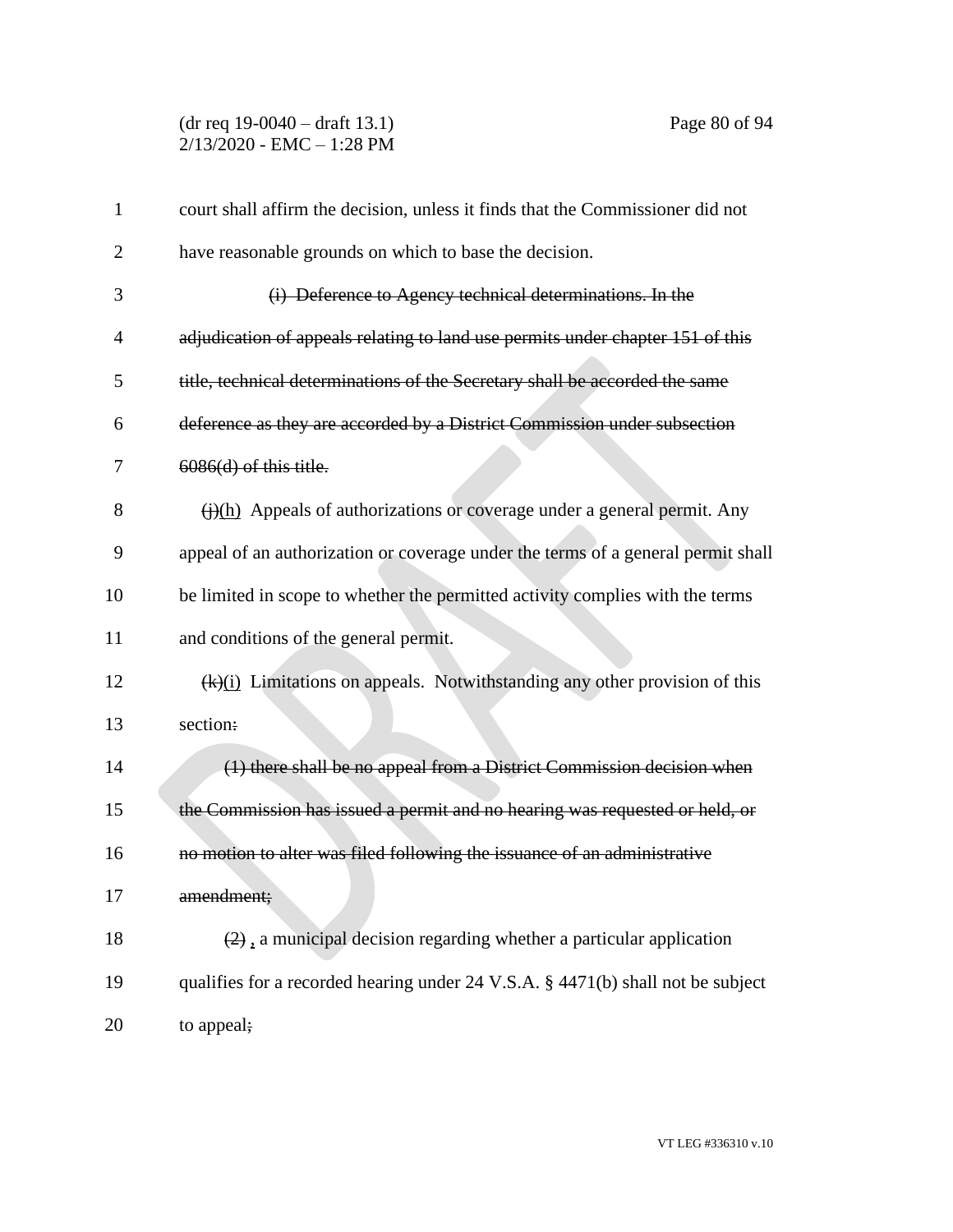(dr req 19-0040 – draft 13.1) Page 80 of 94 2/13/2020 - EMC – 1:28 PM

| $\mathbf{1}$   | court shall affirm the decision, unless it finds that the Commissioner did not          |
|----------------|-----------------------------------------------------------------------------------------|
| $\overline{2}$ | have reasonable grounds on which to base the decision.                                  |
| 3              | (i) Deference to Agency technical determinations. In the                                |
| 4              | adjudication of appeals relating to land use permits under chapter 151 of this          |
| 5              | title, technical determinations of the Secretary shall be accorded the same             |
| 6              | deference as they are accorded by a District Commission under subsection                |
| 7              | $6086(d)$ of this title.                                                                |
| 8              | $\overline{(i)(h)}$ Appeals of authorizations or coverage under a general permit. Any   |
| 9              | appeal of an authorization or coverage under the terms of a general permit shall        |
| 10             | be limited in scope to whether the permitted activity complies with the terms           |
| 11             | and conditions of the general permit.                                                   |
| 12             | $\frac{f(k)(i)}{i}$ Limitations on appeals. Notwithstanding any other provision of this |
| 13             | section:                                                                                |
| 14             | (1) there shall be no appeal from a District Commission decision when                   |
| 15             | the Commission has issued a permit and no hearing was requested or held, or             |
| 16             | no motion to alter was filed following the issuance of an administrative                |
| 17             | amendment;                                                                              |
| 18             | $(2)$ , a municipal decision regarding whether a particular application                 |
| 19             | qualifies for a recorded hearing under 24 V.S.A. § 4471(b) shall not be subject         |
| 20             | to appeal;                                                                              |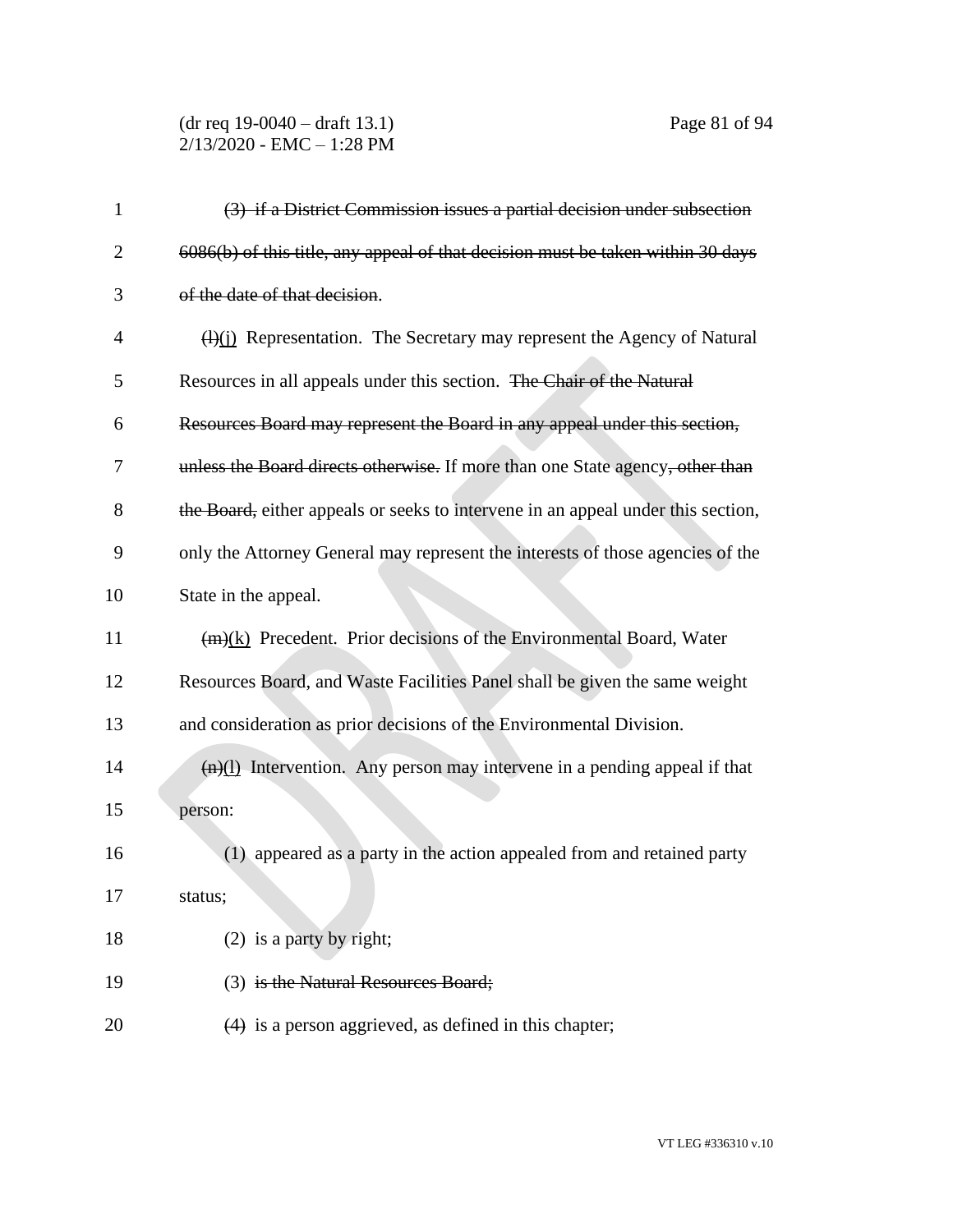## (dr req 19-0040 – draft 13.1) Page 81 of 94 2/13/2020 - EMC – 1:28 PM

| 1              | (3) if a District Commission issues a partial decision under subsection                |
|----------------|----------------------------------------------------------------------------------------|
| $\overline{2}$ | 6086(b) of this title, any appeal of that decision must be taken within 30 days        |
| 3              | of the date of that decision.                                                          |
| 4              | $\frac{H(x)}{L(x)}$ Representation. The Secretary may represent the Agency of Natural  |
| 5              | Resources in all appeals under this section. The Chair of the Natural                  |
| 6              | Resources Board may represent the Board in any appeal under this section,              |
| 7              | unless the Board directs otherwise. If more than one State agency, other than          |
| 8              | the Board, either appeals or seeks to intervene in an appeal under this section,       |
| 9              | only the Attorney General may represent the interests of those agencies of the         |
| 10             | State in the appeal.                                                                   |
| 11             | $(m)(k)$ Precedent. Prior decisions of the Environmental Board, Water                  |
| 12             | Resources Board, and Waste Facilities Panel shall be given the same weight             |
| 13             | and consideration as prior decisions of the Environmental Division.                    |
| 14             | $\frac{f(n)(1)}{n}$ Intervention. Any person may intervene in a pending appeal if that |
| 15             | person:                                                                                |
| 16             | (1) appeared as a party in the action appealed from and retained party                 |
| 17             | status;                                                                                |
| 18             | $(2)$ is a party by right;                                                             |
| 19             | (3) is the Natural Resources Board;                                                    |
| 20             | $(4)$ is a person aggrieved, as defined in this chapter;                               |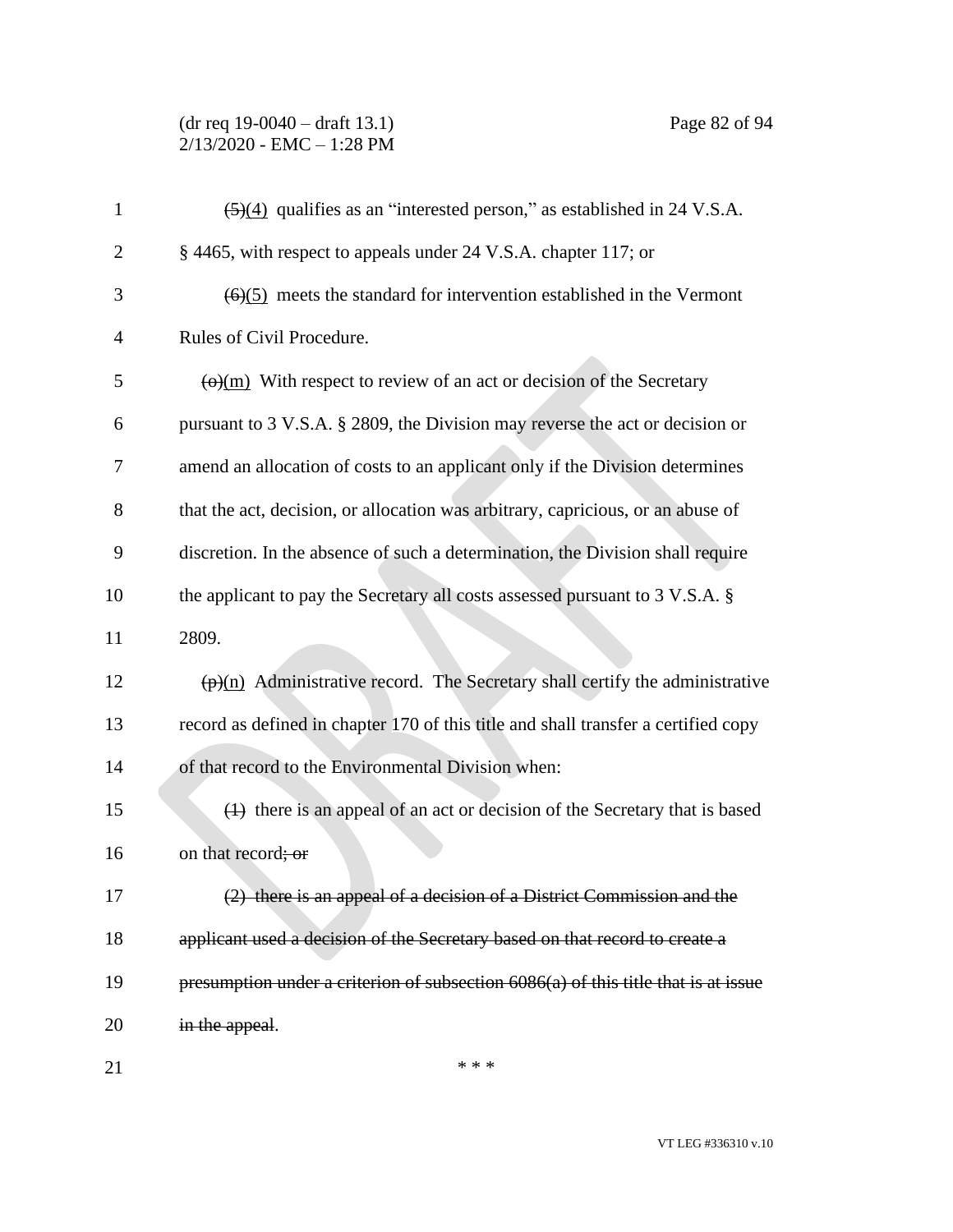### (dr req 19-0040 – draft 13.1) Page 82 of 94 2/13/2020 - EMC – 1:28 PM

| $\mathbf{1}$ | $\frac{5(4)}{2}$ qualifies as an "interested person," as established in 24 V.S.A.         |
|--------------|-------------------------------------------------------------------------------------------|
| 2            | § 4465, with respect to appeals under 24 V.S.A. chapter 117; or                           |
| 3            | $(6)(5)$ meets the standard for intervention established in the Vermont                   |
| 4            | Rules of Civil Procedure.                                                                 |
| 5            | $\overline{\Theta(m)}$ With respect to review of an act or decision of the Secretary      |
| 6            | pursuant to 3 V.S.A. § 2809, the Division may reverse the act or decision or              |
| 7            | amend an allocation of costs to an applicant only if the Division determines              |
| 8            | that the act, decision, or allocation was arbitrary, capricious, or an abuse of           |
| 9            | discretion. In the absence of such a determination, the Division shall require            |
| 10           | the applicant to pay the Secretary all costs assessed pursuant to 3 V.S.A. §              |
| 11           | 2809.                                                                                     |
| 12           | $\frac{\phi(n)}{n}$ Administrative record. The Secretary shall certify the administrative |
| 13           | record as defined in chapter 170 of this title and shall transfer a certified copy        |
| 14           | of that record to the Environmental Division when:                                        |
| 15           | (1) there is an appeal of an act or decision of the Secretary that is based               |
| 16           | on that record; or                                                                        |
| 17           | (2) there is an appeal of a decision of a District Commission and the                     |
| 18           | applicant used a decision of the Secretary based on that record to create a               |
| 19           | presumption under a criterion of subsection 6086(a) of this title that is at issue        |
| 20           | in the appeal.                                                                            |
|              |                                                                                           |

 $***$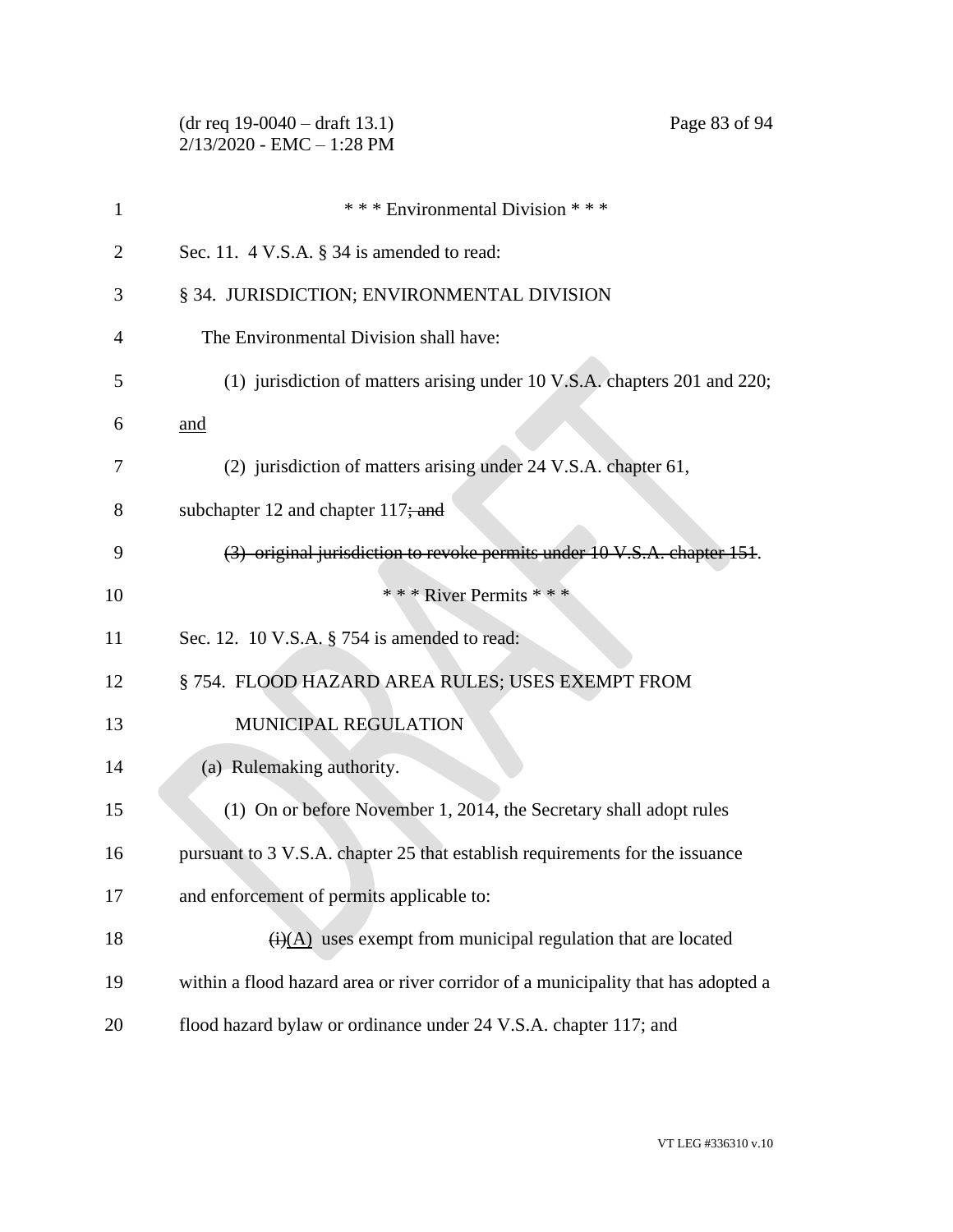|              | $(dr \text{ req } 19-0040 - draft 13.1)$<br>Page 83 of 94<br>$2/13/2020$ - EMC - 1:28 PM |
|--------------|------------------------------------------------------------------------------------------|
| $\mathbf{1}$ | *** Environmental Division ***                                                           |
| 2            | Sec. 11. $4$ V.S.A. $\S$ 34 is amended to read:                                          |
| 3            | § 34. JURISDICTION; ENVIRONMENTAL DIVISION                                               |
| 4            | The Environmental Division shall have:                                                   |
| 5            | (1) jurisdiction of matters arising under 10 V.S.A. chapters 201 and 220;                |
| 6            | and                                                                                      |
| 7            | (2) jurisdiction of matters arising under 24 V.S.A. chapter 61,                          |
| 8            | subchapter 12 and chapter $117$ ; and                                                    |
| 9            | (3) original jurisdiction to revoke permits under 10 V.S.A. chapter 151.                 |
| 10           | * * * River Permits * * *                                                                |
| 11           | Sec. 12. 10 V.S.A. $\S$ 754 is amended to read:                                          |
| 12           | § 754. FLOOD HAZARD AREA RULES; USES EXEMPT FROM                                         |
| 13           | MUNICIPAL REGULATION                                                                     |
| 14           | (a) Rulemaking authority.                                                                |
| 15           | (1) On or before November 1, 2014, the Secretary shall adopt rules                       |
| 16           | pursuant to 3 V.S.A. chapter 25 that establish requirements for the issuance             |
| 17           | and enforcement of permits applicable to:                                                |
| 18           | $\overrightarrow{(i)}$ (A) uses exempt from municipal regulation that are located        |
| 19           | within a flood hazard area or river corridor of a municipality that has adopted a        |
| 20           | flood hazard bylaw or ordinance under 24 V.S.A. chapter 117; and                         |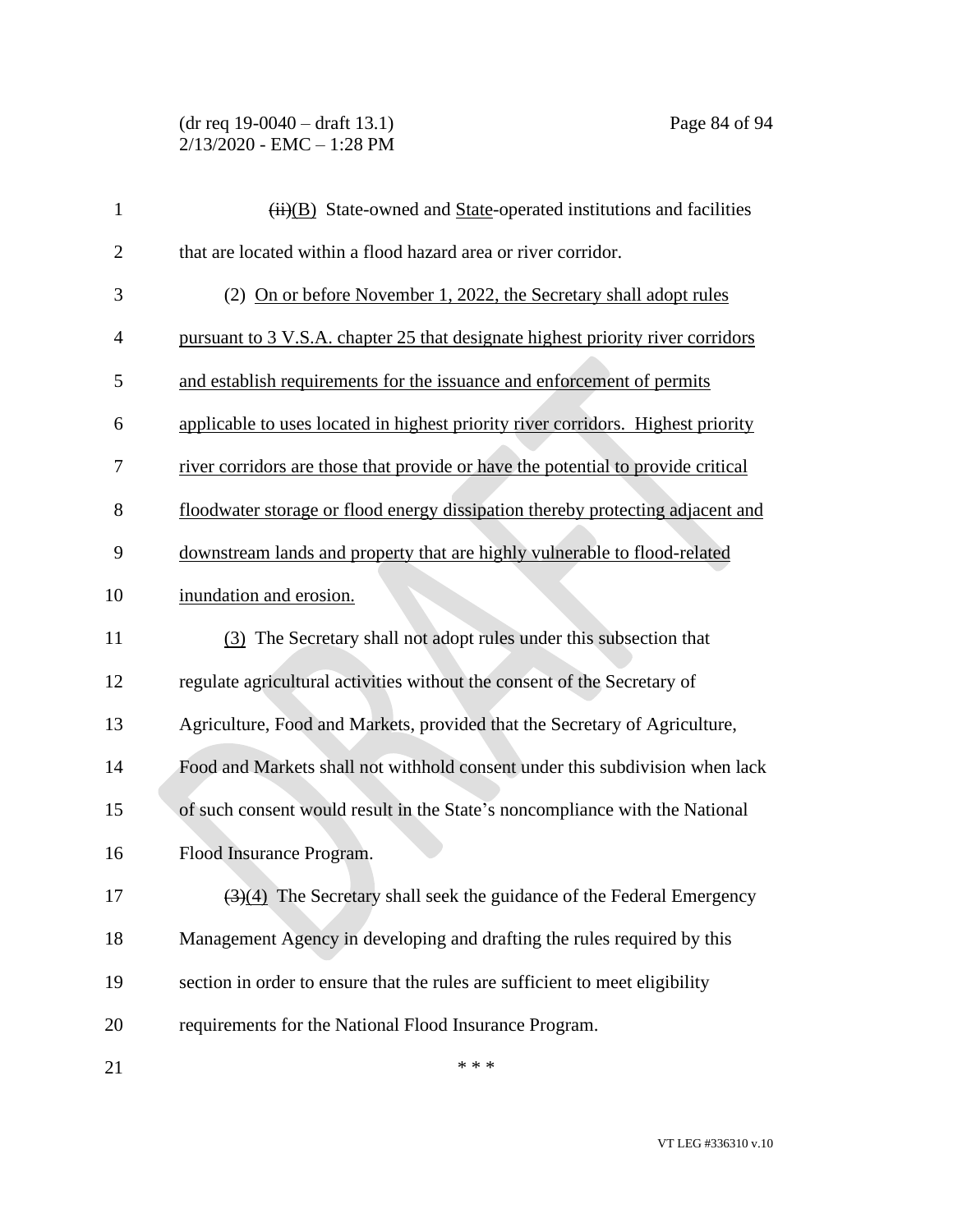(dr req 19-0040 – draft 13.1) Page 84 of 94 2/13/2020 - EMC – 1:28 PM

| $\mathbf{1}$   | $\overline{(ii)(B)}$ State-owned and State-operated institutions and facilities           |
|----------------|-------------------------------------------------------------------------------------------|
| $\overline{2}$ | that are located within a flood hazard area or river corridor.                            |
| 3              | (2) On or before November 1, 2022, the Secretary shall adopt rules                        |
| $\overline{4}$ | pursuant to 3 V.S.A. chapter 25 that designate highest priority river corridors           |
| 5              | and establish requirements for the issuance and enforcement of permits                    |
| 6              | applicable to uses located in highest priority river corridors. Highest priority          |
| 7              | river corridors are those that provide or have the potential to provide critical          |
| 8              | floodwater storage or flood energy dissipation thereby protecting adjacent and            |
| 9              | downstream lands and property that are highly vulnerable to flood-related                 |
| 10             | inundation and erosion.                                                                   |
| 11             | (3) The Secretary shall not adopt rules under this subsection that                        |
| 12             | regulate agricultural activities without the consent of the Secretary of                  |
| 13             | Agriculture, Food and Markets, provided that the Secretary of Agriculture,                |
| 14             | Food and Markets shall not withhold consent under this subdivision when lack              |
| 15             | of such consent would result in the State's noncompliance with the National               |
| 16             | Flood Insurance Program.                                                                  |
| 17             | $\left(\frac{3}{4}\right)$ The Secretary shall seek the guidance of the Federal Emergency |
| 18             | Management Agency in developing and drafting the rules required by this                   |
| 19             | section in order to ensure that the rules are sufficient to meet eligibility              |
| 20             | requirements for the National Flood Insurance Program.                                    |
| 21             | * * *                                                                                     |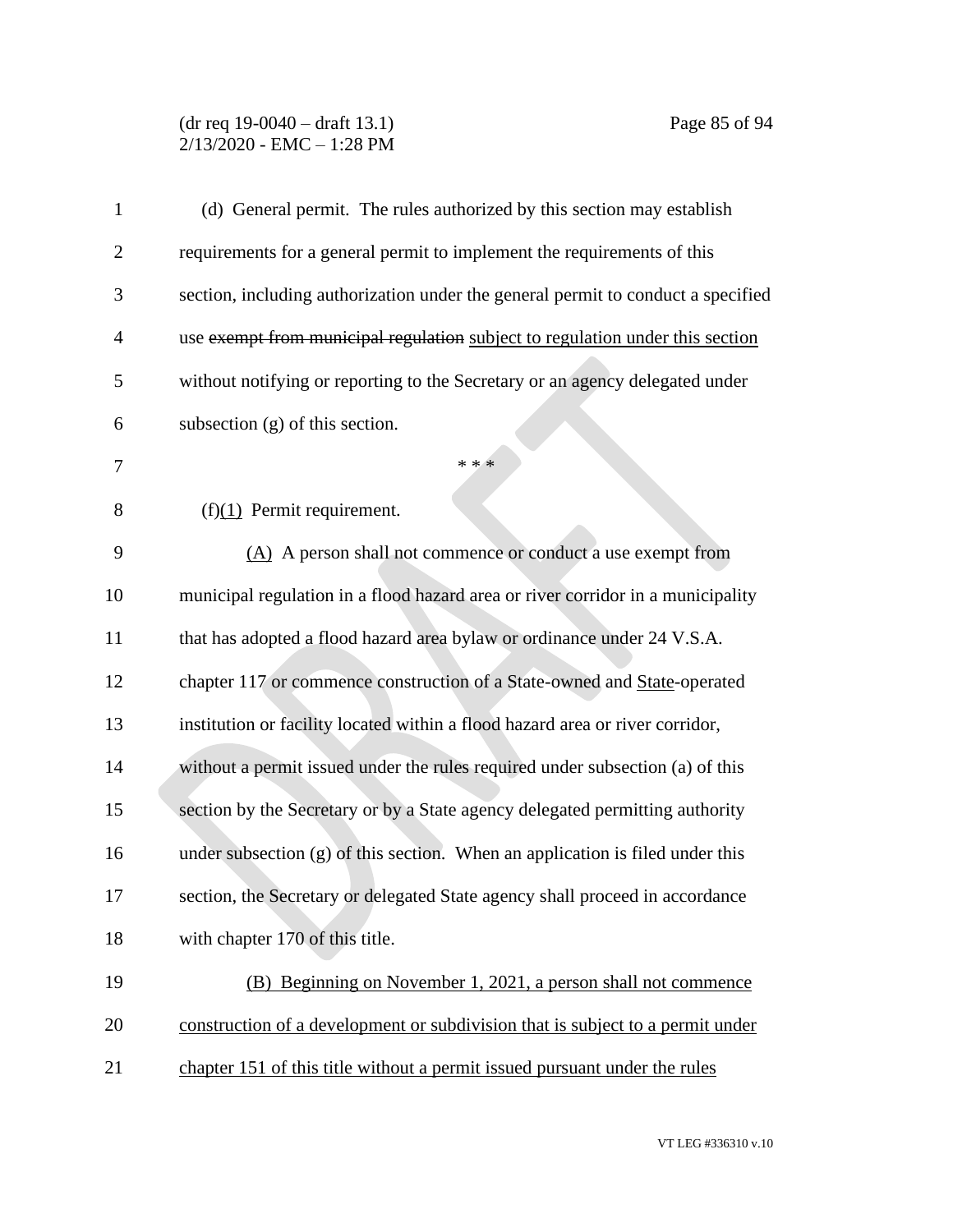#### (dr req 19-0040 – draft 13.1) Page 85 of 94 2/13/2020 - EMC – 1:28 PM

| 1              | (d) General permit. The rules authorized by this section may establish           |
|----------------|----------------------------------------------------------------------------------|
| $\overline{2}$ | requirements for a general permit to implement the requirements of this          |
| 3              | section, including authorization under the general permit to conduct a specified |
| 4              | use exempt from municipal regulation subject to regulation under this section    |
| 5              | without notifying or reporting to the Secretary or an agency delegated under     |
| 6              | subsection $(g)$ of this section.                                                |
| 7              | * * *                                                                            |
| 8              | $(f)(1)$ Permit requirement.                                                     |
| 9              | (A) A person shall not commence or conduct a use exempt from                     |
| 10             | municipal regulation in a flood hazard area or river corridor in a municipality  |
| 11             | that has adopted a flood hazard area bylaw or ordinance under 24 V.S.A.          |
| 12             | chapter 117 or commence construction of a State-owned and State-operated         |
| 13             | institution or facility located within a flood hazard area or river corridor,    |
| 14             | without a permit issued under the rules required under subsection (a) of this    |
| 15             | section by the Secretary or by a State agency delegated permitting authority     |
| 16             | under subsection (g) of this section. When an application is filed under this    |
| 17             | section, the Secretary or delegated State agency shall proceed in accordance     |
| 18             | with chapter 170 of this title.                                                  |
| 19             | (B) Beginning on November 1, 2021, a person shall not commence                   |
| 20             | construction of a development or subdivision that is subject to a permit under   |
| 21             | chapter 151 of this title without a permit issued pursuant under the rules       |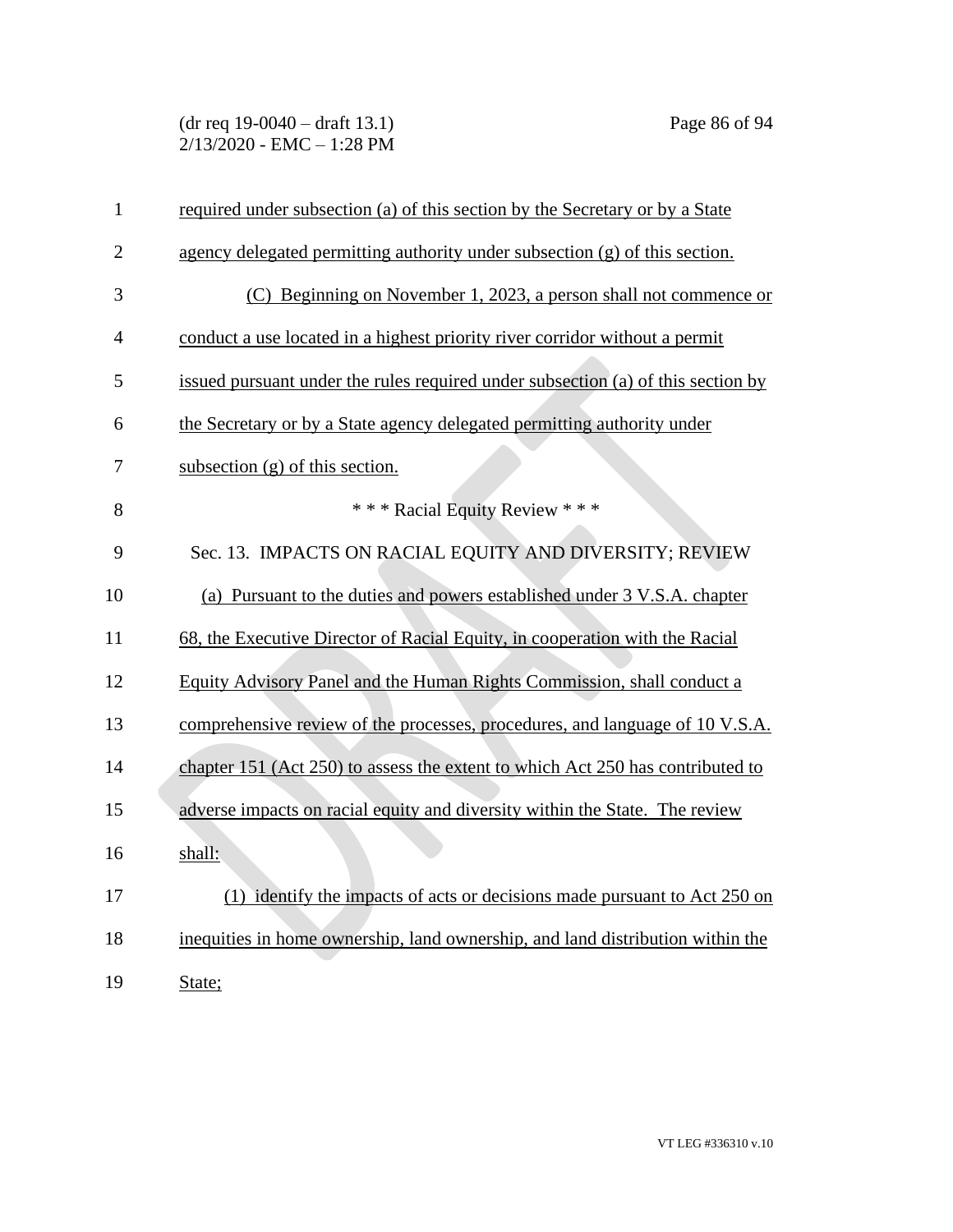(dr req 19-0040 – draft 13.1) Page 86 of 94 2/13/2020 - EMC – 1:28 PM

| $\mathbf{1}$   | required under subsection (a) of this section by the Secretary or by a State     |
|----------------|----------------------------------------------------------------------------------|
| $\overline{2}$ | agency delegated permitting authority under subsection (g) of this section.      |
| 3              | (C) Beginning on November 1, 2023, a person shall not commence or                |
| 4              | conduct a use located in a highest priority river corridor without a permit      |
| 5              | issued pursuant under the rules required under subsection (a) of this section by |
| 6              | the Secretary or by a State agency delegated permitting authority under          |
| 7              | subsection $(g)$ of this section.                                                |
| 8              | *** Racial Equity Review ***                                                     |
| 9              | Sec. 13. IMPACTS ON RACIAL EQUITY AND DIVERSITY; REVIEW                          |
| 10             | (a) Pursuant to the duties and powers established under 3 V.S.A. chapter         |
| 11             | 68, the Executive Director of Racial Equity, in cooperation with the Racial      |
| 12             | Equity Advisory Panel and the Human Rights Commission, shall conduct a           |
| 13             | comprehensive review of the processes, procedures, and language of 10 V.S.A.     |
| 14             | chapter 151 (Act 250) to assess the extent to which Act 250 has contributed to   |
| 15             | adverse impacts on racial equity and diversity within the State. The review      |
| 16             | shall:                                                                           |
| 17             | (1) identify the impacts of acts or decisions made pursuant to Act 250 on        |
| 18             | inequities in home ownership, land ownership, and land distribution within the   |
| 19             | State;                                                                           |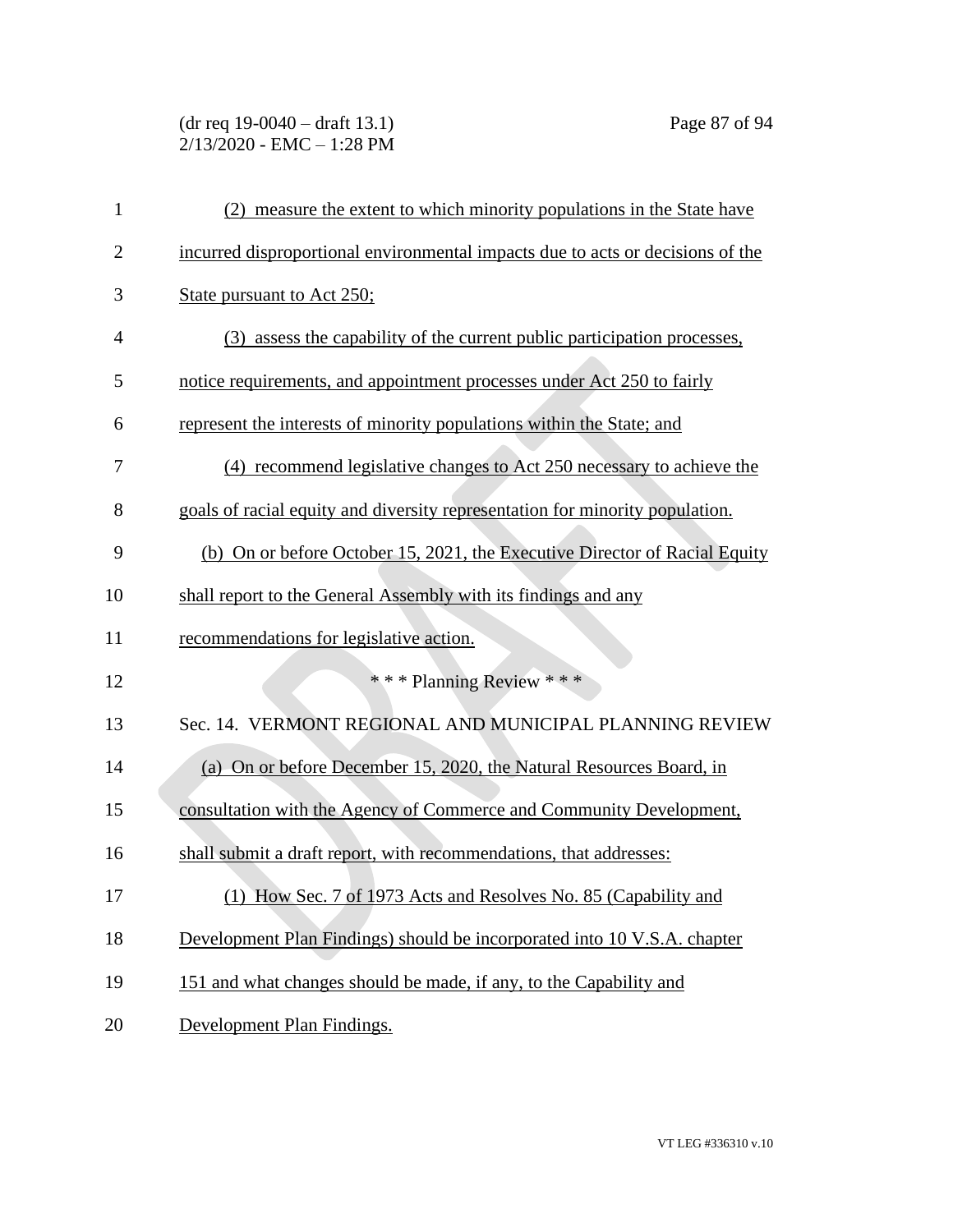# (dr req 19-0040 – draft 13.1) Page 87 of 94 2/13/2020 - EMC – 1:28 PM

| 1              | (2) measure the extent to which minority populations in the State have         |
|----------------|--------------------------------------------------------------------------------|
| $\mathbf{2}$   | incurred disproportional environmental impacts due to acts or decisions of the |
| 3              | State pursuant to Act 250;                                                     |
| $\overline{4}$ | (3) assess the capability of the current public participation processes,       |
| 5              | notice requirements, and appointment processes under Act 250 to fairly         |
| 6              | represent the interests of minority populations within the State; and          |
| 7              | (4) recommend legislative changes to Act 250 necessary to achieve the          |
| 8              | goals of racial equity and diversity representation for minority population.   |
| 9              | (b) On or before October 15, 2021, the Executive Director of Racial Equity     |
| 10             | shall report to the General Assembly with its findings and any                 |
| 11             | recommendations for legislative action.                                        |
| 12             | *** Planning Review ***                                                        |
| 13             | Sec. 14. VERMONT REGIONAL AND MUNICIPAL PLANNING REVIEW                        |
| 14             | (a) On or before December 15, 2020, the Natural Resources Board, in            |
| 15             | consultation with the Agency of Commerce and Community Development,            |
| 16             | shall submit a draft report, with recommendations, that addresses:             |
| 17             | (1) How Sec. 7 of 1973 Acts and Resolves No. 85 (Capability and                |
| 18             | Development Plan Findings) should be incorporated into 10 V.S.A. chapter       |
| 19             | 151 and what changes should be made, if any, to the Capability and             |
| 20             | Development Plan Findings.                                                     |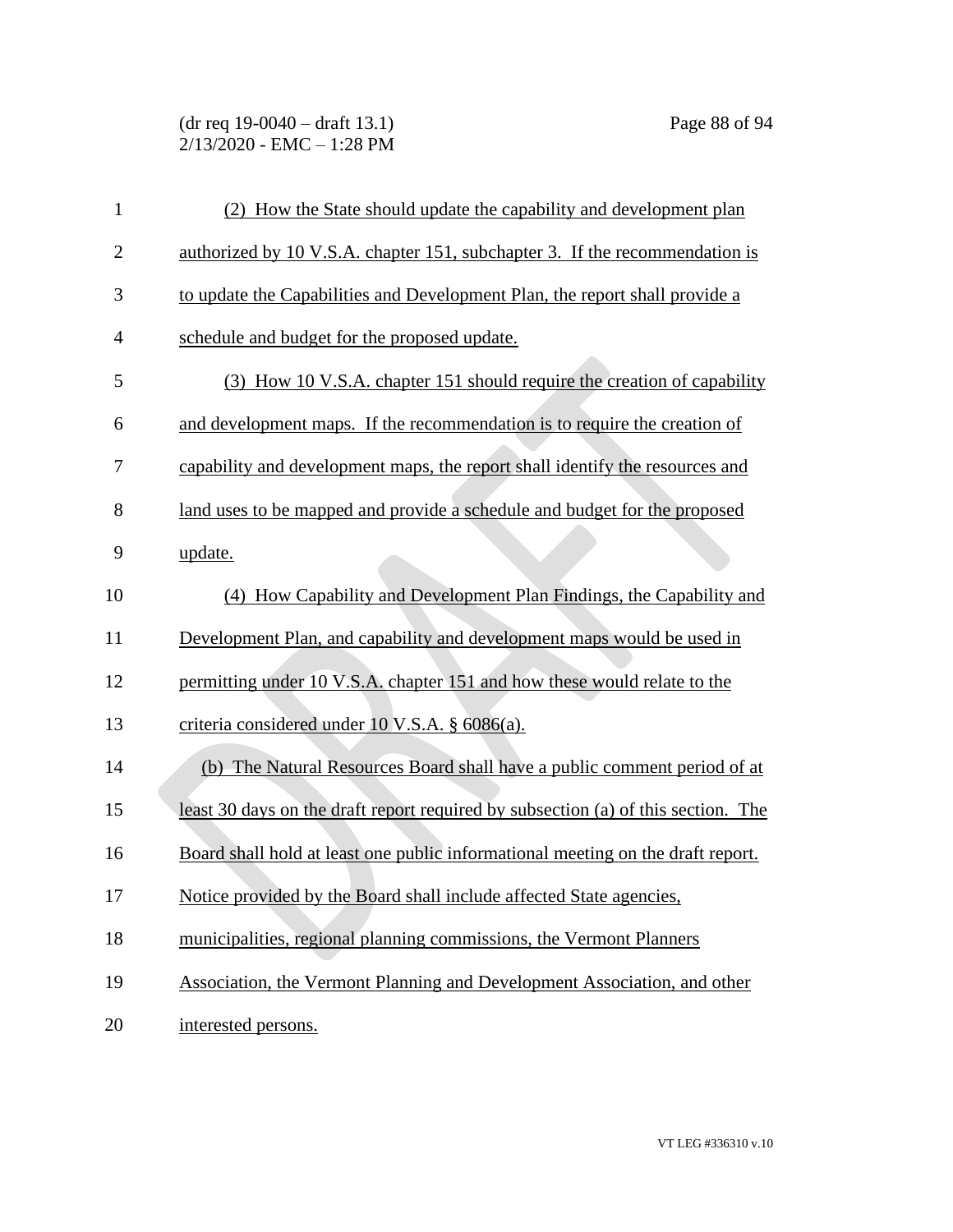(dr req 19-0040 – draft 13.1) Page 88 of 94 2/13/2020 - EMC – 1:28 PM

| $\mathbf{1}$   | (2) How the State should update the capability and development plan               |
|----------------|-----------------------------------------------------------------------------------|
| $\overline{2}$ | authorized by 10 V.S.A. chapter 151, subchapter 3. If the recommendation is       |
| 3              | to update the Capabilities and Development Plan, the report shall provide a       |
| 4              | schedule and budget for the proposed update.                                      |
| 5              | (3) How 10 V.S.A. chapter 151 should require the creation of capability           |
| 6              | and development maps. If the recommendation is to require the creation of         |
| 7              | capability and development maps, the report shall identify the resources and      |
| 8              | land uses to be mapped and provide a schedule and budget for the proposed         |
| 9              | update.                                                                           |
| 10             | (4) How Capability and Development Plan Findings, the Capability and              |
| 11             | Development Plan, and capability and development maps would be used in            |
| 12             | permitting under 10 V.S.A. chapter 151 and how these would relate to the          |
| 13             | criteria considered under 10 V.S.A. § 6086(a).                                    |
| 14             | (b) The Natural Resources Board shall have a public comment period of at          |
| 15             | least 30 days on the draft report required by subsection (a) of this section. The |
| 16             | Board shall hold at least one public informational meeting on the draft report.   |
| 17             | Notice provided by the Board shall include affected State agencies,               |
| 18             | municipalities, regional planning commissions, the Vermont Planners               |
| 19             | Association, the Vermont Planning and Development Association, and other          |
| 20             | interested persons.                                                               |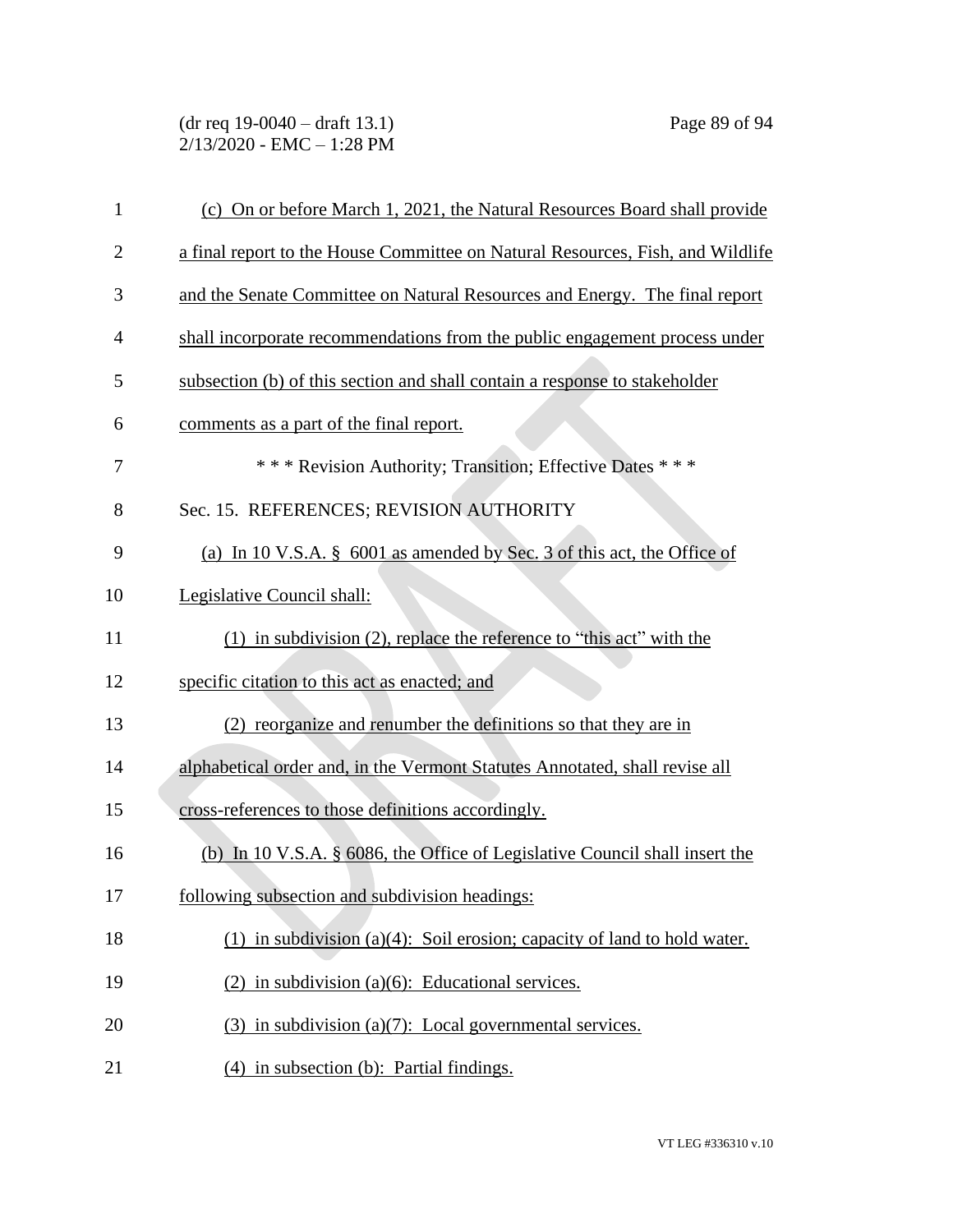(dr req 19-0040 – draft 13.1) Page 89 of 94 2/13/2020 - EMC – 1:28 PM

| $\mathbf{1}$   | (c) On or before March 1, 2021, the Natural Resources Board shall provide      |
|----------------|--------------------------------------------------------------------------------|
| $\overline{2}$ | a final report to the House Committee on Natural Resources, Fish, and Wildlife |
| 3              | and the Senate Committee on Natural Resources and Energy. The final report     |
| 4              | shall incorporate recommendations from the public engagement process under     |
| 5              | subsection (b) of this section and shall contain a response to stakeholder     |
| 6              | comments as a part of the final report.                                        |
| 7              | *** Revision Authority; Transition; Effective Dates ***                        |
| 8              | Sec. 15. REFERENCES; REVISION AUTHORITY                                        |
| 9              | (a) In 10 V.S.A. $\S$ 6001 as amended by Sec. 3 of this act, the Office of     |
| 10             | Legislative Council shall:                                                     |
| 11             | $(1)$ in subdivision $(2)$ , replace the reference to "this act" with the      |
| 12             | specific citation to this act as enacted; and                                  |
| 13             | (2) reorganize and renumber the definitions so that they are in                |
| 14             | alphabetical order and, in the Vermont Statutes Annotated, shall revise all    |
| 15             | cross-references to those definitions accordingly.                             |
| 16             | (b) In 10 V.S.A. $\S$ 6086, the Office of Legislative Council shall insert the |
| 17             | following subsection and subdivision headings:                                 |
| 18             | (1) in subdivision (a)(4): Soil erosion; capacity of land to hold water.       |
| 19             | $(2)$ in subdivision (a)(6): Educational services.                             |
| 20             | $(3)$ in subdivision (a)(7): Local governmental services.                      |
| 21             | (4) in subsection (b): Partial findings.                                       |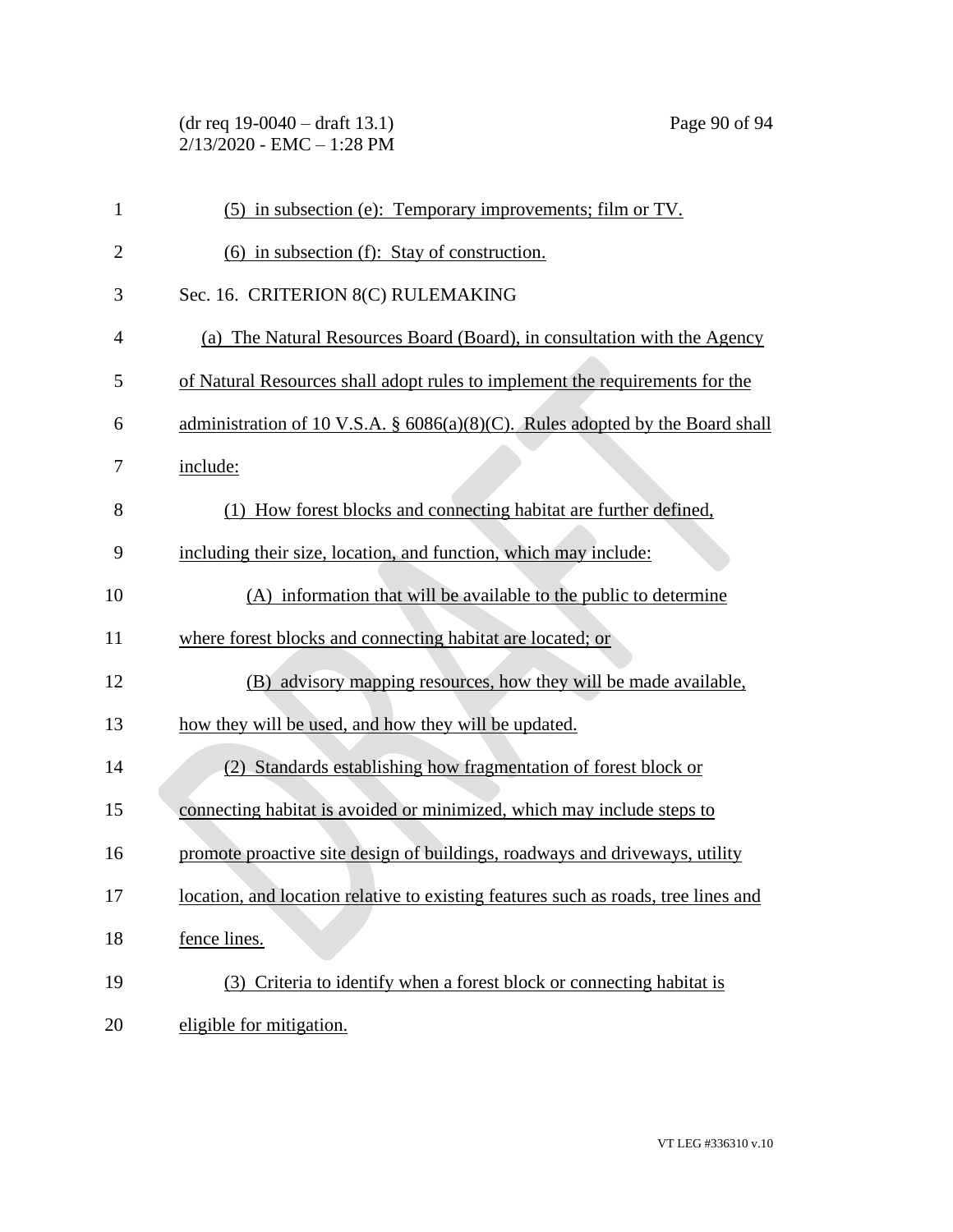(dr req 19-0040 – draft 13.1) Page 90 of 94 2/13/2020 - EMC – 1:28 PM

| $\mathbf{1}$   | (5) in subsection (e): Temporary improvements; film or TV.                                 |
|----------------|--------------------------------------------------------------------------------------------|
| $\overline{2}$ | (6) in subsection (f): Stay of construction.                                               |
| 3              | Sec. 16. CRITERION 8(C) RULEMAKING                                                         |
| $\overline{4}$ | (a) The Natural Resources Board (Board), in consultation with the Agency                   |
| 5              | of Natural Resources shall adopt rules to implement the requirements for the               |
| 6              | administration of 10 V.S.A. $\S$ 6086(a)(8)(C). Rules adopted by the Board shall           |
| 7              | include:                                                                                   |
| 8              | (1) How forest blocks and connecting habitat are further defined,                          |
| 9              | including their size, location, and function, which may include:                           |
| 10             | (A) information that will be available to the public to determine                          |
| 11             | where forest blocks and connecting habitat are located; or                                 |
| 12             | (B) advisory mapping resources, how they will be made available,                           |
| 13             | how they will be used, and how they will be updated.                                       |
| 14             | (2) Standards establishing how fragmentation of forest block or                            |
| 15             | connecting habitat is avoided or minimized, which may include steps to                     |
| 16             | promote proactive site design of buildings, roadways and driveways, utility                |
| 17             | <u>location</u> , and location relative to existing features such as roads, tree lines and |
| 18             | fence lines.                                                                               |
| 19             | (3) Criteria to identify when a forest block or connecting habitat is                      |
| 20             | eligible for mitigation.                                                                   |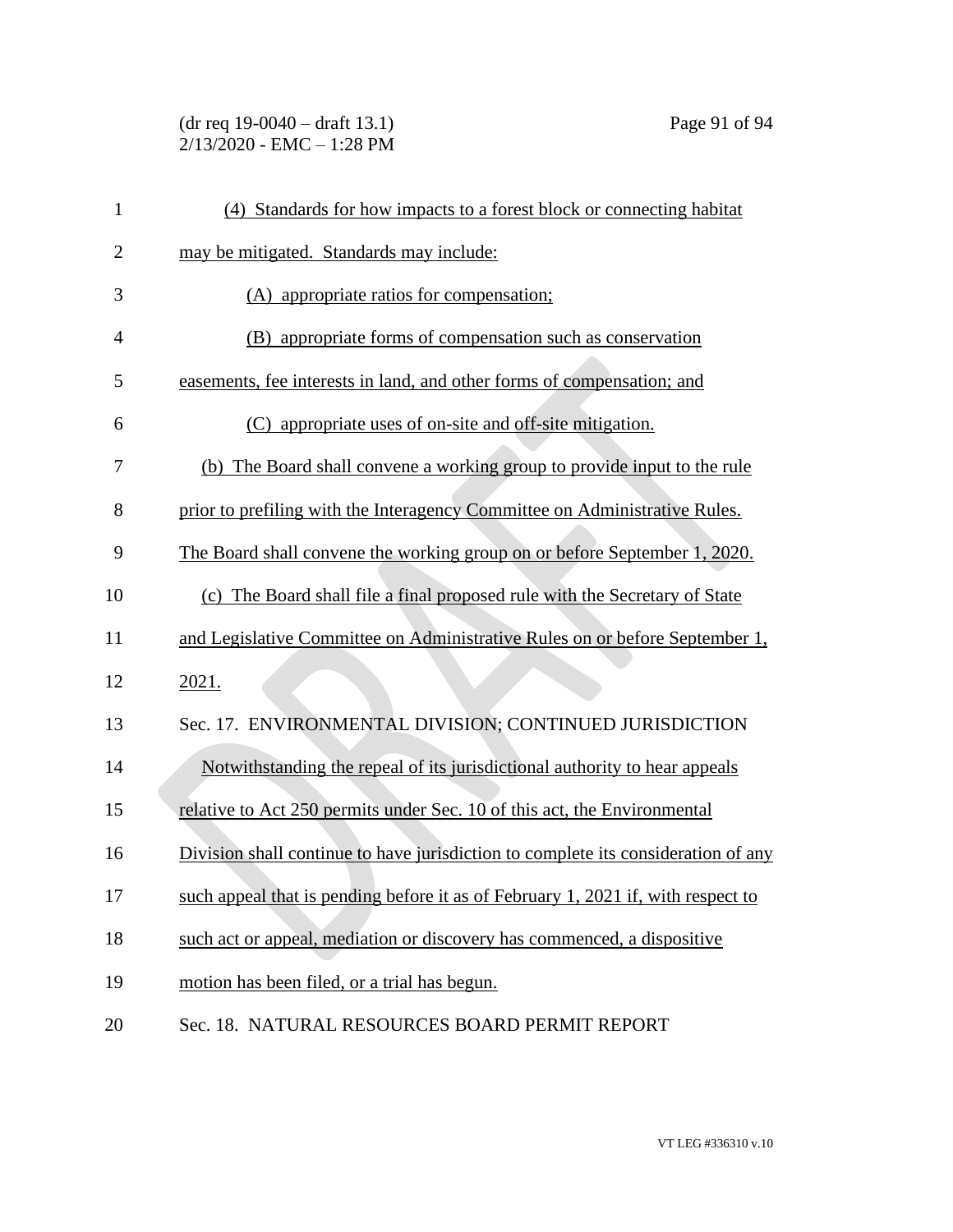(dr req 19-0040 – draft 13.1) Page 91 of 94 2/13/2020 - EMC – 1:28 PM

| 1              | (4) Standards for how impacts to a forest block or connecting habitat             |
|----------------|-----------------------------------------------------------------------------------|
| $\overline{2}$ | may be mitigated. Standards may include:                                          |
| 3              | (A) appropriate ratios for compensation;                                          |
| $\overline{4}$ | (B) appropriate forms of compensation such as conservation                        |
| 5              | easements, fee interests in land, and other forms of compensation; and            |
| 6              | appropriate uses of on-site and off-site mitigation.<br>(C)                       |
| 7              | (b) The Board shall convene a working group to provide input to the rule          |
| 8              | prior to prefiling with the Interagency Committee on Administrative Rules.        |
| 9              | The Board shall convene the working group on or before September 1, 2020.         |
| 10             | (c) The Board shall file a final proposed rule with the Secretary of State        |
| 11             | and Legislative Committee on Administrative Rules on or before September 1,       |
| 12             | 2021.                                                                             |
| 13             | Sec. 17. ENVIRONMENTAL DIVISION; CONTINUED JURISDICTION                           |
| 14             | Notwithstanding the repeal of its jurisdictional authority to hear appeals        |
| 15             | relative to Act 250 permits under Sec. 10 of this act, the Environmental          |
| 16             | Division shall continue to have jurisdiction to complete its consideration of any |
| 17             | such appeal that is pending before it as of February 1, 2021 if, with respect to  |
| 18             | such act or appeal, mediation or discovery has commenced, a dispositive           |
| 19             | motion has been filed, or a trial has begun.                                      |
| 20             | Sec. 18. NATURAL RESOURCES BOARD PERMIT REPORT                                    |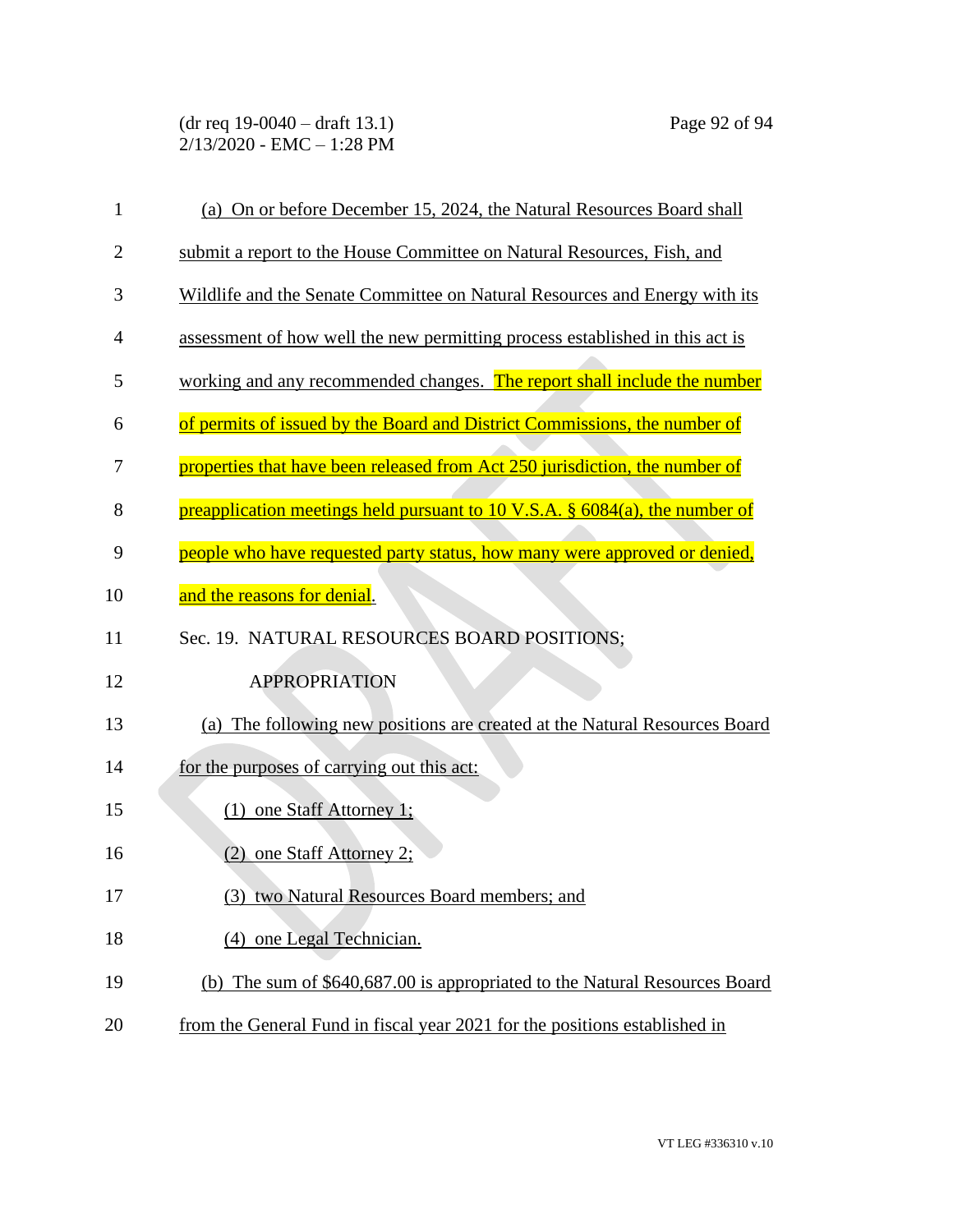| $\mathbf{1}$   | (a) On or before December 15, 2024, the Natural Resources Board shall          |
|----------------|--------------------------------------------------------------------------------|
| $\overline{2}$ | submit a report to the House Committee on Natural Resources, Fish, and         |
| 3              | Wildlife and the Senate Committee on Natural Resources and Energy with its     |
| 4              | assessment of how well the new permitting process established in this act is   |
| 5              | working and any recommended changes. The report shall include the number       |
| 6              | of permits of issued by the Board and District Commissions, the number of      |
| 7              | properties that have been released from Act 250 jurisdiction, the number of    |
| 8              | preapplication meetings held pursuant to 10 V.S.A. $\S$ 6084(a), the number of |
| 9              | people who have requested party status, how many were approved or denied,      |
| 10             | and the reasons for denial.                                                    |
| 11             | Sec. 19. NATURAL RESOURCES BOARD POSITIONS;                                    |
| 12             | <b>APPROPRIATION</b>                                                           |
| 13             | (a) The following new positions are created at the Natural Resources Board     |
| 14             | for the purposes of carrying out this act:                                     |
| 15             | $(1)$ one Staff Attorney 1;                                                    |
| 16             | (2) one Staff Attorney 2;                                                      |
| 17             | (3) two Natural Resources Board members; and                                   |
| 18             | (4) one Legal Technician.                                                      |
| 19             | (b) The sum of \$640,687.00 is appropriated to the Natural Resources Board     |
| 20             | from the General Fund in fiscal year 2021 for the positions established in     |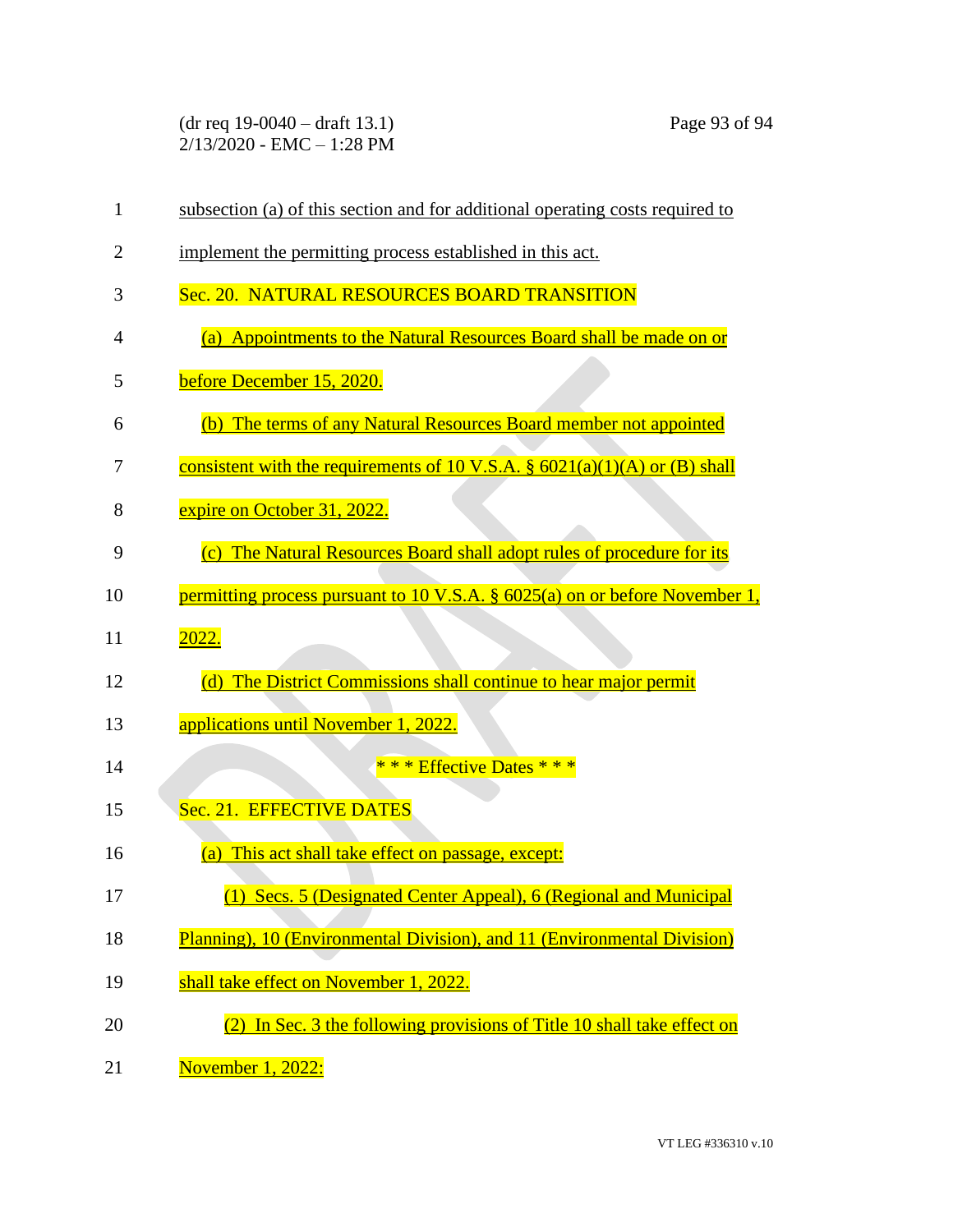(dr req 19-0040 – draft 13.1) Page 93 of 94 2/13/2020 - EMC – 1:28 PM

| $\mathbf{1}$ | subsection (a) of this section and for additional operating costs required to  |
|--------------|--------------------------------------------------------------------------------|
| 2            | implement the permitting process established in this act.                      |
| 3            | Sec. 20. NATURAL RESOURCES BOARD TRANSITION                                    |
| 4            | (a) Appointments to the Natural Resources Board shall be made on or            |
| 5            | before December 15, 2020.                                                      |
| 6            | (b) The terms of any Natural Resources Board member not appointed              |
| 7            | consistent with the requirements of 10 V.S.A. $\S$ 6021(a)(1)(A) or (B) shall  |
| 8            | expire on October 31, 2022.                                                    |
| 9            | (c) The Natural Resources Board shall adopt rules of procedure for its         |
| 10           | permitting process pursuant to 10 V.S.A. $\S$ 6025(a) on or before November 1, |
| 11           | 2022.                                                                          |
| 12           | (d) The District Commissions shall continue to hear major permit               |
| 13           | applications until November 1, 2022.                                           |
| 14           | * * * Effective Dates * * *                                                    |
| 15           | Sec. 21. EFFECTIVE DATES                                                       |
| 16           | (a) This act shall take effect on passage, except:                             |
| 17           | (1) Secs. 5 (Designated Center Appeal), 6 (Regional and Municipal              |
| 18           | Planning), 10 (Environmental Division), and 11 (Environmental Division)        |
| 19           | shall take effect on November 1, 2022.                                         |
| 20           | (2) In Sec. 3 the following provisions of Title 10 shall take effect on        |
| 21           | November 1, 2022:                                                              |